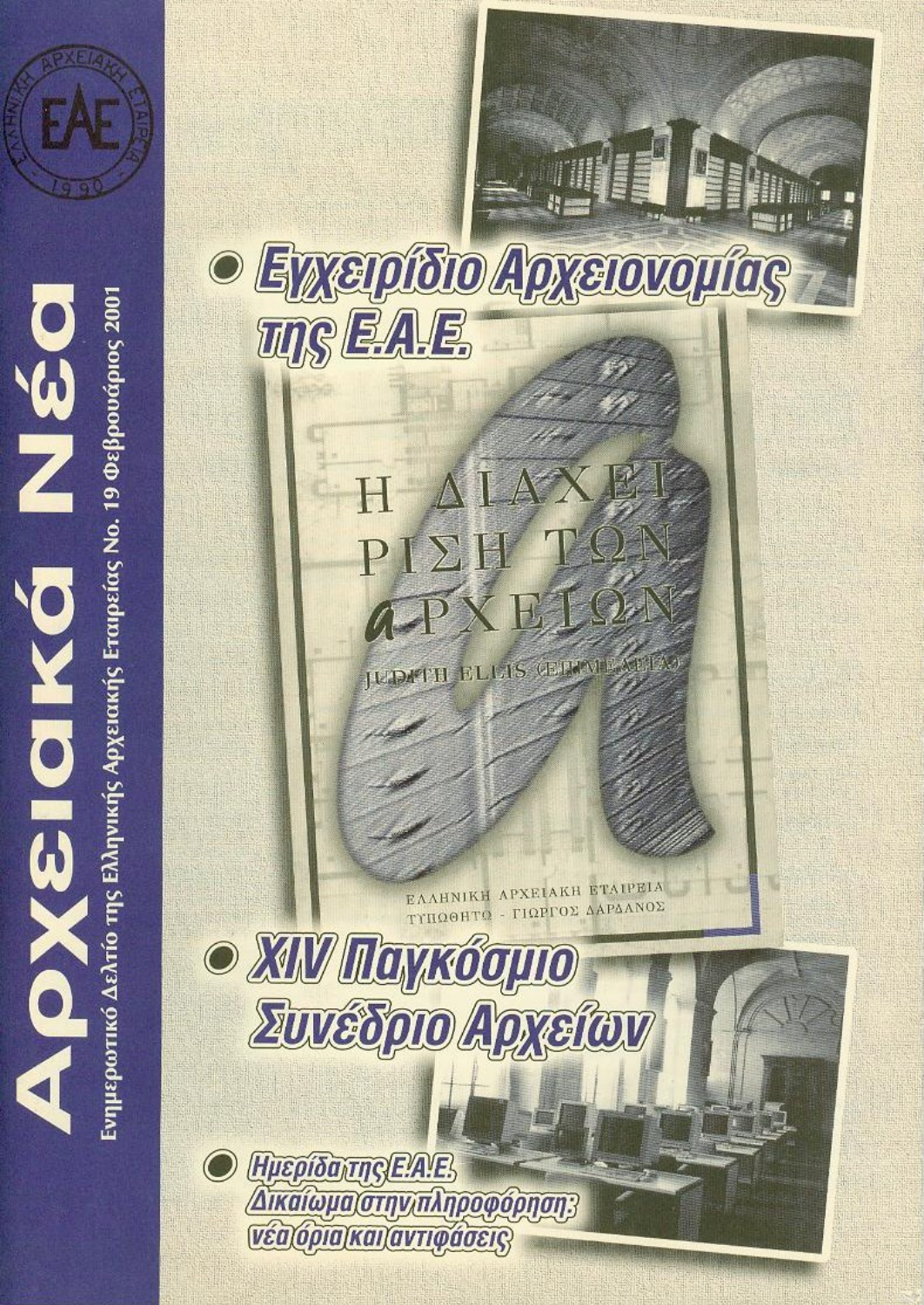



Eνημερωτικό Δελτίο της Ελληνικής Αρχειακής Eταιρείας No. 19 Φεβρουάριος 2001

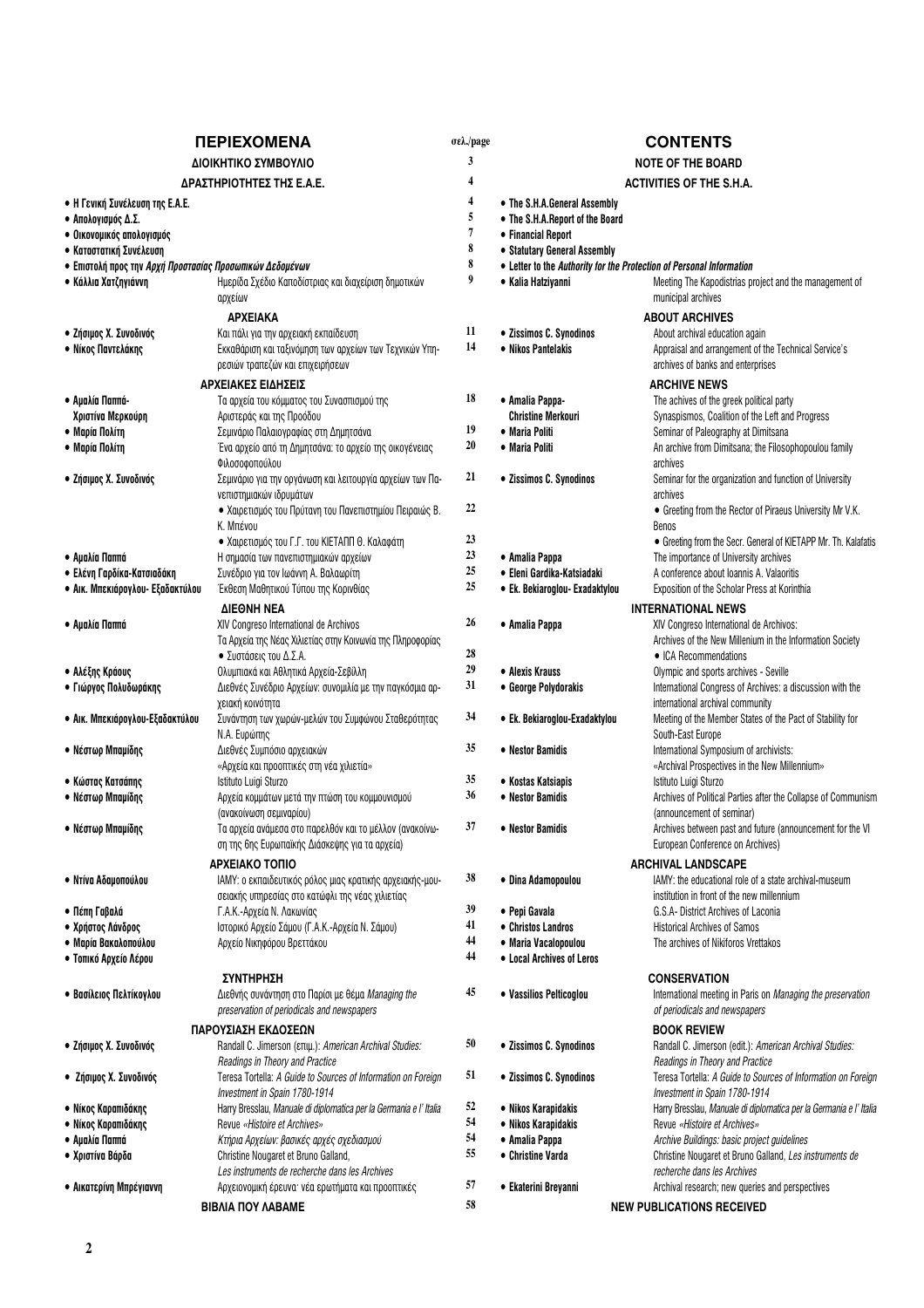| <b><i><u>TEPIEXOMENA</u></i></b>                                |                                                                                                     | σελ./page |                                 | <b>CONTENTS</b>                                                                                     |
|-----------------------------------------------------------------|-----------------------------------------------------------------------------------------------------|-----------|---------------------------------|-----------------------------------------------------------------------------------------------------|
| ΔΙΟΙΚΗΤΙΚΟ ΣΥΜΒΟΥΛΙΟ                                            |                                                                                                     | 3         |                                 | <b>NOTE OF THE BOARD</b>                                                                            |
|                                                                 | ΔΡΑΣΤΗΡΙΟΤΗΤΕΣ ΤΗΣ Ε.Α.Ε.                                                                           | 4         |                                 | <b>ACTIVITIES OF THE S.H.A.</b>                                                                     |
|                                                                 |                                                                                                     | 4         | • The S.H.A.General Assembly    |                                                                                                     |
| • Η Γενική Συνέλευση της Ε.Α.Ε.<br>• Απολογισμός Δ.Σ.           |                                                                                                     | 5         | • The S.H.A.Report of the Board |                                                                                                     |
| · Οικονομικός απολογισμός                                       |                                                                                                     | 7         | • Financial Report              |                                                                                                     |
| • Καταστατική Συνέλευση                                         |                                                                                                     | 8         | • Statutary General Assembly    |                                                                                                     |
| • Επιστολή προς την <i>Αρχή Προστασίας Προσωπικών Δεδομένων</i> |                                                                                                     | 8         |                                 | • Letter to the Authority for the Protection of Personal Information                                |
| • Κάλλια Χατζηγιάννη                                            | Ημερίδα Σχέδιο Καποδίστριας και διαχείριση δημοτικών                                                | 9         | • Kalia Hatziyanni              | Meeting The Kapodistrias project and the management of                                              |
|                                                                 | αρχείων                                                                                             |           |                                 | municipal archives                                                                                  |
|                                                                 | <b>APXEIAKA</b>                                                                                     |           |                                 | <b>ABOUT ARCHIVES</b>                                                                               |
| • Ζήσιμος Χ. Συνοδινός                                          | Και πάλι για την αρχειακή εκπαίδευση                                                                | 11        | · Zissimos C. Synodinos         | About archival education again                                                                      |
| • Νίκος Παντελάκης                                              | Εκκαθάριση και ταξινόμηση των αρχείων των Τεχνικών Υπη-                                             | 14        | • Nikos Pantelakis              | Appraisal and arrangement of the Technical Service's                                                |
|                                                                 | ρεσιών τραπεζών και επιχειρήσεων                                                                    |           |                                 | archives of banks and enterprises                                                                   |
|                                                                 | ΑΡΧΕΙΑΚΕΣ ΕΙΔΗΣΕΙΣ                                                                                  |           |                                 | <b>ARCHIVE NEWS</b>                                                                                 |
| • Αμαλία Παππά-                                                 | Τα αρχεία του κόμματος του Συνασπισμού της                                                          | 18        | • Amalia Pappa-                 | The achives of the greek political party                                                            |
| Χριστίνα Μερκούρη                                               | Αριστεράς και της Προόδου                                                                           | 19        | <b>Christine Merkouri</b>       | Synaspismos, Coalition of the Left and Progress                                                     |
| • Μαρία Πολίτη                                                  | Σεμινάριο Παλαιογραφίας στη Δημητσάνα                                                               | 20        | • Maria Politi                  | Seminar of Paleography at Dimitsana<br>An archive from Dimitsana; the Filosophopoulou family        |
| • Μαρία Πολίτη                                                  | Ένα αρχείο από τη Δημητσάνα: το αρχείο της οικογένειας<br>Φιλοσοφοπούλου                            |           | • Maria Politi                  | archives                                                                                            |
| · Ζήσιμος Χ. Συνοδινός                                          | Σεμινάριο για την οργάνωση και λειτουργία αρχείων των Πα-                                           | 21        | • Zissimos C. Synodinos         | Seminar for the organization and function of University                                             |
|                                                                 | νεπιστημιακών ιδρυμάτων                                                                             |           |                                 | archives                                                                                            |
|                                                                 | • Χαιρετισμός του Πρύτανη του Πανεπιστημίου Πειραιώς Β.                                             | 22        |                                 | • Greeting from the Rector of Piraeus University Mr V.K.                                            |
|                                                                 | Κ. Μπένου                                                                                           |           |                                 | <b>Benos</b>                                                                                        |
|                                                                 | · Χαιρετισμός του Γ.Γ. του ΚΙΕΤΑΠΠ Θ. Καλαφάτη                                                      | 23        |                                 | • Greeting from the Secr. General of KIETAPP Mr. Th. Kalafatis                                      |
| • Αμαλία Παππά                                                  | Η σημασία των πανεπιστημιακών αρχείων                                                               | 23        | • Amalia Pappa                  | The importance of University archives                                                               |
| • Ελένη Γαρδίκα-Κατσιαδάκη                                      | Συνέδριο για τον Ιωάννη Α. Βαλαωρίτη                                                                | 25        | • Eleni Gardika-Katsiadaki      | A conference about Ioannis A. Valaoritis                                                            |
| • Αικ. Μπεκιάρογλου- Εξαδακτύλου                                | Έκθεση Μαθητικού Τύπου της Κορινθίας                                                                | 25        | • Ek. Bekiaroglou- Exadaktylou  | Exposition of the Scholar Press at Korinthia                                                        |
|                                                                 | <b><i>AIEONH NEA</i></b>                                                                            |           |                                 | <b>INTERNATIONAL NEWS</b>                                                                           |
| • Αμαλία Παππά                                                  | XIV Congreso International de Archivos                                                              | 26        | • Amalia Pappa                  | XIV Congreso International de Archivos:                                                             |
|                                                                 | Τα Αρχεία της Νέας Χιλιετίας στην Κοινωνία της Πληροφορίας                                          | 28        |                                 | Archives of the New Millenium in the Information Society                                            |
|                                                                 | • Συστάσεις του Δ.Σ.Α.                                                                              | 29        | • Alexis Krauss                 | • ICA Recommendations                                                                               |
| • Αλέξης Κράους<br>• Γιώργος Πολυδωράκης                        | Ολυμπιακά και Αθλητικά Αρχεία-Σεβίλλη<br>Διεθνές Συνέδριο Αρχείων: συνομιλία με την παγκόσμια αρ-   | 31        | • George Polydorakis            | Olympic and sports archives - Seville<br>International Congress of Archives: a discussion with the  |
|                                                                 | χειακή κοινότητα                                                                                    |           |                                 | international archival community                                                                    |
| • Αικ. Μπεκιάρογλου-Εξαδακτύλου                                 | Συνάντηση των χωρών-μελών του Συμφώνου Σταθερότητας                                                 | 34        | • Ek. Bekiaroglou-Exadaktylou   | Meeting of the Member States of the Pact of Stability for                                           |
|                                                                 | N.A. Ευρώπης                                                                                        |           |                                 | South-East Europe                                                                                   |
| • Νέστωρ Μπαμίδης                                               | Διεθνές Συμπόσιο αρχειακών                                                                          | 35        | • Nestor Bamidis                | International Symposium of archivists:                                                              |
|                                                                 | «Αρχεία και προοπτικές στη νέα χιλιετία»                                                            |           |                                 | «Archival Prospectives in the New Millennium»                                                       |
| • Κώστας Κατσάπης                                               | Istituto Luigi Sturzo                                                                               | 35        | • Kostas Katsiapis              | Istituto Luigi Sturzo                                                                               |
| • Νέστωρ Μπαμίδης                                               | Αρχεία κομμάτων μετά την πτώση του κομμουνισμού                                                     | 36        | • Nestor Bamidis                | Archives of Political Parties after the Collapse of Communism                                       |
| • Νέστωρ Μπαμίδης                                               | (ανακοίνωση σεμιναρίου)<br>Τα αρχεία ανάμεσα στο παρελθόν και το μέλλον (ανακοίνω-                  | 37        | • Nestor Bamidis                | (announcement of seminar)<br>Archives between past and future (announcement for the VI              |
|                                                                 | ση της 6ης Ευρωπαϊκής Διάσκεψης για τα αρχεία)                                                      |           |                                 | European Conference on Archives)                                                                    |
|                                                                 | ΑΡΧΕΙΑΚΟ ΤΟΠΙΟ                                                                                      |           |                                 |                                                                                                     |
| • Ντίνα Αδαμοπούλου                                             | ΙΑΜΥ: ο εκπαιδευτικός ρόλος μιας κρατικής αρχειακής-μου-                                            | 38        | · Dina Adamopoulou              | <b>ARCHIVAL LANDSCAPE</b><br>IAMY: the educational role of a state archival-museum                  |
|                                                                 | σειακής υπηρεσίας στο κατώφλι της νέας χιλιετίας                                                    |           |                                 | institution in front of the new millennium                                                          |
| • Πέπη Γαβαλά                                                   | Γ.Α.Κ.-Αρχεία Ν. Λακωνίας                                                                           | 39        | • Pepi Gavala                   | G.S.A- District Archives of Laconia                                                                 |
| • Χρήστος Λάνδρος                                               | Ιστορικό Αρχείο Σάμου (Γ.Α.Κ.-Αρχεία Ν. Σάμου)                                                      | 41        | • Christos Landros              | <b>Historical Archives of Samos</b>                                                                 |
| • Μαρία Βακαλοπούλου                                            | Αρχείο Νικηφόρου Βρεττάκου                                                                          | 44        | · Maria Vacalopoulou            | The archives of Nikiforos Vrettakos                                                                 |
| • Τοπικό Αρχείο Λέρου                                           |                                                                                                     | 44        | • Local Archives of Leros       |                                                                                                     |
|                                                                 | <b>ΣΥΝΤΗΡΗΣΗ</b>                                                                                    |           |                                 | CONSERVATION                                                                                        |
| • Βασίλειος Πελτίκογλου                                         | Διεθνής συνάντηση στο Παρίσι με θέμα Managing the                                                   | 45        | • Vassilios Pelticoglou         | International meeting in Paris on <i>Managing the preservation</i>                                  |
|                                                                 | preservation of periodicals and newspapers                                                          |           |                                 | of periodicals and newspapers                                                                       |
|                                                                 | ΠΑΡΟΥΣΙΑΣΗ ΕΚΔΟΣΕΩΝ                                                                                 |           |                                 | <b>BOOK REVIEW</b>                                                                                  |
| · Ζήσιμος Χ. Συνοδινός                                          | Randall C. Jimerson (επιμ.): American Archival Studies:                                             | 50        | • Zissimos C. Synodinos         | Randall C. Jimerson (edit.): American Archival Studies:                                             |
|                                                                 | Readings in Theory and Practice                                                                     |           |                                 | Readings in Theory and Practice                                                                     |
| • Ζήσιμος Χ. Συνοδινός                                          | Teresa Tortella: A Guide to Sources of Information on Foreign                                       | 51        | • Zissimos C. Synodinos         | Teresa Tortella: A Guide to Sources of Information on Foreign                                       |
| • Νίκος Καραπιδάκης                                             | Investment in Spain 1780-1914<br>Harry Bresslau, Manuale di diplomatica per la Germania e l' Italia | 52        | • Nikos Karapidakis             | Investment in Spain 1780-1914<br>Harry Bresslau, Manuale di diplomatica per la Germania e l' Italia |
| • Νίκος Καραπιδάκης                                             | Revue «Histoire et Archives»                                                                        | 54        | • Nikos Karapidakis             | Revue «Histoire et Archives»                                                                        |
| • Αμαλία Παππά                                                  | Κτήρια Αρχείων: βασικές αρχές σχεδιασμού                                                            | 54        | • Amalia Pappa                  | Archive Buildings: basic project guidelines                                                         |
| • Χριστίνα Βάρδα                                                | Christine Nougaret et Bruno Galland,                                                                | 55        | • Christine Varda               | Christine Nougaret et Bruno Galland, Les instruments de                                             |
|                                                                 | Les instruments de recherche dans les Archives                                                      |           |                                 | recherche dans les Archives                                                                         |
| • Αικατερίνη Μπρέγιαννη                                         | Αρχειονομική έρευνα· νέα ερωτήματα και προοπτικές                                                   | 57        | • Ekaterini Breyanni            | Archival research; new queries and perspectives                                                     |
|                                                                 | <b>BIBAIA NOY AABAME</b>                                                                            | 58        |                                 | <b>NEW PUBLICATIONS RECEIVED</b>                                                                    |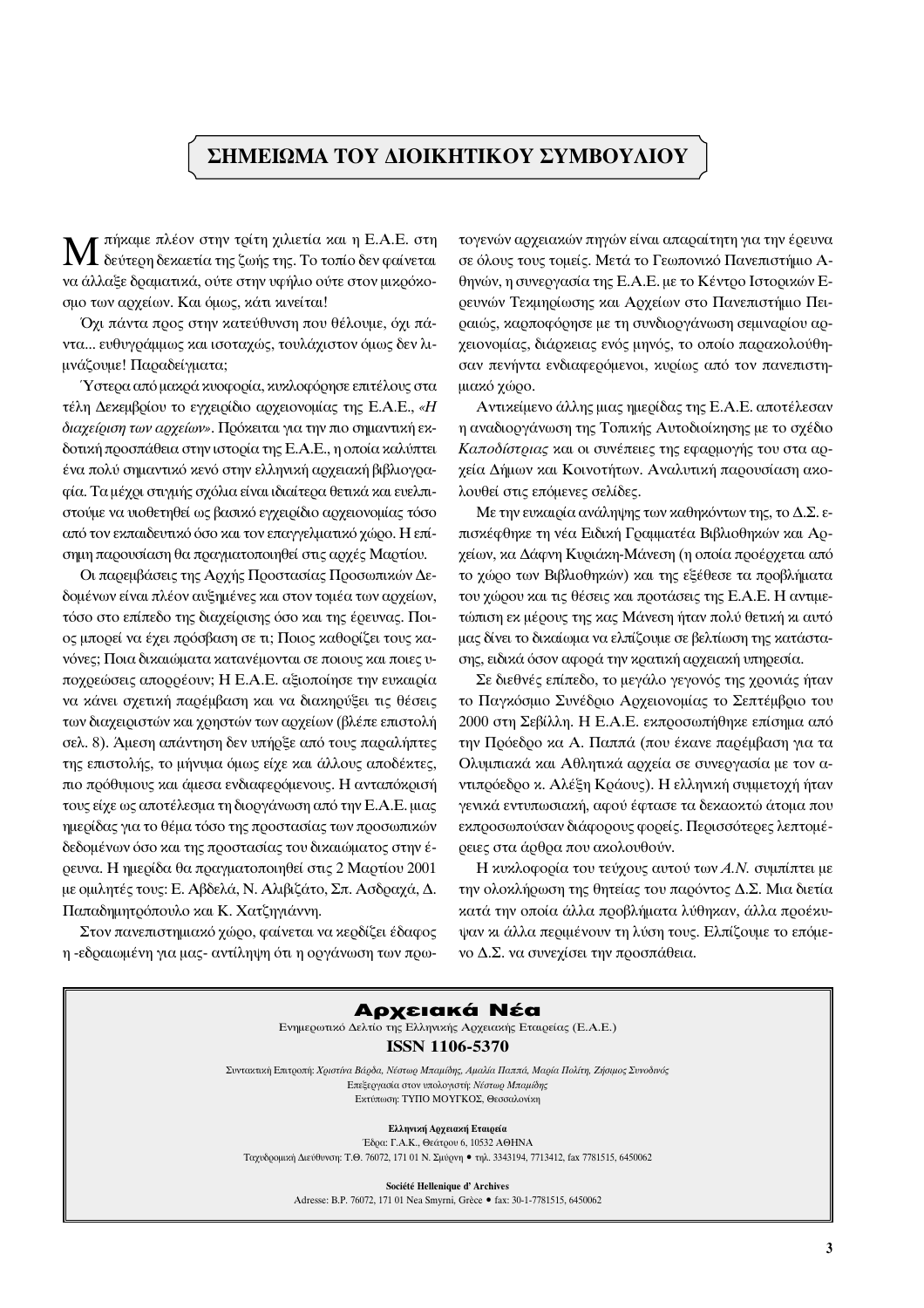# ΣΗΜΕΙΩΜΑ ΤΟΥ ΔΙΟΙΚΗΤΙΚΟΥ ΣΥΜΒΟΥΛΙΟΥ

πήκαμε πλέον στην τρίτη χιλιετία και η Ε.Α.Ε. στη δεύτερη δεκαετία της ζωής της. Το τοπίο δεν φαίνεται να άλλαξε δραματικά, ούτε στην υφήλιο ούτε στον μικρόκοσμο των αρχείων. Και όμως, κάτι κινείται!

Όχι πάντα προς στην κατεύθυνση που θέλουμε, όχι πάντα... ευθυγράμμως και ισοταχώς, τουλάχιστον όμως δεν λιμνάζουμε! Παραδείγματα;

Ύστερα από μακρά κυοφορία, κυκλοφόρησε επιτέλους στα τέλη Δεκεμβρίου το εγχειρίδιο αρχειονομίας της Ε.Α.Ε., «Η διαχείριση των αρχείων». Πρόκειται για την πιο σημαντική εκδοτική προσπάθεια στην ιστορία της Ε.Α.Ε., η οποία καλύπτει ένα πολύ σημαντικό κενό στην ελληνική αργειακή βιβλιογραφία. Τα μέχρι στιγμής σχόλια είναι ιδιαίτερα θετικά και ευελπιστούμε να υιοθετηθεί ως βασικό εγχειρίδιο αρχειονομίας τόσο από τον εκπαιδευτικό όσο και τον επαγγελματικό χώρο. Η επίσημη παρουσίαση θα πραγματοποιηθεί στις αργές Μαρτίου.

Οι παρεμβάσεις της Αργής Προστασίας Προσωπικών Δεδομένων είναι πλέον αυξημένες και στον τομέα των αρχείων, τόσο στο επίπεδο της διαχείρισης όσο και της έρευνας. Ποιος μπορεί να έχει πρόσβαση σε τι; Ποιος καθορίζει τους κανόνες; Ποια δικαιώματα κατανέμονται σε ποιους και ποιες υπογρεώσεις απορρέουν; Η Ε.Α.Ε. αξιοποίησε την ευκαιρία να κάνει σχετική παρέμβαση και να διακηρύξει τις θέσεις των διαχειριστών και χρηστών των αρχείων (βλέπε επιστολή σελ. 8). Αμεση απάντηση δεν υπήρξε από τους παραλήπτες της επιστολής, το μήνυμα όμως είχε και άλλους αποδέκτες, πιο πρόθυμους και άμεσα ενδιαφερόμενους. Η ανταπόκρισή τους είχε ως αποτέλεσμα τη διοργάνωση από την Ε.Α.Ε. μιας ημερίδας για το θέμα τόσο της προστασίας των προσωπικών δεδομένων όσο και της προστασίας του δικαιώματος στην έρευνα. Η ημερίδα θα πραγματοποιηθεί στις 2 Μαρτίου 2001 με ομιλητές τους: Ε. Αβδελά, Ν. Αλιβιζάτο, Σπ. Ασδραχά, Δ. Παπαδημητρόπουλο και Κ. Χατζηγιάννη.

Στον πανεπιστημιακό χώρο, φαίνεται να κερδίζει έδαφος η -εδραιωμένη για μας- αντίληψη ότι η οργάνωση των πρωτογενών αρχειακών πηγών είναι απαραίτητη για την έρευνα σε όλους τους τομείς. Μετά το Γεωπονικό Πανεπιστήμιο Αθηνών, η συνεργασία της Ε.Α.Ε. με το Κέντρο Ιστορικών Ερευνών Τεχμηρίωσης και Αρχείων στο Πανεπιστήμιο Πειραιώς, καρποφόρησε με τη συνδιοργάνωση σεμιναρίου αρχειονομίας, διάρκειας ενός μηνός, το οποίο παρακολούθησαν πενήντα ενδιαφερόμενοι, κυρίως από τον πανεπιστημιακό χώρο.

Αντικείμενο άλλης μιας ημερίδας της Ε.Α.Ε. αποτέλεσαν η αναδιοργάνωση της Τοπικής Αυτοδιοίκησης με το σχέδιο Καποδίστριας και οι συνέπειες της εφαρμογής του στα αργεία Δήμων και Κοινοτήτων. Αναλυτική παρουσίαση ακολουθεί στις επόμενες σελίδες.

Με την ευκαιρία ανάληψης των καθηκόντων της, το Δ.Σ. επισκέφθηκε τη νέα Ειδική Γραμματέα Βιβλιοθηκών και Αργείων, κα Δάφνη Κυριάκη-Μάνεση (η οποία προέργεται από το γώρο των Βιβλιοθηκών) και της εξέθεσε τα προβλήματα του χώρου και τις θέσεις και προτάσεις της Ε.Α.Ε. Η αντιμετώπιση εκ μέρους της κας Μάνεση ήταν πολύ θετική κι αυτό μας δίνει το δικαίωμα να ελπίζουμε σε βελτίωση της κατάστασης, ειδικά όσον αφορά την κρατική αρχειακή υπηρεσία.

Σε διεθνές επίπεδο, το μεγάλο γεγονός της χρονιάς ήταν το Παγκόσμιο Συνέδριο Αρχειονομίας το Σεπτέμβριο του 2000 στη Σεβίλλη. Η Ε.Α.Ε. εκπροσωπήθηκε επίσημα από την Πρόεδρο κα Α. Παππά (που έκανε παρέμβαση για τα Ολυμπιακά και Αθλητικά αρχεία σε συνεργασία με τον αντιπρόεδρο κ. Αλέξη Κράους). Η ελληνική συμμετοχή ήταν γενικά εντυπωσιακή, αφού έφτασε τα δεκαοκτώ άτομα που εκπροσωπούσαν διάφορους φορείς. Περισσότερες λεπτομέρειες στα άρθρα που ακολουθούν.

Η κυκλοφορία του τεύχους αυτού των Α.Ν. συμπίπτει με την ολοκλήρωση της θητείας του παρόντος Δ.Σ. Μια διετία κατά την οποία άλλα προβλήματα λύθηκαν, άλλα προέκυψαν κι άλλα περιμένουν τη λύση τους. Ελπίζουμε το επόμενο Δ.Σ. να συνεχίσει την προσπάθεια.



Société Hellenique d'Archives Adresse: B.P. 76072, 171 01 Nea Smyrni, Grèce · fax: 30-1-7781515, 6450062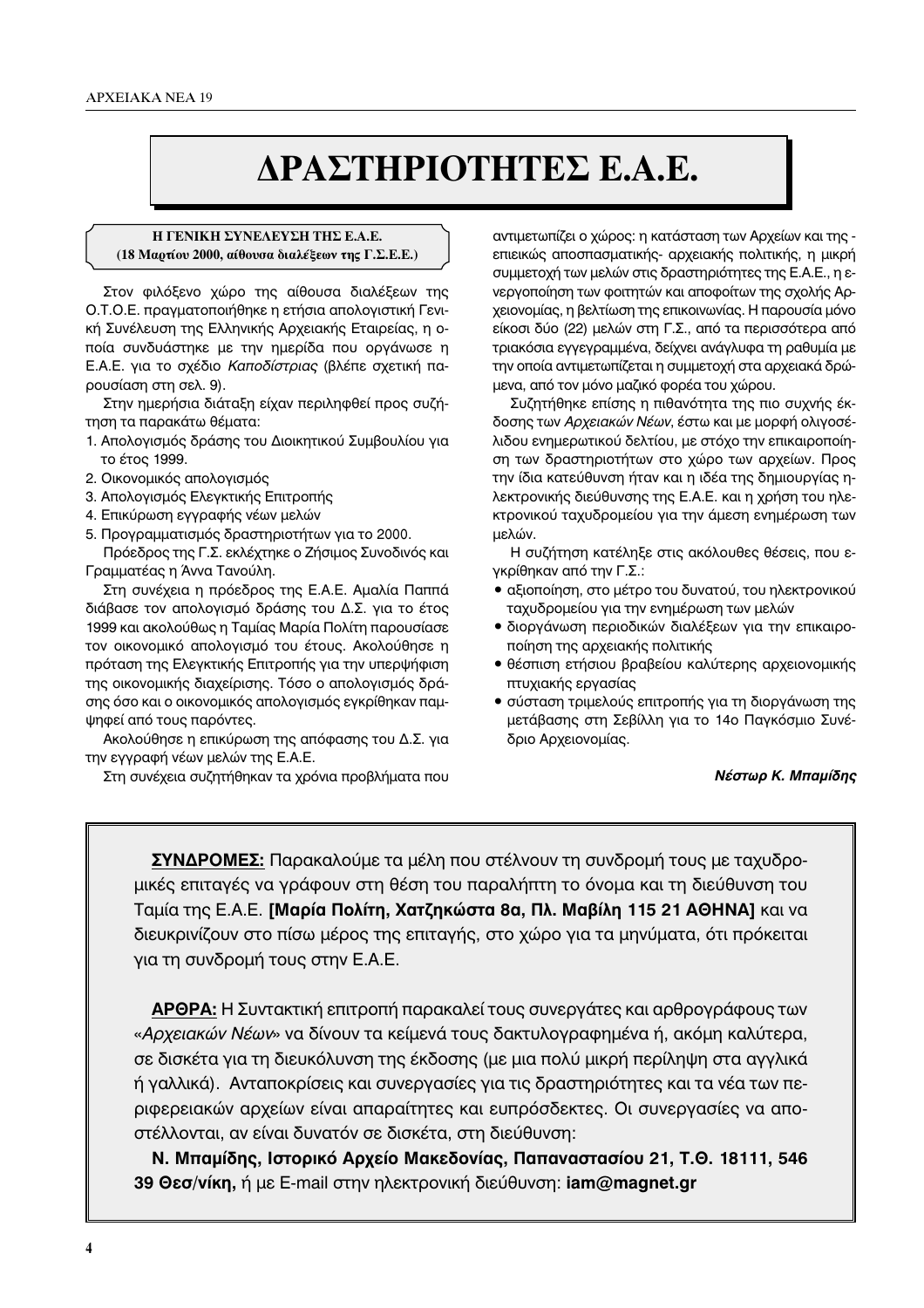# **¢PA™THPIOTHTE™ E.A.E. ¢PA™THPIOTHTE™ E.A.E.**

## **Η ΓΕΝΙΚΗ ΣΥΝΕΛΕΥΣΗ ΤΗΣ Ε.Α.Ε. (18 Μαρτίου 2000, αίθουσα διαλέξεων της Γ.Σ.Ε.Ε.)**

Στον φιλόξενο χώρο της αίθουσα διαλέξεων της Ο.Τ.Ο.Ε. πραγματοποιήθηκε η ετήσια απολογιστική Γενική Συνέλευση της Ελληνικής Αρχειακής Εταιρείας, η οποία συνδυάστηκε με την ημερίδα που οργάνωσε η Ε.Α.Ε. για το σχέδιο Καποδίστριας (βλέπε σχετική παρουσίαση στη σελ. 9).

Στην ημερήσια διάταξη είχαν περιληφθεί προς συζήτηση τα παρακάτω θέματα:

- 1. Απολογισμός δράσης του Διοικητικού Συμβουλίου για το έτος 1999.
- 2. Οικονομικός απολογισμός
- 3. Απολογισμός Ελεγκτικής Επιτροπής
- 4. Επικύρωση εγγραφής νέων μελών
- 5. Προγραμματισμός δραστηριοτήτων για το 2000.

Πρόεδρος της Γ.Σ. εκλέχτηκε ο Ζήσιμος Συνοδινός και Γραμματέας η Άννα Τανούλη.

Στη συνέχεια η πρόεδρος της Ε.Α.Ε. Αμαλία Παππά διάβασε τον απολογισμό δράσης του Δ.Σ. για το έτος 1999 και ακολούθως η Ταμίας Μαρία Πολίτη παρουσίασε τον οικονομικό απολογισμό του έτους. Ακολούθησε η πρόταση της Ελεγκτικής Επιτροπής για την υπερψήφιση της οικονομικής διαχείρισης. Τόσο ο απολογισμός δράσης όσο και ο οικονομικός απολογισμός εγκρίθηκαν παμψηφεί από τους παρόντες.

Ακολούθησε η επικύρωση της απόφασης του Δ.Σ. για την εγγραφή νέων μελών της Ε.Α.Ε.

Στη συνέχεια συζητήθηκαν τα χρόνια προβλήματα που

αντιμετωπίζει ο χώρος: η κατάσταση των Αρχείων και της επιεικώς αποσπασματικής- αρχειακής πολιτικής, η μικρή συμμετοχή των μελών στις δραστηριότητες της Ε.Α.Ε., η ενεργοποίηση των φοιτητών και αποφοίτων της σχολής Αρχειονομίας, η βελτίωση της επικοινωνίας. Η παρουσία μόνο είκοσι δύο (22) μελών στη Γ.Σ., από τα περισσότερα από τριακόσια εγγεγραμμένα, δείχνει ανάγλυφα τη ραθυμία με την οποία αντιμετωπίζεται η συμμετοχή στα αρχειακά δρώμενα, από τον μόνο μαζικό φορέα του χώρου.

Συζητήθηκε επίσης η πιθανότητα της πιο συχνής έκδοσης των Αρχειακών Νέων, έστω και με μορφή ολιγοσέλιδου ενημερωτικού δελτίου, με στόχο την επικαιροποίηση των δραστηριοτήτων στο χώρο των αρχείων. Προς την ίδια κατεύθυνση ήταν και η ιδέα της δημιουργίας ηλεκτρονικής διεύθυνσης της Ε.Α.Ε. και η χρήση του ηλεκτρονικού ταχυδρομείου για την άμεση ενημέρωση των μελών.

Η συζήτηση κατέληξε στις ακόλουθες θέσεις, που εγκρίθηκαν από την Γ.Σ.:

- αξιοποίηση, στο μέτρο του δυνατού, του ηλεκτρονικού ταχυδρομείου για την ενημέρωση των μελών
- διοργάνωση περιοδικών διαλέξεων για την επικαιροποίηση της αρχειακής πολιτικής
- θέσπιση ετήσιου βραβείου καλύτερης αρχειονομικής πτυχιακής εργασίας
- σύσταση τριμελούς επιτροπής για τη διοργάνωση της μετάβασης στη Σεβίλλη για το 14ο Παγκόσμιο Συνέδριο Αρχειονομίας.

## $N$ έστωρ *Κ. Μπαμίδης*

**ΣΥΝΔΡΟΜΕΣ:** Παρακαλούμε τα μέλη που στέλνουν τη συνδρομή τους με ταχυδρομικές επιταγές να γράφουν στη θέση του παραλήπτη το όνομα και τη διεύθυνση του Tαμία της Ε.Α.Ε. **[Μαρία Πολίτη, Χατζηκώστα 8α, Πλ. Μαβίλη 115 21 ΑΘΗΝΑ]** και να διευκρινίζουν στο πίσω μέρος της επιταγής, στο χώρο για τα μηνύματα, ότι πρόκειται για τη συνδρομή τους στην Ε.Α.Ε.

**APOPA:** Η Συντακτική επιτροπή παρακαλεί τους συνεργάτες και αρθρογράφους των «Αρχειακών Νέων» να δίνουν τα κείμενά τους δακτυλογραφημένα ή, ακόμη καλύτερα, σε δισκέτα για τη διευκόλυνση της έκδοσης (με μια πολύ μικρή περίληψη στα αγγλικά ή γαλλικά). Aνταποκρίσεις και συνεργασίες για τις δραστηριότητες και τα νέα των περιφερειακών αρχείων είναι απαραίτητες και ευπρόσδεκτες. Οι συνεργασίες να αποστέλλονται, αν είναι δυνατόν σε δισκέτα, στη διεύθυνση:

**39 Θεσ/νίκη,** ή με E-mail στην ηλεκτρονική διεύθυνση: **iam@magnet.gr**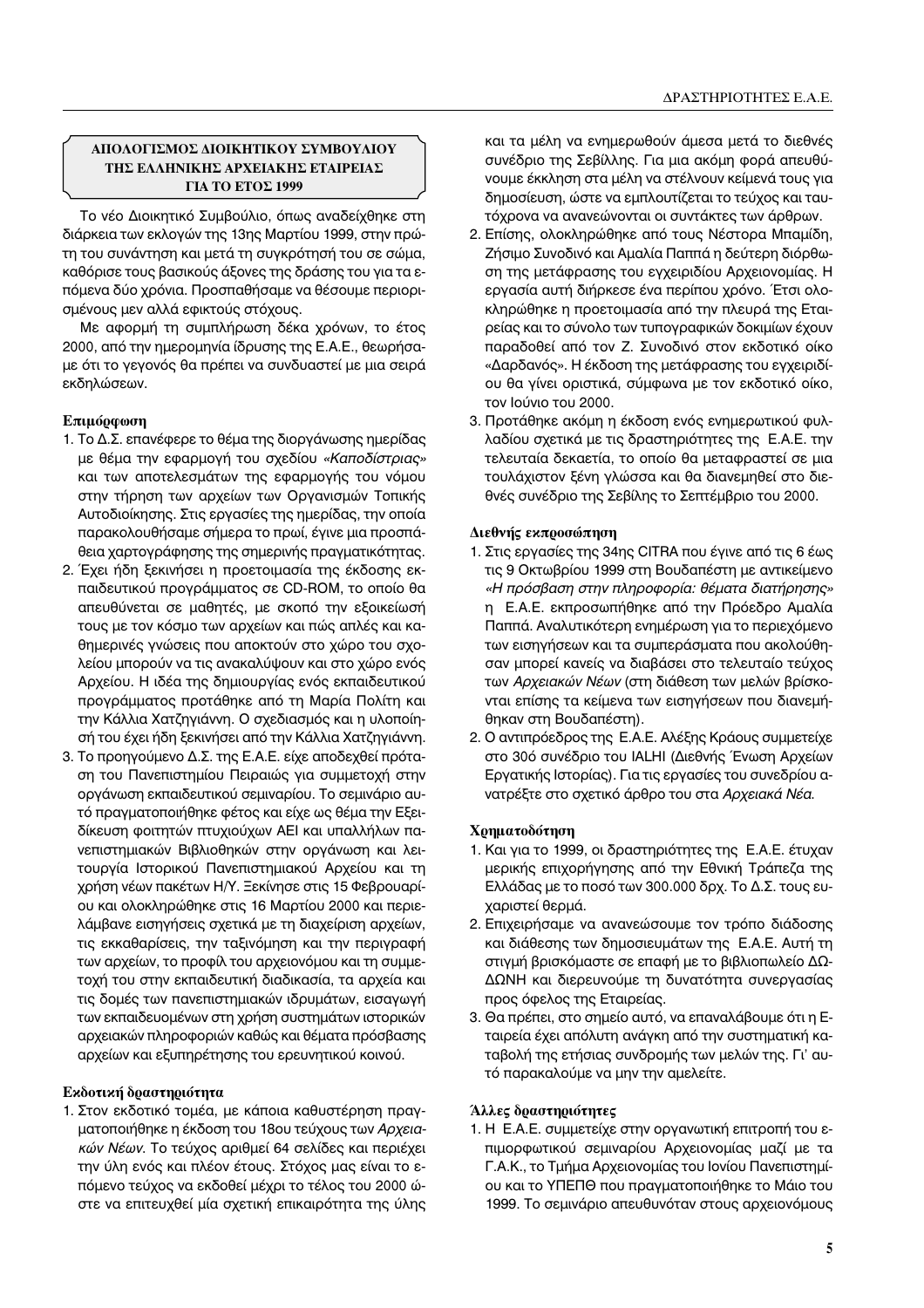## **«ΜΟΛΟΓΙΣΜΟΣ ΛΙΟΙΚΗΤΙΚΟΥ ΣΥΜΒΟΥΛΙΟΥ ΤΗΣ ΕΛΛΗΝΙΚΗΣ ΑΡΧΕΙΑΚΗΣ ΕΤΑΙΡΕΙΑΣ** ΓΙΑ ΤΟ ΕΤΟΣ 1999

Το νέο Διοικητικό Συμβούλιο, όπως αναδείχθηκε στη διάρκεια των εκλογών της 13ης Μαρτίου 1999, στην πρώτη του συνάντηση και μετά τη συγκρότησή του σε σώμα, καθόρισε τους βασικούς άξονες της δράσης του για τα επόμενα δύο χρόνια. Προσπαθήσαμε να θέσουμε περιορισμένους μεν αλλά εφικτούς στόχους.

Με αφορμή τη συμπλήρωση δέκα χρόνων, το έτος 2000, από την ημερομηνία ίδρυσης της Ε.Α.Ε., θεωρήσαμε ότι το γεγονός θα πρέπει να συνδυαστεί με μια σειρά εκδηλώσεων.

# **Επιμόρφωση**

- 1. Το Δ.Σ. επανέφερε το θέμα της διοργάνωσης ημερίδας με θέμα την εφαρμογή του σχεδίου «Καποδίστριας» και των αποτελεσμάτων της εφαρμογής του νόμου στην τήρηση των αρχείων των Οργανισμών Τοπικής Αυτοδιοίκησης. Στις εργασίες της ημερίδας, την οποία παρακολουθήσαμε σήμερα το πρωί, έγινε μια προσπάθεια χαρτογράφησης της σημερινής πραγματικότητας.
- 2. Έχει ήδη ξεκινήσει η προετοιμασία της έκδοσης εκπαιδευτικού προγράμματος σε CD-ROM, το οποίο θα απευθύνεται σε μαθητές, με σκοπό την εξοικείωσή τους με τον κόσμο των αρχείων και πώς απλές και καθημερινές γνώσεις που αποκτούν στο χώρο του σχολείου μπορούν να τις ανακαλύψουν και στο χώρο ενός Αρχείου. Η ιδέα της δημιουργίας ενός εκπαιδευτικού προγράμματος προτάθηκε από τη Μαρία Πολίτη και την Κάλλια Χατζηγιάννη. Ο σχεδιασμός και η υλοποίησή του έχει ήδη ξεκινήσει από την Κάλλια Χατζηγιάννη.
- 3. Το προηγούμενο Δ.Σ. της Ε.Α.Ε. είχε αποδεχθεί πρόταση του Πανεπιστημίου Πειραιώς για συμμετοχή στην οργάνωση εκπαιδευτικού σεμιναρίου. Το σεμινάριο αυτό πραγματοποιήθηκε φέτος και είχε ως θέμα την Εξειδίκευση φοιτητών πτυχιούχων ΑΕΙ και υπαλλήλων πανεπιστημιακών Βιβλιοθηκών στην οργάνωση και λειτουργία Ιστορικού Πανεπιστημιακού Αρχείου και τη χρήση νέων πακέτων Η/Υ. Ξεκίνησε στις 15 Φεβρουαρίου και ολοκληρώθηκε στις 16 Μαρτίου 2000 και περιελάμβανε εισηγήσεις σχετικά με τη διαχείριση αρχείων, τις εκκαθαρίσεις, την ταξινόμηση και την περιγραφή των αρχείων, το προφίλ του αρχειονόμου και τη συμμετοχή του στην εκπαιδευτική διαδικασία, τα αρχεία και τις δομές των πανεπιστημιακών ιδρυμάτων, εισαγωγή των εκπαιδευομένων στη χρήση συστημάτων ιστορικών αρχειακών πληροφοριών καθώς και θέματα πρόσβασης αρχείων και εξυπηρέτησης του ερευνητικού κοινού.

## **Εκδοτική δραστηριότητα**

1. Στον εκδοτικό τομέα, με κάποια καθυστέρηση πραγματοποιήθηκε η έκδοση του 18ου τεύχους των Αρχεια*κών Νέων*. Το τεύχος αριθμεί 64 σελίδες και περιέχει την ύλη ενός και πλέον έτους. Στόχος μας είναι το επόμενο τεύχος να εκδοθεί μέχρι το τέλος του 2000 ώστε να επιτευχθεί μία σχετική επικαιρότητα της ύλης και τα μέλη να ενημερωθούν άμεσα μετά το διεθνές συνέδριο της Σεβίλλης. Για μια ακόμη φορά απευθύνουμε έκκληση στα μέλη να στέλνουν κείμενά τους για δημοσίευση, ώστε να εμπλουτίζεται το τεύχος και ταυτόχρονα να ανανεώνονται οι συντάκτες των άρθρων.

- 2. Επίσης, ολοκληρώθηκε από τους Νέστορα Μπαμίδη, Ζήσιμο Συνοδινό και Αμαλία Παππά η δεύτερη διόρθωση της μετάφρασης του εγχειριδίου Αρχειονομίας. Η εργασία αυτή διήρκεσε ένα περίπου χρόνο. Έτσι ολοκληρώθηκε η προετοιμασία από την πλευρά της Εταιρείας και το σύνολο των τυπογραφικών δοκιμίων έχουν παραδοθεί από τον Ζ. Συνοδινό στον εκδοτικό οίκο «Δαρδανός». Η έκδοση της μετάφρασης του εγχειριδίου θα γίνει οριστικά, σύμφωνα με τον εκδοτικό οίκο, τον Ιούνιο του 2000.
- 3. Προτάθηκε ακόμη η έκδοση ενός ενημερωτικού φυλλαδίου σχετικά με τις δραστηριότητες της Ε.Α.Ε. την τελευταία δεκαετία, το οποίο θα μεταφραστεί σε μια τουλάχιστον ξένη γλώσσα και θα διανεμηθεί στο διεθνές συνέδριο της Σεβίλης το Σεπτέμβριο του 2000.

## Διεθνής εκπροσώπηση

- 1. Στις εργασίες της 34ης CITRA που έγινε από τις 6 έως τις 9 Οκτωβρίου 1999 στη Βουδαπέστη με αντικείμενο στουρετερατος ετης σταγ<sub>ί</sub>με για το ερατια εταιτηρογής<br>η Ε.Α.Ε. εκπροσωπήθηκε από την Πρόεδρο Αμαλία Παππά. Αναλυτικότερη ενημέρωση για το περιεχόμενο των εισηγήσεων και τα συμπεράσματα που ακολούθησαν μπορεί κανείς να διαβάσει στο τελευταίο τεύχος των Αρχειακών Νέων (στη διάθεση των μελών βρίσκονται επίσης τα κείμενα των εισηγήσεων που διανεμήθηκαν στη Βουδαπέστη).
- 2. Ο αντιπρόεδρος της Ε.Α.Ε. Αλέξης Κράους συμμετείχε στο 306 συνέδριο του ΙΑLΗΙ (Διεθνής Ένωση Αρχείων Εργατικής Ιστορίας). Για τις εργασίες του συνεδρίου ανατρέξτε στο σχετικό άρθρο του στα Αρχειακά Νέα.

## **Χρηματοδότηση**

- 1. Και για το 1999, οι δραστηριότητες της Ε.Α.Ε. έτυχαν μερικής επιχορήγησης από την Εθνική Τράπεζα της Ελλάδας με το ποσό των 300.000 δρχ. Το Δ.Σ. τους ευχαριστεί θερμά.
- 2. Επιχειρήσαμε να ανανεώσουμε τον τρόπο διάδοσης και διάθεσης των δημοσιευμάτων της Ε.Α.Ε. Αυτή τη στιγμή βρισκόμαστε σε επαφή με το βιβλιοπωλείο ΔΩ-ΔΩΝΗ και διερευνούμε τη δυνατότητα συνεργασίας προς όφελος της Εταιρείας.
- 3. Θα πρέπει, στο σημείο αυτό, να επαναλάβουμε ότι η Εταιρεία έχει απόλυτη ανάγκη από την συστηματική καταβολή της ετήσιας συνδρομής των μελών της. Γι' αυτό παρακαλούμε να μην την αμελείτε.

## Άλλες δραστηριότητες

1. Η Ε.Α.Ε. συμμετείχε στην οργανωτική επιτροπή του επιμορφωτικού σεμιναρίου Αρχειονομίας μαζί με τα Γ.Α.Κ., το Τμήμα Αρχειονομίας του Ιονίου Πανεπιστημίου και το ΥΠΕΠΘ που πραγματοποιήθηκε το Μάιο του 1999. Το σεμινάριο απευθυνόταν στους αρχειονόμους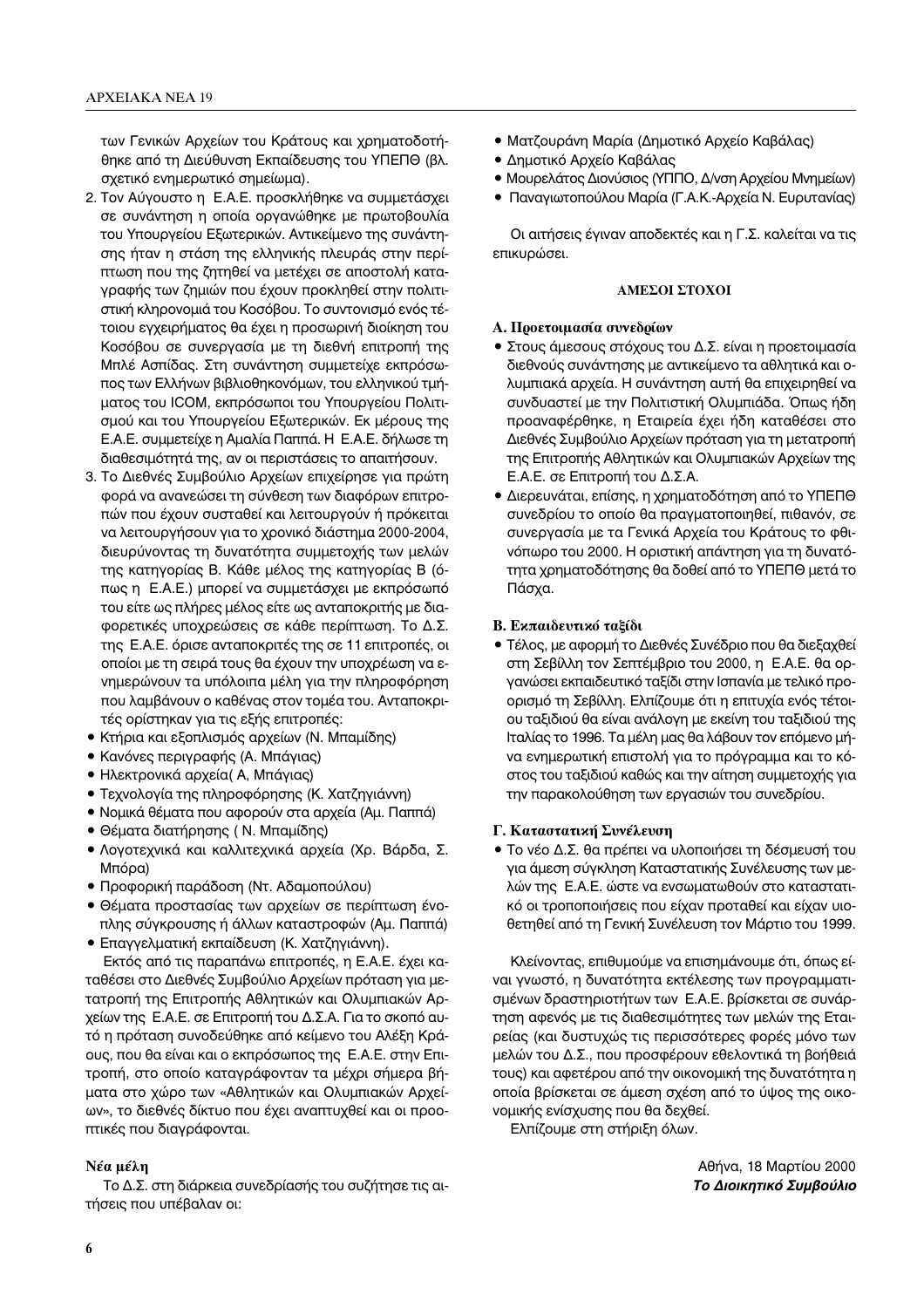των Γενικών Αρχείων του Κράτους και χρηματοδοτήθηκε από τη Διεύθυνση Εκπαίδευσης του ΥΠΕΠΘ (βλ. σχετικό ενημερωτικό σημείωμα).

- 2. Τον Αύγουστο η Ε.Α.Ε. προσκλήθηκε να συμμετάσχει σε συνάντηση η οποία οργανώθηκε με πρωτοβουλία του Υπουργείου Εξωτερικών. Αντικείμενο της συνάντησης ήταν η στάση της ελληνικής πλευράς στην περίπτωση που της ζητηθεί να μετέχει σε αποστολή καταγραφής των ζημιών που έχουν προκληθεί στην πολιτιστική κληρονομιά του Κοσόβου. Το συντονισμό ενός τέτοιου εγχειρήματος θα έχει η προσωρινή διοίκηση του Κοσόβου σε συνεργασία με τη διεθνή επιτροπή της Μπλέ Ασπίδας. Στη συνάντηση συμμετείχε εκπρόσωπος των Ελλήνων βιβλιοθηκονόμων, του ελληνικού τμήματος του ICOM, εκπρόσωποι του Υπουργείου Πολιτισμού και του Υπουργείου Εξωτερικών. Εκ μέρους της Ε.Α.Ε. συμμετείχε η Αμαλία Παππά. Η Ε.Α.Ε. δήλωσε τη διαθεσιμότητά της, αν οι περιστάσεις το απαιτήσουν.
- 3. Το Διεθνές Συμβούλιο Αρχείων επιχείρησε για πρώτη φορά να ανανεώσει τη σύνθεση των διαφόρων επιτροπών που έχουν συσταθεί και λειτουργούν ή πρόκειται να λειτουργήσουν για το χρονικό διάστημα 2000-2004, διευρύνοντας τη δυνατότητα συμμετοχής των μελών της κατηγορίας Β. Κάθε μέλος της κατηγορίας Β (όπως η Ε.Α.Ε.) μπορεί να συμμετάσχει με εκπρόσωπό του είτε ως πλήρες μέλος είτε ως ανταποκριτής με διαφορετικές υποχρεώσεις σε κάθε περίπτωση. Το Δ.Σ. της Ε.Α.Ε. όρισε ανταποκριτές της σε 11 επιτροπές, οι οποίοι με τη σειρά τους θα έχουν την υποχρέωση να εvημερώνουν τα υπόλοιπα μέλη για την πληροφόρηση που λαμβάνουν ο καθένας στον τομέα του. Ανταποκριτές ορίστηκαν για τις εξής επιτροπές:
- Κτήρια και εξοπλισμός αρχείων (Ν. Μπαμίδης)
- Κανόνες περιγραφής (Α. Μπάγιας)
- Ηλεκτρονικά αρχεία (Α, Μπάγιας)
- Τεχνολογία της πληροφόρησης (Κ. Χατζηγιάννη)
- Νομικά θέματα που αφορούν στα αρχεία (Αμ. Παππά)
- Θέματα διατήρησης ( Ν. Μπαμίδης)
- Λογοτεχνικά και καλλιτεχνικά αρχεία (Χρ. Βάρδα, Σ. Μπόρα)
- Προφορική παράδοση (Ντ. Αδαμοπούλου)
- Θέματα προστασίας των αρχείων σε περίπτωση ένοπλης σύγκρουσης ή άλλων καταστροφών (Αμ. Παππά)
- Επαγγελματική εκπαίδευση (Κ. Χατζηγιάννη).

Εκτός από τις παραπάνω επιτροπές, η Ε.Α.Ε. έχει καταθέσει στο Διεθνές Συμβούλιο Αρχείων πρόταση για μετατροπή της Επιτροπής Αθλητικών και Ολυμπιακών Αρχείων της Ε.Α.Ε. σε Επιτροπή του Δ.Σ.Α. Για το σκοπό αυτό η πρόταση συνοδεύθηκε από κείμενο του Αλέξη Κράους, που θα είναι και ο εκπρόσωπος της Ε.Α.Ε. στην Επιτροπή, στο οποίο καταγράφονταν τα μέχρι σήμερα βήματα στο χώρο των «Αθλητικών και Ολυμπιακών Αρχείων», το διεθνές δίκτυο που έχει αναπτυχθεί και οι προοπτικές που διαγράφονται.

### **Νέα μέλη**

Tο Δ.Σ. στη διάρκεια συνεδρίασής του συζήτησε τις αιτήσεις που υπέβαλαν οι:

- Ματζουράνη Μαρία (Δημοτικό Αρχείο Καβάλας)
- Δημοτικό Αρχείο Καβάλας
- Μουρελάτος Διονύσιος (ΥΠΠΟ, Δ/νση Αρχείου Μνημείων)
- Παναγιωτοπούλου Μαρία (Γ.Α.Κ.-Αρχεία Ν. Ευρυτανίας)

Οι αιτήσεις έγιναν αποδεκτές και η Γ.Σ. καλείται να τις επικυρώσει.

## **ΔΜΕΣΟΙ ΣΤΟΧΟΙ**

## **A. Προετοιμασία συνεδρίων**

- Στους άμεσους στόχους του Δ.Σ. είναι η προετοιμασία διεθνούς συνάντησης με αντικείμενο τα αθλητικά και ολυμπιακά αρχεία. Η συνάντηση αυτή θα επιχειρηθεί να συνδυαστεί με την Πολιτιστική Ολυμπιάδα. Όπως ήδη προαναφέρθηκε, η Εταιρεία έχει ήδη καταθέσει στο Διεθνές Συμβούλιο Αρχείων πρόταση για τη μετατροπή της Επιτροπής Αθλητικών και Ολυμπιακών Αρχείων της Ε.Α.Ε. σε Επιτροπή του Δ.Σ.Α.
- $\bullet$  Διερευνάται, επίσης, η χρηματοδότηση από το ΥΠΕΠΘ συνεδρίου το οποίο θα πραγματοποιηθεί, πιθανόν, σε συνεργασία με τα Γενικά Αρχεία του Κράτους το φθινόπωρο του 2000. Η οριστική απάντηση για τη δυνατότητα χρηματοδότησης θα δοθεί από το ΥΠΕΠΘ μετά το Πάσχα.

## **Β. Εκπαιδευτικό ταξίδι**

• Τέλος, με αφορμή το Διεθνές Συνέδριο που θα διεξαχθεί στη Σεβίλλη τον Σεπτέμβριο του 2000, η Ε.Α.Ε. θα οργανώσει εκπαιδευτικό ταξίδι στην Ισπανία με τελικό προορισμό τη Σεβίλλη. Ελπίζουμε ότι η επιτυχία ενός τέτοιου ταξιδιού θα είναι ανάλογη με εκείνη του ταξιδιού της Ιταλίας το 1996. Τα μέλη μας θα λάβουν τον επόμενο μήνα ενημερωτική επιστολή για το πρόγραμμα και το κόστος του ταξιδιού καθώς και την αίτηση συμμετοχής για την παρακολούθηση των εργασιών του συνεδρίου.

## Γ. Καταστατική Συνέλευση

• Το νέο Δ.Σ. θα πρέπει να υλοποιήσει τη δέσμευσή του για άμεση σύγκληση Καταστατικής Συνέλευσης των μελών της Ε.Α.Ε. ώστε να ενσωματωθούν στο καταστατικό οι τροποποιήσεις που είχαν προταθεί και είχαν υιοθετηθεί από τη Γενική Συνέλευση τον Μάρτιο του 1999.

Κλείνοντας, επιθυμούμε να επισημάνουμε ότι, όπως είναι γνωστό, η δυνατότητα εκτέλεσης των προγραμματισμένων δραστηριοτήτων των Ε.Α.Ε. βρίσκεται σε συνάρτηση αφενός με τις διαθεσιμότητες των μελών της Εταιρείας (και δυστυχώς τις περισσότερες φορές μόνο των μελών του Δ.Σ., που προσφέρουν εθελοντικά τη βοήθειά τους) και αφετέρου από την οικονομική της δυνατότητα η οποία βρίσκεται σε άμεση σχέση από το ύψος της οικονομικής ενίσχυσης που θα δεχθεί.

Ελπίζουμε στη στήριξη όλων.

Αθήνα, 18 Μαρτίου 2000 *Tο Διοικητικό Συμβούλιο*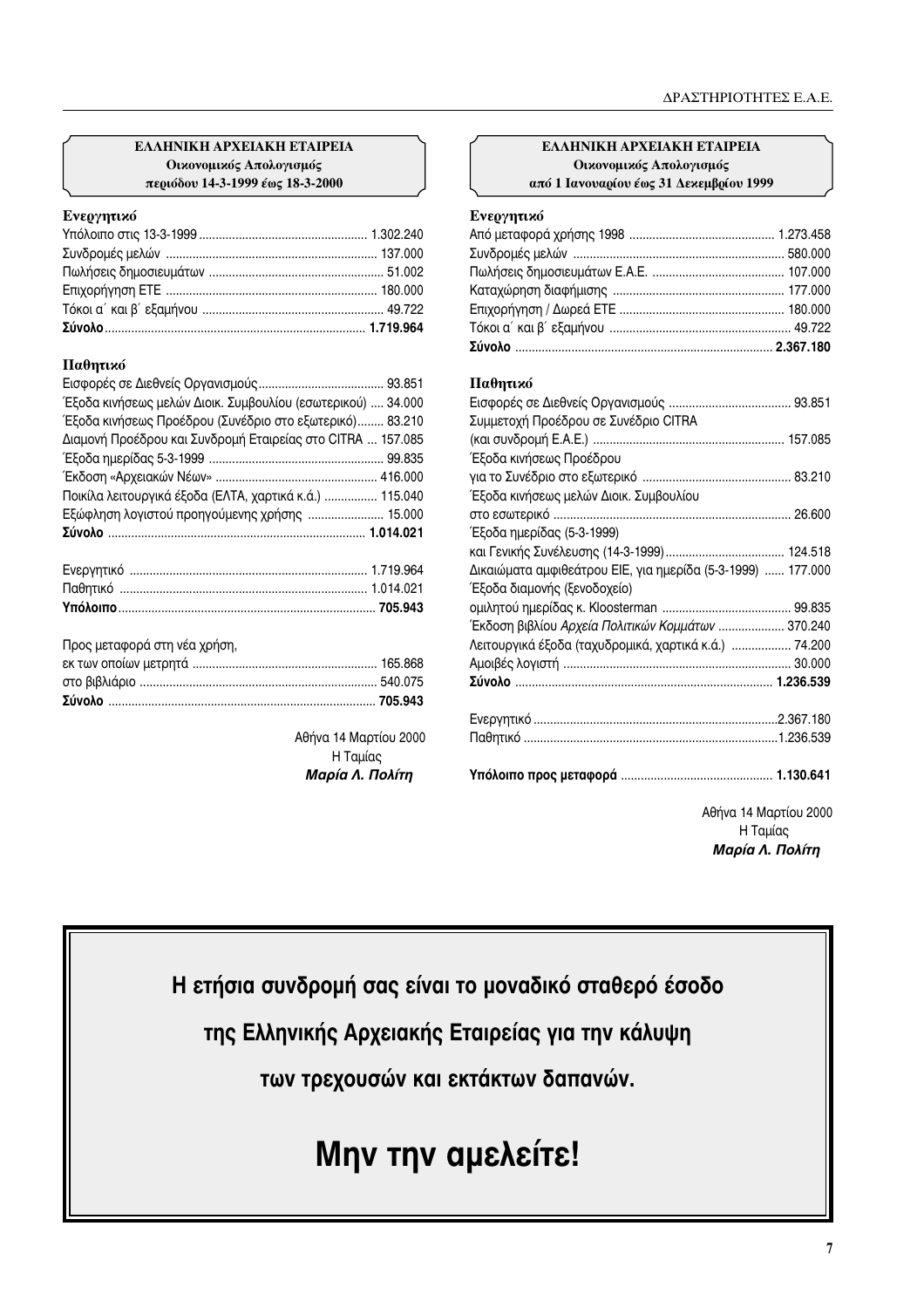## EAAHNIKH APXEIAKH ETAIPEIA Οικονομικός Απολογισμός περιόδου 14-3-1999 έως 18-3-2000

## Ενεργητικό

# Παθητικό

| Έξοδα κινήσεως μελών Διοικ. Συμβουλίου (εσωτερικού)  34.000 |  |
|-------------------------------------------------------------|--|
| Έξοδα κινήσεως Προέδρου (Συνέδριο στο εξωτερικό) 83.210     |  |
| Διαμονή Προέδρου και Συνδρομή Εταιρείας στο CITRA  157.085  |  |
|                                                             |  |
|                                                             |  |
| Ποικίλα λειτουργικά έξοδα (ΕΛΤΑ, χαρτικά κ.ά.)  115.04(     |  |
| Εξώφληση λογιστού προηγούμενης χρήσης  15.000               |  |
|                                                             |  |
|                                                             |  |
|                                                             |  |

Προς μεταφορά στη νέα χρήση,

Αθήνα 14 Μαρτίου 2000 Η Ταμίας Μαρία Λ. Πολίτη

# EAAHNIKH APXEIAKH ETAIPEIA Οικονομικός Απολογισμός από 1 Ιανουαρίου έως 31 Δεκεμβρίου 1999

## Ενεργητικό

# Παθητικό

| Συμμετοχή Προέδρου σε Συνέδριο CITRA                        |  |
|-------------------------------------------------------------|--|
|                                                             |  |
| Έξοδα κινήσεως Προέδρου                                     |  |
|                                                             |  |
| Έξοδα κινήσεως μελών Διοικ. Συμβουλίου                      |  |
|                                                             |  |
| Έξοδα ημερίδας (5-3-1999)                                   |  |
|                                                             |  |
| Δικαιώματα αμφιθεάτρου ΕΙΕ, για ημερίδα (5-3-1999)  177.000 |  |
| Έξοδα διαμονής (ξενοδοχείο)                                 |  |
|                                                             |  |
| Έκδοση βιβλίου Αρχεία Πολιτικών Κομμάτων  370.240           |  |
| Λειτουργικά έξοδα (ταχυδρομικά, χαρτικά κ.ά.)  74.200       |  |
|                                                             |  |
|                                                             |  |
|                                                             |  |
|                                                             |  |
|                                                             |  |

Αθήνα 14 Μαρτίου 2000 Η Ταμίας Μαρία Λ. Πολίτη

Η ετήσια συνδρομή σας είναι το μοναδικό σταθερό έσοδο

της Ελληνικής Αρχειακής Εταιρείας για την κάλυψη

των τρεχουσών και εκτάκτων δαπανών.

# Μην την αμελείτε!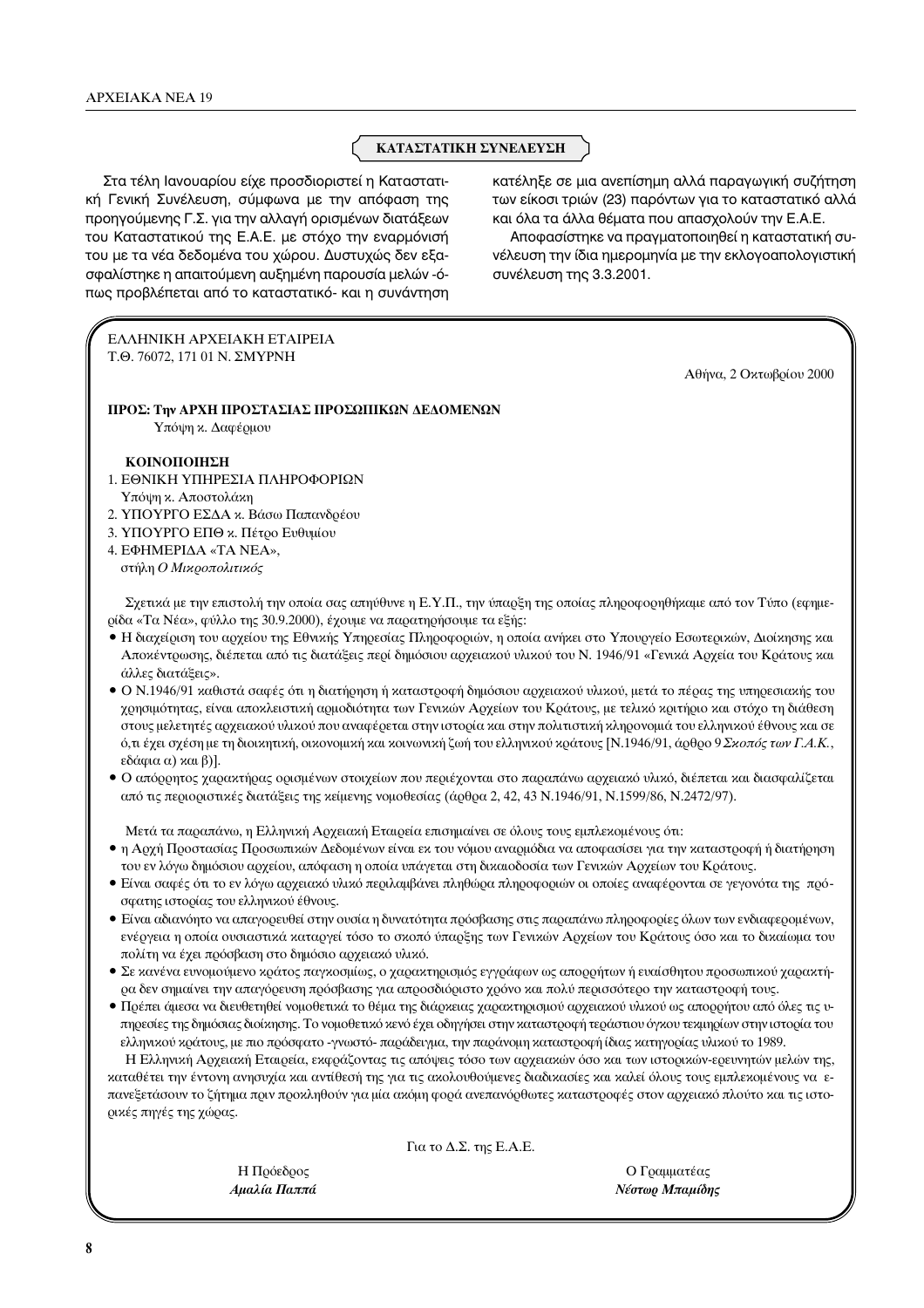# ΚΑΤΑΣΤΑΤΙΚΗ ΣΥΝΕΛΕΥΣΗ

Στα τέλη Ιανουαρίου είχε προσδιοριστεί η Καταστατική Γενική Συνέλευση, σύμφωνα με την απόφαση της προηγούμενης Γ.Σ. για την αλλαγή ορισμένων διατάξεων του Καταστατικού της Ε.Α.Ε. με στόχο την εναρμόνισή του με τα νέα δεδομένα του χώρου. Δυστυχώς δεν εξασφαλίστηκε η απαιτούμενη αυξημένη παρουσία μελών -όπως προβλέπεται από το καταστατικό- και η συνάντηση κατέληξε σε μια ανεπίσημη αλλά παραγωγική συζήτηση των είκοσι τριών (23) παρόντων για το καταστατικό αλλά και όλα τα άλλα θέματα που απασχολούν την Ε.Α.Ε.

Αποφασίστηκε να πραγματοποιηθεί η καταστατική συνέλευση την ίδια ημερομηνία με την εκλογοαπολογιστική συνέλευση της 3.3.2001.

ΕΛΛΗΝΙΚΗ ΑΡΧΕΙΑΚΗ ΕΤΑΙΡΕΙΑ Τ.Θ. 76072, 171 01 Ν. ΣΜΥΡΝΗ

Αθήνα, 2 Οκτωβρίου 2000

ΠΡΟΣ: Την ΑΡΧΗ ΠΡΟΣΤΑΣΙΑΣ ΠΡΟΣΩΠΙΚΩΝ ΔΕΔΟΜΕΝΩΝ Υπόψη κ. Δαφέρμου

## ΚΟΙΝΟΠΟΙΗΣΗ

- 1. ΕΘΝΙΚΗ ΥΠΗΡΕΣΙΑ ΠΛΗΡΟΦΟΡΙΩΝ Υπόψη κ. Αποστολάκη
- 2. ΥΠΟΥΡΓΟ ΕΣΔΑ κ. Βάσω Παπανδρέου
- 3. ΥΠΟΥΡΓΟ ΕΠΘ κ. Πέτρο Ευθυμίου

4. ΕΦΗΜΕΡΙΔΑ «ΤΑ ΝΕΑ», στήλη Ο Μικροπολιτικός

Σχετικά με την επιστολή την οποία σας απηύθυνε η Ε.Υ.Π., την ύπαρξη της οποίας πληροφορηθήκαμε από τον Τύπο (εφημερίδα «Τα Νέα», φύλλο της 30.9.2000), έχουμε να παρατηρήσουμε τα εξής:

- Η διαχείριση του αρχείου της Εθνικής Υπηρεσίας Πληροφοριών, η οποία ανήκει στο Υπουργείο Εσωτερικών, Διοίκησης και Αποκέντρωσης, διέπεται από τις διατάξεις περί δημόσιου αρχειακού υλικού του Ν. 1946/91 «Γενικά Αρχεία του Κράτους και άλλες διατάξεις».
- Ο Ν.1946/91 καθιστά σαφές ότι η διατήρηση ή καταστροφή δημόσιου αρχειακού υλικού, μετά το πέρας της υπηρεσιακής του χρησιμότητας, είναι αποκλειστική αρμοδιότητα των Γενικών Αρχείων του Κράτους, με τελικό κριτήριο και στόχο τη διάθεση στους μελετητές αρχειακού υλικού που αναφέρεται στην ιστορία και στην πολιτιστική κληρονομιά του ελληνικού έθνους και σε ό,τι έχει σχέση με τη διοικητική, οικονομική και κοινωνική ζωή του ελληνικού κράτους [Ν.1946/91, άρθρο 9 Σκοπός των Γ.Α.Κ., εδάφια α) και β)].
- Ο απόρρητος χαρακτήρας ορισμένων στοιχείων που περιέχονται στο παραπάνω αρχειακό υλικό, διέπεται και διασφαλίζεται από τις περιοριστικές διατάξεις της κείμενης νομοθεσίας (άρθρα 2, 42, 43 Ν.1946/91, Ν.1599/86, Ν.2472/97).

Μετά τα παραπάνω, η Ελληνική Αρχειακή Εταιρεία επισημαίνει σε όλους τους εμπλεκομένους ότι:

- η Αρχή Προστασίας Προσωπικών Δεδομένων είναι εκ του νόμου αναρμόδια να αποφασίσει για την καταστροφή ή διατήρηση του εν λόγω δημόσιου αρχείου, απόφαση η οποία υπάγεται στη δικαιοδοσία των Γενικών Αρχείων του Κράτους.
- · Είναι σαφές ότι το εν λόγω αρχειακό υλικό περιλαμβάνει πληθώρα πληροφοριών οι οποίες αναφέρονται σε γεγονότα της πρόσφατης ιστορίας του ελληνικού έθνους.
- · Είναι αδιανόητο να απαγορευθεί στην ουσία η δυνατότητα πρόσβασης στις παραπάνω πληροφορίες όλων των ενδιαφερομένων, ενέργεια η οποία ουσιαστικά καταργεί τόσο το σκοπό ύπαρξης των Γενικών Αρχείων του Κράτους όσο και το δικαίωμα του πολίτη να έχει πρόσβαση στο δημόσιο αρχειακό υλικό.
- Σε κανένα ευνομούμενο κράτος παγκοσμίως, ο χαρακτηρισμός εγγράφων ως απορρήτων ή ευαίσθητου προσωπικού χαρακτήρα δεν σημαίνει την απαγόρευση πρόσβασης για απροσδιόριστο χρόνο και πολύ περισσότερο την καταστροφή τους.
- Πρέπει άμεσα να διευθετηθεί νομοθετικά το θέμα της διάρκειας χαρακτηρισμού αρχειακού υλικού ως απορρήτου από όλες τις υπηρεσίες της δημόσιας διοίκησης. Το νομοθετικό κενό έχει οδηγήσει στην καταστροφή τεράστιου όγκου τεκμηρίων στην ιστορία του ελληνικού κράτους, με πιο πρόσφατο -γνωστό- παράδειγμα, την παράνομη καταστροφή ίδιας κατηγορίας υλικού το 1989.

Η Ελληνική Αρχειακή Εταιρεία, εκφράζοντας τις απόψεις τόσο των αρχειακών όσο και των ιστορικών-ερευνητών μελών της, καταθέτει την έντονη ανησυχία και αντίθεσή της για τις ακολουθούμενες διαδικασίες και καλεί όλους τους εμπλεκομένους να επανεξετάσουν το ζήτημα πριν προκληθούν για μία ακόμη φορά ανεπανόρθωτες καταστροφές στον αρχειακό πλούτο και τις ιστορικές πηγές της χώρας.

Για το Δ.Σ. της Ε.Α.Ε.

Η Πρόεδρος Αμαλία Παππά

Ο Γραμματέας Νέστωρ Μπαμίδης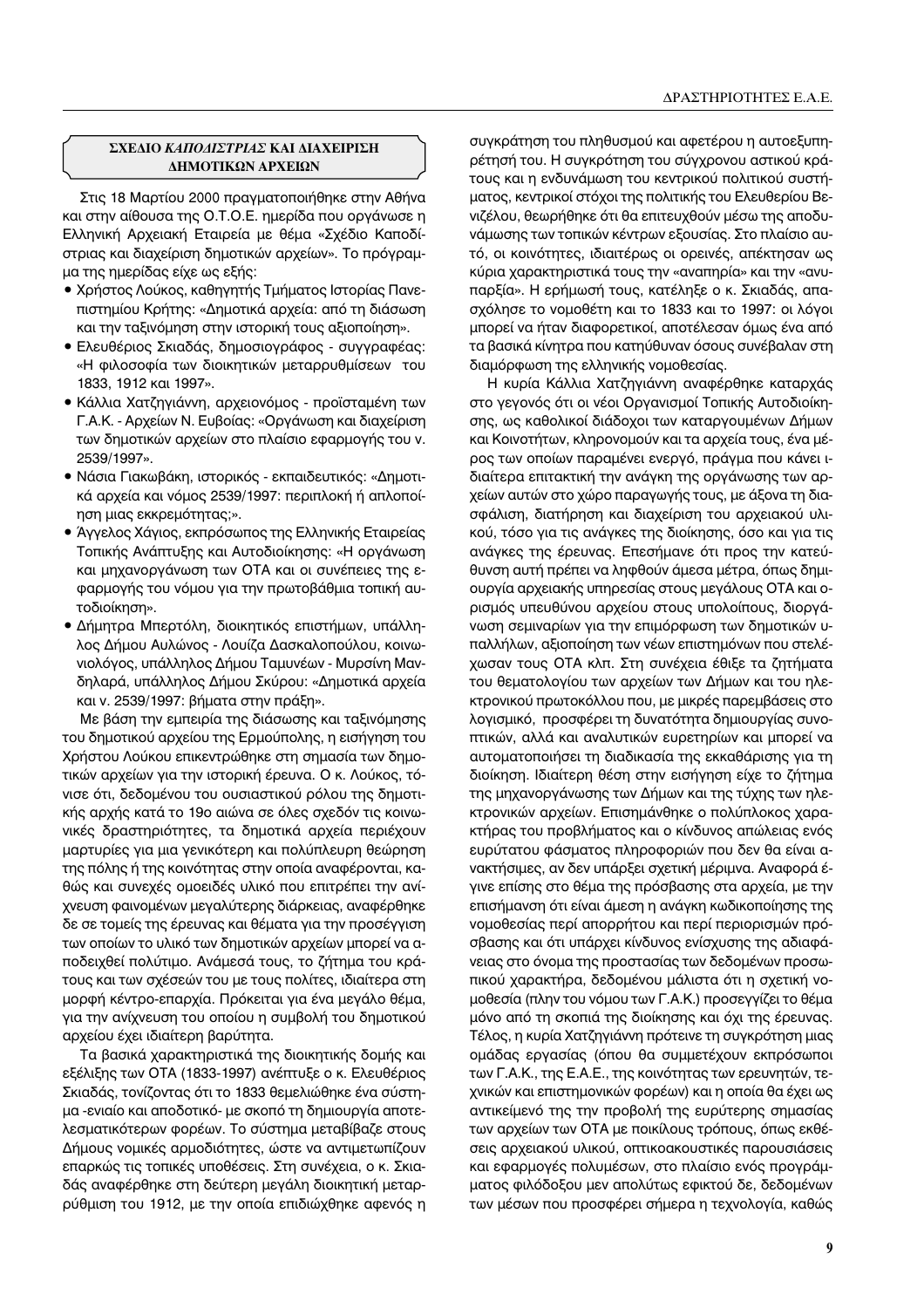## **ΣΧΕΔΙΟ ΚΑΠΟΔΙΣΤΡΙΑΣ ΚΑΙ ΔΙΑΧΕΙΡΙΣΗ ∧ΗΜΟΤΙΚΩΝ ΑΡΧΕΙΩΝ**

Στις 18 Μαρτίου 2000 πραγματοποιήθηκε στην Αθήνα και στην αίθουσα της Ο.Τ.Ο.Ε. ημερίδα που οργάνωσε η Ελληνική Αρχειακή Εταιρεία με θέμα «Σχέδιο Καποδίστριας και διαχείριση δημοτικών αρχείων». Το πρόγραμμα της ημερίδας είχε ως εξής:

- $\bullet$  Χρήστος Λούκος, καθηγητής Τμήματος Ιστορίας Πανεπιστημίου Κρήτης: «Δημοτικά αρχεία: από τη διάσωση και την ταξινόμηση στην ιστορική τους αξιοποίηση».
- Ελευθέριος Σκιαδάς, δημοσιογράφος συγγραφέας: «Η φιλοσοφία των διοικητικών μεταρρυθμίσεων του 1833, 1912 και 1997».
- Κάλλια Χατζηγιάννη, αρχειονόμος προϊσταμένη των Γ.Α.Κ. - Αρχείων Ν. Ευβοίας: «Οργάνωση και διαχείριση των δημοτικών αρχείων στο πλαίσιο εφαρμογής του ν. 2539/1997».
- Νάσια Γιακωβάκη, ιστορικός εκπαιδευτικός: «Δημοτικά αρχεία και νόμος 2539/1997: περιπλοκή ή απλοποίηση μιας εκκρεμότητας;».
- Άγγελος Χάγιος, εκπρόσωπος της Ελληνικής Εταιρείας Τοπικής Ανάπτυξης και Αυτοδιοίκησης: «Η οργάνωση και μηχανοργάνωση των ΟΤΑ και οι συνέπειες της εφαρμογής του νόμου για την πρωτοβάθμια τοπική αυτοδιοίκηση».
- Δήμητρα Μπερτόλη, διοικητικός επιστήμων, υπάλληλος Δήμου Αυλώνος - Λουίζα Δασκαλοπούλου, κοινωνιολόγος, υπάλληλος Δήμου Ταμυνέων - Μυρσίνη Μανδηλαρά, υπάλληλος Δήμου Σκύρου: «Δημοτικά αρχεία και ν. 2539/1997: βήματα στην πράξη».

Με βάση την εμπειρία της διάσωσης και ταξινόμησης του δημοτικού αρχείου της Ερμούπολης, η εισήγηση του Χρήστου Λούκου επικεντρώθηκε στη σημασία των δημοτικών αρχείων για την ιστορική έρευνα. Ο κ. Λούκος, τόνισε ότι, δεδομένου του ουσιαστικού ρόλου της δημοτικής αρχής κατά το 19ο αιώνα σε όλες σχεδόν τις κοινωνικές δραστηριότητες, τα δημοτικά αρχεία περιέχουν μαρτυρίες για μια γενικότερη και πολύπλευρη θεώρηση της πόλης ή της κοινότητας στην οποία αναφέρονται, καθώς και συνεχές ομοειδές υλικό που επιτρέπει την ανίχνευση φαινομένων μεγαλύτερης διάρκειας, αναφέρθηκε δε σε τομείς της έρευνας και θέματα για την προσέγγιση των οποίων το υλικό των δημοτικών αρχείων μπορεί να αποδειχθεί πολύτιμο. Ανάμεσά τους, το ζήτημα του κράτους και των σχέσεών του με τους πολίτες, ιδιαίτερα στη μορφή κέντρο-επαρχία. Πρόκειται για ένα μεγάλο θέμα, για την ανίχνευση του οποίου η συμβολή του δημοτικού αρχείου έχει ιδιαίτερη βαρύτητα.

Τα βασικά χαρακτηριστικά της διοικητικής δομής και εξέλιξης των ΟΤΑ (1833-1997) ανέπτυξε ο κ. Ελευθέριος Σκιαδάς, τονίζοντας ότι το 1833 θεμελιώθηκε ένα σύστημα -ενιαίο και αποδοτικό- με σκοπό τη δημιουργία αποτελεσματικότερων φορέων. Το σύστημα μεταβίβαζε στους Δήμους νομικές αρμοδιότητες, ώστε να αντιμετωπίζουν επαρκώς τις τοπικές υποθέσεις. Στη συνέχεια, ο κ. Σκιαδάς αναφέρθηκε στη δεύτερη μεγάλη διοικητική μεταρρύθμιση του 1912, με την οποία επιδιώχθηκε αφενός η

συγκράτηση του πληθυσμού και αφετέρου η αυτοεξυπηρέτησή του. Η συγκρότηση του σύγχρονου αστικού κράτους και η ενδυνάμωση του κεντρικού πολιτικού συστήματος, κεντρικοί στόχοι της πολιτικής του Ελευθερίου Βενιζέλου, θεωρήθηκε ότι θα επιτευχθούν μέσω της αποδυνάμωσης των τοπικών κέντρων εξουσίας. Στο πλαίσιο αυτό, οι κοινότητες, ιδιαιτέρως οι ορεινές, απέκτησαν ως κύρια χαρακτηριστικά τους την «αναπηρία» και την «ανυπαρξία». Η ερήμωσή τους, κατέληξε ο κ. Σκιαδάς, απασχόλησε το νομοθέτη και το 1833 και το 1997: οι λόγοι μπορεί να ήταν διαφορετικοί, αποτέλεσαν όμως ένα από τα βασικά κίνητρα που κατηύθυναν όσους συνέβαλαν στη διαμόρφωση της ελληνικής νομοθεσίας.

Η κυρία Κάλλια Χατζηγιάννη αναφέρθηκε καταρχάς στο γεγονός ότι οι νέοι Οργανισμοί Τοπικής Αυτοδιοίκησης, ως καθολικοί διάδοχοι των καταργουμένων Δήμων και Κοινοτήτων, κληρονομούν και τα αρχεία τους, ένα μέρος των οποίων παραμένει ενεργό, πράγμα που κάνει ιδιαίτερα επιτακτική την ανάγκη της οργάνωσης των αρχείων αυτών στο χώρο παραγωγής τους, με άξονα τη διασφάλιση, διατήρηση και διαχείριση του αρχειακού υλικού, τόσο για τις ανάγκες της διοίκησης, όσο και για τις ανάγκες της έρευνας. Επεσήμανε ότι προς την κατεύθυνση αυτή πρέπει να ληφθούν άμεσα μέτρα, όπως δημιουργία αρχειακής υπηρεσίας στους μεγάλους ΟΤΑ και ορισμός υπευθύνου αρχείου στους υπολοίπους, διοργάνωση σεμιναρίων για την επιμόρφωση των δημοτικών υπαλλήλων, αξιοποίηση των νέων επιστημόνων που στελέχωσαν τους ΟΤΑ κλπ. Στη συνέχεια έθιξε τα ζητήματα του θεματολογίου των αρχείων των Δήμων και του ηλε-KΤρονικού πρωτοκόλλου που, με μικρές παρεμβάσεις στο λογισμικό, προσφέρει τη δυνατότητα δημιουργίας συνοπτικών, αλλά και αναλυτικών ευρετηρίων και μπορεί να αυτοματοποιήσει τη διαδικασία της εκκαθάρισης για τη διοίκηση. Ιδιαίτερη θέση στην εισήγηση είχε το ζήτημα της μηχανοργάνωσης των Δήμων και της τύχης των ηλεκτρονικών αρχείων. Επισημάνθηκε ο πολύπλοκος χαρακτήρας του προβλήματος και ο κίνδυνος απώλειας ενός ευρύτατου φάσματος πληροφοριών που δεν θα είναι ανακτήσιμες, αν δεν υπάρξει σχετική μέριμνα. Αναφορά έγινε επίσης στο θέμα της πρόσβασης στα αρχεία, με την επισήμανση ότι είναι άμεση η ανάγκη κωδικοποίησης της νομοθεσίας περί απορρήτου και περί περιορισμών πρόσβασης και ότι υπάρχει κίνδυνος ενίσχυσης της αδιαφά-Vειας στο όνομα της προστασίας των δεδομένων προσωπικού χαρακτήρα, δεδομένου μάλιστα ότι η σχετική νομοθεσία (πλην του νόμου των Γ.Α.Κ.) προσεγγίζει το θέμα μόνο από τη σκοπιά της διοίκησης και όχι της έρευνας. Τέλος, η κυρία Χατζηγιάννη πρότεινε τη συγκρότηση μιας ομάδας εργασίας (όπου θα συμμετέχουν εκπρόσωποι των Γ.Α.Κ., της Ε.Α.Ε., της κοινότητας των ερευνητών, τεχνικών και επιστημονικών φορέων) και η οποία θα έχει ως αντικείμενό της την προβολή της ευρύτερης σημασίας των αρχείων των ΟΤΑ με ποικίλους τρόπους, όπως εκθέσεις αρχειακού υλικού, οπτικοακουστικές παρουσιάσεις και εφαρμογές πολυμέσων, στο πλαίσιο ενός προγράμματος φιλόδοξου μεν απολύτως εφικτού δε, δεδομένων των μέσων που προσφέρει σήμερα η τεχνολογία, καθώς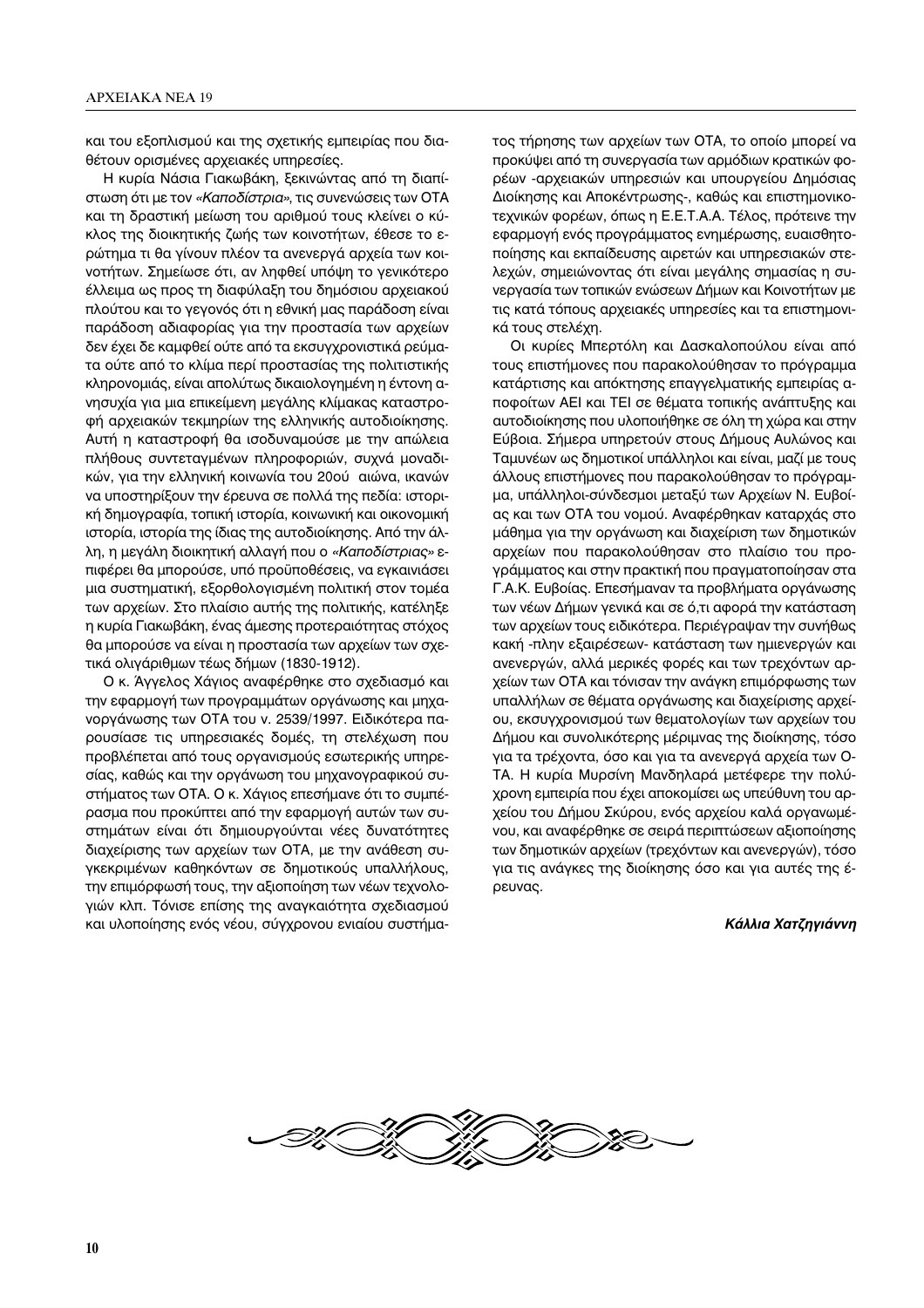και του εξοπλισμού και της σχετικής εμπειρίας που διαθέτουν ορισμένες αρχειακές υπηρεσίες.

Η κυρία Νάσια Γιακωβάκη, ξεκινώντας από τη διαπίστωση ότι με τον «Καποδίστρια», τις συνενώσεις των ΟΤΑ και τη δραστική μείωση του αριθμού τους κλείνει ο κύκλος της διοικητικής ζωής των κοινοτήτων, έθεσε το ερώτημα τι θα γίνουν πλέον τα ανενεργά αρχεία των κοινοτήτων. Σημείωσε ότι, αν ληφθεί υπόψη το γενικότερο έλλειμα ως προς τη διαφύλαξη του δημόσιου αρχειακού πλούτου και το γεγονός ότι η εθνική μας παράδοση είναι παράδοση αδιαφορίας για την προστασία των αρχείων δεν έχει δε καμφθεί ούτε από τα εκσυγχρονιστικά ρεύματα ούτε από το κλίμα περί προστασίας της πολιτιστικής κληρονομιάς, είναι απολύτως δικαιολογημένη η έντονη ανησυχία για μια επικείμενη μεγάλης κλίμακας καταστροφή αρχειακών τεκμηρίων της ελληνικής αυτοδιοίκησης. Αυτή η καταστροφή θα ισοδυναμούσε με την απώλεια πλήθους συντεταγμένων πληροφοριών, συχνά μοναδικών, για την ελληνική κοινωνία του 20ού αιώνα, ικανών να υποστηρίξουν την έρευνα σε πολλά της πεδία: ιστορική δημογραφία, τοπική ιστορία, κοινωνική και οικονομική ιστορία, ιστορία της ίδιας της αυτοδιοίκησης. Από την άλλη, η μεγάλη διοικητική αλλαγή που ο «Καποδίστριας» επιφέρει θα μπορούσε, υπό προϋποθέσεις, να εγκαινιάσει μια συστηματική, εξορθολογισμένη πολιτική στον τομέα των αρχείων. Στο πλαίσιο αυτής της πολιτικής, κατέληξε η κυρία Γιακωβάκη, ένας άμεσης προτεραιότητας στόχος θα μπορούσε να είναι η προστασία των αρχείων των σχετικά ολιγάριθμων τέως δήμων (1830-1912).

Ο κ. Άγγελος Χάγιος αναφέρθηκε στο σχεδιασμό και την εφαρμογή των προγραμμάτων οργάνωσης και μηχανοργάνωσης των ΟΤΑ του ν. 2539/1997. Ειδικότερα παρουσίασε τις υπηρεσιακές δομές, τη στελέχωση που προβλέπεται από τους οργανισμούς εσωτερικής υπηρεσίας, καθώς και την οργάνωση του μηχανογραφικού συστήματος των ΟΤΑ. Ο κ. Χάγιος επεσήμανε ότι το συμπέρασμα που προκύπτει από την εφαρμογή αυτών των συστημάτων είναι ότι δημιουργούνται νέες δυνατότητες διαχείρισης των αρχείων των ΟΤΑ, με την ανάθεση συγκεκριμένων καθηκόντων σε δημοτικούς υπαλλήλους, την επιμόρφωσή τους, την αξιοποίηση των νέων τεχνολογιών κλπ. Τόνισε επίσης της αναγκαιότητα σχεδιασμού και υλοποίησης ενός νέου, σύγχρονου ενιαίου συστήματος τήρησης των αρχείων των ΟΤΑ, το οποίο μπορεί να προκύψει από τη συνεργασία των αρμόδιων κρατικών φορέων - αρχειακών υπηρεσιών και υπουργείου Δημόσιας Διοίκησης και Αποκέντρωσης-, καθώς και επιστημονικοτεχνικών φορέων, όπως η Ε.Ε.Τ.Α.Α. Τέλος, πρότεινε την εφαρμογή ενός προγράμματος ενημέρωσης, ευαισθητοποίησης και εκπαίδευσης αιρετών και υπηρεσιακών στελεχών, σημειώνοντας ότι είναι μεγάλης σημασίας η συνεργασία των τοπικών ενώσεων Δήμων και Κοινοτήτων με τις κατά τόπους αρχειακές υπηρεσίες και τα επιστημονικά τους στελέχη.

Οι κυρίες Μπερτόλη και Δασκαλοπούλου είναι από τους επιστήμονες που παρακολούθησαν το πρόγραμμα κατάρτισης και απόκτησης επαγγελματικής εμπειρίας αποφοίτων ΑΕΙ και ΤΕΙ σε θέματα τοπικής ανάπτυξης και αυτοδιοίκησης που υλοποιήθηκε σε όλη τη χώρα και στην Εύβοια. Σήμερα υπηρετούν στους Δήμους Αυλώνος και Ταμυνέων ως δημοτικοί υπάλληλοι και είναι, μαζί με τους άλλους επιστήμονες που παρακολούθησαν το πρόγραμμα, υπάλληλοι-σύνδεσμοι μεταξύ των Αρχείων Ν. Ευβοίας και των ΟΤΑ του νομού. Αναφέρθηκαν καταρχάς στο μάθημα για την οργάνωση και διαχείριση των δημοτικών αρχείων που παρακολούθησαν στο πλαίσιο του προγράμματος και στην πρακτική που πραγματοποίησαν στα Γ.Α.Κ. Ευβοίας. Επεσήμαναν τα προβλήματα οργάνωσης των νέων Δήμων γενικά και σε ό,τι αφορά την κατάσταση των αρχείων τους ειδικότερα. Περιέγραψαν την συνήθως κακή -πλην εξαιρέσεων- κατάσταση των ημιενεργών και ανενεργών, αλλά μερικές φορές και των τρεχόντων αρχείων των ΟΤΑ και τόνισαν την ανάγκη επιμόρφωσης των υπαλλήλων σε θέματα οργάνωσης και διαχείρισης αρχείου, εκσυγχρονισμού των θεματολογίων των αρχείων του Δήμου και συνολικότερης μέριμνας της διοίκησης, τόσο για τα τρέχοντα, όσο και για τα ανενεργά αρχεία των Ο-ΤΑ. Η κυρία Μυρσίνη Μανδηλαρά μετέφερε την πολύχρονη εμπειρία που έχει αποκομίσει ως υπεύθυνη του αρχείου του Δήμου Σκύρου, ενός αρχείου καλά οργανωμένου, και αναφέρθηκε σε σειρά περιπτώσεων αξιοποίησης των δημοτικών αρχείων (τρεχόντων και ανενεργών), τόσο για τις ανάγκες της διοίκησης όσο και για αυτές της έρευνας.

#### Κάλλια Χατζηγιάννη

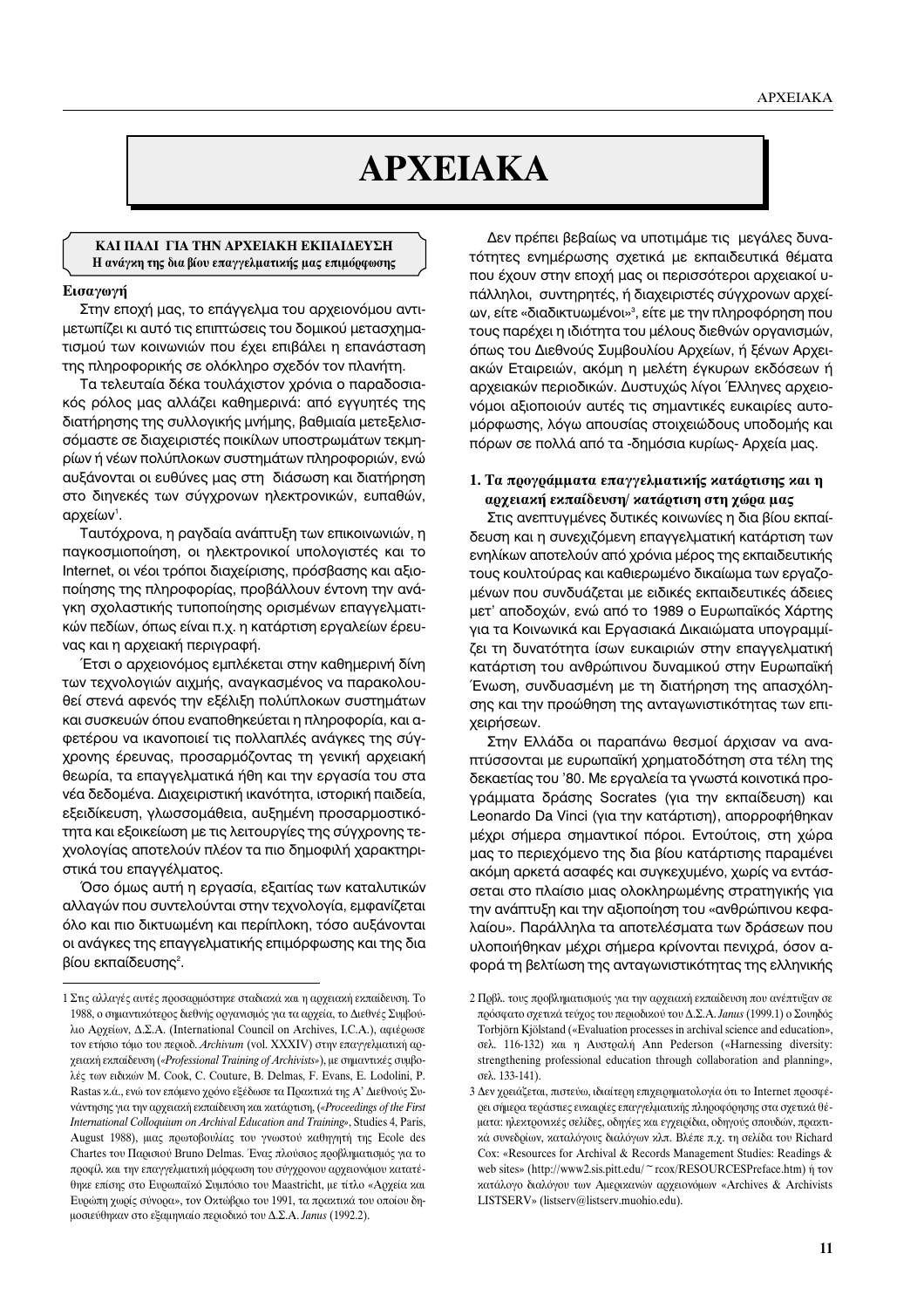# **APXEIAKA**

#### ΚΑΙ ΠΑΛΙ ΓΙΑ ΤΗΝ ΑΡΧΕΙΑΚΗ ΕΚΠΑΙΔΕΥΣΗ Η ανάγκη της δια βίου επαγγελματικής μας επιμόρφωσης

#### Εισαγωγή

Στην εποχή μας, το επάγγελμα του αρχειονόμου αντιμετωπίζει κι αυτό τις επιπτώσεις του δομικού μετασχηματισμού των κοινωνιών που έχει επιβάλει η επανάσταση της πληροφορικής σε ολόκληρο σχεδόν τον πλανήτη.

Τα τελευταία δέκα τουλάχιστον χρόνια ο παραδοσιακός ρόλος μας αλλάζει καθημερινά: από εγγυητές της διατήρησης της συλλογικής μνήμης, βαθμιαία μετεξελισσόμαστε σε διαχειριστές ποικίλων υποστρωμάτων τεκμηρίων ή νέων πολύπλοκων συστημάτων πληροφοριών, ενώ αυξάνονται οι ευθύνες μας στη διάσωση και διατήρηση στο διηνεκές των σύγχρονων ηλεκτρονικών, ευπαθών, αρχείων'.

Ταυτόχρονα, η ραγδαία ανάπτυξη των επικοινωνιών, η παγκοσμιοποίηση, οι ηλεκτρονικοί υπολογιστές και το Internet, οι νέοι τρόποι διαχείρισης, πρόσβασης και αξιοποίησης της πληροφορίας, προβάλλουν έντονη την ανάγκη σχολαστικής τυποποίησης ορισμένων επαγγελματικών πεδίων, όπως είναι π.χ. η κατάρτιση εργαλείων έρευνας και η αρχειακή περινραφή.

Έτσι ο αρχειονόμος εμπλέκεται στην καθημερινή δίνη των τεχνολογιών αιχμής, αναγκασμένος να παρακολουθεί στενά αφενός την εξέλιξη πολύπλοκων συστημάτων και συσκευών όπου εναποθηκεύεται η πληροφορία, και αφετέρου να ικανοποιεί τις πολλαπλές ανάγκες της σύγχρονης έρευνας, προσαρμόζοντας τη γενική αρχειακή θεωρία, τα επαννελματικά ήθη και την εργασία του στα νέα δεδομένα. Διαχειριστική ικανότητα, ιστορική παιδεία, εξειδίκευση, γλωσσομάθεια, αυξημένη προσαρμοστικότητα και εξοικείωση με τις λειτουργίες της σύγχρονης τεχνολογίας αποτελούν πλέον τα πιο δημοφιλή χαρακτηριστικά του επαγγέλματος.

Όσο όμως αυτή η εργασία, εξαιτίας των καταλυτικών αλλαγών που συντελούνται στην τεχνολογία, εμφανίζεται όλο και πιο δικτυωμένη και περίπλοκη, τόσο αυξάνονται οι ανάγκες της επαγγελματικής επιμόρφωσης και της δια βίου εκπαίδευσης<sup>2</sup>.

Δεν πρέπει βεβαίως να υποτιμάμε τις μεγάλες δυνατότητες ενημέρωσης σχετικά με εκπαιδευτικά θέματα που έχουν στην εποχή μας οι περισσότεροι αρχειακοί υπάλληλοι, συντηρητές, ή διαχειριστές σύγχρονων αρχείων, είτε «διαδικτυωμένοι»<sup>3</sup>, είτε με την πληροφόρηση που τους παρέχει η ιδιότητα του μέλους διεθνών οργανισμών, όπως του Διεθνούς Συμβουλίου Αρχείων, ή ξένων Αρχειακών Εταιρειών, ακόμη η μελέτη έγκυρων εκδόσεων ή αρχειακών περιοδικών. Δυστυχώς λίγοι Έλληνες αρχειονόμοι αξιοποιούν αυτές τις σημαντικές ευκαιρίες αυτομόρφωσης, λόγω απουσίας στοιχειώδους υποδομής και πόρων σε πολλά από τα -δημόσια κυρίως- Αρχεία μας.

#### 1. Τα προγράμματα επαγγελματικής κατάρτισης και η αρχειακή εκπαίδευση/ κατάρτιση στη χώρα μας

Στις ανεπτυγμένες δυτικές κοινωνίες η δια βίου εκπαίδευση και η συνεχιζόμενη επαγγελματική κατάρτιση των ενηλίκων αποτελούν από χρόνια μέρος της εκπαιδευτικής τους κουλτούρας και καθιερωμένο δικαίωμα των εργαζομένων που συνδυάζεται με ειδικές εκπαιδευτικές άδειες μετ' αποδοχών, ενώ από το 1989 ο Ευρωπαϊκός Χάρτης για τα Κοινωνικά και Εργασιακά Δικαιώματα υπογραμμίζει τη δυνατότητα ίσων ευκαιριών στην επαγγελματική κατάρτιση του ανθρώπινου δυναμικού στην Ευρωπαϊκή Ένωση, συνδυασμένη με τη διατήρηση της απασχόλησης και την προώθηση της ανταγωνιστικότητας των επιχειρήσεων.

Στην Ελλάδα οι παραπάνω θεσμοί άρχισαν να αναπτύσσονται με ευρωπαϊκή χρηματοδότηση στα τέλη της δεκαετίας του '80. Με εργαλεία τα γνωστά κοινοτικά προγράμματα δράσης Socrates (για την εκπαίδευση) και Leonardo Da Vinci (για την κατάρτιση), απορροφήθηκαν μέχρι σήμερα σημαντικοί πόροι. Εντούτοις, στη χώρα μας το περιεχόμενο της δια βίου κατάρτισης παραμένει ακόμη αρκετά ασαφές και συγκεχυμένο, χωρίς να εντάσσεται στο πλαίσιο μιας ολοκληρωμένης στρατηγικής για την ανάπτυξη και την αξιοποίηση του «ανθρώπινου κεφαλαίου». Παράλληλα τα αποτελέσματα των δράσεων που υλοποιήθηκαν μέχρι σήμερα κρίνονται πενιχρά, όσον αφορά τη βελτίωση της ανταγωνιστικότητας της ελληνικής

<sup>1</sup> Στις αλλαγές αυτές προσαρμόστηκε σταδιακά και η αρχειακή εκπαίδευση. Το 1988, ο σημαντικότερος διεθνής οργανισμός για τα αρχεία, το Διεθνές Συμβούλιο Αρχείων, Δ.Σ.Α. (International Council on Archives, I.C.A.), αφιέρωσε τον ετήσιο τόμο του περιοδ. Archivum (vol. XXXIV) στην επαγγελματική αργειακή εκπαίδευση («Professional Training of Archivists»), με σημαντικές συμβολές των ειδικών Μ. Cook, C. Couture, B. Delmas, F. Evans, E. Lodolini, P. Rastas κ.ά., ενώ τον επόμενο χρόνο εξέδωσε τα Πρακτικά της Α' Διεθνούς Συνάντησης για την αρχειακή εκπαίδευση και κατάρτιση, («Proceedings of the First International Colloquium on Archival Education and Training», Studies 4, Paris, August 1988), μιας πρωτοβουλίας του γνωστού καθηγητή της Ecole des Chartes του Παρισιού Bruno Delmas. Ένας πλούσιος προβληματισμός για το προφίλ και την επαγγελματική μόρφωση του σύγχρονου αρχειονόμου κατατέθηκε επίσης στο Ευρωπαϊκό Συμπόσιο του Maastricht, με τίτλο «Αρχεία και Ευρώπη χωρίς σύνορα», τον Οκτώβριο του 1991, τα πρακτικά του οποίου δημοσιεύθηκαν στο εξαμηνιαίο περιοδικό του Δ.Σ.Α. Janus (1992.2).

<sup>2</sup> Πρβλ. τους προβληματισμούς για την αρχειακή εκπαίδευση που ανέπτυξαν σε πρόσφατο σχετικά τεύχος του περιοδικού του Δ.Σ.Α. Janus (1999.1) ο Σουηδός Torbjörn Kjölstand («Evaluation processes in archival science and education», σελ. 116-132) και η Αυστραλή Ann Pederson («Harnessing diversity: strengthening professional education through collaboration and planning», σελ. 133-141).

<sup>3</sup> Δεν χρειάζεται, πιστεύω, ιδιαίτερη επιχειρηματολογία ότι το Internet προσφέρει σήμερα τεράστιες ευκαιρίες επαγγελματικής πληροφόρησης στα σχετικά θέματα: ηλεκτρονικές σελίδες, οδηγίες και εγχειρίδια, οδηγούς σπουδών, πρακτικά συνεδρίων, καταλόγους διαλόγων κλπ. Βλέπε π.χ. τη σελίδα του Richard Cox: «Resources for Archival & Records Management Studies: Readings & web sites» (http://www2.sis.pitt.edu/~rcox/RESOURCESPreface.htm) ή τον κατάλογο διαλόγου των Αμερικανών αρχειονόμων «Archives & Archivists LISTSERV» (listserv@listserv.muohio.edu).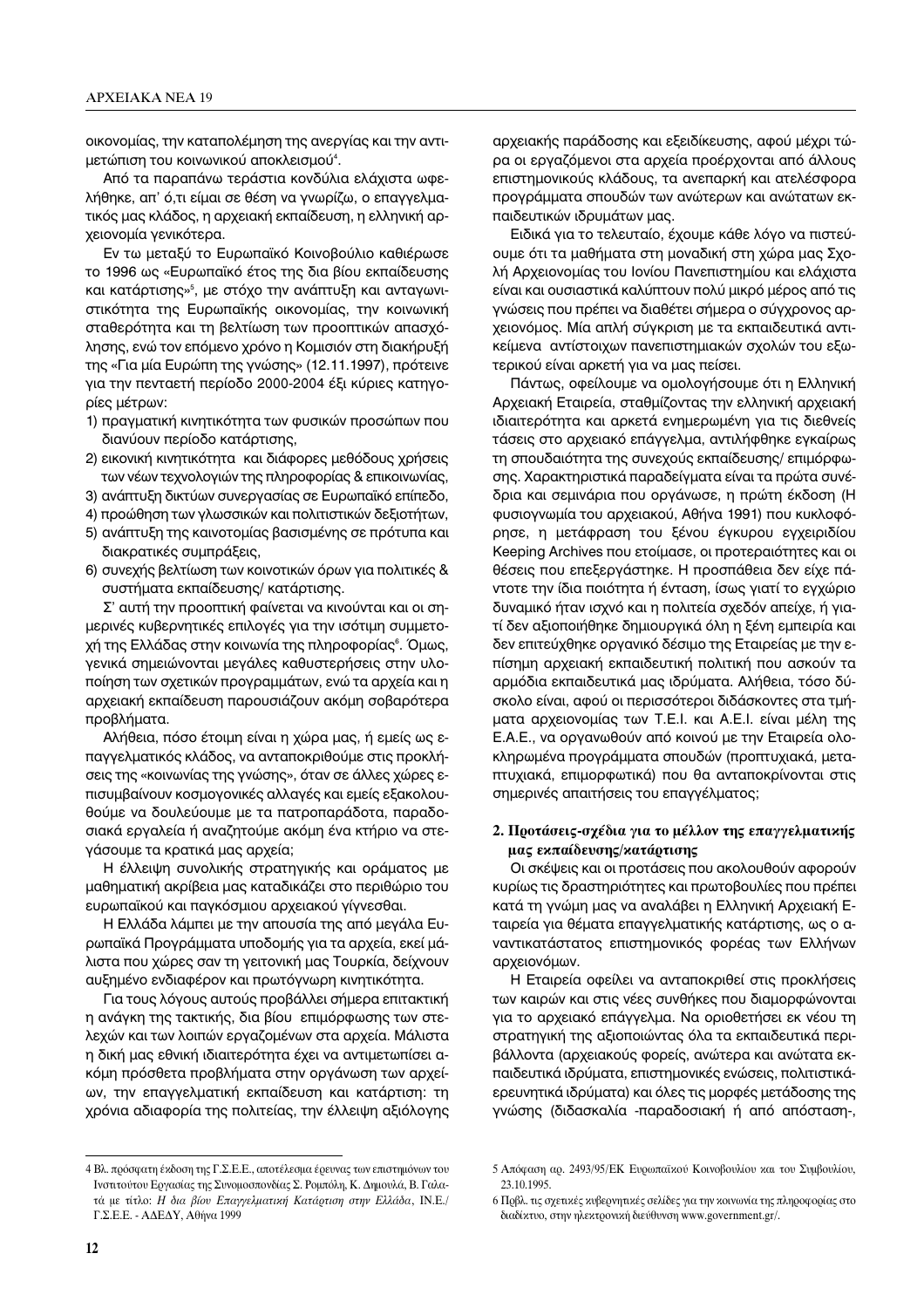οικονομίας, την καταπολέμηση της ανεργίας και την αντιμετώπιση του κοινωνικού αποκλεισμού<sup>4</sup>.

Aπό τα παραπάνω τεράστια κονδύλια ελάχιστα ωφελήθηκε, απ' ό,τι είμαι σε θέση να γνωρίζω, ο επαγγελματικός μας κλάδος, η αρχειακή εκπαίδευση, η ελληνική αρχειονομία γενικότερα.

Εν τω μεταξύ το Ευρωπαϊκό Κοινοβούλιο καθιέρωσε το 1996 ως «Ευρωπαϊκό έτος της δια βίου εκπαίδευσης και κατάρτισης»<sup>s</sup>, με στόχο την ανάπτυξη και ανταγωνιστικότητα της Ευρωπαϊκής οικονομίας, την κοινωνική σταθερότητα και τη βελτίωση των προοπτικών απασχόλησης, ενώ τον επόμενο χρόνο η Κομισιόν στη διακήρυξή της «Για μία Ευρώπη της γνώσης» (12.11.1997), πρότεινε για την πενταετή περίοδο 2000-2004 έξι κύριες κατηγορίες μέτρων:

- 1) πραγματική κινητικότητα των φυσικών προσώπων που διανύουν περίοδο κατάρτισης,
- 2) εικονική κινητικότητα και διάφορες μεθόδους χρήσεις των νέων τεχνολογιών της πληροφορίας & επικοινωνίας,
- 3) ανάπτυξη δικτύων συνεργασίας σε Ευρωπαϊκό επίπεδο,
- 4) προώθηση των γλωσσικών και πολιτιστικών δεξιοτήτων, 5) ανάπτυξη της καινοτομίας βασισμένης σε πρότυπα και
- διακρατικές συμπράξεις,
- 6) συνεχής βελτίωση των κοινοτικών όρων για πολιτικές & συστήματα εκπαίδευσης/ κατάρτισης.

Σ' αυτή την προοπτική φαίνεται να κινούνται και οι σημερινές κυβερνητικές επιλογές για την ισότιμη συμμετοχή της Ελλάδας στην κοινωνία της πληροφορίας<sup>s</sup>. Όμως, γενικά σημειώνονται μεγάλες καθυστερήσεις στην υλοποίηση των σχετικών προγραμμάτων, ενώ τα αρχεία και η αρχειακή εκπαίδευση παρουσιάζουν ακόμη σοβαρότερα προβλήματα.

Αλήθεια, πόσο έτοιμη είναι η χώρα μας, ή εμείς ως επαγγελματικός κλάδος, να ανταποκριθούμε στις προκλήσεις της «κοινωνίας της γνώσης», όταν σε άλλες χώρες επισυμβαίνουν κοσμογονικές αλλαγές και εμείς εξακολουθούμε να δουλεύουμε με τα πατροπαράδοτα, παραδοσιακά εργαλεία ή αναζητούμε ακόμη ένα κτήριο να στεγάσουμε τα κρατικά μας αρχεία;

Η έλλειψη συνολικής στρατηγικής και οράματος με μαθηματική ακρίβεια μας καταδικάζει στο περιθώριο του ευρωπαϊκού και παγκόσμιου αρχειακού γίγνεσθαι.

Η Ελλάδα λάμπει με την απουσία της από μεγάλα Euρωπαϊκά Προγράμματα υποδομής για τα αρχεία, εκεί μάλιστα που χώρες σαν τη γειτονική μας Τουρκία, δείχνουν αυξημένο ενδιαφέρον και πρωτόγνωρη κινητικότητα.

Για τους λόγους αυτούς προβάλλει σήμερα επιτακτική η ανάγκη της τακτικής, δια βίου επιμόρφωσης των στελεχών και των λοιπών εργαζομένων στα αρχεία. Μάλιστα η δική μας εθνική ιδιαιτερότητα έχει να αντιμετωπίσει ακόμη πρόσθετα προβλήματα στην οργάνωση των αρχείων, την επαγγελματική εκπαίδευση και κατάρτιση: τη χρόνια αδιαφορία της πολιτείας, την έλλειψη αξιόλογης αρχειακής παράδοσης και εξειδίκευσης, αφού μέχρι τώρα οι εργαζόμενοι στα αρχεία προέρχονται από άλλους επιστημονικούς κλάδους, τα ανεπαρκή και ατελέσφορα προγράμματα σπουδών των ανώτερων και ανώτατων εκπαιδευτικών ιδρυμάτων μας.

Ειδικά για το τελευταίο, έχουμε κάθε λόγο να πιστεύουμε ότι τα μαθήματα στη μοναδική στη χώρα μας Σχολή Αρχειονομίας του Ιονίου Πανεπιστημίου και ελάχιστα είναι και ουσιαστικά καλύπτουν πολύ μικρό μέρος από τις γνώσεις που πρέπει να διαθέτει σήμερα ο σύγχρονος αρχειονόμος. Μία απλή σύγκριση με τα εκπαιδευτικά αντικείμενα αντίστοιχων πανεπιστημιακών σχολών του εξωτερικού είναι αρκετή για να μας πείσει.

Πάντως, οφείλουμε να ομολογήσουμε ότι η Ελληνική Αρχειακή Εταιρεία, σταθμίζοντας την ελληνική αρχειακή ιδιαιτερότητα και αρκετά ενημερωμένη για τις διεθνείς τάσεις στο αρχειακό επάγγελμα, αντιλήφθηκε εγκαίρως τη σπουδαιότητα της συνεχούς εκπαίδευσης/ επιμόρφωσης. Χαρακτηριστικά παραδείγματα είναι τα πρώτα συνέδρια και σεμινάρια που οργάνωσε, η πρώτη έκδοση (Η φυσιογνωμία του αρχειακού, Αθήνα 1991) που κυκλοφόρησε, η μετάφραση του ξένου έγκυρου εγχειριδίου Keeping Archives που ετοίμασε, οι προτεραιότητες και οι θέσεις που επεξεργάστηκε. Η προσπάθεια δεν είχε πάντοτε την ίδια ποιότητα ή ένταση, ίσως γιατί το εγχώριο δυναμικό ήταν ισχνό και η πολιτεία σχεδόν απείχε, ή γιατί δεν αξιοποιήθηκε δημιουργικά όλη η ξένη εμπειρία και δεν επιτεύχθηκε οργανικό δέσιμο της Εταιρείας με την επίσημη αρχειακή εκπαιδευτική πολιτική που ασκούν τα αρμόδια εκπαιδευτικά μας ιδρύματα. Αλήθεια, τόσο δύσκολο είναι, αφού οι περισσότεροι διδάσκοντες στα τμήματα αρχειονομίας των Τ.Ε.Ι. και Α.Ε.Ι. είναι μέλη της Ε.Α.Ε., να οργανωθούν από κοινού με την Εταιρεία ολοκληρωμένα προγράμματα σπουδών (προπτυχιακά, μεταπτυχιακά, επιμορφωτικά) που θα ανταποκρίνονται στις σημερινές απαιτήσεις του επαγγέλματος;

## 2. Προτάσεις-σχέδια για το μέλλον της επαγγελματικής **μας εκπαίδευσης/κατάρτισης**

Οι σκέψεις και οι προτάσεις που ακολουθούν αφορούν κυρίως τις δραστηριότητες και πρωτοβουλίες που πρέπει κατά τη γνώμη μας να αναλάβει η Ελληνική Αρχειακή Εταιρεία για θέματα επαγγελματικής κατάρτισης, ως ο αναντικατάστατος επιστημονικός φορέας των Ελλήνων αρχειονόμων.

Η Εταιρεία οφείλει να ανταποκριθεί στις προκλήσεις των καιρών και στις νέες συνθήκες που διαμορφώνονται για το αρχειακό επάγγελμα. Να οριοθετήσει εκ νέου τη στρατηγική της αξιοποιώντας όλα τα εκπαιδευτικά περιβάλλοντα (αρχειακούς φορείς, ανώτερα και ανώτατα εκπαιδευτικά ιδρύματα, επιστημονικές ενώσεις, πολιτιστικάερευνητικά ιδρύματα) και όλες τις μορφές μετάδοσης της γνώσης (διδασκαλία -παραδοσιακή ή από απόσταση-,

<sup>4</sup> Βλ. πρόσφατη έκδοση της Γ.Σ.Ε.Ε., αποτέλεσμα έρευνας των επιστημόνων του Ινστιτούτου Εργασίας της Συνομοσπονδίας Σ. Ρομπόλη, Κ. Δημουλά, Β. Γαλατά με τίτλο: *Η δια βίου Επαγγελματική Κατάρτιση στην Ελλάδα*, IN.E./ Γ.Σ.Ε.Ε. - ΑΔΕΔΥ, Αθήνα 1999

<sup>5</sup> Απόφαση αρ. 2493/95/ΕΚ Ευρωπαϊκού Κοινοβουλίου και του Συμβουλίου, 23.10.1995.

<sup>6</sup> Πρβλ. τις σχετικές κυβερνητικές σελίδες για την κοινωνία της πληροφορίας στο διαδίκτυο, στην ηλεκτρονική διεύθυνση www.government.gr/.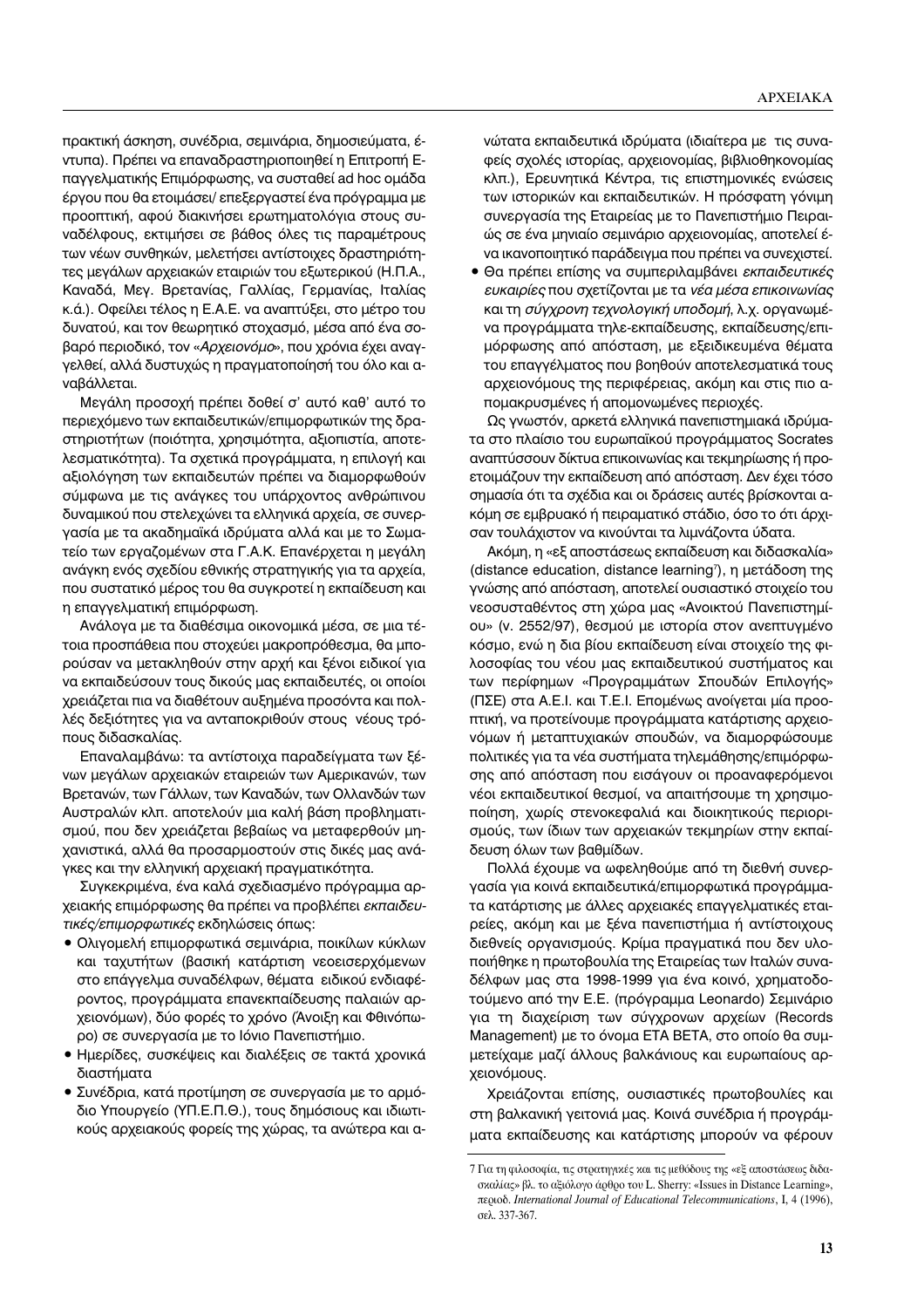πρακτική άσκηση, συνέδρια, σεμινάρια, δημοσιεύματα, έντυπα). Πρέπει να επαναδραστηριοποιηθεί η Επιτροπή Επαγγελματικής Επιμόρφωσης, να συσταθεί ad hoc ομάδα έργου που θα ετοιμάσει/ επεξεργαστεί ένα πρόγραμμα με προοπτική, αφού διακινήσει ερωτηματολόγια στους συναδέλφους, εκτιμήσει σε βάθος όλες τις παραμέτρους των νέων συνθηκών, μελετήσει αντίστοιχες δραστηριότητες μεγάλων αρχειακών εταιριών του εξωτερικού (Η.Π.Α., Καναδά, Μεγ. Βρετανίας, Γαλλίας, Γερμανίας, Ιταλίας κ.ά.). Οφείλει τέλος η Ε.Α.Ε. να αναπτύξει, στο μέτρο του δυνατού, και τον θεωρητικό στοχασμό, μέσα από ένα σοβαρό περιοδικό, τον «Αρχειονόμο», που χρόνια έχει αναγγελθεί, αλλά δυστυχώς η πραγματοποίησή του όλο και αναβάλλεται.

Μεγάλη προσοχή πρέπει δοθεί σ' αυτό καθ' αυτό το περιεχόμενο των εκπαιδευτικών/επιμορφωτικών της δραστηριοτήτων (ποιότητα, χρησιμότητα, αξιοπιστία, αποτελεσματικότητα). Τα σχετικά προγράμματα, η επιλογή και αξιολόγηση των εκπαιδευτών πρέπει να διαμορφωθούν σύμφωνα με τις ανάγκες του υπάρχοντος ανθρώπινου δυναμικού που στελεχώνει τα ελληνικά αρχεία, σε συνεργασία με τα ακαδημαϊκά ιδρύματα αλλά και με το Σωματείο των εργαζομένων στα Γ.Α.Κ. Επανέρχεται η μεγάλη ανάγκη ενός σχεδίου εθνικής στρατηγικής για τα αρχεία, που συστατικό μέρος του θα συγκροτεί η εκπαίδευση και η επαγγελματική επιμόρφωση.

Ανάλογα με τα διαθέσιμα οικονομικά μέσα, σε μια τέτοια προσπάθεια που στοχεύει μακροπρόθεσμα, θα μπορούσαν να μετακληθούν στην αρχή και ξένοι ειδικοί για να εκπαιδεύσουν τους δικούς μας εκπαιδευτές, οι οποίοι χρειάζεται πια να διαθέτουν αυξημένα προσόντα και πολλές δεξιότητες για να ανταποκριθούν στους νέους τρόπους διδασκαλίας.

Επαναλαμβάνω: τα αντίστοιχα παραδείγματα των ξένων μεγάλων αρχειακών εταιρειών των Αμερικανών, των Βρετανών, των Γάλλων, των Καναδών, των Ολλανδών των Αυστραλών κλπ. αποτελούν μια καλή βάση προβληματισμού, που δεν χρειάζεται βεβαίως να μεταφερθούν μηχανιστικά, αλλά θα προσαρμοστούν στις δικές μας ανάγκες και την ελληνική αρχειακή πραγματικότητα.

Συγκεκριμένα, ένα καλά σχεδιασμένο πρόγραμμα αρχειακής επιμόρφωσης θα πρέπει να προβλέπει εκπαιδευ*τικές/επιμορφωτικές* εκδηλώσεις όπως:

- Ολιγομελή επιμορφωτικά σεμινάρια, ποικίλων κύκλων και ταχυτήτων (βασική κατάρτιση νεοεισερχόμενων στο επάγγελμα συναδέλφων, θέματα ειδικού ενδιαφέροντος, προγράμματα επανεκπαίδευσης παλαιών αρχειονόμων), δύο φορές το χρόνο (Άνοιξη και Φθινόπωρο) σε συνεργασία με το Ιόνιο Πανεπιστήμιο.
- Ημερίδες, συσκέψεις και διαλέξεις σε τακτά χρονικά διαστήματα
- Συνέδρια, κατά προτίμηση σε συνεργασία με το αρμόδιο Υπουργείο (ΥΠ.Ε.Π.Θ.), τους δημόσιους και ιδιωτικούς αρχειακούς φορείς της χώρας, τα ανώτερα και α-

νώτατα εκπαιδευτικά ιδρύματα (ιδιαίτερα με τις συναφείς σχολές ιστορίας, αρχειονομίας, βιβλιοθηκονομίας κλπ.), Ερευνητικά Κέντρα, τις επιστημονικές ενώσεις των ιστορικών και εκπαιδευτικών. Η πρόσφατη γόνιμη συνεργασία της Εταιρείας με το Πανεπιστήμιο Πειραιώς σε ένα μηνιαίο σεμινάριο αρχειονομίας, αποτελεί ένα ικανοποιητικό παράδειγμα που πρέπει να συνεχιστεί.

• Θα πρέπει επίσης να συμπεριλαμβάνει *εκπαιδευτικές ευκαιρίες* που σχετίζονται με τα *νέα μέσα επικοινωνίας* <u>και τη σύγχρονη τεχνολογική υποδομή, λ.χ. οργανωμέ-</u> να προγράμματα τηλε-εκπαίδευσης, εκπαίδευσης/επιμόρφωσης από απόσταση, με εξειδικευμένα θέματα του επαγγέλματος που βοηθούν αποτελεσματικά τους αρχειονόμους της περιφέρειας, ακόμη και στις πιο απομακρυσμένες ή απομονωμένες περιοχές.

Ως γνωστόν, αρκετά ελληνικά πανεπιστημιακά ιδρύματα στο πλαίσιο του ευρωπαϊκού προγράμματος Socrates αναπτύσσουν δίκτυα επικοινωνίας και τεκμηρίωσης ή προετοιμάζουν την εκπαίδευση από απόσταση. Δεν έχει τόσο σημασία ότι τα σχέδια και οι δράσεις αυτές βρίσκονται α-<u>κόμη σε εμβρυακό ή πειραματικό στάδιο, όσο το ότι άρχι-</u> σαν τουλάχιστον να κινούνται τα λιμνάζοντα ύδατα.

Aκόμη, η «εξ αποστάσεως εκπαίδευση και διδασκαλία» (distance education, distance learning<sup>7</sup>), η μετάδοση της γνώσης από απόσταση, αποτελεί ουσιαστικό στοιχείο του νεοσυσταθέντος στη χώρα μας «Ανοικτού Πανεπιστημίου» (ν. 2552/97), θεσμού με ιστορία στον ανεπτυγμένο Kόσμο, ενώ η δια βίου εκπαίδευση είναι στοιχείο της φιλοσοφίας του νέου μας εκπαιδευτικού συστήματος και των περίφημων «Προγραμμάτων Σπουδών Επιλογής» (ΠΣΕ) στα Α.Ε.Ι. και Τ.Ε.Ι. Επομένως ανοίγεται μία προοπτική, να προτείνουμε προγράμματα κατάρτισης αρχειονόμων ή μεταπτυχιακών σπουδών, να διαμορφώσουμε πολιτικές για τα νέα συστήματα τηλεμάθησης/επιμόρφωσης από απόσταση που εισάγουν οι προαναφερόμενοι νέοι εκπαιδευτικοί θεσμοί, να απαιτήσουμε τη χρησιμοποίηση, χωρίς στενοκεφαλιά και διοικητικούς περιορισμούς, των ίδιων των αρχειακών τεκμηρίων στην εκπαίδευση όλων των βαθμίδων.

Πολλά έχουμε να ωφεληθούμε από τη διεθνή συνεργασία για κοινά εκπαιδευτικά/επιμορφωτικά προγράμματα κατάρτισης με άλλες αρχειακές επαγγελματικές εταιρείες, ακόμη και με ξένα πανεπιστήμια ή αντίστοιχους διεθνείς οργανισμούς. Κρίμα πραγματικά που δεν υλοποιήθηκε η πρωτοβουλία της Εταιρείας των Ιταλών συναδέλφων μας στα 1998-1999 για ένα κοινό, χρηματοδοτούμενο από την Ε.Ε. (πρόγραμμα Leonardo) Σεμινάριο για τη διαχείριση των σύγχρονων αρχείων (Records Management) με το όνομα ETA BETA, στο οποίο θα συμμετείχαμε μαζί άλλους βαλκάνιους και ευρωπαίους αρχειονόμους.

Χρειάζονται επίσης, ουσιαστικές πρωτοβουλίες και στη βαλκανική γειτονιά μας. Κοινά συνέδρια ή προγράμματα εκπαίδευσης και κατάρτισης μπορούν να φέρουν

<sup>7</sup> Για τη φιλοσοφία, τις στρατηγικές και τις μεθόδους της «εξ αποστάσεως διδασκαλίας» βλ. το αξιόλογο άρθρο του L. Sherry: «Issues in Distance Learning», ÂÚÈÔ‰. *International Journal of Educational Telecommunications*, I, 4 (1996), σελ. 337-367.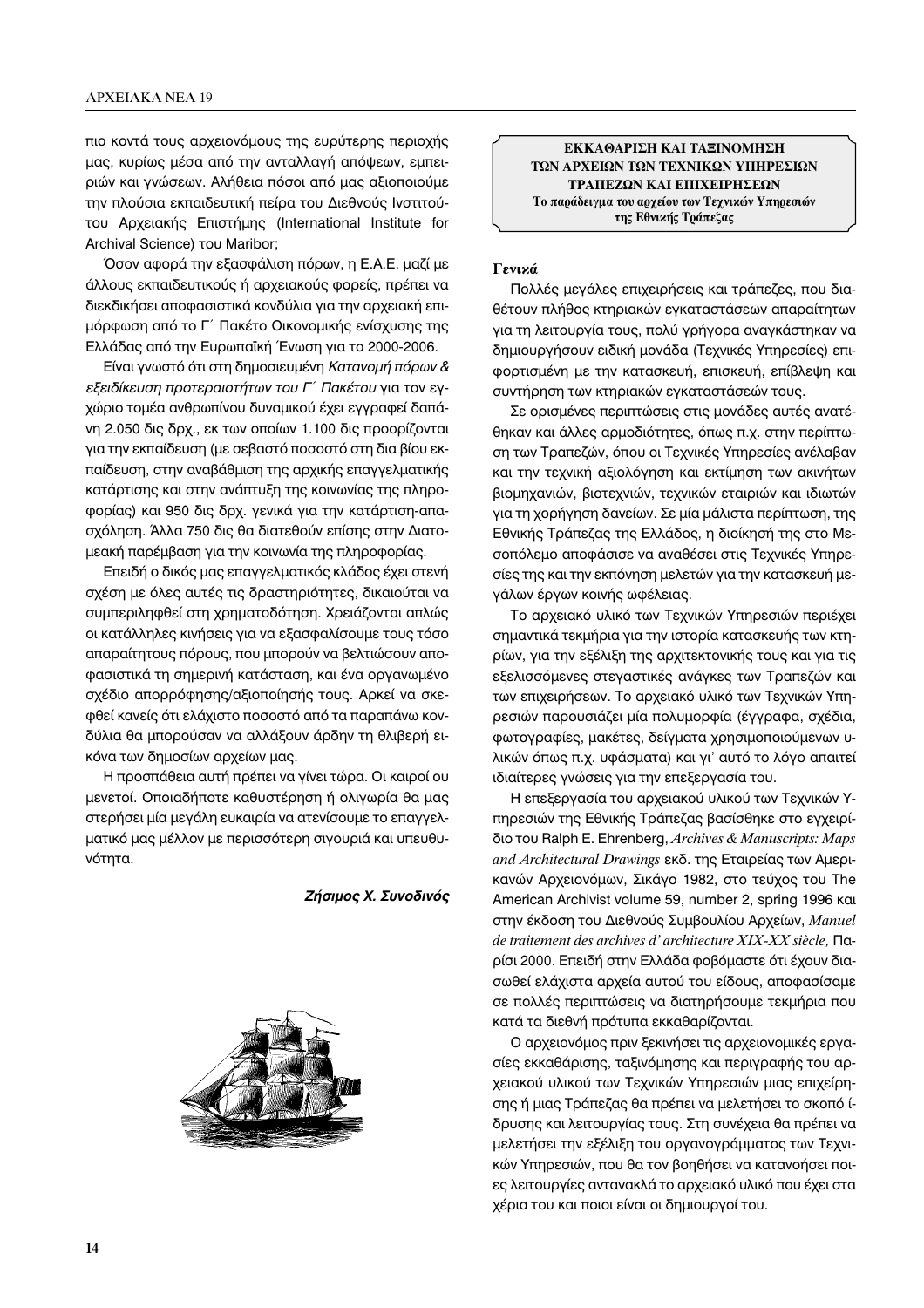πιο κοντά τους αρχειονόμους της ευρύτερης περιοχής μας, κυρίως μέσα από την ανταλλαγή απόψεων, εμπειριών και γνώσεων. Αλήθεια πόσοι από μας αξιοποιούμε την πλούσια εκπαιδευτική πείρα του Διεθνούς Ινστιτούτου Αρχειακής Επιστήμης (International Institute for Archival Science) του Maribor;

Όσον αφορά την εξασφάλιση πόρων, η Ε.Α.Ε. μαζί με άλλους εκπαιδευτικούς ή αρχειακούς φορείς, πρέπει να διεκδικήσει αποφασιστικά κονδύλια για την αρχειακή επιμόρφωση από το Γ΄ Πακέτο Οικονομικής ενίσχυσης της Ελλάδας από την Ευρωπαϊκή Ένωση για το 2000-2006.

Είναι γνωστό ότι στη δημοσιευμένη Κατανομή πόρων & *εξειδίκευση προτεραιοτήτων του Γ΄ Πακέτου* για τον εγχώριο τομέα ανθρωπίνου δυναμικού έχει εγγραφεί δαπάνη 2.050 δις δρχ., εκ των οποίων 1.100 δις προορίζονται για την εκπαίδευση (με σεβαστό ποσοστό στη δια βίου εκπαίδευση, στην αναβάθμιση της αρχικής επαγγελματικής κατάρτισης και στην ανάπτυξη της κοινωνίας της πληροφορίας) και 950 δις δρχ. γενικά για την κατάρτιση-απασχόληση. Άλλα 750 δις θα διατεθούν επίσης στην Διατομεακή παρέμβαση για την κοινωνία της πληροφορίας.

Επειδή ο δικός μας επαγγελματικός κλάδος έχει στενή σχέση με όλες αυτές τις δραστηριότητες, δικαιούται να συμπεριληφθεί στη χρηματοδότηση. Χρειάζονται απλώς οι κατάλληλες κινήσεις για να εξασφαλίσουμε τους τόσο απαραίτητους πόρους, που μπορούν να βελτιώσουν αποφασιστικά τη σημερινή κατάσταση, και ένα οργανωμένο σχέδιο απορρόφησης/αξιοποίησής τους. Αρκεί να σκεφθεί κανείς ότι ελάχιστο ποσοστό από τα παραπάνω κονδύλια θα μπορούσαν να αλλάξουν άρδην τη θλιβερή εικόνα των δημοσίων αρχείων μας.

Η προσπάθεια αυτή πρέπει να γίνει τώρα. Οι καιροί ου μενετοί. Οποιαδήποτε καθυστέρηση ή ολιγωρία θα μας στερήσει μία μεγάλη ευκαιρία να ατενίσουμε το επαγγελματικό μας μέλλον με περισσότερη σιγουριά και υπευθυνότητα.

## *Zήσιμος Χ. Συνοδινός*



**ΕΚΚΑΘΑΡΙΣΗ ΚΑΙ ΤΑΞΙΝΟΜΗΣΗ** ΤΩΝ ΑΡΧΕΙΩΝ ΤΩΝ ΤΕΧΝΙΚΩΝ ΥΠΗΡΕΣΙΩΝ **ΤΡΑΠΕΖΩΝ ΚΑΙ ΕΠΙΧΕΙΡΗΣΕΩΝ** Το παράδειγμα του αρχείου των Τεχνικών Υπηρεσιών της Εθνικής Τράπεζας

# **Γενικά**

Πολλές μεγάλες επιχειρήσεις και τράπεζες, που διαθέτουν πλήθος κτηριακών εγκαταστάσεων απαραίτητων για τη λειτουργία τους, πολύ γρήγορα αναγκάστηκαν να δημιουργήσουν ειδική μονάδα (Τεχνικές Υπηρεσίες) επιφορτισμένη με την κατασκευή, επισκευή, επίβλεψη και συντήρηση των κτηριακών εγκαταστάσεών τους.

Σε ορισμένες περιπτώσεις στις μονάδες αυτές ανατέθηκαν και άλλες αρμοδιότητες, όπως π.χ. στην περίπτωση των Τραπεζών, όπου οι Τεχνικές Υπηρεσίες ανέλαβαν και την τεχνική αξιολόγηση και εκτίμηση των ακινήτων βιομηχανιών, βιοτεχνιών, τεχνικών εταιριών και ιδιωτών για τη χορήγηση δανείων. Σε μία μάλιστα περίπτωση, της Εθνικής Τράπεζας της Ελλάδος, η διοίκησή της στο Μεσοπόλεμο αποφάσισε να αναθέσει στις Τεχνικές Υπηρεσίες της και την εκπόνηση μελετών για την κατασκευή μεγάλων έργων κοινής ωφέλειας.

Το αρχειακό υλικό των Τεχνικών Υπηρεσιών περιέχει σημαντικά τεκμήρια για την ιστορία κατασκευής των κτηρίων, για την εξέλιξη της αρχιτεκτονικής τους και για τις εξελισσόμενες στεγαστικές ανάγκες των Τραπεζών και των επιχειρήσεων. Το αρχειακό υλικό των Τεχνικών Υπηρεσιών παρουσιάζει μία πολυμορφία (έγγραφα, σχέδια, φωτογραφίες, μακέτες, δείγματα χρησιμοποιούμενων υλικών όπως π.χ. υφάσματα) και γι' αυτό το λόγο απαιτεί ιδιαίτερες γνώσεις για την επεξεργασία του.

Η επεξεργασία του αρχειακού υλικού των Τεχνικών Υπηρεσιών της Εθνικής Τράπεζας βασίσθηκε στο εγχειρίδιο του Ralph E. Ehrenberg, *Archives & Manuscripts: Maps* and Architectural Drawings εκδ. της Εταιρείας των Αμερικανών Αρχειονόμων, Σικάγο 1982, στο τεύχος του The American Archivist volume 59, number 2, spring 1996 και στην έκδοση του Διεθνούς Συμβουλίου Αρχείων, *Manuel*  $de$  traitement des archives d'architecture XIX-XX siècle,  $\Pi$ aρίσι 2000. Επειδή στην Ελλάδα φοβόμαστε ότι έχουν διασωθεί ελάχιστα αρχεία αυτού του είδους, αποφασίσαμε σε πολλές περιπτώσεις να διατηρήσουμε τεκμήρια που κατά τα διεθνή πρότυπα εκκαθαρίζονται.

Ο αρχειονόμος πριν ξεκινήσει τις αρχειονομικές εργασίες εκκαθάρισης, ταξινόμησης και περιγραφής του αρχειακού υλικού των Τεχνικών Υπηρεσιών μιας επιχείρησης ή μιας Τράπεζας θα πρέπει να μελετήσει το σκοπό *ί*δρυσης και λειτουργίας τους. Στη συνέχεια θα πρέπει να μελετήσει την εξέλιξη του οργανογράμματος των Τεχνικών Υπηρεσιών, που θα τον βοηθήσει να κατανοήσει ποιες λειτουργίες αντανακλά το αρχειακό υλικό που έχει στα χέρια του και ποιοι είναι οι δημιουργοί του.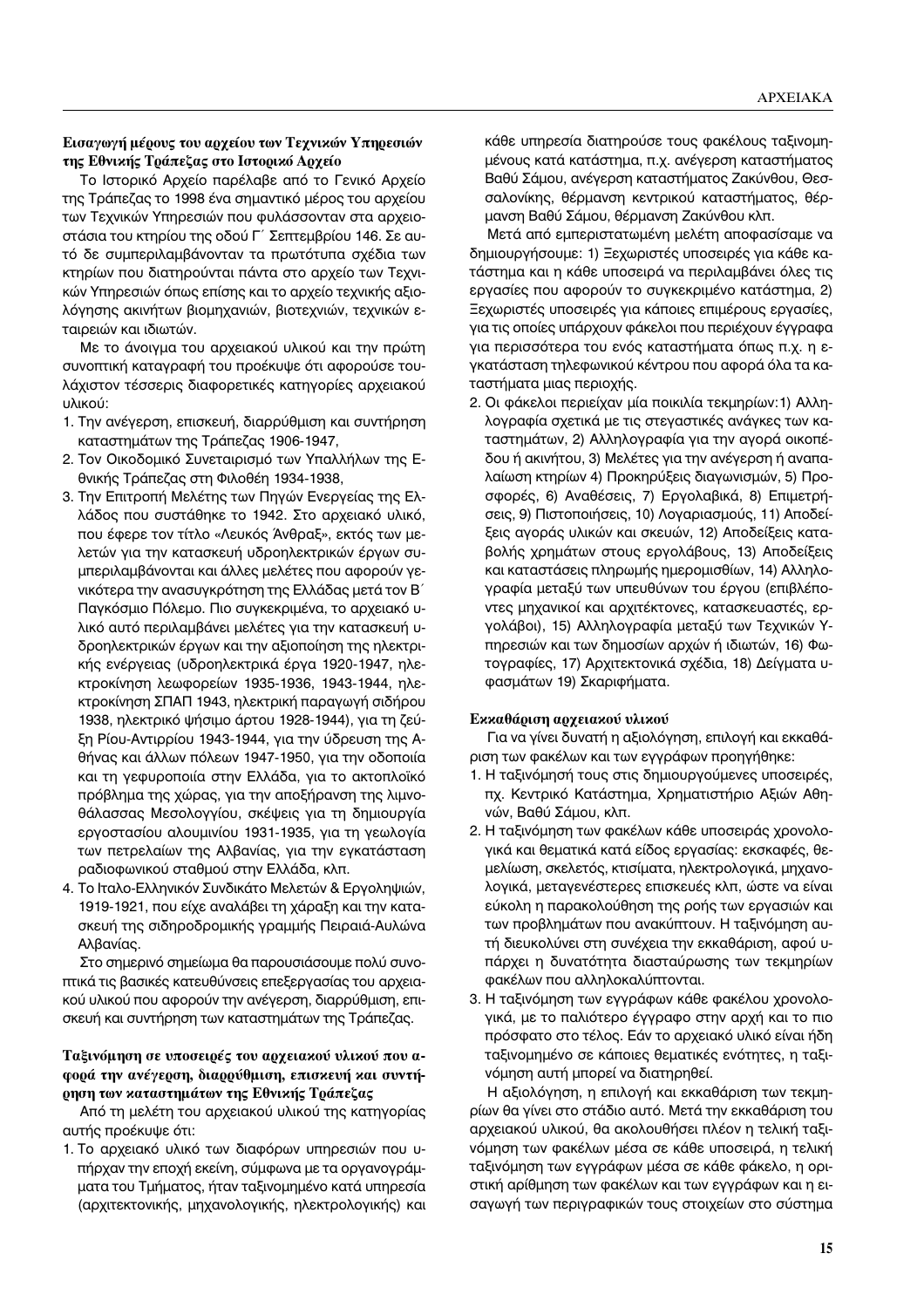## Εισαγωγή μέρους του αρχείου των Τεχνικών Υπηρεσιών της Εθνικής Τράπεζας στο Ιστορικό Αρχείο

Το Ιστορικό Αρχείο παρέλαβε από το Γενικό Αρχείο της Τράπεζας το 1998 ένα σημαντικό μέρος του αρχείου των Τεχνικών Υπηρεσιών που φυλάσσονταν στα αρχειοοτάσια του κτηρίου της οδού Γ΄ Σεπτεμβρίου 146. Σε αυτό δε συμπεριλαμβάνονταν τα πρωτότυπα σχέδια των κτηρίων που διατηρούνται πάντα στο αρχείο των Τεχνικών Υπηρεσιών όπως επίσης και το αρχείο τεχνικής αξιολόγησης ακινήτων βιομηχανιών, βιοτεχνιών, τεχνικών εταιρειών και ιδιωτών.

Με το άνοιγμα του αρχειακού υλικού και την πρώτη συνοπτική καταγραφή του προέκυψε ότι αφορούσε τουλάχιστον τέσσερις διαφορετικές κατηγορίες αρχειακού υλικού:

- 1. Την ανέγερση, επισκευή, διαρρύθμιση και συντήρηση καταστημάτων της Τράπεζας 1906-1947,
- 2. Τον Οικοδομικό Συνεταιρισμό των Υπαλλήλων της Εθνικής Τράπεζας στη Φιλοθέη 1934-1938,
- 3. Την Επιτροπή Μελέτης των Πηγών Ενεργείας της Ελλάδος που συστάθηκε το 1942. Στο αρχειακό υλικό, που έφερε τον τίτλο «Λευκός Άνθραξ», εκτός των μελετών για την κατασκευή υδροηλεκτρικών έργων συμπεριλαμβάνονται και άλλες μελέτες που αφορούν γενικότερα την ανασυγκρότηση της Ελλάδας μετά τον Β' Παγκόσμιο Πόλεμο. Πιο συγκεκριμένα, το αρχειακό υλικό αυτό περιλαμβάνει μελέτες για την κατασκευή υδροηλεκτρικών έργων και την αξιοποίηση της ηλεκτρικής ενέργειας (υδροηλεκτρικά έργα 1920-1947, ηλεκτροκίνηση λεωφορείων 1935-1936, 1943-1944, ηλεκτροκίνηση ΣΠΑΠ 1943, ηλεκτρική παραγωγή σιδήρου 1938, ηλεκτρικό ψήσιμο άρτου 1928-1944), για τη ζεύξη Ρίου-Αντιρρίου 1943-1944, για την ύδρευση της Αθήνας και άλλων πόλεων 1947-1950, για την οδοποιία και τη γεφυροποιία στην Ελλάδα, για το ακτοπλοϊκό πρόβλημα της χώρας, για την αποξήρανση της λιμνοθάλασσας Μεσολογγίου, σκέψεις για τη δημιουργία εργοστασίου αλουμινίου 1931-1935, για τη γεωλογία των πετρελαίων της Αλβανίας, για την εγκατάσταση ραδιοφωνικού σταθμού στην Ελλάδα, κλπ.
- 4. Το Ιταλο-Ελληνικόν Συνδικάτο Μελετών & Εργοληψιών, 1919-1921, που είχε αναλάβει τη χάραξη και την κατασκευή της σιδηροδρομικής γραμμής Πειραιά-Αυλώνα Αλβανίας.

Στο σημερινό σημείωμα θα παρουσιάσουμε πολύ συνοπτικά τις βασικές κατευθύνσεις επεξεργασίας του αρχειακού υλικού που αφορούν την ανέγερση, διαρρύθμιση, επισκευή και συντήρηση των καταστημάτων της Τράπεζας.

## Ταξινόμηση σε υποσειρές του αρχειακού υλικού που αφορά την ανέγερση, διαρρύθμιση, επισκευή και συντή**ρηση των καταστημάτων της Εθνικής Τράπεζας**

Από τη μελέτη του αρχειακού υλικού της κατηγορίας αυτής προέκυψε ότι:

1. Το αρχειακό υλικό των διαφόρων υπηρεσιών που υπήρχαν την εποχή εκείνη, σύμφωνα με τα οργανογράμματα του Τμήματος, ήταν ταξινομημένο κατά υπηρεσία (αρχιτεκτονικής, μηχανολογικής, ηλεκτρολογικής) και κάθε υπηρεσία διατηρούσε τους φακέλους ταξινομημένους κατά κατάστημα, π.χ. ανέγερση καταστήματος Βαθύ Σάμου, ανέγερση καταστήματος Ζακύνθου, Θεσσαλονίκης, θέρμανση κεντρικού καταστήματος, θέρμανση Βαθύ Σάμου, θέρμανση Ζακύνθου κλπ.

Μετά από εμπεριστατωμένη μελέτη αποφασίσαμε να δημιουργήσουμε: 1) Ξεχωριστές υποσειρές για κάθε κατάστημα και η κάθε υποσειρά να περιλαμβάνει όλες τις εργασίες που αφορούν το συγκεκριμένο κατάστημα, 2) Ξεχωριστές υποσειρές για κάποιες επιμέρους εργασίες, για τις οποίες υπάρχουν φάκελοι που περιέχουν έγγραφα για περισσότερα του ενός καταστήματα όπως π.χ. η εγκατάσταση τηλεφωνικού κέντρου που αφορά όλα τα καταστήματα μιας περιοχής.

2. Οι φάκελοι περιείχαν μία ποικιλία τεκμηρίων:1) Αλληλογραφία σχετικά με τις στεγαστικές ανάγκες των καταστημάτων, 2) Αλληλογραφία για την αγορά οικοπέδου ή ακινήτου, 3) Μελέτες για την ανέγερση ή αναπαλαίωση κτηρίων 4) Προκηρύξεις διαγωνισμών, 5) Προσφορές, 6) Αναθέσεις, 7) Εργολαβικά, 8) Επιμετρήσεις, 9) Πιστοποιήσεις, 10) Λογαριασμούς, 11) Αποδείξεις αγοράς υλικών και σκευών, 12) Αποδείξεις καταβολής χρημάτων στους εργολάβους, 13) Αποδείξεις και καταστάσεις πληρωμής ημερομισθίων, 14) Αλληλογραφία μεταξύ των υπευθύνων του έργου (επιβλέποντες μηχανικοί και αρχιτέκτονες, κατασκευαστές, εργολάβοι), 15) Αλληλογραφία μεταξύ των Τεχνικών Υπηρεσιών και των δημοσίων αρχών ή ιδιωτών, 16) Φωτογραφίες, 17) Αρχιτεκτονικά σχέδια, 18) Δείγματα υφασμάτων 19) Σκαριφήματα.

## Εκκαθάριση αρχειακού υλικού

Για να γίνει δυνατή η αξιολόγηση, επιλογή και εκκαθάριση των φακέλων και των εγγράφων προηγήθηκε:

- 1. Η ταξινόμησή τους στις δημιουργούμενες υποσειρές, πχ. Κεντρικό Κατάστημα, Χρηματιστήριο Αξιών Αθηνών, Βαθύ Σάμου, κλπ.
- 2. Η ταξινόμηση των φακέλων κάθε υποσειράς χρονολογικά και θεματικά κατά είδος εργασίας: εκσκαφές, θεμελίωση, σκελετός, κτισίματα, ηλεκτρολογικά, μηχανολογικά, μεταγενέστερες επισκευές κλπ, ώστε να είναι εύκολη η παρακολούθηση της ροής των εργασιών και των προβλημάτων που ανακύπτουν. Η ταξινόμηση αυτή διευκολύνει στη συνέχεια την εκκαθάριση, αφού υπάρχει η δυνατότητα διασταύρωσης των τεκμηρίων φακέλων που αλληλοκαλύπτονται.
- 3. Η ταξινόμηση των εγγράφων κάθε φακέλου χρονολογικά, με το παλιότερο έγγραφο στην αρχή και το πιο πρόσφατο στο τέλος. Εάν το αρχειακό υλικό είναι ήδη ταξινομημένο σε κάποιες θεματικές ενότητες, η ταξινόμηση αυτή μπορεί να διατηρηθεί.

Η αξιολόγηση, η επιλογή και εκκαθάριση των τεκμηρίων θα γίνει στο στάδιο αυτό. Μετά την εκκαθάριση του αρχειακού υλικού, θα ακολουθήσει πλέον η τελική ταξινόμηση των φακέλων μέσα σε κάθε υποσειρά, η τελική ταξινόμηση των εγγράφων μέσα σε κάθε φάκελο, η οριστική αρίθμηση των φακέλων και των εγγράφων και η εισαγωγή των περιγραφικών τους στοιχείων στο σύστημα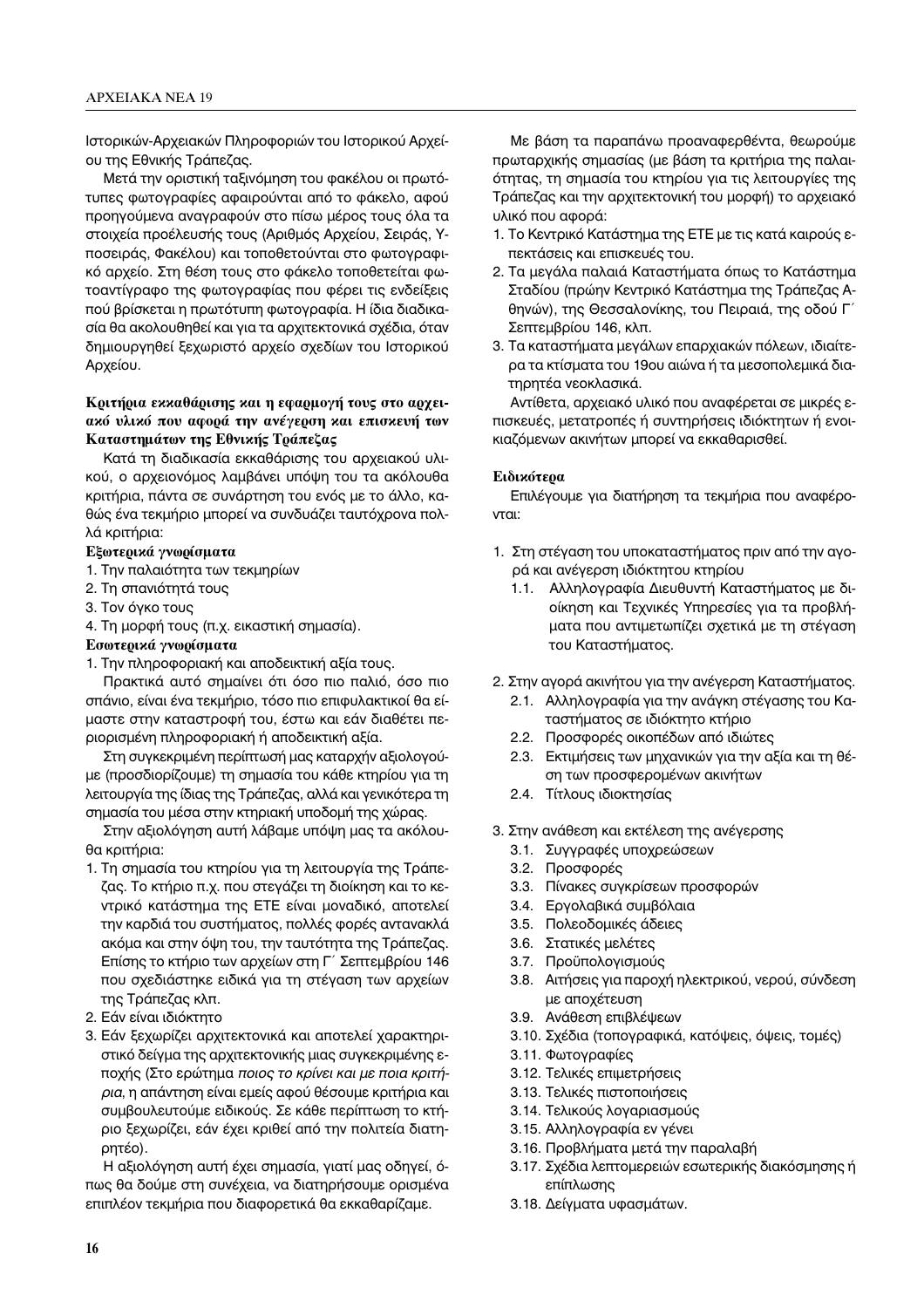Ιστορικών-Αρχειακών Πληροφοριών του Ιστορικού Αρχείου της Εθνικής Τράπεζας.

Μετά την οριστική ταξινόμηση του φακέλου οι πρωτότυπες φωτογραφίες αφαιρούνται από το φάκελο, αφού προηγούμενα αναγραφούν στο πίσω μέρος τους όλα τα στοιχεία προέλευσής τους (Αριθμός Αρχείου, Σειράς, Υποσειράς, Φακέλου) και τοποθετούνται στο φωτογραφικό αρχείο. Στη θέση τους στο φάκελο τοποθετείται φωτοαντίγραφο της φωτογραφίας που φέρει τις ενδείξεις πού βρίσκεται η πρωτότυπη φωτογραφία. Η ίδια διαδικασία θα ακολουθηθεί και για τα αρχιτεκτονικά σχέδια, όταν δημιουργηθεί ξεχωριστό αρχείο σχεδίων του Ιστορικού Αρχείου.

# Κριτήρια εκκαθάρισης και η εφαρμογή τους στο αρχειακό υλικό που αφορά την ανέγερση και επισκευή των Καταστημάτων της Εθνικής Τράπεζας

Κατά τη διαδικασία εκκαθάρισης του αρχειακού υλικού, ο αρχειονόμος λαμβάνει υπόψη του τα ακόλουθα κριτήρια, πάντα σε συνάρτηση του ενός με το άλλο, καθώς ένα τεκμήριο μπορεί να συνδυάζει ταυτόχρονα πολλά κριτήρια:

## Εξωτερικά γνωρίσματα

- 1. Την παλαιότητα των τεκμηρίων
- 2. Τη σπανιότητά τους
- 3. Τον όγκο τους
- 4. Τη μορφή τους (π.χ. εικαστική σημασία).
- Εσωτερικά γνωρίσματα
- 1. Την πληροφοριακή και αποδεικτική αξία τους.

Πρακτικά αυτό σημαίνει ότι όσο πιο παλιό, όσο πιο σπάνιο, είναι ένα τεκμήριο, τόσο πιο επιφυλακτικοί θα είμαστε στην καταστροφή του, έστω και εάν διαθέτει περιορισμένη πληροφοριακή ή αποδεικτική αξία.

Στη συγκεκριμένη περίπτωσή μας καταρχήν αξιολογούμε (προσδιορίζουμε) τη σημασία του κάθε κτηρίου για τη λειτουργία της ίδιας της Τράπεζας, αλλά και γενικότερα τη σημασία του μέσα στην κτηριακή υποδομή της χώρας.

Στην αξιολόγηση αυτή λάβαμε υπόψη μας τα ακόλουθα κριτήρια:

- 1. Τη σημασία του κτηρίου για τη λειτουργία της Τράπεζας. Το κτήριο π.χ. που στεγάζει τη διοίκηση και το κεντρικό κατάστημα της ΕΤΕ είναι μοναδικό, αποτελεί την καρδιά του συστήματος, πολλές φορές αντανακλά ακόμα και στην όψη του, την ταυτότητα της Τράπεζας. Επίσης το κτήριο των αρχείων στη Γ΄ Σεπτεμβρίου 146 που σχεδιάστηκε ειδικά για τη στέγαση των αρχείων της Τράπεζας κλπ.
- 2. Εάν είναι ιδιόκτητο
- 3. Εάν ξεχωρίζει αρχιτεκτονικά και αποτελεί χαρακτηριστικό δείγμα της αρχιτεκτονικής μιας συγκεκριμένης εποχής (Στο ερώτημα ποιος το κρίνει και με ποια κριτήρια, η απάντηση είναι εμείς αφού θέσουμε κριτήρια και συμβουλευτούμε ειδικούς. Σε κάθε περίπτωση το κτήριο ξεχωρίζει, εάν έχει κριθεί από την πολιτεία διατηρητέο).

Η αξιολόγηση αυτή έχει σημασία, γιατί μας οδηγεί, όπως θα δούμε στη συνέχεια, να διατηρήσουμε ορισμένα επιπλέον τεκμήρια που διαφορετικά θα εκκαθαρίζαμε.

Με βάση τα παραπάνω προαναφερθέντα, θεωρούμε πρωταρχικής σημασίας (με βάση τα κριτήρια της παλαιότητας, τη σημασία του κτηρίου για τις λειτουργίες της Τράπεζας και την αρχιτεκτονική του μορφή) το αρχειακό υλικό που αφορά:

- 1. Το Κεντρικό Κατάστημα της ΕΤΕ με τις κατά καιρούς επεκτάσεις και επισκευές του.
- 2. Τα μεγάλα παλαιά Καταστήματα όπως το Κατάστημα Σταδίου (πρώην Κεντρικό Κατάστημα της Τράπεζας Αθηνών), της Θεσσαλονίκης, του Πειραιά, της οδού Γ΄ Σεπτεμβρίου 146, κλπ.
- 3. Τα καταστήματα μεγάλων επαρχιακών πόλεων, ιδιαίτερα τα κτίσματα του 19ου αιώνα ή τα μεσοπολεμικά διατηρητέα νεοκλασικά.

Αντίθετα, αρχειακό υλικό που αναφέρεται σε μικρές επισκευές, μετατροπές ή συντηρήσεις ιδιόκτητων ή ενοικιαζόμενων ακινήτων μπορεί να εκκαθαρισθεί.

## Ειδικότερα

Επιλέγουμε για διατήρηση τα τεκμήρια που αναφέρονται:

- 1. Στη στέγαση του υποκαταστήματος πριν από την αγορά και ανέγερση ιδιόκτητου κτηρίου
	- $1.1.$ Αλληλογραφία Διευθυντή Καταστήματος με διοίκηση και Τεχνικές Υπηρεσίες για τα προβλήματα που αντιμετωπίζει σχετικά με τη στέγαση του Καταστήματος.
- 2. Στην αγορά ακινήτου για την ανέγερση Καταστήματος.
	- 2.1. Αλληλογραφία για την ανάγκη στέγασης του Καταστήματος σε ιδιόκτητο κτήριο
	- 2.2. Προσφορές οικοπέδων από ιδιώτες
	- 2.3. Εκτιμήσεις των μηχανικών για την αξία και τη θέση των προσφερομένων ακινήτων
	- 2.4. Τίτλους ιδιοκτησίας
- 3. Στην ανάθεση και εκτέλεση της ανέγερσης
	- 3.1. Συγγραφές υποχρεώσεων
	- 3.2. Προσφορές
	- 3.3. Πίνακες συγκρίσεων προσφορών
	- 3.4. Εργολαβικά συμβόλαια
	- 3.5. Πολεοδομικές άδειες
	- 3.6. Στατικές μελέτες
	- 3.7. Προϋπολογισμούς
	- 3.8. Αιτήσεις για παροχή ηλεκτρικού, νερού, σύνδεση με αποχέτευση
	- 3.9. Ανάθεση επιβλέψεων
	- 3.10. Σχέδια (τοπογραφικά, κατόψεις, όψεις, τομές)
	- 3.11. Φωτογραφίες
	- 3.12. Τελικές επιμετρήσεις
	- 3.13. Τελικές πιστοποιήσεις
	- 3.14. Τελικούς λογαριασμούς
	- 3.15. Αλληλογραφία εν γένει
	- 3.16. Προβλήματα μετά την παραλαβή
	- 3.17. Σχέδια λεπτομερειών εσωτερικής διακόσμησης ή επίπλωσης
	- 3.18. Δείγματα υφασμάτων.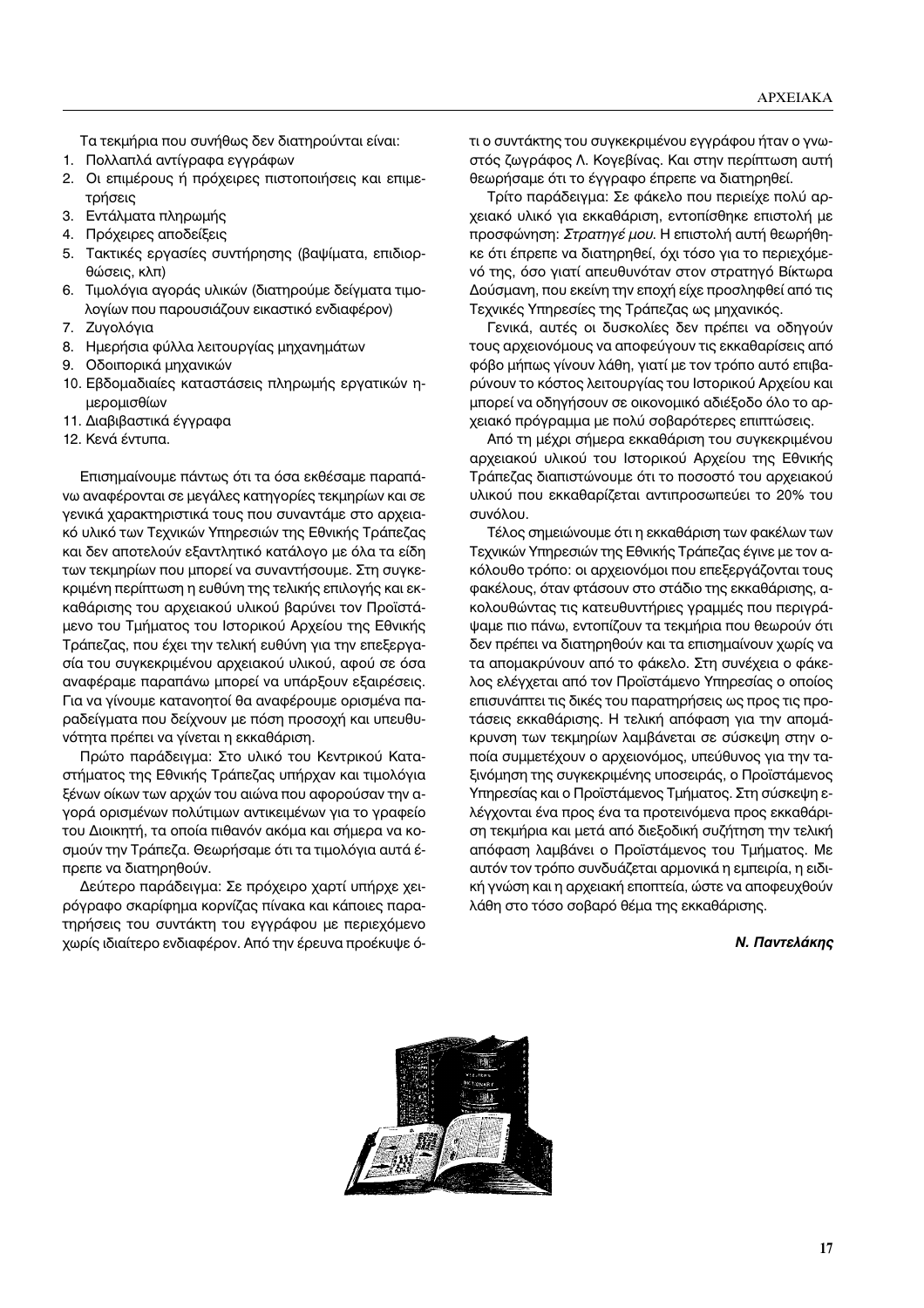Τα τεκμήρια που συνήθως δεν διατηρούνται είναι:

- 1. Πολλαπλά αντίγραφα εγγράφων
- 2. Οι επιμέρους ή πρόχειρες πιστοποιήσεις και επιμετρήσεις
- 3. Εντάλματα πληρωμής
- 4. Πρόχειρες αποδείξεις
- 5. Τακτικές εργασίες συντήρησης (βαψίματα, επιδιορθώσεις, κλπ)
- 6. Τιμολόγια αγοράς υλικών (διατηρούμε δείγματα τιμολογίων που παρουσιάζουν εικαστικό ενδιαφέρον)
- 7. Zυγολόγια
- 8. Ημερήσια φύλλα λειτουργίας μηχανημάτων
- 9. Οδοιπορικά μηχανικών
- 10. Εβδομαδιαίες καταστάσεις πληρωμής εργατικών ημερομισθίων
- 11. Διαβιβαστικά έγγραφα
- 12. Κενά έντυπα.

Επισημαίνουμε πάντως ότι τα όσα εκθέσαμε παραπάνω αναφέρονται σε μεγάλες κατηγορίες τεκμηρίων και σε γενικά χαρακτηριστικά τους που συναντάμε στο αρχειακό υλικό των Τεχνικών Υπηρεσιών της Εθνικής Τράπεζας και δεν αποτελούν εξαντλητικό κατάλογο με όλα τα είδη των τεκμηρίων που μπορεί να συναντήσουμε. Στη συγκε-Κριμένη περίπτωση η ευθύνη της τελικής επιλογής και εκκαθάρισης του αρχειακού υλικού βαρύνει τον Προϊστάμενο του Τμήματος του Ιστορικού Αρχείου της Εθνικής Τράπεζας, που έχει την τελική ευθύνη για την επεξεργασία του συγκεκριμένου αρχειακού υλικού, αφού σε όσα αναφέραμε παραπάνω μπορεί να υπάρξουν εξαιρέσεις. Για να γίνουμε κατανοητοί θα αναφέρουμε ορισμένα παραδείγματα που δείχνουν με πόση προσοχή και υπευθυνότητα πρέπει να γίνεται η εκκαθάριση.

Πρώτο παράδειγμα: Στο υλικό του Κεντρικού Καταστήματος της Εθνικής Τράπεζας υπήρχαν και τιμολόγια ξένων οίκων των αρχών του αιώνα που αφορούσαν την αγορά ορισμένων πολύτιμων αντικειμένων για το γραφείο του Διοικητή, τα οποία πιθανόν ακόμα και σήμερα να κοσμούν την Τράπεζα. Θεωρήσαμε ότι τα τιμολόγια αυτά έπρεπε να διατηρηθούν.

Δεύτερο παράδειγμα: Σε πρόχειρο χαρτί υπήρχε χειρόγραφο σκαρίφημα κορνίζας πίνακα και κάποιες παρατηρήσεις του συντάκτη του εγγράφου με περιεχόμενο χωρίς ιδιαίτερο ενδιαφέρον. Από την έρευνα προέκυψε ότι ο συντάκτης του συγκεκριμένου εγγράφου ήταν ο γνωστός ζωγράφος Λ. Κογεβίνας. Και στην περίπτωση αυτή θεωρήσαμε ότι το έγγραφο έπρεπε να διατηρηθεί.

Τρίτο παράδειγμα: Σε φάκελο που περιείχε πολύ αρχειακό υλικό για εκκαθάριση, εντοπίσθηκε επιστολή με προσφώνηση: *Στρατηγέ μου*. Η επιστολή αυτή θεωρήθηκε ότι έπρεπε να διατηρηθεί, όχι τόσο για το περιεχόμενό της, όσο γιατί απευθυνόταν στον στρατηγό Βίκτωρα Δούσμανη, που εκείνη την εποχή είχε προσληφθεί από τις Τεχνικές Υπηρεσίες της Τράπεζας ως μηχανικός.

Γενικά, αυτές οι δυσκολίες δεν πρέπει να οδηγούν τους αρχειονόμους να αποφεύγουν τις εκκαθαρίσεις από φόβο μήπως γίνουν λάθη, γιατί με τον τρόπο αυτό επιβαρύνουν το κόστος λειτουργίας του Ιστορικού Αρχείου και μπορεί να οδηγήσουν σε οικονομικό αδιέξοδο όλο το αρχειακό πρόγραμμα με πολύ σοβαρότερες επιπτώσεις.

Aπό τη μέχρι σήμερα εκκαθάριση του συγκεκριμένου αρχειακού υλικού του Ιστορικού Αρχείου της Εθνικής Τράπεζας διαπιστώνουμε ότι το ποσοστό του αρχειακού υλικού που εκκαθαρίζεται αντιπροσωπεύει το 20% του συνόλου.

Τέλος σημειώνουμε ότι η εκκαθάριση των φακέλων των Τεχνικών Υπηρεσιών της Εθνικής Τράπεζας έγινε με τον ακόλουθο τρόπο: οι αρχειονόμοι που επεξεργάζονται τους φακέλους, όταν φτάσουν στο στάδιο της εκκαθάρισης, ακολουθώντας τις κατευθυντήριες γραμμές που περιγράψαμε πιο πάνω, εντοπίζουν τα τεκμήρια που θεωρούν ότι δεν πρέπει να διατηρηθούν και τα επισημαίνουν χωρίς να τα απομακρύνουν από το φάκελο. Στη συνέχεια ο φάκελος ελέγχεται από τον Προϊστάμενο Υπηρεσίας ο οποίος επισυνάπτει τις δικές του παρατηρήσεις ως προς τις προτάσεις εκκαθάρισης. Η τελική απόφαση για την απομάκρυνση των τεκμηρίων λαμβάνεται σε σύσκεψη στην οποία συμμετέχουν ο αρχειονόμος, υπεύθυνος για την ταξινόμηση της συγκεκριμένης υποσειράς, ο Προϊστάμενος Υπηρεσίας και ο Προϊστάμενος Τμήματος. Στη σύσκεψη ελέγχονται ένα προς ένα τα προτεινόμενα προς εκκαθάριση τεκμήρια και μετά από διεξοδική συζήτηση την τελική απόφαση λαμβάνει ο Προϊστάμενος του Τμήματος. Με αυτόν τον τρόπο συνδυάζεται αρμονικά η εμπειρία, η ειδική γνώση και η αρχειακή εποπτεία, ώστε να αποφευχθούν λάθη στο τόσο σοβαρό θέμα της εκκαθάρισης.

## *N. Παντελάκης*

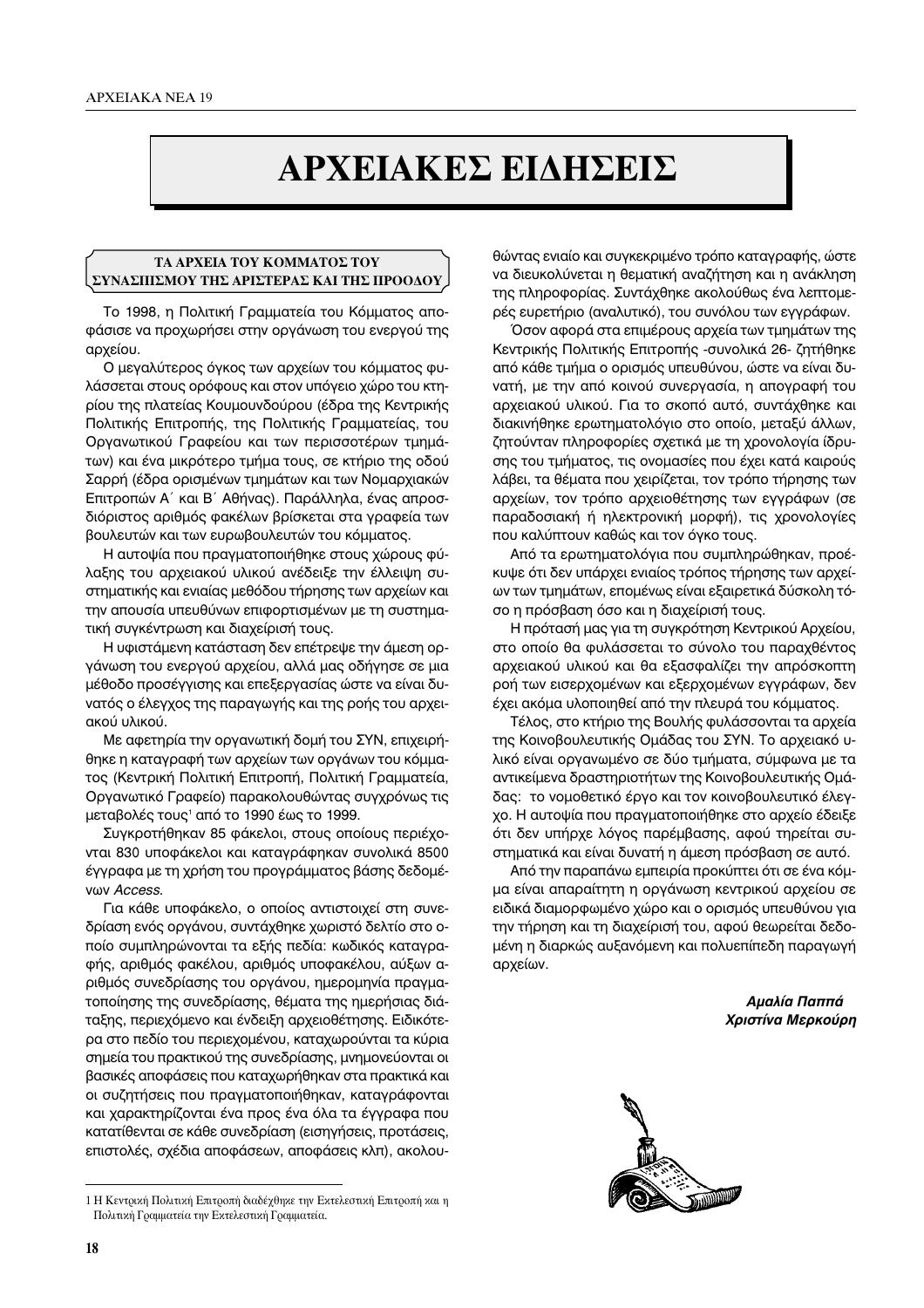# **¢ APXEIAKEΣ EIAHΣEIΣ**

## **TA ΑΡΧΕΙΑ ΤΟΥ ΚΟΜΜΑΤΟΣ ΤΟΥ** ΣΥΝΑΣΠΙΣΜΟΥ ΤΗΣ ΑΡΙΣΤΕΡΑΣ ΚΑΙ ΤΗΣ ΠΡΟΟΔΟΥ

Το 1998, η Πολιτική Γραμματεία του Κόμματος αποφάσισε να προχωρήσει στην οργάνωση του ενεργού της αρχείου.

Ο μεγαλύτερος όγκος των αρχείων του κόμματος φυλάσσεται στους ορόφους και στον υπόγειο χώρο του κτηρίου της πλατείας Κουμουνδούρου (έδρα της Κεντρικής Πολιτικής Επιτροπής, της Πολιτικής Γραμματείας, του Οργανωτικού Γραφείου και των περισσοτέρων τμημάτων) και ένα μικρότερο τμήμα τους, σε κτήριο της οδού Σαρρή (έδρα ορισμένων τμημάτων και των Νομαρχιακών Επιτροπών Α΄ και Β΄ Αθήνας). Παράλληλα, ένας απροσδιόριστος αριθμός φακέλων βρίσκεται στα γραφεία των βουλευτών και των ευρωβουλευτών του κόμματος.

Η αυτοψία που πραγματοποιήθηκε στους χώρους φύλαξης του αρχειακού υλικού ανέδειξε την έλλειψη συστηματικής και ενιαίας μεθόδου τήρησης των αρχείων και την απουσία υπευθύνων επιφορτισμένων με τη συστηματική συγκέντρωση και διαχείρισή τους.

Η υφιστάμενη κατάσταση δεν επέτρεψε την άμεση οργάνωση του ενεργού αρχείου, αλλά μας οδήγησε σε μια μέθοδο προσέγγισης και επεξεργασίας ώστε να είναι δυνατός ο έλεγχος της παραγωγής και της ροής του αρχειακού υλικού.

Με αφετηρία την οργανωτική δομή του ΣΥΝ, επιχειρήθηκε η καταγραφή των αρχείων των οργάνων του κόμματος (Κεντρική Πολιτική Επιτροπή, Πολιτική Γραμματεία, Οργανωτικό Γραφείο) παρακολουθώντας συγχρόνως τις μεταβολές τους<sup>1</sup> από το 1990 έως το 1999.

Συγκροτήθηκαν 85 φάκελοι, στους οποίους περιέχονται 830 υποφάκελοι και καταγράφηκαν συνολικά 8500 έγγραφα με τη χρήση του προγράμματος βάσης δεδομέ**νων Access.** 

Για κάθε υποφάκελο, ο οποίος αντιστοιχεί στη συνεδρίαση ενός οργάνου, συντάχθηκε χωριστό δελτίο στο οποίο συμπληρώνονται τα εξής πεδία: κωδικός καταγραφής, αριθμός φακέλου, αριθμός υποφακέλου, αύξων αριθμός συνεδρίασης του οργάνου, ημερομηνία πραγματοποίησης της συνεδρίασης, θέματα της ημερήσιας διάταξης, περιεχόμενο και ένδειξη αρχειοθέτησης. Ειδικότερα στο πεδίο του περιεχομένου, καταχωρούνται τα κύρια σημεία του πρακτικού της συνεδρίασης, μνημονεύονται οι βασικές αποφάσεις που καταχωρήθηκαν στα πρακτικά και οι συζητήσεις που πραγματοποιήθηκαν, καταγράφονται και χαρακτηρίζονται ένα προς ένα όλα τα έγγραφα που κατατίθενται σε κάθε συνεδρίαση (εισηγήσεις, προτάσεις, επιστολές, σχέδια αποφάσεων, αποφάσεις κλπ), ακολουθώντας ενιαίο και συγκεκριμένο τρόπο καταγραφής, ώστε να διευκολύνεται η θεματική αναζήτηση και η ανάκληση της πληροφορίας. Συντάχθηκε ακολούθως ένα λεπτομερές ευρετήριο (αναλυτικό), του συνόλου των εγγράφων.

Όσον αφορά στα επιμέρους αρχεία των τμημάτων της Κεντρικής Πολιτικής Επιτροπής - συνολικά 26- ζητήθηκε από κάθε τμήμα ο ορισμός υπευθύνου, ώστε να είναι δυνατή, με την από κοινού συνεργασία, η απογραφή του αρχειακού υλικού. Για το σκοπό αυτό, συντάχθηκε και διακινήθηκε ερωτηματολόγιο στο οποίο, μεταξύ άλλων, ζητούνταν πληροφορίες σχετικά με τη χρονολογία ίδρυσης του τμήματος, τις ονομασίες που έχει κατά καιρούς λάβει, τα θέματα που χειρίζεται, τον τρόπο τήρησης των αρχείων, τον τρόπο αρχειοθέτησης των εγγράφων (σε παραδοσιακή ή ηλεκτρονική μορφή), τις χρονολογίες που καλύπτουν καθώς και τον όγκο τους.

Aπό τα ερωτηματολόγια που συμπληρώθηκαν, προέκυψε ότι δεν υπάρχει ενιαίος τρόπος τήρησης των αρχείων των τμημάτων, επομένως είναι εξαιρετικά δύσκολη τόσο η πρόσβαση όσο και η διαχείρισή τους.

Η πρότασή μας για τη συγκρότηση Κεντρικού Αρχείου, στο οποίο θα φυλάσσεται το σύνολο του παραχθέντος αρχειακού υλικού και θα εξασφαλίζει την απρόσκοπτη ροή των εισερχομένων και εξερχομένων εγγράφων, δεν έχει ακόμα υλοποιηθεί από την πλευρά του κόμματος.

Τέλος, στο κτήριο της Βουλής φυλάσσονται τα αρχεία της Κοινοβουλευτικής Ομάδας του ΣΥΝ. Το αρχειακό υλικό είναι οργανωμένο σε δύο τμήματα, σύμφωνα με τα αντικείμενα δραστηριοτήτων της Κοινοβουλευτικής Ομάδας: το νομοθετικό έργο και τον κοινοβουλευτικό έλεγχο. Η αυτοψία που πραγματοποιήθηκε στο αρχείο έδειξε ότι δεν υπήρχε λόγος παρέμβασης, αφού τηρείται συστηματικά και είναι δυνατή η άμεση πρόσβαση σε αυτό.

Aπό την παραπάνω εμπειρία προκύπτει ότι σε ένα κόμμα είναι απαραίτητη η οργάνωση κεντρικού αρχείου σε ειδικά διαμορφωμένο χώρο και ο ορισμός υπευθύνου για την τήρηση και τη διαχείρισή του, αφού θεωρείται δεδομένη η διαρκώς αυξανόμενη και πολυεπίπεδη παραγωγή αρχείων.

> *Αμαλία Παππά Xριστίνα Μερκούρη*



<sup>1</sup> Η Κεντρική Πολιτική Επιτροπή διαδέχθηκε την Εκτελεστική Επιτροπή και η Πολιτική Γραμματεία την Εκτελεστική Γραμματεία.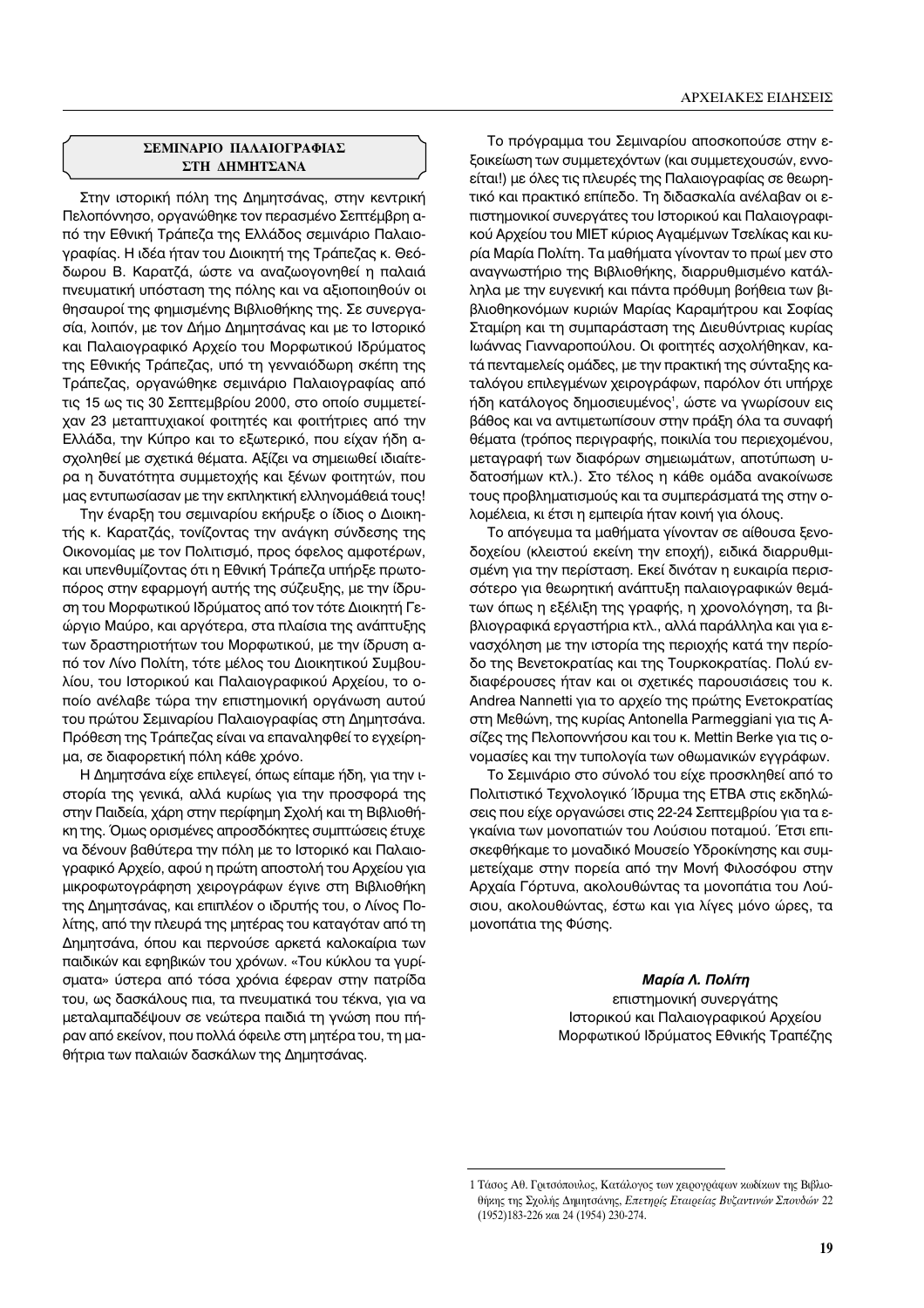## **ΣΕΜΙΝΑΡΙΟ ΠΑΛΑΙΟΓΡΑΦΙΑΣ ΣΤΗ ΛΗΜΗΤΣΑΝΑ**

Στην ιστορική πόλη της Δημητσάνας, στην κεντρική Πελοπόννησο, οργανώθηκε τον περασμένο Σεπτέμβρη από την Εθνική Τράπεζα της Ελλάδος σεμινάριο Παλαιογραφίας. Η ιδέα ήταν του Διοικητή της Τράπεζας κ. Θεόδωρου Β. Καρατζά, ώστε να αναζωογονηθεί η παλαιά πνευματική υπόσταση της πόλης και να αξιοποιηθούν οι θησαυροί της φημισμένης Βιβλιοθήκης της. Σε συνεργασία, λοιπόν, με τον Δήμο Δημητσάνας και με το Ιστορικό και Παλαιογραφικό Αρχείο του Μορφωτικού Ιδρύματος της Εθνικής Τράπεζας, υπό τη γενναιόδωρη σκέπη της Τράπεζας, οργανώθηκε σεμινάριο Παλαιογραφίας από τις 15 ως τις 30 Σεπτεμβρίου 2000, στο οποίο συμμετείχαν 23 μεταπτυχιακοί φοιτητές και φοιτήτριες από την Ελλάδα, την Κύπρο και το εξωτερικό, που είχαν ήδη ασχοληθεί με σχετικά θέματα. Αξίζει να σημειωθεί ιδιαίτερα η δυνατότητα συμμετοχής και ξένων φοιτητών, που μας εντυπωσίασαν με την εκπληκτική ελληνομάθειά τους!

Την έναρξη του σεμιναρίου εκήρυξε ο ίδιος ο Διοικητής κ. Καρατζάς, τονίζοντας την ανάγκη σύνδεσης της Οικονομίας με τον Πολιτισμό, προς όφελος αμφοτέρων, και υπενθυμίζοντας ότι η Εθνική Τράπεζα υπήρξε πρωτοπόρος στην εφαρμογή αυτής της σύζευξης, με την ίδρυση του Μορφωτικού Ιδρύματος από τον τότε Διοικητή Γεώργιο Μαύρο, και αργότερα, στα πλαίσια της ανάπτυξης των δραστηριοτήτων του Μορφωτικού, με την ίδρυση από τον Λίνο Πολίτη, τότε μέλος του Διοικητικού Συμβουλίου, του Ιστορικού και Παλαιογραφικού Αρχείου, το οποίο ανέλαβε τώρα την επιστημονική οργάνωση αυτού του πρώτου Σεμιναρίου Παλαιογραφίας στη Δημητσάνα. Πρόθεση της Τράπεζας είναι να επαναληφθεί το εγχείρημα, σε διαφορετική πόλη κάθε χρόνο.

Η Δημητσάνα είχε επιλεγεί, όπως είπαμε ήδη, για την ιστορία της γενικά, αλλά κυρίως για την προσφορά της στην Παιδεία, χάρη στην περίφημη Σχολή και τη Βιβλιοθήκη της. Όμως ορισμένες απροσδόκητες συμπτώσεις έτυχε να δένουν βαθύτερα την πόλη με το Ιστορικό και Παλαιογραφικό Αρχείο, αφού η πρώτη αποστολή του Αρχείου για μικροφωτογράφηση χειρογράφων έγινε στη Βιβλιοθήκη της Δημητσάνας, και επιπλέον ο ιδρυτής του, ο Λίνος Πολίτης, από την πλευρά της μητέρας του καταγόταν από τη Δημητσάνα, όπου και περνούσε αρκετά καλοκαίρια των παιδικών και εφηβικών του χρόνων. «Του κύκλου τα γυρίσματα» ύστερα από τόσα χρόνια έφεραν στην πατρίδα του, ως δασκάλους πια, τα πνευματικά του τέκνα, για να μεταλαμπαδέψουν σε νεώτερα παιδιά τη γνώση που πήραν από εκείνον, που πολλά όφειλε στη μητέρα του, τη μαθήτρια των παλαιών δασκάλων της Δημητσάνας.

Το πρόγραμμα του Σεμιναρίου αποσκοπούσε στην εξοικείωση των συμμετεχόντων (και συμμετεχουσών, εννοείται!) με όλες τις πλευρές της Παλαιογραφίας σε θεωρητικό και πρακτικό επίπεδο. Τη διδασκαλία ανέλαβαν οι επιστημονικοί συνεργάτες του Ιστορικού και Παλαιογραφικού Αρχείου του ΜΙΕΤ κύριος Αγαμέμνων Τσελίκας και κυρία Μαρία Πολίτη. Τα μαθήματα γίνονταν το πρωί μεν στο αναγνωστήριο της Βιβλιοθήκης, διαρρυθμισμένο κατάλληλα με την ευγενική και πάντα πρόθυμη βοήθεια των βιβλιοθηκονόμων κυριών Μαρίας Καραμήτρου και Σοφίας Σταμίρη και τη συμπαράσταση της Διευθύντριας κυρίας Ιωάννας Γιανναροπούλου. Οι φοιτητές ασχολήθηκαν, κατά πενταμελείς ομάδες, με την πρακτική της σύνταξης καταλόγου επιλεγμένων χειρογράφων, παρόλον ότι υπήρχε ήδη κατάλογος δημοσιευμένος<sup>,</sup>, ώστε να γνωρίσουν εις βάθος και να αντιμετωπίσουν στην πράξη όλα τα συναφή θέματα (τρόπος περιγραφής, ποικιλία του περιεχομένου, μεταγραφή των διαφόρων σημειωμάτων, αποτύπωση υδατοσήμων κτλ.). Στο τέλος η κάθε ομάδα ανακοίνωσε τους προβληματισμούς και τα συμπεράσματά της στην ολομέλεια, κι έτσι η εμπειρία ήταν κοινή για όλους.

Το απόγευμα τα μαθήματα γίνονταν σε αίθουσα ξενοδοχείου (κλειστού εκείνη την εποχή), ειδικά διαρρυθμισμένη για την περίσταση. Εκεί δινόταν η ευκαιρία περισσότερο για θεωρητική ανάπτυξη παλαιογραφικών θεμάτων όπως η εξέλιξη της γραφής, η χρονολόγηση, τα βιβλιογραφικά εργαστήρια κτλ., αλλά παράλληλα και για ενασχόληση με την ιστορία της περιοχής κατά την περίοδο της Βενετοκρατίας και της Τουρκοκρατίας. Πολύ ενδιαφέρουσες ήταν και οι σχετικές παρουσιάσεις του κ. Andrea Nannetti για το αρχείο της πρώτης Ενετοκρατίας στη Μεθώνη, της κυρίας Antonella Parmeggiani για τις Aσίζες της Πελοποννήσου και του κ. Mettin Berke για τις ονομασίες και την τυπολογία των οθωμανικών εγγράφων.

Το Σεμινάριο στο σύνολό του είχε προσκληθεί από το Πολιτιστικό Τεχνολογικό Ίδρυμα της ΕΤΒΑ στις εκδηλώσεις που είχε οργανώσει στις 22-24 Σεπτεμβρίου για τα εγκαίνια των μονοπατιών του Λούσιου ποταμού. Έτσι επισκεφθήκαμε το μοναδικό Μουσείο Υδροκίνησης και συμμετείχαμε στην πορεία από την Μονή Φιλοσόφου στην Αρχαία Γόρτυνα, ακολουθώντας τα μονοπάτια του Λούσιου, ακολουθώντας, έστω και για λίγες μόνο ώρες, τα μονοπάτια της Φύσης.

> *Μαρία Λ. Πολίτη* επιστημονική συνεργάτης Ιστορικού και Παλαιογραφικού Αρχείου Μορφωτικού Ιδρύματος Εθνικής Τραπέζης

<sup>1</sup> Τάσος Αθ. Γριτσόπουλος, Κατάλογος των χειρογράφων κωδίκων της Βιβλιοθήκης της Σχολής Δημητσάνης, *Επετηρίς Εταιρείας Βυζαντινών Σπουδών 22* (1952)183-226 και 24 (1954) 230-274.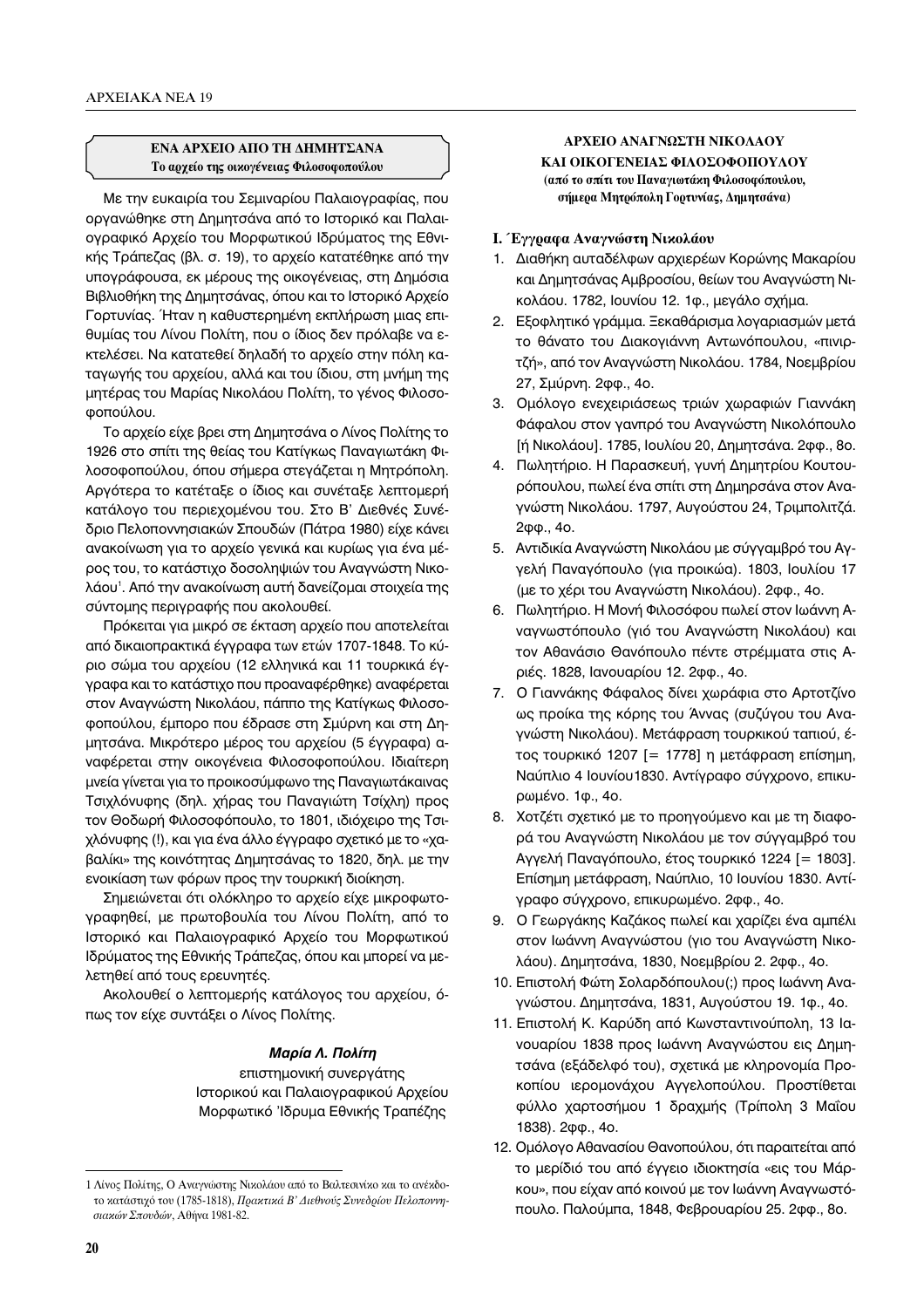## **€ΝΑ ΑΡΧΕΙΟ ΑΠΟ ΤΗ ΔΗΜΗΤΣΑΝΑ Το αρχείο της οικογένειας Φιλοσοφοπούλου**

Με την ευκαιρία του Σεμιναρίου Παλαιογραφίας, που οργανώθηκε στη Δημητσάνα από το Ιστορικό και Παλαιογραφικό Αρχείο του Μορφωτικού Ιδρύματος της Εθνικής Τράπεζας (βλ. σ. 19), το αρχείο κατατέθηκε από την υπογράφουσα, εκ μέρους της οικογένειας, στη Δημόσια Βιβλιοθήκη της Δημητσάνας, όπου και το Ιστορικό Αρχείο Γορτυνίας. Ήταν η καθυστερημένη εκπλήρωση μιας επιθυμίας του Λίνου Πολίτη, που ο ίδιος δεν πρόλαβε να εκτελέσει. Να κατατεθεί δηλαδή το αρχείο στην πόλη καταγωγής του αρχείου, αλλά και του ίδιου, στη μνήμη της μητέρας του Μαρίας Νικολάου Πολίτη, το γένος Φιλοσοφοπούλου.

Το αρχείο είχε βρει στη Δημητσάνα ο Λίνος Πολίτης το 1926 στο σπίτι της θείας του Κατίγκως Παναγιωτάκη Φιλοσοφοπούλου, όπου σήμερα στεγάζεται η Μητρόπολη. Αργότερα το κατέταξε ο ίδιος και συνέταξε λεπτομερή κατάλογο του περιεχομένου του. Στο Β' Διεθνές Συνέδριο Πελοποννησιακών Σπουδών (Πάτρα 1980) είχε κάνει ανακοίνωση για το αρχείο γενικά και κυρίως για ένα μέρος του, το κατάστιχο δοσοληψιών του Αναγνώστη Νικολάου'. Από την ανακοίνωση αυτή δανείζομαι στοιχεία της σύντομης περιγραφής που ακολουθεί.

Πρόκειται για μικρό σε έκταση αρχείο που αποτελείται από δικαιοπρακτικά έγγραφα των ετών 1707-1848. Το κύριο σώμα του αρχείου (12 ελληνικά και 11 τουρκικά έγγραφα και το κατάστιχο που προαναφέρθηκε) αναφέρεται στον Αναγνώστη Νικολάου, πάππο της Κατίγκως Φιλοσοφοπούλου, έμπορο που έδρασε στη Σμύρνη και στη Δημητσάνα. Μικρότερο μέρος του αρχείου (5 έγγραφα) αναφέρεται στην οικογένεια Φιλοσοφοπούλου. Ιδιαίτερη μνεία γίνεται για το προικοσύμφωνο της Παναγιωτάκαινας Τσιχλόνυφης (δηλ. χήρας του Παναγιώτη Τσίχλη) προς τον Θοδωρή Φιλοσοφόπουλο, το 1801, ιδιόχειρο της Τσιχλόνυφης (!), και για ένα άλλο έγγραφο σχετικό με το «χα-Bαλίκι» της κοινότητας Δημητσάνας το 1820, δηλ. με την ενοικίαση των φόρων προς την τουρκική διοίκηση.

Σημειώνεται ότι ολόκληρο το αρχείο είχε μικροφωτογραφηθεί, με πρωτοβουλία του Λίνου Πολίτη, από το Ιστορικό και Παλαιογραφικό Αρχείο του Μορφωτικού Ιδρύματος της Εθνικής Τράπεζας, όπου και μπορεί να μελετηθεί από τους ερευνητές.

Ακολουθεί ο λεπτομερής κατάλογος του αρχείου, όπως τον είχε συντάξει ο Λίνος Πολίτης.

## *Μαρία Λ. Πολίτη*

επιστημονική συνεργάτης Ιστορικού και Παλαιογραφικού Αρχείου Μορφωτικό 'Ιδρυμα Εθνικής Τραπέζης

## **ΔΡΧΕΙΟ ΑΝΑΓΝΩΣΤΗ ΝΙΚΟΛΑΟΥ** ΚΑΙ ΟΙΚΟΓΕΝΕΙΑΣ ΦΙΛΟΣΟΦΟΠΟΥΛΟΥ (από το σπίτι του Παναγιωτάκη Φιλοσοφόπουλου, **σήμερα Μητρόπολη Γορτυνίας, Δημητσάνα)**

- **Ι.** Έγγραφα Αναγνώστη Νικολάου
- 1. Διαθήκη αυταδέλφων αρχιερέων Κορώνης Μακαρίου και Δημητσάνας Αμβροσίου, θείων του Αναγνώστη Νικολάου. 1782, Ιουνίου 12. 1φ., μεγάλο σχήμα.
- 2. Εξοφλητικό γράμμα. Ξεκαθάρισμα λογαριασμών μετά το θάνατο του Διακογιάννη Αντωνόπουλου, «πινιρτζή», από τον Αναγνώστη Νικολάου. 1784, Νοεμβρίου 27, Σμύρνη. 2φφ., 4ο.
- 3. Ομόλογο ενεχειριάσεως τριών χωραφιών Γιαννάκη Φάφαλου στον γανπρό του Αναγνώστη Νικολόπουλο [ή Νικολάου]. 1785, Ιουλίου 20, Δημητσάνα. 2φφ., 8ο.
- 4. Πωλητήριο. Η Παρασκευή, γυνή Δημητρίου Κουτουρόπουλου, πωλεί ένα σπίτι στη Δημηρσάνα στον Αναγνώστη Νικολάου. 1797, Αυγούστου 24, Τριμπολιτζά. 2<sub>0</sub> $\theta$ ., 40.
- 5. Αντιδικία Αναγνώστη Νικολάου με σύγγαμβρό του Αγγελή Παναγόπουλο (για προικώα). 1803, Ιουλίου 17 (με το χέρι του Αναγνώστη Νικολάου). 2φφ., 4ο.
- 6. Πωλητήριο. Η Μονή Φιλοσόφου πωλεί στον Ιωάννη Αναγνωστόπουλο (γιό του Αναγνώστη Νικολάου) και τον Αθανάσιο Θανόπουλο πέντε στρέμματα στις Αριές. 1828, Ιανουαρίου 12. 2φφ., 4ο.
- 7. Ο Γιαννάκης Φάφαλος δίνει χωράφια στο Αρτοτζίνο ως προίκα της κόρης του Άννας (συζύγου του Αναγνώστη Νικολάου). Μετάφραση τουρκικού ταπιού, έτος τουρκικό 1207 [= 1778] η μετάφραση επίσημη, Ναύπλιο 4 Ιουνίου 1830. Αντίνραφο σύνχρονο, επικυpωμένο. 1φ., 4ο.
- 8. Χοτζέτι σχετικό με το προηγούμενο και με τη διαφορά του Αναγνώστη Νικολάου με τον σύγγαμβρό του Αγγελή Παναγόπουλο, έτος τουρκικό 1224 [= 1803]. Επίσημη μετάφραση, Ναύπλιο, 10 Ιουνίου 1830. Αντίγραφο σύγχρονο, επικυρωμένο. 2φφ., 4ο.
- 9. Ο Γεωργάκης Καζάκος πωλεί και χαρίζει ένα αμπέλι στον Ιωάννη Αναγνώστου (γιο του Αναγνώστη Νικολάου). Δημητσάνα, 1830, Νοεμβρίου 2. 2φφ., 4ο.
- 10. Επιστολή Φώτη Σολαρδόπουλου(;) προς Ιωάννη Αναγνώστου. Δημητσάνα, 1831, Αυγούστου 19. 1φ., 4ο.
- 11. Επιστολή Κ. Καρύδη από Κωνσταντινούπολη, 13 Ιανουαρίου 1838 προς Ιωάννη Αναγνώστου εις Δημητσάνα (εξάδελφό του), σχετικά με κληρονομία Προκοπίου ιερομονάχου Αγγελοπούλου. Προστίθεται φύλλο χαρτοσήμου 1 δραχμής (Τρίπολη 3 Μαΐου 1838). 2φφ., 4ο.
- 12. Ομόλογο Αθανασίου Θανοπούλου, ότι παραιτείται από το μερίδιό του από έννειο ιδιοκτησία «εις του Μάρκου», που είχαν από κοινού με τον Ιωάννη Αναγνωστόπουλο. Παλούμπα, 1848, Φεβρουαρίου 25. 2φφ., 8ο.

<sup>1</sup> Λίνος Πολίτης, Ο Αναγνώστης Νικολάου από το Βαλτεσινίκο και το ανέκδοτο κατάστιχό του (1785-1818), Πρακτικά Β' Διεθνούς Συνεδρίου Πελοποννησιακών Σπουδών, Αθήνα 1981-82.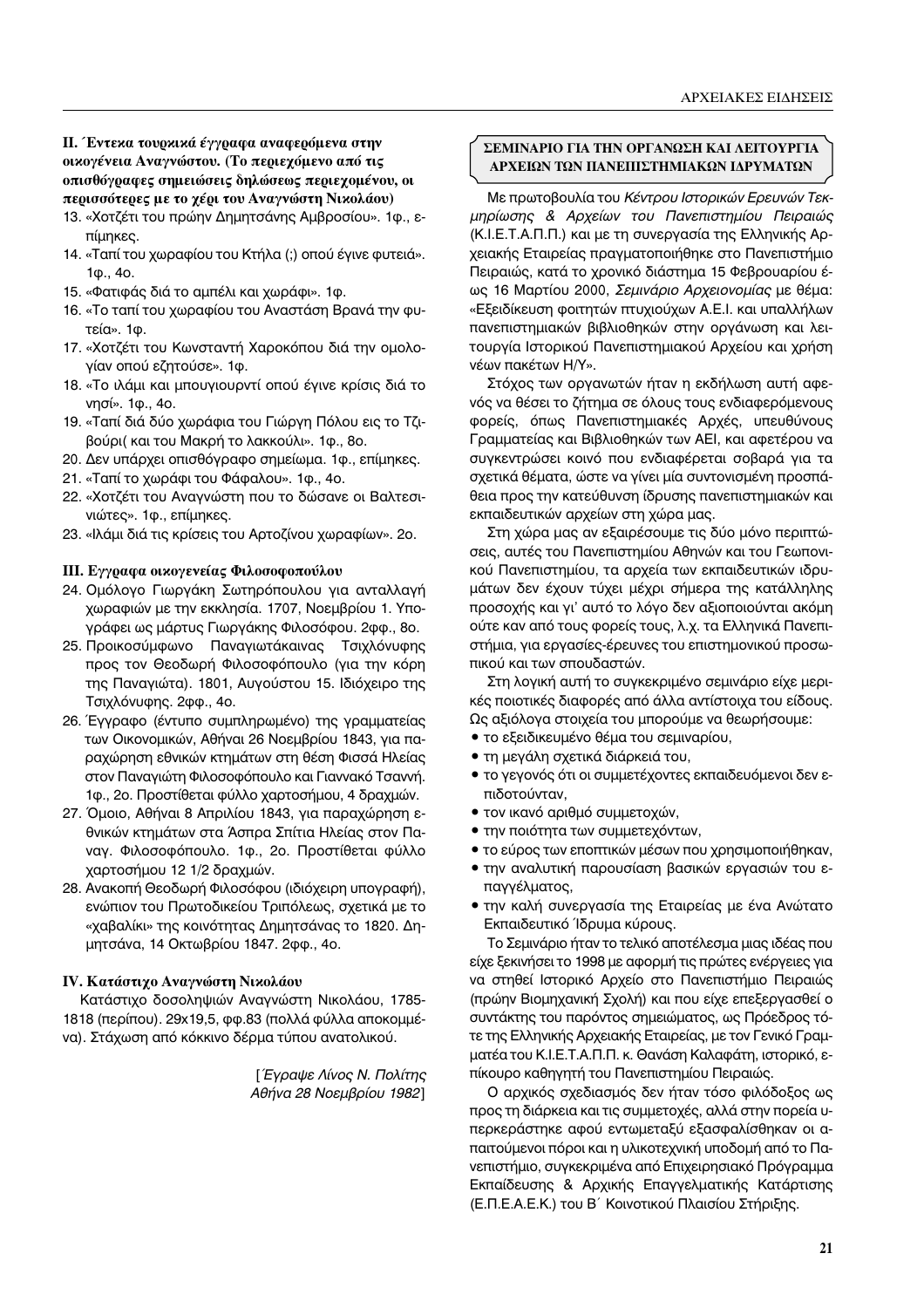# Π. Έντεκα τουρκικά έγγραφα αναφερόμενα στην οικογένεια Αναγνώστου. (Το περιεχόμενο από τις οπισθόγραφες σημειώσεις δηλώσεως περιεχομένου, οι περισσότερες με το χέρι του Αναγνώστη Νικολάου)

- 13. «Χοτζέτι του πρώην Δημητσάνης Αμβροσίου». 1φ., επίμηκες.
- 14. «Ταπί του χωραφίου του Κτήλα (;) οπού έγινε φυτειά». 1ф., 40.
- 15. «Φατιφάς διά το αμπέλι και χωράφι». 1φ.
- 16. «Το ταπί του χωραφίου του Αναστάση Βρανά την φυτεία». 1φ.
- 17. «Χοτζέτι του Κωνσταντή Χαροκόπου διά την ομολογίαν οπού εζητούσε». 1φ.
- 18. «Το ιλάμι και μπουγιουρντί οπού έγινε κρίσις διά το νησί». 1φ., 4ο.
- 19. «Ταπί διά δύο χωράφια του Γιώργη Πόλου εις το Τζιβούρι(και του Μακρή το λακκούλι». 1φ., 8ο.
- 20. Δεν υπάρχει οπισθόγραφο σημείωμα. 1φ., επίμηκες.
- 21. «Ταπί το χωράφι του Φάφαλου». 1φ., 4ο.
- 22. «Χοτζέτι του Αναγνώστη που το δώσανε οι Βαλτεσινιώτες». 1φ., επίμηκες.
- 23. «Ιλάμι διά τις κρίσεις του Αρτοζίνου χωραφίων». 2ο.

# III. Εγγραφα οικογενείας Φιλοσοφοπούλου

- 24. Ομόλογο Γιωργάκη Σωτηρόπουλου για ανταλλαγή χωραφιών με την εκκλησία. 1707, Νοεμβρίου 1. Υπογράφει ως μάρτυς Γιωργάκης Φιλοσόφου. 2φφ., 8ο.
- 25. Προικοσύμφωνο Παναγιωτάκαινας Τσιχλόνυφης προς τον Θεοδωρή Φιλοσοφόπουλο (για την κόρη της Παναγιώτα). 1801, Αυγούστου 15. Ιδιόχειρο της Τσιχλόνυφης. 2φφ., 4ο.
- 26. Έγγραφο (έντυπο συμπληρωμένο) της γραμματείας των Οικονομικών, Αθήναι 26 Νοεμβρίου 1843, για παραχώρηση εθνικών κτημάτων στη θέση Φισσά Ηλείας στον Παναγιώτη Φιλοσοφόπουλο και Γιαννακό Τσαννή. 1φ., 2ο. Προστίθεται φύλλο χαρτοσήμου, 4 δραχμών.
- 27. Όμοιο, Αθήναι 8 Απριλίου 1843, για παραχώρηση εθνικών κτημάτων στα Άσπρα Σπίτια Ηλείας στον Παναγ. Φιλοσοφόπουλο. 1φ., 2ο. Προστίθεται φύλλο χαρτοσήμου 12 1/2 δραχμών.
- 28. Ανακοπή Θεοδωρή Φιλοσόφου (ιδιόχειρη υπογραφή), ενώπιον του Πρωτοδικείου Τριπόλεως, σχετικά με το «χαβαλίκι» της κοινότητας Δημητσάνας το 1820. Δημητσάνα, 14 Οκτωβρίου 1847. 2φφ., 4ο.

# ΙV. Κατάστιχο Αναγνώστη Νικολάου

Κατάστιχο δοσοληψιών Αναγνώστη Νικολάου, 1785-1818 (περίπου). 29x19,5, φφ.83 (πολλά φύλλα αποκομμένα). Στάχωση από κόκκινο δέρμα τύπου ανατολικού.

> [ Έγραψε Λίνος Ν. Πολίτης Αθήνα 28 Νοεμβρίου 1982]

## ΣΕΜΙΝΑΡΙΟ ΓΙΑ ΤΗΝ ΟΡΓΑΝΩΣΗ ΚΑΙ ΛΕΙΤΟΥΡΓΙΑ ΑΡΧΕΙΩΝ ΤΩΝ ΠΑΝΕΠΙΣΤΗΜΙΑΚΩΝ ΙΔΡΥΜΑΤΩΝ

Με πρωτοβουλία του Κέντρου Ιστορικών Ερευνών Τεκμηρίωσης & Αρχείων του Πανεπιστημίου Πειραιώς (Κ.Ι.Ε.Τ.Α.Π.Π.) και με τη συνεργασία της Ελληνικής Αρχειακής Εταιρείας πραγματοποιήθηκε στο Πανεπιστήμιο Πειραιώς, κατά το χρονικό διάστημα 15 Φεβρουαρίου έως 16 Μαρτίου 2000, Σεμινάριο Αρχειονομίας με θέμα: «Εξειδίκευση φοιτητών πτυχιούχων Α.Ε.Ι. και υπαλλήλων πανεπιστημιακών βιβλιοθηκών στην οργάνωση και λειτουργία Ιστορικού Πανεπιστημιακού Αρχείου και χρήση νέων πακέτων Η/Υ».

Στόχος των οργανωτών ήταν η εκδήλωση αυτή αφενός να θέσει το ζήτημα σε όλους τους ενδιαφερόμενους φορείς, όπως Πανεπιστημιακές Αρχές, υπευθύνους Γραμματείας και Βιβλιοθηκών των ΑΕΙ, και αφετέρου να συγκεντρώσει κοινό που ενδιαφέρεται σοβαρά για τα σχετικά θέματα, ώστε να γίνει μία συντονισμένη προσπάθεια προς την κατεύθυνση ίδρυσης πανεπιστημιακών και εκπαιδευτικών αρχείων στη χώρα μας.

Στη χώρα μας αν εξαιρέσουμε τις δύο μόνο περιπτώσεις, αυτές του Πανεπιστημίου Αθηνών και του Γεωπονικού Πανεπιστημίου, τα αρχεία των εκπαιδευτικών ιδρυμάτων δεν έχουν τύχει μέχρι σήμερα της κατάλληλης προσοχής και γι' αυτό το λόγο δεν αξιοποιούνται ακόμη ούτε καν από τους φορείς τους, λ.χ. τα Ελληνικά Πανεπιστήμια, για εργασίες-έρευνες του επιστημονικού προσωπικού και των σπουδαστών.

Στη λογική αυτή το συγκεκριμένο σεμινάριο είχε μερικές ποιοτικές διαφορές από άλλα αντίστοιχα του είδους. Ως αξιόλογα στοιχεία του μπορούμε να θεωρήσουμε:

- το εξειδικευμένο θέμα του σεμιναρίου,
- τη μεγάλη σχετικά διάρκειά του,
- το γεγονός ότι οι συμμετέχοντες εκπαιδευόμενοι δεν επιδοτούνταν.
- τον ικανό αριθμό συμμετοχών,
- την ποιότητα των συμμετεχόντων,
- το εύρος των εποπτικών μέσων που χρησιμοποιήθηκαν,
- την αναλυτική παρουσίαση βασικών εργασιών του επαγγέλματος,
- την καλή συνεργασία της Εταιρείας με ένα Ανώτατο Εκπαιδευτικό Ίδρυμα κύρους.

Το Σεμινάριο ήταν το τελικό αποτέλεσμα μιας ιδέας που είχε ξεκινήσει το 1998 με αφορμή τις πρώτες ενέργειες για να στηθεί Ιστορικό Αρχείο στο Πανεπιστήμιο Πειραιώς (πρώην Βιομηχανική Σχολή) και που είχε επεξεργασθεί ο συντάκτης του παρόντος σημειώματος, ως Πρόεδρος τότε της Ελληνικής Αρχειακής Εταιρείας, με τον Γενικό Γραμματέα του Κ.Ι.Ε.Τ.Α.Π.Π. κ. Θανάση Καλαφάτη, ιστορικό, επίκουρο καθηγητή του Πανεπιστημίου Πειραιώς.

Ο αρχικός σχεδιασμός δεν ήταν τόσο φιλόδοξος ως προς τη διάρκεια και τις συμμετοχές, αλλά στην πορεία υπερκεράστηκε αφού εντωμεταξύ εξασφαλίσθηκαν οι απαιτούμενοι πόροι και η υλικοτεχνική υποδομή από το Πανεπιστήμιο, συγκεκριμένα από Επιχειρησιακό Πρόγραμμα Εκπαίδευσης & Αρχικής Επαγγελματικής Κατάρτισης (Ε.Π.Ε.Α.Ε.Κ.) του Β΄ Κοινοτικού Πλαισίου Στήριξης.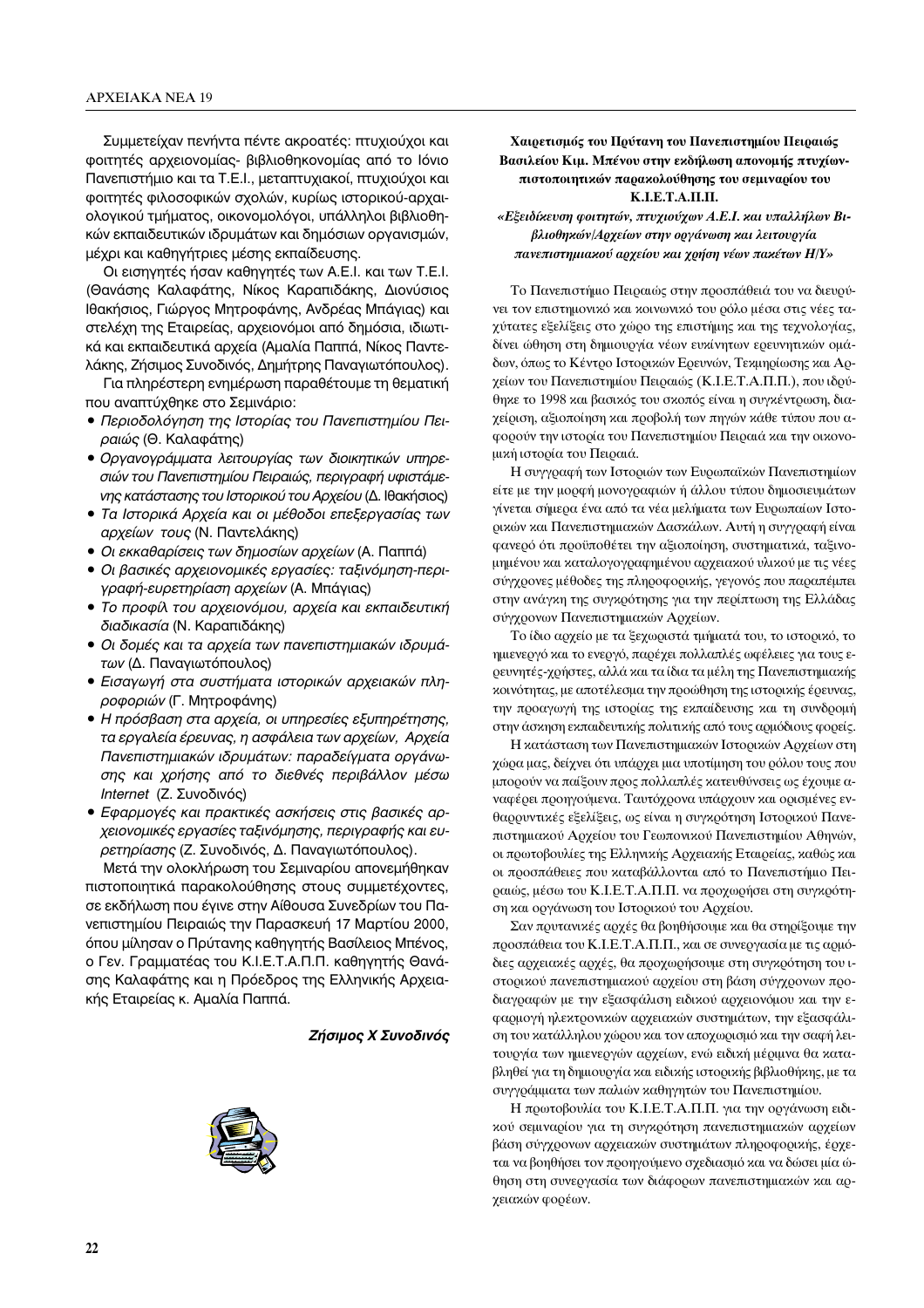Συμμετείχαν πενήντα πέντε ακροατές: πτυχιούχοι και φοιτητές αρχειονομίας- βιβλιοθηκονομίας από το Ιόνιο Πανεπιστήμιο και τα Τ.Ε.Ι., μεταπτυχιακοί, πτυχιούχοι και φοιτητές φιλοσοφικών σχολών, κυρίως ιστορικού-αρχαιολογικού τμήματος, οικονομολόγοι, υπάλληλοι βιβλιοθηκών εκπαιδευτικών ιδρυμάτων και δημόσιων οργανισμών, μέχρι και καθηγήτριες μέσης εκπαίδευσης.

Οι εισηγητές ήσαν καθηγητές των Α.Ε.Ι. και των Τ.Ε.Ι. (Θανάσης Καλαφάτης, Νίκος Καραπιδάκης, Διονύσιος Ιθακήσιος, Γιώργος Μητροφάνης, Ανδρέας Μπάγιας) και στελέχη της Εταιρείας, αρχειονόμοι από δημόσια, ιδιωτικά και εκπαιδευτικά αρχεία (Αμαλία Παππά, Νίκος Παντελάκης, Ζήσιμος Συνοδινός, Δημήτρης Παναγιωτόπουλος).

Για πληρέστερη ενημέρωση παραθέτουμε τη θεματική που αναπτύχθηκε στο Σεμινάριο:

- Περιοδολόγηση της Ιστορίας του Πανεπιστημίου Πειραιώς (Θ. Καλαφάτης)
- Οργανογράμματα λειτουργίας των διοικητικών υπηρεσιών του Πανεπιστημίου Πειραιώς, περιγραφή υφιστάμενης κατάστασης του Ιστορικού του Αρχείου (Δ. Ιθακήσιος)
- Τα Ιστορικά Αρχεία και οι μέθοδοι επεξεργασίας των αρχείων τους (Ν. Παντελάκης)
- Οι εκκαθαρίσεις των δημοσίων αρχείων (Α. Παππά)
- Οι βασικές αρχειονομικές εργασίες: ταξινόμηση-περιγραφή-ευρετηρίαση αρχείων (Α. Μπάγιας)
- Το προφίλ του αρχειονόμου, αρχεία και εκπαιδευτική διαδικασία (Ν. Καραπιδάκης)
- Οι δομές και τα αρχεία των πανεπιστημιακών ιδρυμάτων (Δ. Παναγιωτόπουλος)
- Εισαγωγή στα συστήματα ιστορικών αρχειακών πληροφοριών (Γ. Μητροφάνης)
- Η πρόσβαση στα αρχεία, οι υπηρεσίες εξυπηρέτησης, τα εργαλεία έρευνας, η ασφάλεια των αρχείων, Αρχεία Πανεπιστημιακών ιδρυμάτων: παραδείγματα οργάνωσης και χρήσης από το διεθνές περιβάλλον μέσω Internet (Ζ. Συνοδινός)
- Εφαρμογές και πρακτικές ασκήσεις στις βασικές αρχειονομικές εργασίες ταξινόμησης, περιγραφής και ευρετηρίασης (Ζ. Συνοδινός, Δ. Παναγιωτόπουλος).

Μετά την ολοκλήρωση του Σεμιναρίου απονεμήθηκαν πιστοποιητικά παρακολούθησης στους συμμετέχοντες, σε εκδήλωση που έγινε στην Αίθουσα Συνεδρίων του Πανεπιστημίου Πειραιώς την Παρασκευή 17 Μαρτίου 2000, όπου μίλησαν ο Πρύτανης καθηγητής Βασίλειος Μπένος, ο Γεν. Γραμματέας του Κ.Ι.Ε.Τ.Α.Π.Π. καθηγητής Θανάσης Καλαφάτης και η Πρόεδρος της Ελληνικής Αρχειακής Εταιρείας κ. Αμαλία Παππά.

#### Ζήσιμος Χ Συνοδινός



## Χαιρετισμός του Πρύτανη του Πανεπιστημίου Πειραιώς Βασιλείου Κιμ. Μπένου στην εκδήλωση απονομής πτυχίωνπιστοποιητικών παρακολούθησης του σεμιναρίου του К.І.Е.Т.А.П.П.

## «Εξειδίκευση φοιτητών, πτυχιούχων Α.Ε.Ι. και υπαλλήλων Βιβλιοθηκών/Αρχείων στην οργάνωση και λειτουργία πανεπιστημιακού αρχείου και χρήση νέων πακέτων Η/Υ»

Το Πανεπιστήμιο Πειραιώς στην προσπάθειά του να διευρύνει τον επιστημονικό και κοινωνικό του ρόλο μέσα στις νέες ταχύτατες εξελίξεις στο χώρο της επιστήμης και της τεχνολογίας, δίνει ώθηση στη δημιουργία νέων ευκίνητων ερευνητικών ομάδων, όπως το Κέντρο Ιστορικών Ερευνών, Τεκμηρίωσης και Αρχείων του Πανεπιστημίου Πειραιώς (Κ.Ι.Ε.Τ.Α.Π.Π.), που ιδρύθηκε το 1998 και βασικός του σκοπός είναι η συγκέντρωση, διαχείριση, αξιοποίηση και προβολή των πηγών κάθε τύπου που αφορούν την ιστορία του Πανεπιστημίου Πειραιά και την οικονομική ιστορία του Πειραιά.

Η συγγραφή των Ιστοριών των Ευρωπαϊκών Πανεπιστημίων είτε με την μορφή μονογραφιών ή άλλου τύπου δημοσιευμάτων γίνεται σήμερα ένα από τα νέα μελήματα των Ευρωπαίων Ιστορικών και Πανεπιστημιακών Δασκάλων. Αυτή η συγγραφή είναι φανερό ότι προϋποθέτει την αξιοποίηση, συστηματικά, ταξινομημένου και καταλογογραφημένου αρχειακού υλικού με τις νέες σύγχρονες μέθοδες της πληροφορικής, γεγονός που παραπέμπει στην ανάγκη της συγκρότησης για την περίπτωση της Ελλάδας σύγχρονων Πανεπιστημιακών Αρχείων.

Το ίδιο αρχείο με τα ξεχωριστά τμήματά του, το ιστορικό, το ημιενεργό και το ενεργό, παρέχει πολλαπλές ωφέλειες για τους ερευνητές-χρήστες, αλλά και τα ίδια τα μέλη της Πανεπιστημιακής κοινότητας, με αποτέλεσμα την προώθηση της ιστορικής έρευνας, την προαγωγή της ιστορίας της εκπαίδευσης και τη συνδρομή στην άσκηση εκπαιδευτικής πολιτικής από τους αρμόδιους φορείς.

Η κατάσταση των Πανεπιστημιακών Ιστορικών Αρχείων στη χώρα μας, δείχνει ότι υπάρχει μια υποτίμηση του ρόλου τους που μπορούν να παίξουν προς πολλαπλές κατευθύνσεις ως έχουμε αναφέρει προηγούμενα. Ταυτόχρονα υπάρχουν και ορισμένες ενθαρρυντικές εξελίξεις, ως είναι η συγκρότηση Ιστορικού Πανεπιστημιακού Αρχείου του Γεωπονικού Πανεπιστημίου Αθηνών, οι πρωτοβουλίες της Ελληνικής Αρχειακής Εταιρείας, καθώς και οι προσπάθειες που καταβάλλονται από το Πανεπιστήμιο Πειραιώς, μέσω του Κ.Ι.Ε.Τ.Α.Π.Π. να προχωρήσει στη συγκρότηση και οργάνωση του Ιστορικού του Αρχείου.

Σαν πρυτανικές αρχές θα βοηθήσουμε και θα στηρίξουμε την προσπάθεια του Κ.Ι.Ε.Τ.Α.Π.Π., και σε συνεργασία με τις αρμόδιες αρχειακές αρχές, θα προχωρήσουμε στη συγκρότηση του ιστορικού πανεπιστημιακού αρχείου στη βάση σύγχρονων προδιαγραφών με την εξασφάλιση ειδικού αρχειονόμου και την εφαρμογή ηλεκτρονικών αρχειακών συστημάτων, την εξασφάλιση του κατάλληλου χώρου και τον αποχωρισμό και την σαφή λειτουργία των ημιενεργών αρχείων, ενώ ειδική μέριμνα θα καταβληθεί για τη δημιουργία και ειδικής ιστορικής βιβλιοθήκης, με τα συγγράμματα των παλιών καθηγητών του Πανεπιστημίου.

Η πρωτοβουλία του Κ.Ι.Ε.Τ.Α.Π.Π. για την οργάνωση ειδικού σεμιναρίου για τη συγκρότηση πανεπιστημιακών αρχείων βάση σύγχρονων αρχειακών συστημάτων πληροφορικής, έρχεται να βοηθήσει τον προηγούμενο σχεδιασμό και να δώσει μία ώθηση στη συνεργασία των διάφορων πανεπιστημιακών και αρχειακών φορέων.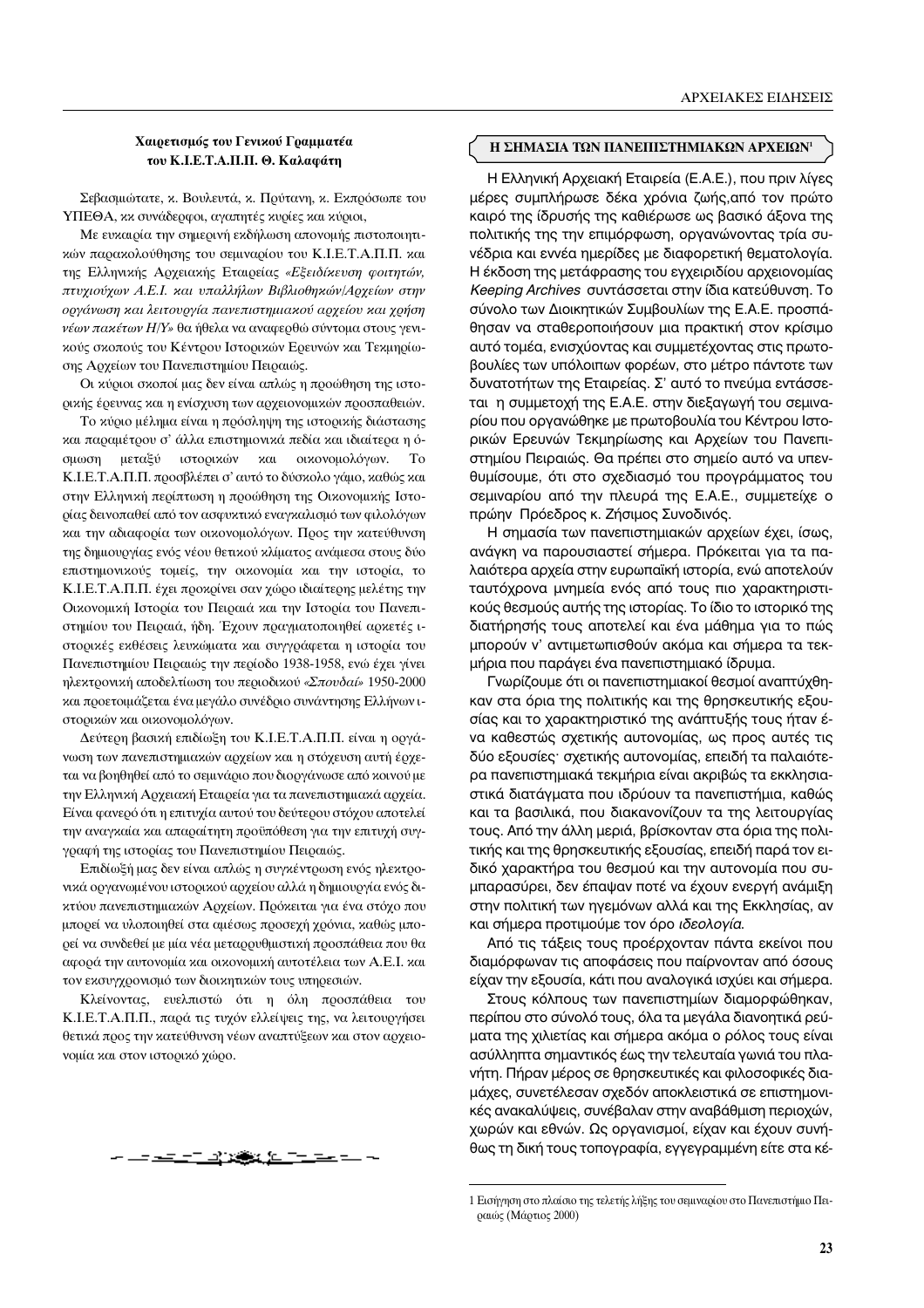### Χαιρετισμός του Γενικού Γραμματέα του Κ.Ι.Ε.Τ.Α.Π.Π. Θ. Καλαφάτη

Σεβασμιώτατε, κ. Βουλευτά, κ. Πρύτανη, κ. Εκπρόσωπε του ΥΠΕΘΑ, κκ συνάδερφοι, αγαπητές κυρίες και κύριοι,

Με ευκαιρία την σημερινή εκδήλωση απονομής πιστοποιητικών παρακολούθησης του σεμιναρίου του Κ.Ι.Ε.Τ.Α.Π.Π. και της Ελληνικής Αρχειακής Εταιρείας «Εξειδίκευση φοιτητών, πτυχιούχων Α.Ε.Ι. και υπαλλήλων Βιβλιοθηκών/Αρχείων στην οργάνωση και λειτουργία πανεπιστημιακού αρχείου και χρήση νέων πακέτων Η/Υ» θα ήθελα να αναφερθώ σύντομα στους γενικούς σκοπούς του Κέντρου Ιστορικών Ερευνών και Τεκμηρίωσης Αρχείων του Πανεπιστημίου Πειραιώς.

Οι κύριοι σκοποί μας δεν είναι απλώς η προώθηση της ιστορικής έρευνας και η ενίσχυση των αρχειονομικών προσπαθειών.

Το κύριο μέλημα είναι η πρόσληψη της ιστορικής διάστασης και παραμέτρου σ' άλλα επιστημονικά πεδία και ιδιαίτερα η όμεταξύ ιστορικών  $\times \alpha$ σμωση οιχονομολόνων.  $To$ Κ.Ι.Ε.Τ.Α.Π.Π. προσβλέπει σ' αυτό το δύσκολο γάμο, καθώς και στην Ελληνική περίπτωση η προώθηση της Οικονομικής Ιστορίας δεινοπαθεί από τον ασφυκτικό εναγκαλισμό των φιλολόγων και την αδιαφορία των οικονομολόγων. Προς την κατεύθυνση της δημιουργίας ενός νέου θετικού κλίματος ανάμεσα στους δύο επιστημονικούς τομείς, την οικονομία και την ιστορία, το Κ.Ι.Ε.Τ.Α.Π.Π. έχει προκρίνει σαν χώρο ιδιαίτερης μελέτης την Οικονομική Ιστορία του Πειραιά και την Ιστορία του Πανεπιστημίου του Πειραιά, ήδη. Έχουν πραγματοποιηθεί αρκετές ιστορικές εκθέσεις λευκώματα και συγγράφεται η ιστορία του Πανεπιστημίου Πειραιώς την περίοδο 1938-1958, ενώ έχει γίνει ηλεκτρονική αποδελτίωση του περιοδικού «Σπουδαί» 1950-2000 και προετοιμάζεται ένα μεγάλο συνέδριο συνάντησης Ελλήνων ιστορικών και οικονομολόγων.

Δεύτερη βασική επιδίωξη του Κ.Ι.Ε.Τ.Α.Π.Π. είναι η οργάνωση των πανεπιστημιακών αρχείων και η στόχευση αυτή έρχεται να βοηθηθεί από το σεμινάριο που διοργάνωσε από κοινού με την Ελληνική Αρχειακή Εταιρεία για τα πανεπιστημιακά αρχεία. Είναι φανερό ότι η επιτυχία αυτού του δεύτερου στόχου αποτελεί την αναγκαία και απαραίτητη προϋπόθεση για την επιτυχή συγγραφή της ιστορίας του Πανεπιστημίου Πειραιώς.

Επιδίωξή μας δεν είναι απλώς η συγκέντρωση ενός ηλεκτρονικά οργανωμένου ιστορικού αρχείου αλλά η δημιουργία ενός δικτύου πανεπιστημιακών Αρχείων. Πρόκειται για ένα στόχο που μπορεί να υλοποιηθεί στα αμέσως προσεχή χρόνια, καθώς μπορεί να συνδεθεί με μία νέα μεταρρυθμιστική προσπάθεια που θα αφορά την αυτονομία και οικονομική αυτοτέλεια των Α.Ε.Ι. και τον εκσυγχρονισμό των διοικητικών τους υπηρεσιών.

Κλείνοντας, ευελπιστώ ότι η όλη προσπάθεια του Κ.Ι.Ε.Τ.Α.Π.Π., παρά τις τυχόν ελλείψεις της, να λειτουργήσει θετικά προς την κατεύθυνση νέων αναπτύξεων και στον αρχειονομία και στον ιστορικό χώρο.

#### Η ΣΗΜΑΣΙΑ ΤΩΝ ΠΑΝΕΠΙΣΤΗΜΙΑΚΩΝ ΑΡΧΕΙΩΝ<sup>1</sup>

Η Ελληνική Αρχειακή Εταιρεία (Ε.Α.Ε.), που πριν λίγες μέρες συμπλήρωσε δέκα χρόνια ζωής, από τον πρώτο καιρό της ίδρυσής της καθιέρωσε ως βασικό άξονα της πολιτικής της την επιμόρφωση, οργανώνοντας τρία συνέδρια και εννέα ημερίδες με διαφορετική θεματολογία. Η έκδοση της μετάφρασης του εγχειριδίου αρχειονομίας Keeping Archives συντάσσεται στην ίδια κατεύθυνση. Το σύνολο των Διοικητικών Συμβουλίων της Ε.Α.Ε. προσπάθησαν να σταθεροποιήσουν μια πρακτική στον κρίσιμο αυτό τομέα, ενισχύοντας και συμμετέχοντας στις πρωτοβουλίες των υπόλοιπων φορέων, στο μέτρο πάντοτε των δυνατοτήτων της Εταιρείας. Σ' αυτό το πνεύμα εντάσσεται η συμμετοχή της Ε.Α.Ε. στην διεξαγωγή του σεμιναρίου που οργανώθηκε με πρωτοβουλία του Κέντρου Ιστορικών Ερευνών Τεκμηρίωσης και Αρχείων του Πανεπιστημίου Πειραιώς. Θα πρέπει στο σημείο αυτό να υπενθυμίσουμε, ότι στο σχεδιασμό του προγράμματος του σεμιναρίου από την πλευρά της Ε.Α.Ε., συμμετείχε ο πρώην Πρόεδρος κ. Ζήσιμος Συνοδινός.

Η σημασία των πανεπιστημιακών αρχείων έχει, ίσως, ανάγκη να παρουσιαστεί σήμερα. Πρόκειται για τα παλαιότερα αρχεία στην ευρωπαϊκή ιστορία, ενώ αποτελούν ταυτόχρονα μνημεία ενός από τους πιο χαρακτηριστικούς θεσμούς αυτής της ιστορίας. Το ίδιο το ιστορικό της διατήρησής τους αποτελεί και ένα μάθημα για το πώς μπορούν ν' αντιμετωπισθούν ακόμα και σήμερα τα τεκμήρια που παράγει ένα πανεπιστημιακό ίδρυμα.

Γνωρίζουμε ότι οι πανεπιστημιακοί θεσμοί αναπτύχθηκαν στα όρια της πολιτικής και της θρησκευτικής εξουσίας και το χαρακτηριστικό της ανάπτυξής τους ήταν ένα καθεστώς σχετικής αυτονομίας, ως προς αυτές τις δύο εξουσίες· σχετικής αυτονομίας, επειδή τα παλαιότερα πανεπιστημιακά τεκμήρια είναι ακριβώς τα εκκλησιαστικά διατάγματα που ιδρύουν τα πανεπιστήμια, καθώς και τα βασιλικά, που διακανονίζουν τα της λειτουργίας τους. Από την άλλη μεριά, βρίσκονταν στα όρια της πολιτικής και της θρησκευτικής εξουσίας, επειδή παρά τον ειδικό χαρακτήρα του θεσμού και την αυτονομία που συμπαρασύρει, δεν έπαψαν ποτέ να έχουν ενεργή ανάμιξη στην πολιτική των ηγεμόνων αλλά και της Εκκλησίας, αν και σήμερα προτιμούμε τον όρο ιδεολογία.

Από τις τάξεις τους προέρχονταν πάντα εκείνοι που διαμόρφωναν τις αποφάσεις που παίρνονταν από όσους είχαν την εξουσία, κάτι που αναλογικά ισχύει και σήμερα.

Στους κόλπους των πανεπιστημίων διαμορφώθηκαν, περίπου στο σύνολό τους, όλα τα μεγάλα διανοητικά ρεύματα της χιλιετίας και σήμερα ακόμα ο ρόλος τους είναι ασύλληπτα σημαντικός έως την τελευταία γωνιά του πλανήτη. Πήραν μέρος σε θρησκευτικές και φιλοσοφικές διαμάχες, συνετέλεσαν σχεδόν αποκλειστικά σε επιστημονικές ανακαλύψεις, συνέβαλαν στην αναβάθμιση περιοχών, χωρών και εθνών. Ως οργανισμοί, είχαν και έχουν συνήθως τη δική τους τοπογραφία, εγγεγραμμένη είτε στα κέ-

<sup>1</sup> Εισήγηση στο πλαίσιο της τελετής λήξης του σεμιναρίου στο Πανεπιστήμιο Πειραιώς (Μάρτιος 2000)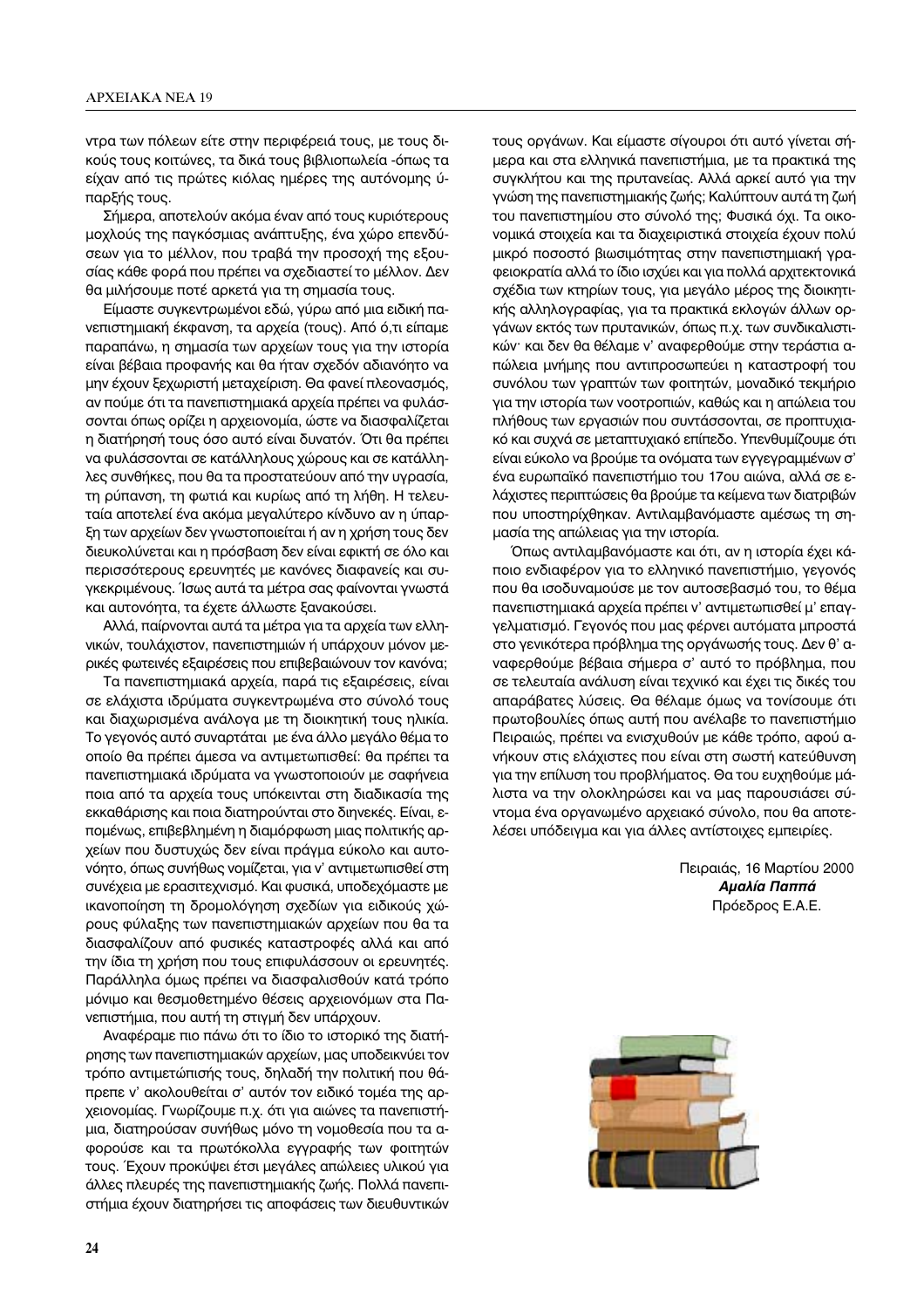ντρα των πόλεων είτε στην περιφέρειά τους, με τους δικούς τους κοιτώνες, τα δικά τους βιβλιοπωλεία -όπως τα είχαν από τις πρώτες κιόλας ημέρες της αυτόνομης ύπαρξής τους.

Σήμερα, αποτελούν ακόμα έναν από τους κυριότερους μοχλούς της παγκόσμιας ανάπτυξης, ένα χώρο επενδύσεων για το μέλλον, που τραβά την προσοχή της εξουσίας κάθε φορά που πρέπει να σχεδιαστεί το μέλλον. Δεν θα μιλήσουμε ποτέ αρκετά για τη σημασία τους.

Είμαστε συγκεντρωμένοι εδώ, γύρω από μια ειδική πανεπιστημιακή έκφανση, τα αρχεία (τους). Από ό,τι είπαμε παραπάνω, η σημασία των αρχείων τους για την ιστορία είναι βέβαια προφανής και θα ήταν σχεδόν αδιανόητο να μην έχουν ξεχωριστή μεταχείριση. Θα φανεί πλεονασμός, αν πούμε ότι τα πανεπιστημιακά αρχεία πρέπει να φυλάσσονται όπως ορίζει η αρχειονομία, ώστε να διασφαλίζεται η διατήρησή τους όσο αυτό είναι δυνατόν. Ότι θα πρέπει να φυλάσσονται σε κατάλληλους χώρους και σε κατάλληλες συνθήκες, που θα τα προστατεύουν από την υγρασία, τη ρύπανση, τη φωτιά και κυρίως από τη λήθη. Η τελευταία αποτελεί ένα ακόμα μεγαλύτερο κίνδυνο αν η ύπαρξη των αρχείων δεν γνωστοποιείται ή αν η χρήση τους δεν διευκολύνεται και η πρόσβαση δεν είναι εφικτή σε όλο και περισσότερους ερευνητές με κανόνες διαφανείς και συγκεκριμένους. Ίσως αυτά τα μέτρα σας φαίνονται γνωστά και αυτονόητα, τα έχετε άλλωστε ξανακούσει.

Αλλά, παίρνονται αυτά τα μέτρα για τα αρχεία των ελληνικών, τουλάχιστον, πανεπιστημιών ή υπάρχουν μόνον μερικές φωτεινές εξαιρέσεις που επιβεβαιώνουν τον κανόνα;

Τα πανεπιστημιακά αρχεία, παρά τις εξαιρέσεις, είναι σε ελάχιστα ιδρύματα συγκεντρωμένα στο σύνολό τους και διαχωρισμένα ανάλογα με τη διοικητική τους ηλικία. Το γεγονός αυτό συναρτάται με ένα άλλο μεγάλο θέμα το οποίο θα πρέπει άμεσα να αντιμετωπισθεί: θα πρέπει τα πανεπιστημιακά ιδρύματα να γνωστοποιούν με σαφήνεια ποια από τα αρχεία τους υπόκεινται στη διαδικασία της εκκαθάρισης και ποια διατηρούνται στο διηνεκές. Είναι, επομένως, επιβεβλημένη η διαμόρφωση μιας πολιτικής αρχείων που δυστυχώς δεν είναι πράγμα εύκολο και αυτονόητο, όπως συνήθως νομίζεται, για ν' αντιμετωπισθεί στη συνέχεια με ερασιτεχνισμό. Και φυσικά, υποδεχόμαστε με ικανοποίηση τη δρομολόγηση σχεδίων για ειδικούς χώρους φύλαξης των πανεπιστημιακών αρχείων που θα τα διασφαλίζουν από φυσικές καταστροφές αλλά και από την ίδια τη χρήση που τους επιφυλάσσουν οι ερευνητές. Παράλληλα όμως πρέπει να διασφαλισθούν κατά τρόπο μόνιμο και θεσμοθετημένο θέσεις αρχειονόμων στα Πανεπιστήμια, που αυτή τη στιγμή δεν υπάρχουν.

Αναφέραμε πιο πάνω ότι το ίδιο το ιστορικό της διατήρησης των πανεπιστημιακών αρχείων, μας υποδεικνύει τον τρόπο αντιμετώπισής τους, δηλαδή την πολιτική που θάπρεπε ν' ακολουθείται σ' αυτόν τον ειδικό τομέα της αρχειονομίας. Γνωρίζουμε π.χ. ότι για αιώνες τα πανεπιστήμια, διατηρούσαν συνήθως μόνο τη νομοθεσία που τα αφορούσε και τα πρωτόκολλα εγγραφής των φοιτητών τους. Έχουν προκύψει έτσι μεγάλες απώλειες υλικού για άλλες πλευρές της πανεπιστημιακής ζωής. Πολλά πανεπιστήμια έχουν διατηρήσει τις αποφάσεις των διευθυντικών τους οργάνων. Και είμαστε σίγουροι ότι αυτό γίνεται σήμερα και στα ελληνικά πανεπιστήμια, με τα πρακτικά της συγκλήτου και της πρυτανείας. Αλλά αρκεί αυτό για την γνώση της πανεπιστημιακής ζωής; Καλύπτουν αυτά τη ζωή του πανεπιστημίου στο σύνολό της; Φυσικά όχι. Τα οικονομικά στοιχεία και τα διαχειριστικά στοιχεία έχουν πολύ μικρό ποσοστό βιωσιμότητας στην πανεπιστημιακή γραφειοκρατία αλλά το ίδιο ισχύει και για πολλά αρχιτεκτονικά σχέδια των κτηρίων τους, για μεγάλο μέρος της διοικητικής αλληλογραφίας, για τα πρακτικά εκλογών άλλων οργάνων εκτός των πρυτανικών, όπως π.χ. των συνδικαλιστικών· και δεν θα θέλαμε ν' αναφερθούμε στην τεράστια απώλεια μνήμης που αντιπροσωπεύει η καταστροφή του συνόλου των γραπτών των φοιτητών, μοναδικό τεκμήριο για την ιστορία των νοοτροπιών, καθώς και η απώλεια του πλήθους των εργασιών που συντάσσονται, σε προπτυχιακό και συχνά σε μεταπτυχιακό επίπεδο. Υπενθυμίζουμε ότι είναι εύκολο να βρούμε τα ονόματα των εγγεγραμμένων σ' ένα ευρωπαϊκό πανεπιστήμιο του 17ου αιώνα, αλλά σε ελάχιστες περιπτώσεις θα βρούμε τα κείμενα των διατριβών που υποστηρίχθηκαν. Αντιλαμβανόμαστε αμέσως τη σημασία της απώλειας για την ιστορία.

Όπως αντιλαμβανόμαστε και ότι, αν η ιστορία έχει κάποιο ενδιαφέρον για το ελληνικό πανεπιστήμιο, γεγονός που θα ισοδυναμούσε με τον αυτοσεβασμό του, το θέμα πανεπιστημιακά αρχεία πρέπει ν' αντιμετωπισθεί μ' επαγγελματισμό. Γεγονός που μας φέρνει αυτόματα μπροστά στο γενικότερα πρόβλημα της οργάνωσής τους. Δεν θ' αναφερθούμε βέβαια σήμερα σ' αυτό το πρόβλημα, που σε τελευταία ανάλυση είναι τεχνικό και έχει τις δικές του απαράβατες λύσεις. Θα θέλαμε όμως να τονίσουμε ότι πρωτοβουλίες όπως αυτή που ανέλαβε το πανεπιστήμιο Πειραιώς, πρέπει να ενισχυθούν με κάθε τρόπο, αφού ανήκουν στις ελάχιστες που είναι στη σωστή κατεύθυνση για την επίλυση του προβλήματος. Θα του ευχηθούμε μάλιστα να την ολοκληρώσει και να μας παρουσιάσει σύντομα ένα οργανωμένο αρχειακό σύνολο, που θα αποτελέσει υπόδειγμα και για άλλες αντίστοιχες εμπειρίες.

> Πειραιάς, 16 Μαρτίου 2000 Αμαλία Παππά Πρόεδρος Ε.Α.Ε.

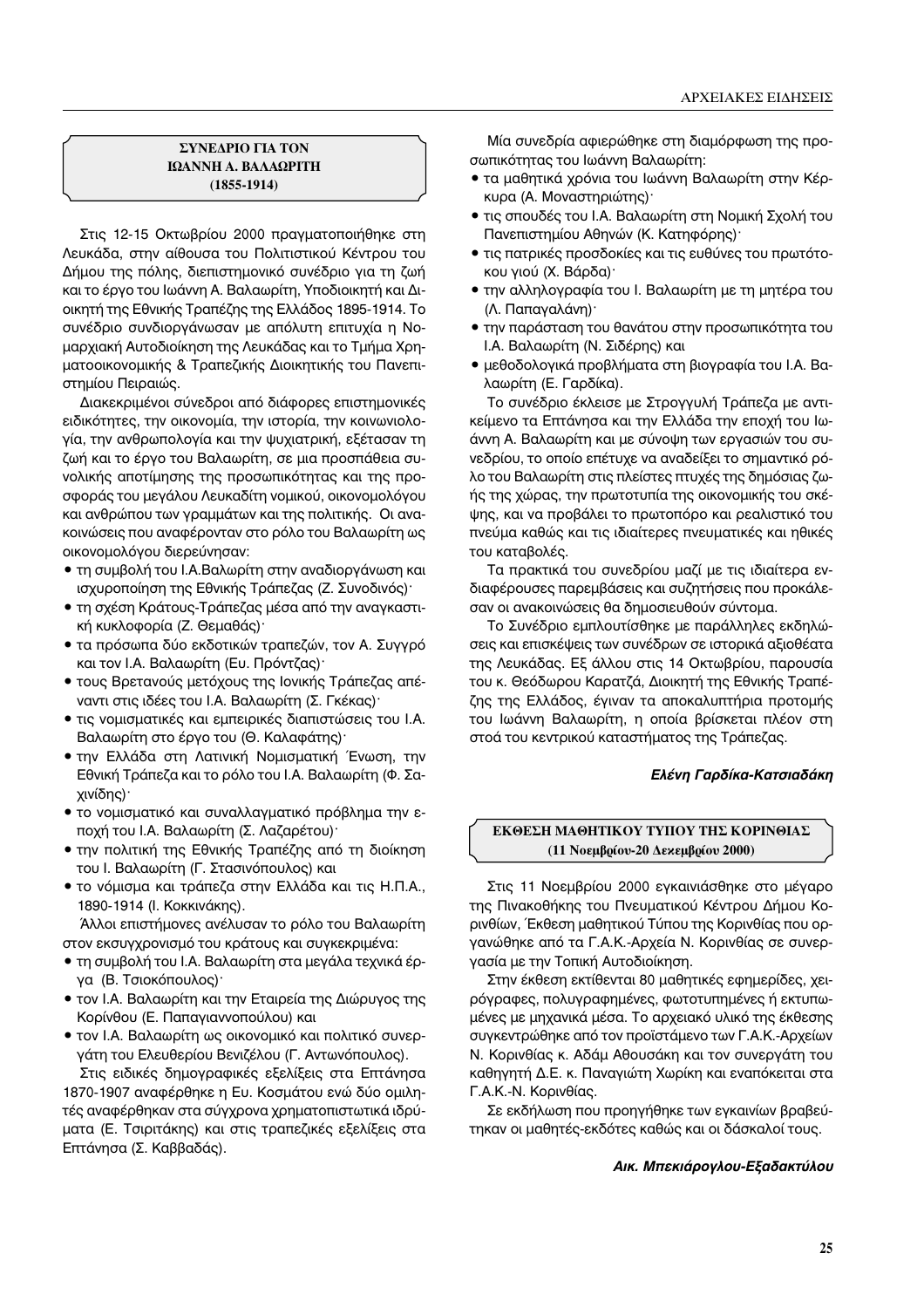## **ΣΥΝΕΔΡΙΟ ΓΙΑ ΤΟΝ ΙΩΑΝΝΗ Α. ΒΑΛΑΩΡΙΤΗ (1855-1914)**

Στις 12-15 Οκτωβρίου 2000 πραγματοποιήθηκε στη Λευκάδα, στην αίθουσα του Πολιτιστικού Κέντρου του Δήμου της πόλης, διεπιστημονικό συνέδριο για τη ζωή και το έργο του Ιωάννη Α. Βαλαωρίτη, Υποδιοικητή και Διοικητή της Εθνικής Τραπέζης της Ελλάδος 1895-1914. To συνέδριο συνδιοργάνωσαν με απόλυτη επιτυχία η Noμαρχιακή Αυτοδιοίκηση της Λευκάδας και το Τμήμα Χρηματοοικονομικής & Τραπεζικής Διοικητικής του Πανεπιστημίου Πειραιώς.

Διακεκριμένοι σύνεδροι από διάφορες επιστημονικές ειδικότητες, την οικονομία, την ιστορία, την κοινωνιολογία, την ανθρωπολογία και την ψυχιατρική, εξέτασαν τη ζωή και το έργο του Βαλαωρίτη, σε μια προσπάθεια συνολικής αποτίμησης της προσωπικότητας και της προσφοράς του μεγάλου Λευκαδίτη νομικού, οικονομολόγου και ανθρώπου των γραμμάτων και της πολιτικής. Οι ανακοινώσεις που αναφέρονταν στο ρόλο του Βαλαωρίτη ως οικονομολόγου διερεύνησαν:

- τη συμβολή του Ι.Α.Βαλωρίτη στην αναδιοργάνωση και ισχυροποίηση της Εθνικής Τράπεζας (Ζ. Συνοδινός)<sup>.</sup>
- τη σχέση Κράτους-Τράπεζας μέσα από την αναγκαστική κυκλοφορία (Ζ. Θεμαθάς)<sup>.</sup>
- τα πρόσωπα δύο εκδοτικών τραπεζών, τον Α. Συγγρό και τον Ι.Α. Βαλαωρίτη (Ευ. Πρόντζας)·
- τους Βρετανούς μετόχους της Ιονικής Τράπεζας απέvαντι στις ιδέες του Ι.Α. Βαλαωρίτη (Σ. Γκέκας)<sup>.</sup>
- τις νομισματικές και εμπειρικές διαπιστώσεις του Ι.Α. Βαλαωρίτη στο έργο του (Θ. Καλαφάτης)<sup>.</sup>
- την Ελλάδα στη Λατινική Νομισματική Ένωση, την Eθνική Τράπεζα και το ρόλο του Ι.Α. Βαλαωρίτη (Φ. Σαχινίδης)<sup>.</sup>
- το νομισματικό και συναλλαγματικό πρόβλημα την εποχή του Ι.Α. Βαλαωρίτη (Σ. Λαζαρέτου)·
- την πολιτική της Εθνικής Τραπέζης από τη διοίκηση του Ι. Βαλαωρίτη (Γ. Στασινόπουλος) και
- το νόμισμα και τράπεζα στην Ελλάδα και τις Η.Π.Α., 1890-1914 (Ι. Κοκκινάκης).

Άλλοι επιστήμονες ανέλυσαν το ρόλο του Βαλαωρίτη στον εκσυγχρονισμό του κράτους και συγκεκριμένα:

- τη συμβολή του Ι.Α. Βαλαωρίτη στα μεγάλα τεχνικά έργα (Β. Τσιοκόπουλος)<sup>.</sup>
- τον Ι.Α. Βαλαωρίτη και την Εταιρεία της Διώρυγος της Κορίνθου (Ε. Παπαγιαννοπούλου) και
- τον Ι.Α. Βαλαωρίτη ως οικονομικό και πολιτικό συνεργάτη του Ελευθερίου Βενιζέλου (Γ. Αντωνόπουλος).

Στις ειδικές δημογραφικές εξελίξεις στα Επτάνησα 1870-1907 αναφέρθηκε η Ευ. Κοσμάτου ενώ δύο ομιλητές αναφέρθηκαν στα σύγχρονα χρηματοπιστωτικά ιδρύματα (Ε. Τσιριτάκης) και στις τραπεζικές εξελίξεις στα Επτάνησα (Σ. Καββαδάς).

Μία συνεδρία αφιερώθηκε στη διαμόρφωση της προσωπικότητας του Ιωάννη Βαλαωρίτη:

- τα μαθητικά χρόνια του Ιωάννη Βαλαωρίτη στην Κέρκυρα (Α. Μοναστηριώτης)<sup>.</sup>
- τις σπουδές του Ι.Α. Βαλαωρίτη στη Νομική Σχολή του Πανεπιστημίου Αθηνών (Κ. Κατηφόρης)<sup>.</sup>
- τις πατρικές προσδοκίες και τις ευθύνες του πρωτότοκου γιού (Χ. Βάρδα)·
- την αλληλογραφία του Ι. Βαλαωρίτη με τη μητέρα του (Λ. Παπαγαλάνη)<sup>.</sup>
- την παράσταση του θανάτου στην προσωπικότητα του I.Α. Βαλαωρίτη (Ν. Σιδέρης) και
- μεθοδολογικά προβλήματα στη βιογραφία του Ι.Α. Βαλαωρίτη (Ε. Γαρδίκα).

Tο συνέδριο έκλεισε με Στρογγυλή Τράπεζα με αντικείμενο τα Επτάνησα και την Ελλάδα την εποχή του Ιωάννη Α. Βαλαωρίτη και με σύνοψη των εργασιών του συνεδρίου, το οποίο επέτυχε να αναδείξει το σημαντικό ρόλο του Βαλαωρίτη στις πλείστες πτυχές της δημόσιας ζωής της χώρας, την πρωτοτυπία της οικονομικής του σκέψης, και να προβάλει το πρωτοπόρο και ρεαλιστικό του πνεύμα καθώς και τις ιδιαίτερες πνευματικές και ηθικές του καταβολές.

Tα πρακτικά του συνεδρίου μαζί με τις ιδιαίτερα ενδιαφέρουσες παρεμβάσεις και συζητήσεις που προκάλεσαν οι ανακοινώσεις θα δημοσιευθούν σύντομα.

To Συνέδριο εμπλουτίσθηκε με παράλληλες εκδηλώσεις και επισκέψεις των συνέδρων σε ιστορικά αξιοθέατα της Λευκάδας. Εξ άλλου στις 14 Οκτωβρίου, παρουσία του κ. Θεόδωρου Καρατζά, Διοικητή της Εθνικής Τραπέζης της Ελλάδος, έγιναν τα αποκαλυπτήρια προτομής του Ιωάννη Βαλαωρίτη, η οποία βρίσκεται πλέον στη στοά του κεντρικού καταστήματος της Τράπεζας.

## Ελένη Γαρδίκα-Κατσιαδάκη

## ΕΚΘΕΣΗ ΜΑΘΗΤΙΚΟΥ ΤΥΠΟΥ ΤΗΣ ΚΟΡΙΝΘΙΑΣ **(11 Νοεμβρίου-20 Δεκεμβρίου 2000)**

Στις 11 Νοεμβρίου 2000 εγκαινιάσθηκε στο μέγαρο της Πινακοθήκης του Πνευματικού Κέντρου Δήμου Koρινθίων, Έκθεση μαθητικού Τύπου της Κορινθίας που οργανώθηκε από τα Γ.Α.Κ.-Αρχεία Ν. Κορινθίας σε συνεργασία με την Τοπική Αυτοδιοίκηση.

Στην έκθεση εκτίθενται 80 μαθητικές εφημερίδες, χειρόγραφες, πολυγραφημένες, φωτοτυπημένες ή εκτυπωμένες με μηχανικά μέσα. Το αρχειακό υλικό της έκθεσης συγκεντρώθηκε από τον προϊστάμενο των Γ.Α.Κ.-Αρχείων Ν. Κορινθίας κ. Αδάμ Αθουσάκη και τον συνεργάτη του καθηγητή Δ.Ε. κ. Παναγιώτη Χωρίκη και εναπόκειται στα Γ.Α.Κ.-Ν. Κορινθίας.

Σε εκδήλωση που προηγήθηκε των εγκαινίων βραβεύτηκαν οι μαθητές-εκδότες καθώς και οι δάσκαλοί τους.

#### **A**IK. Μπεκιάρογλου-Εξαδακτύλου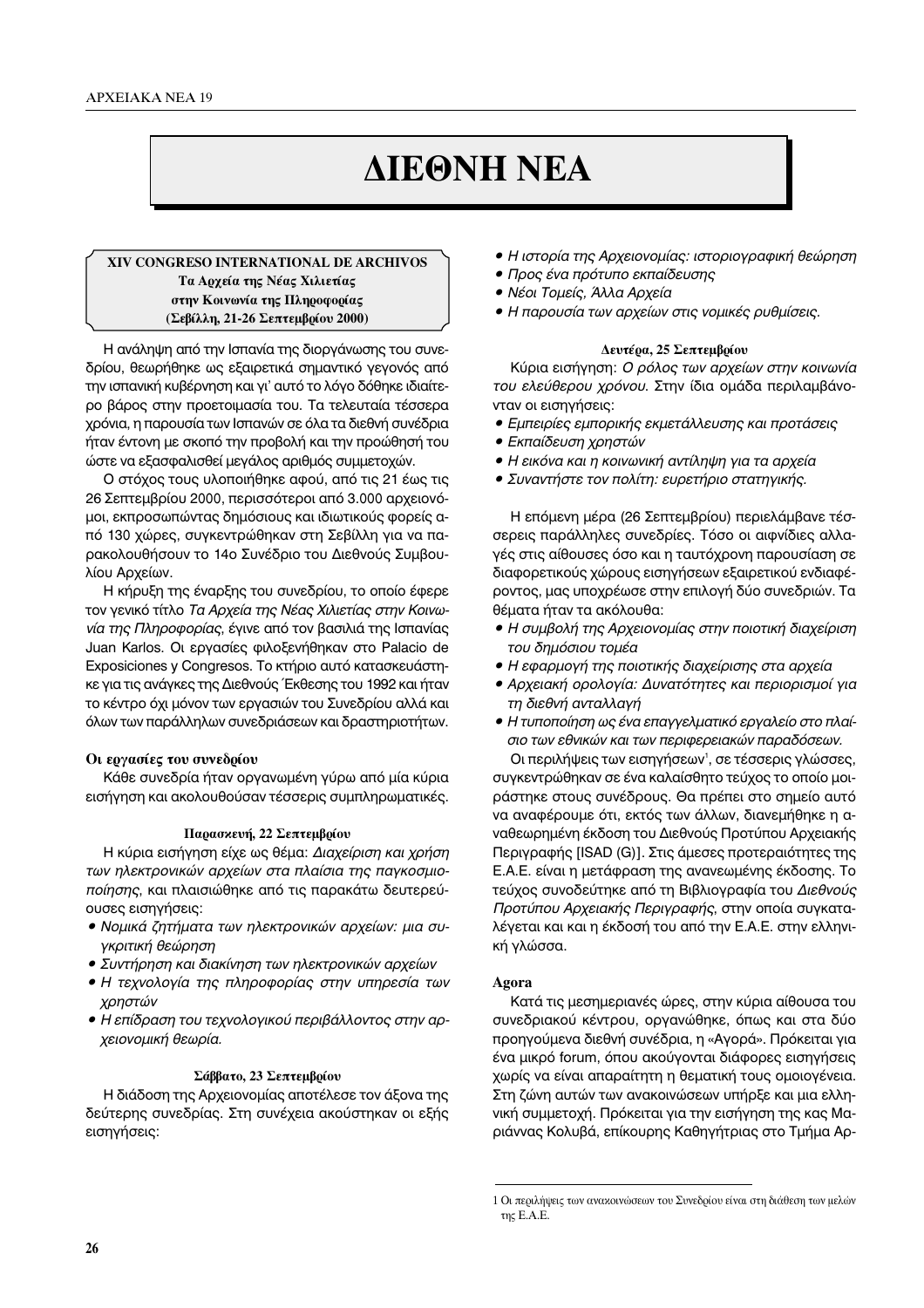# **ΔΙΕΘΝΗ ΝΕΑ**

## **ÃπV CONGRESO INTERNATIONAL DE ARCHIVOS Τα Αρχεία της Νέας Χιλιετίας στην Κοινωνία της Πληροφορίας (Σεβίλλη, 21-26 Σεπτεμβοίου 2000)**

Η ανάληψη από την Ισπανία της διοργάνωσης του συνεδρίου, θεωρήθηκε ως εξαιρετικά σημαντικό γεγονός από την ισπανική κυβέρνηση και γι' αυτό το λόγο δόθηκε ιδιαίτερο βάρος στην προετοιμασία του. Τα τελευταία τέσσερα χρόνια, η παρουσία των Ισπανών σε όλα τα διεθνή συνέδρια ήταν έντονη με σκοπό την προβολή και την προώθησή του ώστε να εξασφαλισθεί μεγάλος αριθμός συμμετοχών.

Ο στόχος τους υλοποιήθηκε αφού, από τις 21 έως τις 26 Σεπτεμβρίου 2000, περισσότεροι από 3.000 αρχειονόμοι, εκπροσωπώντας δημόσιους και ιδιωτικούς φορείς από 130 χώρες, συγκεντρώθηκαν στη Σεβίλλη για να παρακολουθήσουν το 14ο Συνέδριο του Διεθνούς Συμβουλίου Αρχείων.

Η κήρυξη της έναρξης του συνεδρίου, το οποίο έφερε τον γενικό τίτλο *Τα Αρχεία της Νέας Χιλιετίας στην Κοινωνία της Πληροφορίας, έγινε από τον βασιλιά της Ισπανίας* Juan Karlos. Οι εργασίες φιλοξενήθηκαν στο Palacio de Exposiciones y Congresos. Το κτήριο αυτό κατασκευάστηκε για τις ανάγκες της Διεθνούς Έκθεσης του 1992 και ήταν το κέντρο όχι μόνον των εργασιών του Συνεδρίου αλλά και όλων των παράλληλων συνεδριάσεων και δραστηριοτήτων.

## Οι εργασίες του συνεδρίου

Κάθε συνεδρία ήταν οργανωμένη γύρω από μία κύρια εισήγηση και ακολουθούσαν τέσσερις συμπληρωματικές.

## **Παρασκευή, 22 Σεπτεμβρίου**

Η κύρια εισήγηση είχε ως θέμα: *Διαχείριση και χρήση*<br>*των ηλεκτρονικών αρχείων στα πλαίσια της παγκοσμιοποίησης*, και πλαισιώθηκε από τις παρακάτω δευτερεύ-<br>*ποίησης*, και πλαισιώθηκε από τις παρακάτω δευτερεύουσες εισηγήσεις:

- Νομικά ζητήματα των ηλεκτρονικών αρχείων: μια συ-<br>γκριτική θεώρηση
- **Συντήρηση και διακίνηση των ηλεκτρονικών αρχείων**
- $\bullet$   $\sharp$   $\bullet$   $\sharp$   $\uparrow$   $\uparrow$   $\uparrow$   $\uparrow$   $\uparrow$   $\uparrow$   $\uparrow$   $\uparrow$   $\uparrow$   $\uparrow$   $\uparrow$   $\uparrow$   $\uparrow$   $\uparrow$   $\uparrow$   $\uparrow$   $\uparrow$   $\uparrow$   $\uparrow$   $\uparrow$   $\uparrow$   $\uparrow$   $\uparrow$   $\uparrow$   $\uparrow$   $\uparrow$   $\uparrow$   $\uparrow$   $\uparrow$   $\uparrow$   $\uparrow$   $\uparrow$   $\uparrow$   $\up$ *ñ ∏ Ù¯ÓÔÏÔÁ›· Ù˘ ÏËÚÔÊÔÚ›·˜ ÛÙËÓ ˘ËÚÂÛ›· ÙˆÓ* ∑χρηστών<br>● Η επίδραση του τεχνολογικού περιβάλλοντος στην αρ-
- *N N i v N i v D i v j ∴* i *i*<sub>l</sub> *i i*<sub>l</sub> *i*<sub>l</sub> *i i*<sub>l</sub> *i*<sup>l</sup> *i*<sub>l</sub> *i*</del> *¯ÂÈÔÓÔÌÈ΋ ıˆڛ·.*

### $\Sigma$ άββατο, 23 Σεπτεμβρίου

Η διάδοση της Αρχειονομίας αποτέλεσε τον άξονα της δεύτερης συνεδρίας. Στη συνέχεια ακούστηκαν οι εξής εισηγήσεις:

- Η ιστορία της Αρχειονομίας: ιστοριογραφική θεώρηση<br>● Προς ένα πρότυπο εκπαίδευσης
- 
- **Νέοι Τομείς, Άλλα Αρχεία**
- *ñ ¡¤ÔÈ ∆ÔÌ›˜, ÕÏÏ· ∞گ›· ñ ∏ ·ÚÔ˘Û›· ÙˆÓ ·Ú¯Â›ˆÓ ÛÙȘ ÓÔÌÈΤ˜ Ú˘ıÌ›ÛÂȘ.*

# $\Delta$ ευτέρα, 25 Σεπτεμβρίου

Κύρια εισήγηση: *Ο ρόλος των αρχείων στην κοινωνία του ελεύθερου χρόνου*. Στην ίδια ομάδα περιλαμβάνονταν οι εισηγήσεις:

- *Εμπειρίες εμπορικής εκμετάλλευσης και προτάσεις*<br>● *Εκπαίδευση χρηστών*
- 
- $\bullet$  Η εικόνα και η κοινωνική αντίληψη για τα αρχεία
- $\overline{a}$   $\overline{\Sigma}$ *N* ∴ ∴ *v* ∠*i* ∴ *i* ∴ ∴ *i* ∴ *i* ∴ *i* ∴ *i* ∴ *i* ∴ *i* ∴ *i* ∴ *i* ∴ *i* ∴ *i* ∴ *i* ∴ *i* ∴ *i* ∴ *i* ∴ *i* ∴ *i* ∴ *i* ∴ *i* ∴ *i* ∴ *i* ∴ *i* ∴ *i* ∴ *i* ∴ *i* ∴ *i* ∴ *i* ∴ *i* ∴ *i* ∴ *i* ∴ ∴ *i* ∴ ∴ ∴ ∴ ∴ ∴ ∴

Η επόμενη μέρα (26 Σεπτεμβρίου) περιελάμβανε τέσσερεις παράλληλες συνεδρίες. Τόσο οι αιφνίδιες αλλαγές στις αίθουσες όσο και η ταυτόχρονη παρουσίαση σε διαφορετικούς χώρους εισηγήσεων εξαιρετικού ενδιαφέροντος, μας υποχρέωσε στην επιλογή δύο συνεδριών. Τα θέματα ήταν τα ακόλουθα:

- Η συμβολή της Αρχειονομίας στην ποιοτική διαχείριση<br>του δημόσιου τομέα
- Η εφαρμογή της ποιοτικής διαχείρισης στα αρχεία
- Αρχειακή ορολογία: Δυνατότητες και περιορισμοί για τη διεθνή ανταλλαγή
- **•** Η τυποποίηση ως ένα επαγγελματικό εργαλείο στο πλαίσιο των εθνικών και των περιφερειακών παραδόσεων.

Οι περιλήψεις των εισηγήσεων<sup>1</sup>, σε τέσσερις γλώσσες, συγκεντρώθηκαν σε ένα καλαίσθητο τεύχος το οποίο μοιράστηκε στους συνέδρους. Θα πρέπει στο σημείο αυτό να αναφέρουμε ότι, εκτός των άλλων, διανεμήθηκε η αναθεωρημένη έκδοση του Διεθνούς Προτύπου Αρχειακής Περιγραφής [ISAD (G)]. Στις άμεσες προτεραιότητες της Ε.Α.Ε. είναι η μετάφραση της ανανεωμένης έκδοσης. Το τεύχος συνοδεύτηκε από τη Βιβλιογραφία του Διεθνούς Προτύπου Αρχειακής Περιγραφής, στην οποία συγκαταλέγεται και και η έκδοσή του από την Ε.Α.Ε. στην ελληνική γλώσσα.

## **Agora**

Κατά τις μεσημεριανές ώρες, στην κύρια αίθουσα του συνεδριακού κέντρου, οργανώθηκε, όπως και στα δύο προηγούμενα διεθνή συνέδρια, η «Αγορά». Πρόκειται για ένα μικρό forum, όπου ακούγονται διάφορες εισηγήσεις χωρίς να είναι απαραίτητη η θεματική τους ομοιογένεια. Στη ζώνη αυτών των ανακοινώσεων υπήρξε και μια ελληνική συμμετοχή. Πρόκειται για την εισήγηση της κας Μαριάννας Κολυβά, επίκουρης Καθηγήτριας στο Τμήμα Αρ-

<sup>1</sup> Οι περιλήψεις των ανακοινώσεων του Συνεδρίου είναι στη διάθεση των μελών της Ε.Α.Ε.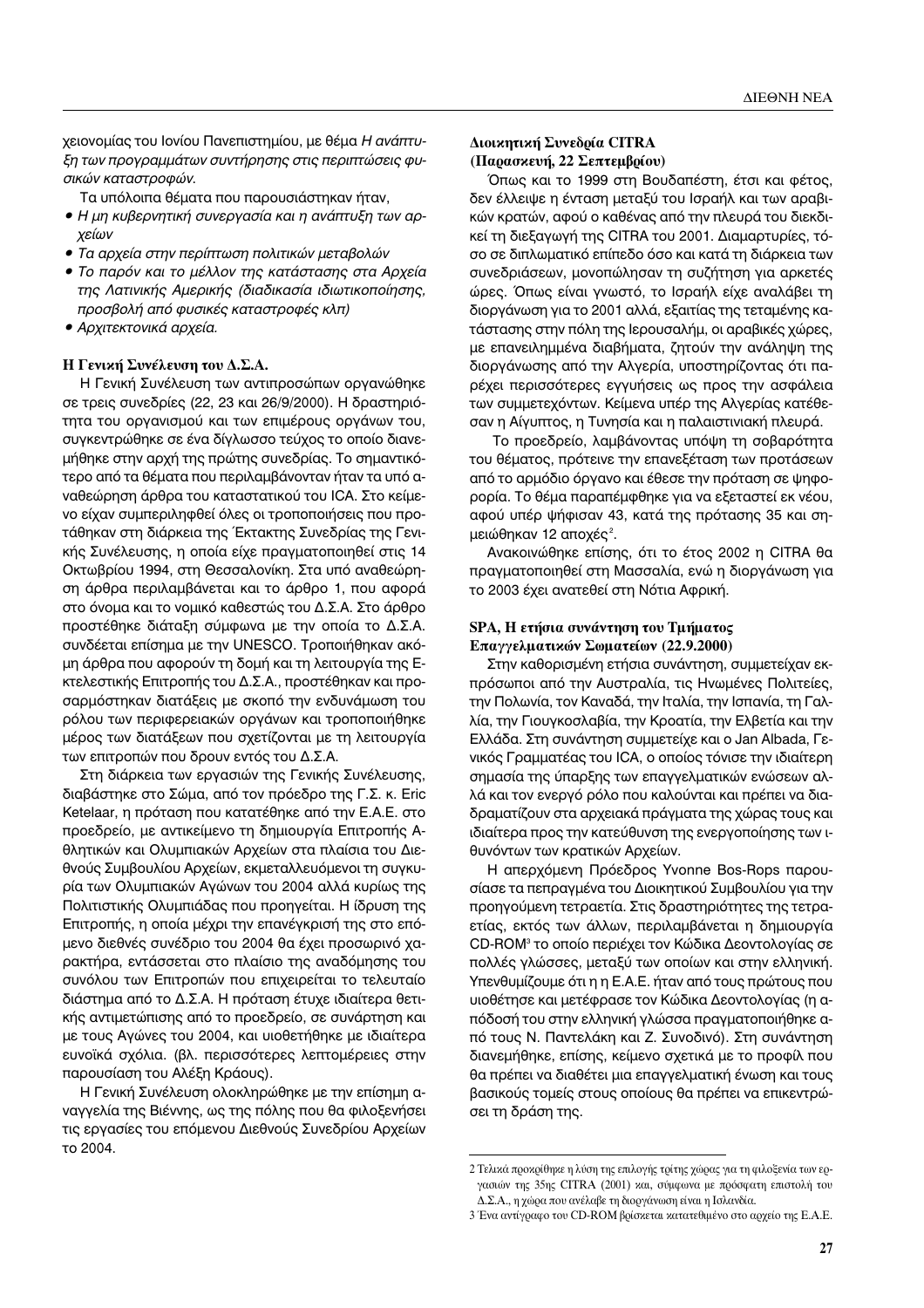χειονομίας του Ιονίου Πανεπιστημίου, με θέμα *Η ανάπτυ-*<br>*ξη των προγραμμάτων συντήρησης στις περιπτώσεις φυ-Γ*<br>*ΟΙΚών Καταστροφών.*<br>- Τα υπόλουτα θόυστα που παρουσιάστηκαν ήταν.

Τα υπόλοιπα θέματα που παρουσιάστηκαν ήταν,

- *∙ Η μη κυβερνητική συνεργασία και η ανάπτυξη των αρ-*<br>χείων
- **•** Τα αρχεία στην περίπτωση πολιτικών μεταβολών
- Το παρόν και το μέλλον της κατάστασης στα Αρχεία *της Λατινικής Αμερικής (διαδικασία ιδιωτικοποίησης,* προσβολή από φυσικές καταστροφές κλπ) *I*<sup>2</sup> · *γ*<sup>2</sup> · *γ*<sup>2</sup> · *γ*<sup>2</sup> · *γ*<sup>2</sup> · *γ*<sup>2</sup> · *γ*<sup>2</sup> · *γ*<sup>2</sup>
- *î n* ∞<sup>*i*</sup> *N*<sup>*.*</sup>

#### **Η Γενική Συνέλευση του Δ.Σ.Α.**

Η Γενική Συνέλευση των αντιπροσώπων οργανώθηκε σε τρεις συνεδρίες (22, 23 και 26/9/2000). Η δραστηριότητα του οργανισμού και των επιμέρους οργάνων του, συγκεντρώθηκε σε ένα δίγλωσσο τεύχος το οποίο διανεμήθηκε στην αρχή της πρώτης συνεδρίας. Το σημαντικότερο από τα θέματα που περιλαμβάνονταν ήταν τα υπό αναθεώρηση άρθρα του καταστατικού του ICA. Στο κείμενο είχαν συμπεριληφθεί όλες οι τροποποιήσεις που προτάθηκαν στη διάρκεια της Έκτακτης Συνεδρίας της Γενικής Συνέλευσης, η οποία είχε πραγματοποιηθεί στις 14 Οκτωβρίου 1994, στη Θεσσαλονίκη. Στα υπό αναθεώρηση άρθρα περιλαμβάνεται και το άρθρο 1, που αφορά στο όνομα και το νομικό καθεστώς του Δ.Σ.Α. Στο άρθρο προστέθηκε διάταξη σύμφωνα με την οποία το Δ.Σ.Α. συνδέεται επίσημα με την UNESCO. Τροποιήθηκαν ακόμη άρθρα που αφορούν τη δομή και τη λειτουργία της Εκτελεστικής Επιτροπής του Δ.Σ.Α., προστέθηκαν και προσαρμόστηκαν διατάξεις με σκοπό την ενδυνάμωση του ρόλου των περιφερειακών οργάνων και τροποποιήθηκε μέρος των διατάξεων που σχετίζονται με τη λειτουργία των επιτροπών που δρουν εντός του Δ.Σ.Α.

Στη διάρκεια των εργασιών της Γενικής Συνέλευσης, διαβάστηκε στο Σώμα, από τον πρόεδρο της Γ.Σ. κ. Eric Ketelaar, η πρόταση που κατατέθηκε από την Ε.Α.Ε. στο προεδρείο, με αντικείμενο τη δημιουργία Επιτροπής Αθλητικών και Ολυμπιακών Αρχείων στα πλαίσια του Διεθνούς Συμβουλίου Αρχείων, εκμεταλλευόμενοι τη συγκυρία των Ολυμπιακών Αγώνων του 2004 αλλά κυρίως της Πολιτιστικής Ολυμπιάδας που προηγείται. Η ίδρυση της Επιτροπής, η οποία μέχρι την επανέγκρισή της στο επόμενο διεθνές συνέδριο του 2004 θα έχει προσωρινό χαρακτήρα, εντάσσεται στο πλαίσιο της αναδόμησης του συνόλου των Επιτροπών που επιχειρείται το τελευταίο διάστημα από το Δ.Σ.Α. Η πρόταση έτυχε ιδιαίτερα θετικής αντιμετώπισης από το προεδρείο, σε συνάρτηση και με τους Αγώνες του 2004, και υιοθετήθηκε με ιδιαίτερα ευνοϊκά σχόλια. (βλ. περισσότερες λεπτομέρειες στην παρουσίαση του Αλέξη Κράους).

Η Γενική Συνέλευση ολοκληρώθηκε με την επίσημη αναγγελία της Βιέννης, ως της πόλης που θα φιλοξενήσει τις εργασίες του επόμενου Διεθνούς Συνεδρίου Αρχείων το 2004.

## $\Delta$ ιοικητική Συνεδρία CITRA **(Παρασκευή, 22 Σεπτεμβρίου)**

Όπως και το 1999 στη Βουδαπέστη, έτσι και φέτος, δεν έλλειψε η ένταση μεταξύ του Ισραήλ και των αραβικών κρατών, αφού ο καθένας από την πλευρά του διεκδικεί τη διεξαγωγή της CITRA του 2001. Διαμαρτυρίες, τόσο σε διπλωματικό επίπεδο όσο και κατά τη διάρκεια των συνεδριάσεων, μονοπώλησαν τη συζήτηση για αρκετές ώρες. Όπως είναι γνωστό, το Ισραήλ είχε αναλάβει τη διοργάνωση για το 2001 αλλά, εξαιτίας της τεταμένης κατάστασης στην πόλη της Ιερουσαλήμ, οι αραβικές χώρες, με επανειλημμένα διαβήματα, ζητούν την ανάληψη της διοργάνωσης από την Αλγερία, υποστηρίζοντας ότι παρέχει περισσότερες εγγυήσεις ως προς την ασφάλεια των συμμετεχόντων. Κείμενα υπέρ της Αλγερίας κατέθεσαν η Αίγυπτος, η Τυνησία και η παλαιστινιακή πλευρά.

Το προεδρείο, λαμβάνοντας υπόψη τη σοβαρότητα του θέματος, πρότεινε την επανεξέταση των προτάσεων από το αρμόδιο όργανο και έθεσε την πρόταση σε ψηφορορία. Το θέμα παραπέμφθηκε για να εξεταστεί εκ νέου, αφού υπέρ ψήφισαν 43, κατά της πρότασης 35 και σημειώθηκαν 12 αποχές<sup>2</sup>.

Ανακοινώθηκε επίσης, ότι το έτος 2002 η CITRA θα πραγματοποιηθεί στη Μασσαλία, ενώ η διοργάνωση για το 2003 έχει ανατεθεί στη Νότια Αφρική.

## **SPA, Η ετήσια συνάντηση του Τμήματος Επαγγελματικών Σωματείων** (22.9.2000)

Στην καθορισμένη ετήσια συνάντηση, συμμετείχαν εκπρόσωποι από την Αυστραλία, τις Ηνωμένες Πολιτείες, την Πολωνία, τον Καναδά, την Ιταλία, την Ισπανία, τη Γαλλία, την Γιουγκοσλαβία, την Κροατία, την Ελβετία και την Ελλάδα. Στη συνάντηση συμμετείχε και ο Jan Albada, Γενικός Γραμματέας του ICA, ο οποίος τόνισε την ιδιαίτερη σημασία της ύπαρξης των επαγγελματικών ενώσεων αλλά και τον ενεργό ρόλο που καλούνται και πρέπει να διαδραματίζουν στα αρχειακά πράγματα της χώρας τους και ιδιαίτερα προς την κατεύθυνση της ενεργοποίησης των ιθυνόντων των κρατικών Αρχείων.

Η απερχόμενη Πρόεδρος Yvonne Bos-Rops παρουσίασε τα πεπραγμένα του Διοικητικού Συμβουλίου για την προηγούμενη τετραετία. Στις δραστηριότητες της τετραετίας, εκτός των άλλων, περιλαμβάνεται η δημιουργία CD-ROM<sup>3</sup> το οποίο περιέχει τον Κώδικα Δεοντολογίας σε πολλές γλώσσες, μεταξύ των οποίων και στην ελληνική. Υπενθυμίζουμε ότι η η Ε.Α.Ε. ήταν από τους πρώτους που υιοθέτησε και μετέφρασε τον Κώδικα Δεοντολογίας (η απόδοσή του στην ελληνική γλώσσα πραγματοποιήθηκε από τους Ν. Παντελάκη και Ζ. Συνοδινό). Στη συνάντηση διανεμήθηκε, επίσης, κείμενο σχετικά με το προφίλ που θα πρέπει να διαθέτει μια επαγγελματική ένωση και τους βασικούς τομείς στους οποίους θα πρέπει να επικεντρώσει τη δράση της.

<sup>2</sup> Τελικά προκρίθηκε η λύση της επιλογής τρίτης χώρας για τη φιλοξενία των εργασιών της 35ης CITRA (2001) και, σύμφωνα με πρόσφατη επιστολή του  $\Delta$ .Σ.Α., η χώρα που ανέλαβε τη διοργάνωση είναι η Ισλανδία.

<sup>3</sup> Ένα αντίγραφο του CD-ROM βρίσκεται κατατεθιμένο στο αρχείο της Ε.Α.Ε.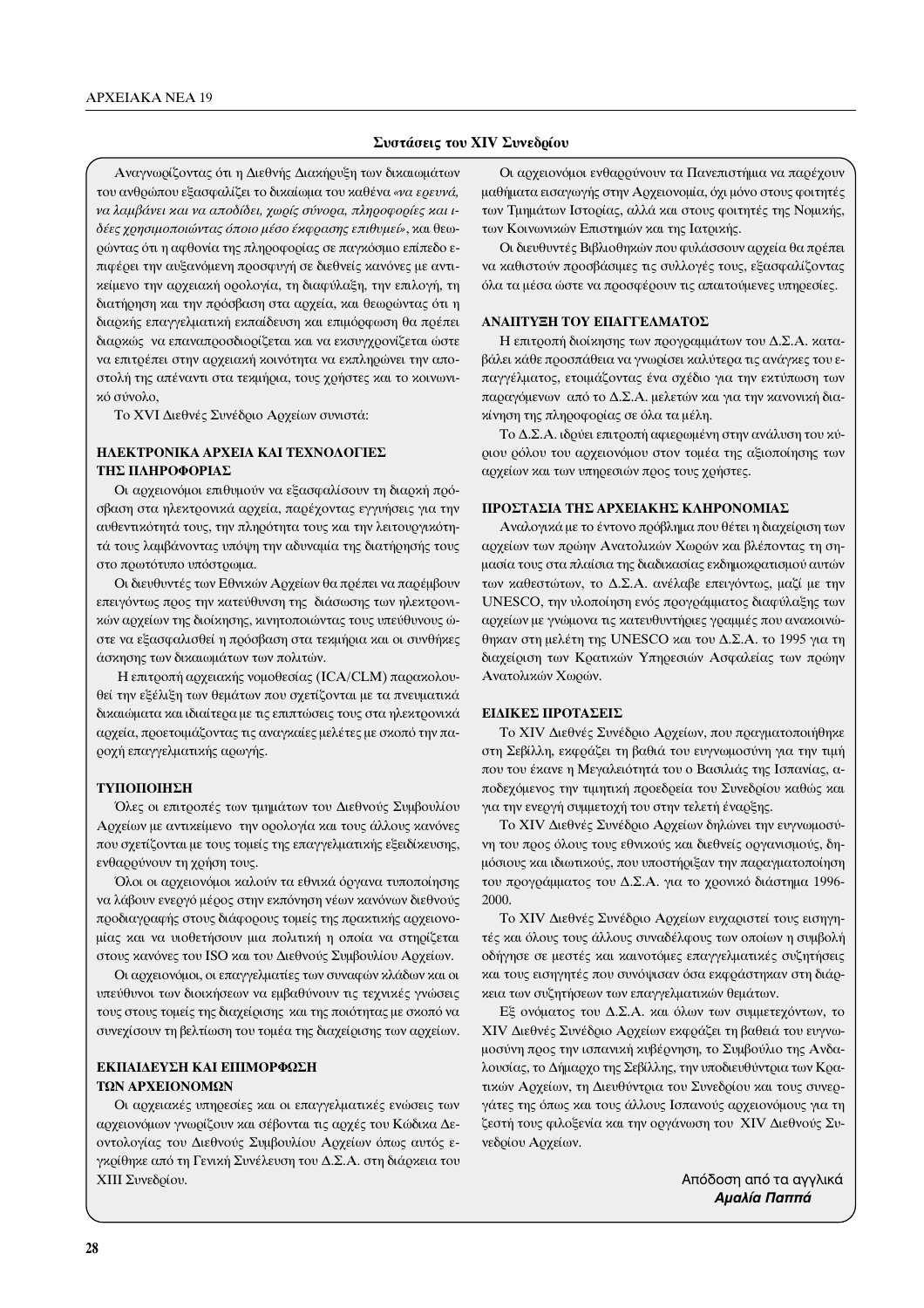#### Συστάσεις του ΧΙV Συνεδρίου

Αναγνωρίζοντας ότι η Διεθνής Διακήρυξη των δικαιωμάτων του ανθρώπου εξασφαλίζει το δικαίωμα του καθένα «να ερευνά, να λαμβάνει και να αποδίδει, χωρίς σύνορα, πληροφορίες και ιδέες χρησιμοποιώντας όποιο μέσο έκφρασης επιθυμεί», και θεωρώντας ότι η αφθονία της πληροφορίας σε παγκόσμιο επίπεδο επιφέρει την αυξανόμενη προσφυγή σε διεθνείς κανόνες με αντικείμενο την αρχειακή ορολογία, τη διαφύλαξη, την επιλογή, τη διατήρηση και την πρόσβαση στα αρχεία, και θεωρώντας ότι η διαρκής επαγγελματική εκπαίδευση και επιμόρφωση θα πρέπει διαρκώς να επαναπροσδιορίζεται και να εκσυγχρονίζεται ώστε να επιτρέπει στην αρχειακή κοινότητα να εκπληρώνει την αποστολή της απέναντι στα τεκμήρια, τους χρήστες και το κοινωνικό σύνολο,

Το XVI Διεθνές Συνέδριο Αρχείων συνιστά:

## ΗΛΕΚΤΡΟΝΙΚΑ ΑΡΧΕΙΑ ΚΑΙ ΤΕΧΝΟΛΟΓΙΕΣ ΤΗΣ ΠΛΗΡΟΦΟΡΙΑΣ

Οι αρχειονόμοι επιθυμούν να εξασφαλίσουν τη διαρκή πρόσβαση στα ηλεκτρονικά αρχεία, παρέχοντας εγγυήσεις για την αυθεντικότητά τους, την πληρότητα τους και την λειτουργικότητά τους λαμβάνοντας υπόψη την αδυναμία της διατήρησής τους στο πρωτότυπο υπόστρωμα.

Οι διευθυντές των Εθνικών Αρχείων θα πρέπει να παρέμβουν επειγόντως προς την κατεύθυνση της διάσωσης των ηλεκτρονικών αρχείων της διοίκησης, κινητοποιώντας τους υπεύθυνους ώστε να εξασφαλισθεί η πρόσβαση στα τεκμήρια και οι συνθήκες άσκησης των δικαιωμάτων των πολιτών.

Η επιτροπή αρχειακής νομοθεσίας (ICA/CLM) παρακολουθεί την εξέλιξη των θεμάτων που σχετίζονται με τα πνευματικά δικαιώματα και ιδιαίτερα με τις επιπτώσεις τους στα ηλεκτρονικά αρχεία, προετοιμάζοντας τις αναγκαίες μελέτες με σκοπό την παροχή επαγγελματικής αρωγής.

#### ΤΥΠΟΠΟΙΗΣΗ

Όλες οι επιτροπές των τμημάτων του Διεθνούς Συμβουλίου Αρχείων με αντικείμενο την ορολογία και τους άλλους κανόνες που σχετίζονται με τους τομείς της επαγγελματικής εξειδίκευσης, ενθαρρύνουν τη χρήση τους.

Όλοι οι αρχειονόμοι καλούν τα εθνικά όργανα τυποποίησης να λάβουν ενεργό μέρος στην εκπόνηση νέων κανόνων διεθνούς προδιαγραφής στους διάφορους τομείς της πρακτικής αρχειονομίας και να υιοθετήσουν μια πολιτική η οποία να στηρίζεται στους κανόνες του ISO και του Διεθνούς Συμβουλίου Αρχείων.

Οι αρχειονόμοι, οι επαγγελματίες των συναφών κλάδων και οι υπεύθυνοι των διοικήσεων να εμβαθύνουν τις τεχνικές γνώσεις τους στους τομείς της διαχείρισης και της ποιότητας με σκοπό να συνεχίσουν τη βελτίωση του τομέα της διαχείρισης των αρχείων.

## ΕΚΠΑΙΔΕΥΣΗ ΚΑΙ ΕΠΙΜΟΡΦΩΣΗ ΤΩΝ ΑΡΧΕΙΟΝΟΜΩΝ

Οι αρχειακές υπηρεσίες και οι επαγγελματικές ενώσεις των αρχειονόμων γνωρίζουν και σέβονται τις αρχές του Κώδικα Δεοντολογίας του Διεθνούς Συμβουλίου Αρχείων όπως αυτός εγκρίθηκε από τη Γενική Συνέλευση του Δ.Σ.Α. στη διάρκεια του ΧΙΙΙ Συνεδρίου.

Οι αρχειονόμοι ενθαρρύνουν τα Πανεπιστήμια να παρέχουν μαθήματα εισαγωγής στην Αρχειονομία, όχι μόνο στους φοιτητές των Τμημάτων Ιστορίας, αλλά και στους φοιτητές της Νομικής, των Κοινωνικών Επιστημών και της Ιατρικής.

Οι διευθυντές Βιβλιοθηκών που φυλάσσουν αρχεία θα πρέπει να καθιστούν προσβάσιμες τις συλλογές τους, εξασφαλίζοντας όλα τα μέσα ώστε να προσφέρουν τις απαιτούμενες υπηρεσίες.

#### ΑΝΑΠΤΥΞΗ ΤΟΥ ΕΠΑΓΓΕΛΜΑΤΟΣ

Η επιτροπή διοίκησης των προγραμμάτων του Δ.Σ.Α. καταβάλει κάθε προσπάθεια να γνωρίσει καλύτερα τις ανάγκες του επαγγέλματος, ετοιμάζοντας ένα σχέδιο για την εκτύπωση των παραγόμενων από το Δ.Σ.Α. μελετών και για την κανονική διακίνηση της πληροφορίας σε όλα τα μέλη.

Το Δ.Σ.Α. ιδρύει επιτροπή αφιερωμένη στην ανάλυση του κύριου ρόλου του αρχειονόμου στον τομέα της αξιοποίησης των αρχείων και των υπηρεσιών προς τους χρήστες.

#### ΠΡΟΣΤΑΣΙΑ ΤΗΣ ΑΡΧΕΙΑΚΗΣ ΚΛΗΡΟΝΟΜΙΑΣ

Αναλογικά με το έντονο πρόβλημα που θέτει η διαχείριση των αρχείων των πρώην Ανατολικών Χωρών και βλέποντας τη σημασία τους στα πλαίσια της διαδικασίας εκδημοκρατισμού αυτών των καθεστώτων, το Δ.Σ.Α. ανέλαβε επειγόντως, μαζί με την UNESCO, την υλοποίηση ενός προγράμματος διαφύλαξης των αρχείων με γνώμονα τις κατευθυντήριες γραμμές που ανακοινώθηκαν στη μελέτη της UNESCO και του Δ.Σ.Α. το 1995 για τη διαχείριση των Κρατικών Υπηρεσιών Ασφαλείας των πρώην Ανατολικών Χωρών.

#### ΕΙΔΙΚΕΣ ΠΡΟΤΑΣΕΙΣ

Το XIV Διεθνές Συνέδριο Αρχείων, που πραγματοποιήθηκε στη Σεβίλλη, εκφράζει τη βαθιά του ευγνωμοσύνη για την τιμή που του έκανε η Μεγαλειότητά του ο Βασιλιάς της Ισπανίας, αποδεχόμενος την τιμητική προεδρεία του Συνεδρίου καθώς και για την ενεργή συμμετοχή του στην τελετή έναρξης.

Το XIV Διεθνές Συνέδριο Αρχείων δηλώνει την ευγνωμοσύνη του προς όλους τους εθνικούς και διεθνείς οργανισμούς, δημόσιους και ιδιωτικούς, που υποστήριξαν την παραγματοποίηση του προγράμματος του Δ.Σ.Α. για το χρονικό διάστημα 1996-2000.

Το XIV Διεθνές Συνέδριο Αρχείων ευχαριστεί τους εισηγητές και όλους τους άλλους συναδέλφους των οποίων η συμβολή οδήγησε σε μεστές και καινοτόμες επαγγελματικές συζητήσεις και τους εισηγητές που συνόψισαν όσα εκφράστηκαν στη διάρκεια των συζητήσεων των επαγγελματικών θεμάτων.

Εξ ονόματος του Δ.Σ.Α. και όλων των συμμετεχόντων, το ΧΙV Διεθνές Συνέδριο Αρχείων εκφράζει τη βαθειά του ευγνωμοσύνη προς την ισπανική κυβέρνηση, το Συμβούλιο της Ανδαλουσίας, το Δήμαρχο της Σεβίλλης, την υποδιευθύντρια των Κρατικών Αρχείων, τη Διευθύντρια του Συνεδρίου και τους συνεργάτες της όπως και τους άλλους Ισπανούς αρχειονόμους για τη ζεστή τους φιλοξενία και την οργάνωση του XIV Διεθνούς Συνεδρίου Αρχείων.

> Απόδοση από τα αγγλικά Αμαλία Παππά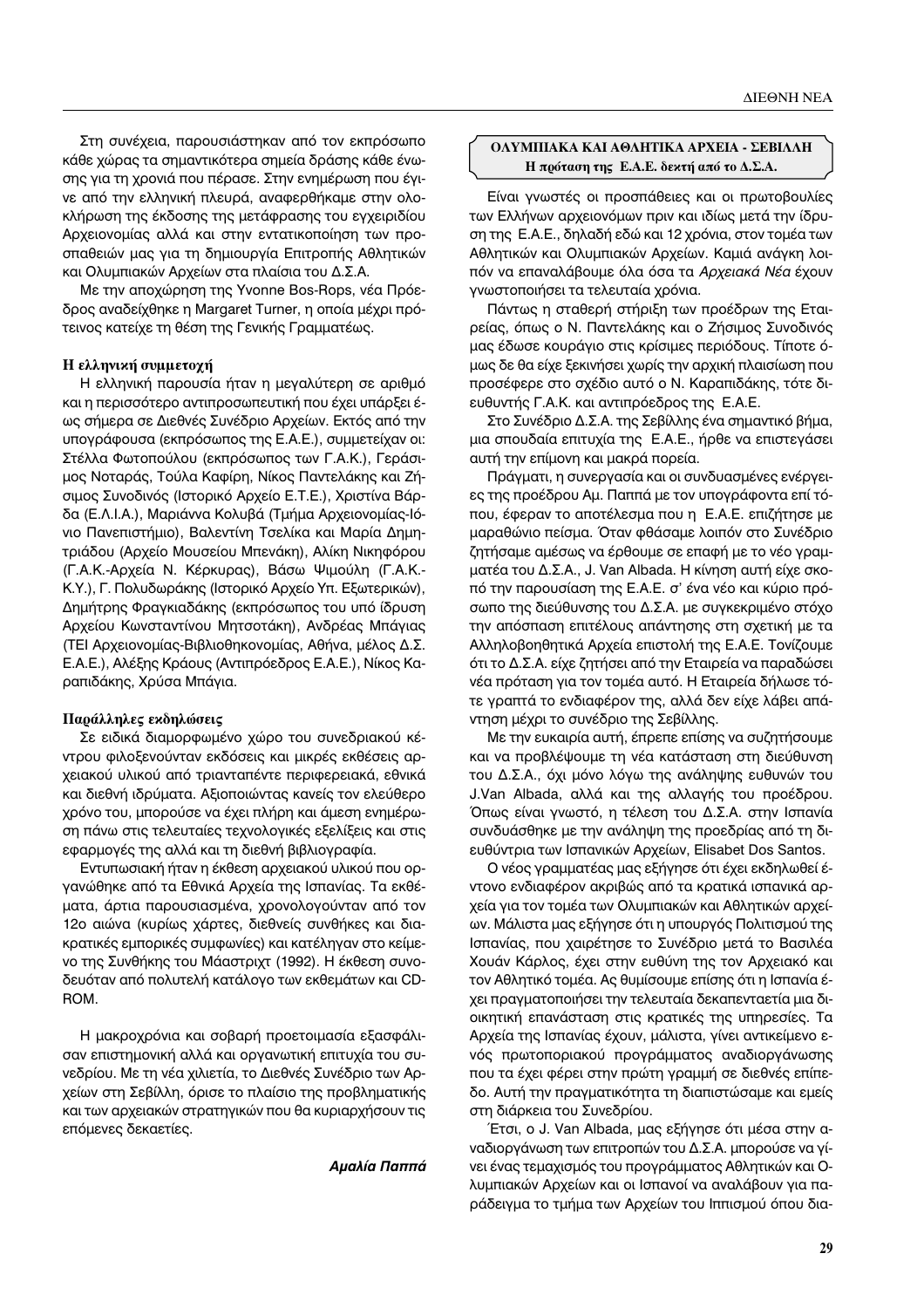Στη συνέχεια, παρουσιάστηκαν από τον εκπρόσωπο κάθε χώρας τα σημαντικότερα σημεία δράσης κάθε ένωσης για τη χρονιά που πέρασε. Στην ενημέρωση που έγινε από την ελληνική πλευρά, αναφερθήκαμε στην ολοκλήρωση της έκδοσης της μετάφρασης του εγχειριδίου Αρχειονομίας αλλά και στην εντατικοποίηση των προσπαθειών μας για τη δημιουργία Επιτροπής Αθλητικών και Ολυμπιακών Αρχείων στα πλαίσια του Δ.Σ.Α.

Με την αποχώρηση της Yvonne Bos-Rops, νέα Πρόεδρος αναδείχθηκε η Margaret Turner, η οποία μέχρι πρότεινος κατείχε τη θέση της Γενικής Γραμματέως.

## **Η ελληνική συμμετοχή**

Η ελληνική παρουσία ήταν η μεγαλύτερη σε αριθμό και η περισσότερο αντιπροσωπευτική που έχει υπάρξει έως σήμερα σε Διεθνές Συνέδριο Αρχείων. Εκτός από την υπογράφουσα (εκπρόσωπος της Ε.Α.Ε.), συμμετείχαν οι: Στέλλα Φωτοπούλου (εκπρόσωπος των Γ.Α.Κ.), Γεράσιμος Νοταράς, Τούλα Καφίρη, Νίκος Παντελάκης και Ζήσιμος Συνοδινός (Ιστορικό Αρχείο Ε.Τ.Ε.), Χριστίνα Βάρδα (Ε.Λ.Ι.Α.), Μαριάννα Κολυβά (Τμήμα Αρχειονομίας-Ιόνιο Πανεπιστήμιο), Βαλεντίνη Τσελίκα και Μαρία Δημητριάδου (Αρχείο Μουσείου Μπενάκη), Αλίκη Νικηφόρου (Γ.Α.Κ.-Αρχεία Ν. Κέρκυρας), Βάσω Ψιμούλη (Γ.Α.Κ.-K.Y.), Γ. Πολυδωράκης (Ιστορικό Αρχείο Υπ. Εξωτερικών), Δημήτρης Φραγκιαδάκης (εκπρόσωπος του υπό ίδρυση Αρχείου Κωνσταντίνου Μητσοτάκη), Ανδρέας Μπάγιας (ΤΕΙ Αρχειονομίας-Βιβλιοθηκονομίας, Αθήνα, μέλος Δ.Σ. Ε.Α.Ε.), Αλέξης Κράους (Αντιπρόεδρος Ε.Α.Ε.), Νίκος Καραπιδάκης, Χρύσα Μπάγια.

#### Παράλληλες εκδηλώσεις

Σε ειδικά διαμορφωμένο χώρο του συνεδριακού κέ-VΤρου φιλοξενούνταν εκδόσεις και μικρές εκθέσεις αρχειακού υλικού από τριανταπέντε περιφερειακά, εθνικά και διεθνή ιδρύματα. Αξιοποιώντας κανείς τον ελεύθερο χρόνο του, μπορούσε να έχει πλήρη και άμεση ενημέρωση πάνω στις τελευταίες τεχνολογικές εξελίξεις και στις εφαρμογές της αλλά και τη διεθνή βιβλιογραφία.

Εντυπωσιακή ήταν η έκθεση αρχειακού υλικού που οργανώθηκε από τα Εθνικά Αρχεία της Ισπανίας. Τα εκθέματα, άρτια παρουσιασμένα, χρονολογούνταν από τον 12ο αιώνα (κυρίως χάρτες, διεθνείς συνθήκες και διακρατικές εμπορικές συμφωνίες) και κατέληγαν στο κείμενο της Συνθήκης του Μάαστριχτ (1992). Η έκθεση συνοδευόταν από πολυτελή κατάλογο των εκθεμάτων και CD-ROM.

Η μακροχρόνια και σοβαρή προετοιμασία εξασφάλισαν επιστημονική αλλά και οργανωτική επιτυχία του συνεδρίου. Με τη νέα χιλιετία, το Διεθνές Συνέδριο των Αρχείων στη Σεβίλλη, όρισε το πλαίσιο της προβληματικής και των αρχειακών στρατηγικών που θα κυριαρχήσουν τις επόμενες δεκαετίες.

*<i><u>Αμαλία Παππά</u>* 

## ΟΛΥΜΠΙΑΚΑ ΚΑΙ ΑΘΛΗΤΙΚΑ ΑΡΧΕΙΑ - ΣΕΒΙΛΛΗ **Η πρόταση της Ε.Α.Ε. δεκτή από το Δ.Σ.Α.**

Είναι γνωστές οι προσπάθειες και οι πρωτοβουλίες των Ελλήνων αρχειονόμων πριν και ιδίως μετά την ίδρυση της Ε.Α.Ε., δηλαδή εδώ και 12 χρόνια, στον τομέα των Αθλητικών και Ολυμπιακών Αρχείων. Καμιά ανάγκη λοιπόν να επαναλάβουμε όλα όσα τα *Αρχειακά Νέα* έχουν γνωστοποιήσει τα τελευταία χρόνια.

Πάντως η σταθερή στήριξη των προέδρων της Εταιρείας, όπως ο Ν. Παντελάκης και ο Ζήσιμος Συνοδινός μας έδωσε κουράγιο στις κρίσιμες περιόδους. Τίποτε όμως δε θα είχε ξεκινήσει χωρίς την αρχική πλαισίωση που προσέφερε στο σχέδιο αυτό ο Ν. Καραπιδάκης, τότε διευθυντής Γ.Α.Κ. και αντιπρόεδρος της Ε.Α.Ε.

Στο Συνέδριο Δ.Σ.Α. της Σεβίλλης ένα σημαντικό βήμα, μια σπουδαία επιτυχία της Ε.Α.Ε., ήρθε να επιστεγάσει αυτή την επίμονη και μακρά πορεία.

Πράγματι, η συνεργασία και οι συνδυασμένες ενέργειες της προέδρου Αμ. Παππά με τον υπογράφοντα επί τόπου, έφεραν το αποτέλεσμα που η E.A.E. επιζήτησε με μαραθώνιο πείσμα. Όταν φθάσαμε λοιπόν στο Συνέδριο ζητήσαμε αμέσως να έρθουμε σε επαφή με το νέο γραμματέα του Δ.Σ.Α., J. Van Albada. Η κίνηση αυτή είχε σκοπό την παρουσίαση της Ε.Α.Ε. σ' ένα νέο και κύριο πρόσωπο της διεύθυνσης του Δ.Σ.Α. με συγκεκριμένο στόχο την απόσπαση επιτέλους απάντησης στη σχετική με τα Αλληλοβοηθητικά Αρχεία επιστολή της Ε.Α.Ε. Τονίζουμε ότι το Δ.Σ.Α. είχε ζητήσει από την Εταιρεία να παραδώσει νέα πρόταση για τον τομέα αυτό. Η Εταιρεία δήλωσε τότε γραπτά το ενδιαφέρον της, αλλά δεν είχε λάβει απάντηση μέχρι το συνέδριο της Σεβίλλης.

Με την ευκαιρία αυτή, έπρεπε επίσης να συζητήσουμε και να προβλέψουμε τη νέα κατάσταση στη διεύθυνση του Δ.Σ.Α., όχι μόνο λόγω της ανάληψης ευθυνών του J.Van Albada, αλλά και της αλλαγής του προέδρου. Όπως είναι γνωστό, η τέλεση του Δ.Σ.Α. στην Ισπανία συνδυάσθηκε με την ανάληψη της προεδρίας από τη διευθύντρια των Ισπανικών Αρχείων, Elisabet Dos Santos.

Ο νέος γραμματέας μας εξήγησε ότι έχει εκδηλωθεί έντονο ενδιαφέρον ακριβώς από τα κρατικά ισπανικά αρχεία για τον τομέα των Ολυμπιακών και Αθλητικών αρχείων. Μάλιστα μας εξήγησε ότι η υπουργός Πολιτισμού της Ισπανίας, που χαιρέτησε το Συνέδριο μετά το Βασιλέα Χουάν Κάρλος, έχει στην ευθύνη της τον Αρχειακό και τον Αθλητικό τομέα. Ας θυμίσουμε επίσης ότι η Ισπανία έχει πραγματοποιήσει την τελευταία δεκαπενταετία μια διοικητική επανάσταση στις κρατικές της υπηρεσίες. Τα Αρχεία της Ισπανίας έχουν, μάλιστα, γίνει αντικείμενο ενός πρωτοποριακού προγράμματος αναδιοργάνωσης που τα έχει φέρει στην πρώτη γραμμή σε διεθνές επίπεδο. Αυτή την πραγματικότητα τη διαπιστώσαμε και εμείς στη διάρκεια του Συνεδρίου.

Έτσι, ο J. Van Albada, μας εξήγησε ότι μέσα στην αναδιοργάνωση των επιτροπών του Δ.Σ.Α. μπορούσε να γίνει ένας τεμαχισμός του προγράμματος Αθλητικών και Ολυμπιακών Αρχείων και οι Ισπανοί να αναλάβουν για παράδειγμα το τμήμα των Αρχείων του Ιππισμού όπου δια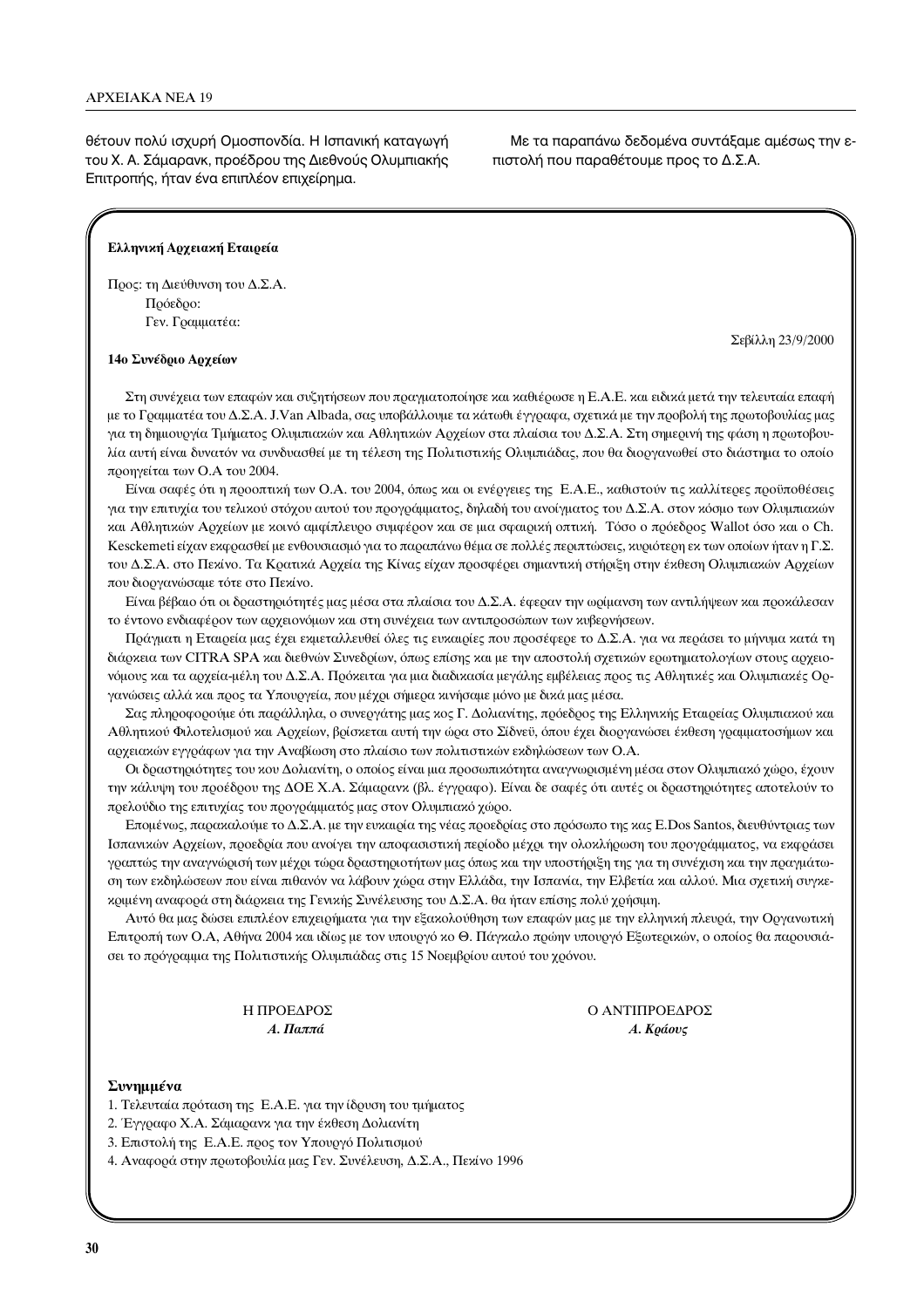θέτουν πολύ ισχυρή Ομοσπονδία. Η Ισπανική καταγωγή του Χ. Α. Σάμαρανκ, προέδρου της Διεθνούς Ολυμπιακής Επιτροπής, ήταν ένα επιπλέον επιχείρημα.

Με τα παραπάνω δεδομένα συντάξαμε αμέσως την επιστολή που παραθέτουμε προς το Δ.Σ.Α.

#### Ελληνική Αρχειακή Εταιρεία

Προς: τη Διεύθυνση του Δ.Σ.Α.  $\Pi$ οόεδοο: Γεν. Γραμματέα:

 $\Sigma$ εβίλλη 23/9/2000

#### 14ο Συνέδριο Αρχείων

Στη συνέχεια των επαφών και συζητήσεων που πραγματοποίησε και καθιέρωσε η Ε.Α.Ε. και ειδικά μετά την τελευταία επαφή με το Γραμματέα του Δ.Σ.Α. J.Van Albada, σας υποβάλλουμε τα κάτωθι έγγραφα, σχετικά με την προβολή της πρωτοβουλίας μας για τη δημιουργία Τμήματος Ολυμπιαχών και Αθλητιχών Αρχείων στα πλαίσια του Δ.Σ.Α. Στη σημερινή της φάση η πρωτοβουλία αυτή είναι δυνατόν να συνδυασθεί με τη τέλεση της Πολιτιστικής Ολυμπιάδας, που θα διοργανωθεί στο διάστημα το οποίο προηγείται των Ο.Α του 2004.

Είναι σαφές ότι η προοπτική των Ο.Α. του 2004, όπως και οι ενέργειες της Ε.Α.Ε., καθιστούν τις καλλίτερες προϋποθέσεις για την επιτυχία του τελικού στόχου αυτού του προγράμματος, δηλαδή του ανοίγματος του Δ.Σ.Α. στον κόσμο των Ολυμπιακών και Αθλητικών Αρχείων με κοινό αμφίπλευρο συμφέρον και σε μια σφαιρική οπτική. Τόσο ο πρόεδρος Wallot όσο και ο Ch. Kesckemeti είχαν εκφρασθεί με ενθουσιασμό για το παραπάνω θέμα σε πολλές περιπτώσεις, κυριότερη εκ των οποίων ήταν η Γ.Σ. του Δ.Σ.Α. στο Πεκίνο. Τα Κρατικά Αρχεία της Κίνας είχαν προσφέρει σημαντική στήριξη στην έκθεση Ολυμπιακών Αρχείων που διοργανώσαμε τότε στο Πεκίνο.

Είναι βέβαιο ότι οι δραστηριότητές μας μέσα στα πλαίσια του Δ.Σ.Α. έφεραν την ωρίμανση των αντιλήψεων και προκάλεσαν το έντονο ενδιαφέρον των αρχειονόμων και στη συνέχεια των αντιπροσώπων των κυβερνήσεων.

Πράγματι η Εταιρεία μας έχει εκμεταλλευθεί όλες τις ευκαιρίες που προσέφερε το Δ.Σ.Α. για να περάσει το μήνυμα κατά τη διάρκεια των CITRA SPA και διεθνών Συνεδρίων, όπως επίσης και με την αποστολή σχετικών ερωτηματολογίων στους αρχειονόμους και τα αρχεία-μέλη του Δ.Σ.Α. Πρόκειται για μια διαδικασία μεγάλης εμβέλειας προς τις Αθλητικές και Ολυμπιακές Οργανώσεις αλλά και προς τα Υπουργεία, που μέχρι σήμερα κινήσαμε μόνο με δικά μας μέσα.

Σας πληροφορούμε ότι παράλληλα, ο συνεργάτης μας κος Γ. Δολιανίτης, πρόεδρος της Ελληνικής Εταιρείας Ολυμπιακού και Αθλητικού Φιλοτελισμού και Αρχείων, βρίσκεται αυτή την ώρα στο Σίδνεϋ, όπου έχει διοργανώσει έκθεση γραμματοσήμων και αρχειακών εγγράφων για την Αναβίωση στο πλαίσιο των πολιτιστικών εκδηλώσεων των Ο.Α.

Οι δραστηριότητες του κου Δολιανίτη, ο οποίος είναι μια προσωπικότητα αναγνωρισμένη μέσα στον Ολυμπιακό χώρο, έχουν την κάλυψη του προέδρου της ΔΟΕ Χ.Α. Σάμαρανκ (βλ. έγγραφο). Είναι δε σαφές ότι αυτές οι δραστηριότητες αποτελούν το πρελούδιο της επιτυχίας του προγράμματός μας στον Ολυμπιακό χώρο.

Επομένως, παρακαλούμε το Δ.Σ.Α. με την ευκαιρία της νέας προεδρίας στο πρόσωπο της κας E.Dos Santos, διευθύντριας των Ισπανικών Αρχείων, προεδρία που ανοίγει την αποφασιστική περίοδο μέχρι την ολοκλήρωση του προγράμματος, να εκφράσει γραπτώς την αναγνώρισή των μέχρι τώρα δραστηριοτήτων μας όπως και την υποστήριξη της για τη συνέχιση και την πραγμάτωση των εκδηλώσεων που είναι πιθανόν να λάβουν χώρα στην Ελλάδα, την Ισπανία, την Ελβετία και αλλού. Μια σχετική συγκε $x$ οιμένη αναφορά στη διάρκεια της Γενικής Συνέλευσης του Δ.Σ.Α. θα ήταν επίσης πολύ χρήσιμη.

Aυτό θα μας δώσει επιπλέον επιχειρήματα για την εξακολούθηση των επαφών μας με την ελληνική πλευρά, την Οργανωτική Επιτροπή των Ο.Α, Αθήνα 2004 και ιδίως με τον υπουργό κο Θ. Πάγκαλο πρώην υπουργό Εξωτερικών, ο οποίος θα παρουσιάσει το πρόγραμμα της Πολιτιστικής Ολυμπιάδας στις 15 Νοεμβρίου αυτού του χρόνου.

> Η ΠΡΟΕΔΡΟΣ  $A$ . Παππά

Ο ΑΝΤΙΠΡΟΕΔΡΟΣ  $A.$  *K*ράους

#### Συνημμένα

- 1. Τελευταία πρόταση της Ε.Α.Ε. για την ίδρυση του τμήματος
- 2. Έγγραφο Χ.Α. Σάμαρανκ για την έκθεση Δολιανίτη
- 3. Επιστολή της Ε.Α.Ε. προς τον Υπουργό Πολιτισμού

4. Αναφορά στην πρωτοβουλία μας Γεν. Συνέλευση, Δ.Σ.Α., Πεκίνο 1996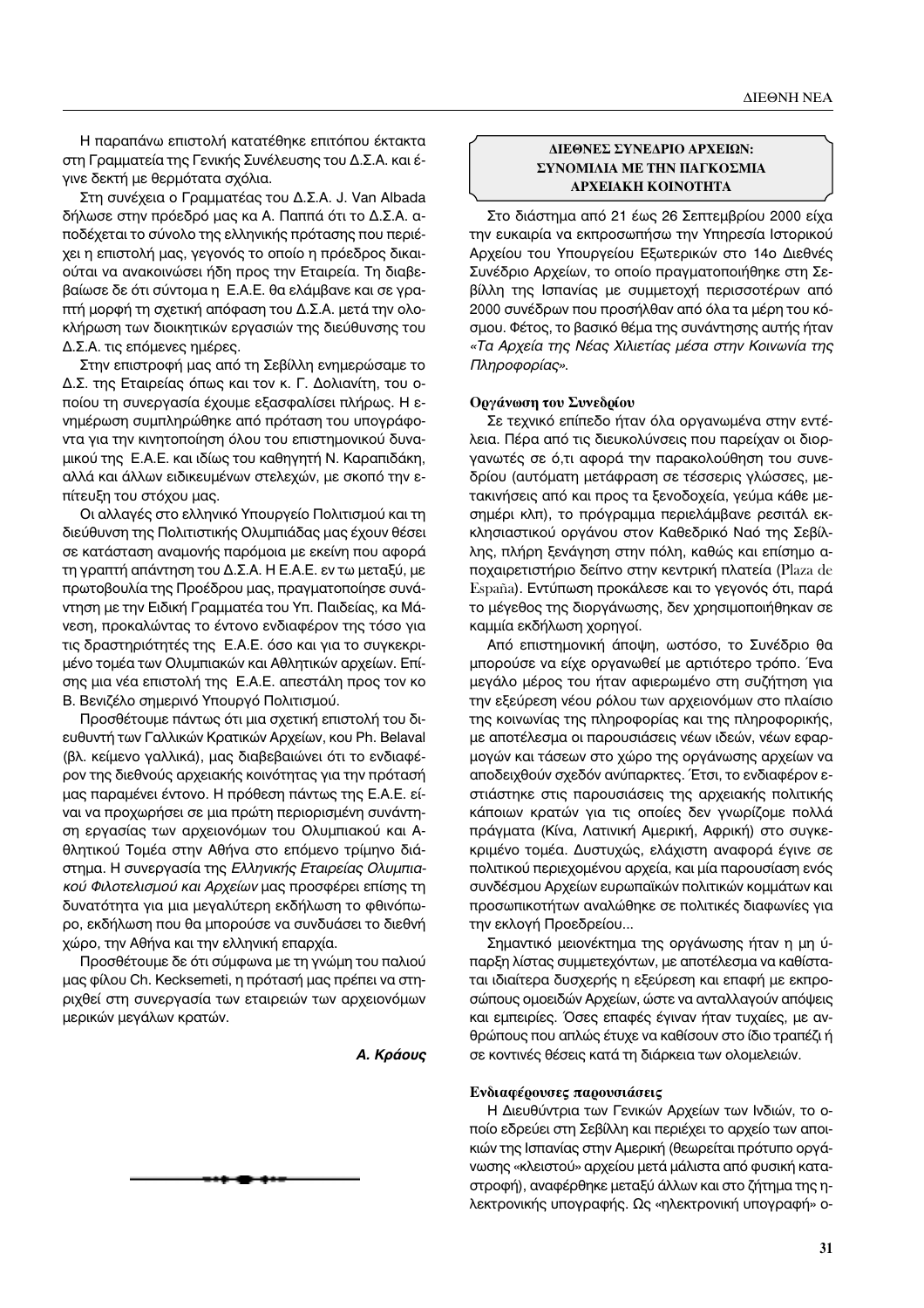Η παραπάνω επιστολή κατατέθηκε επιτόπου έκτακτα στη Γραμματεία της Γενικής Συνέλευσης του Δ.Σ.Α. και έγινε δεκτή με θερμότατα σχόλια.

Στη συνέχεια ο Γραμματέας του Δ.Σ.Α. J. Van Albada δήλωσε στην πρόεδρό μας κα Α. Παππά ότι το Δ.Σ.Α. αποδέχεται το σύνολο της ελληνικής πρότασης που περιέχει η επιστολή μας, γεγονός το οποίο η πρόεδρος δικαιούται να ανακοινώσει ήδη προς την Εταιρεία. Τη διαβεβαίωσε δε ότι σύντομα η E.A.E. θα ελάμβανε και σε γραπτή μορφή τη σχετική απόφαση του Δ.Σ.Α. μετά την ολοκλήρωση των διοικητικών εργασιών της διεύθυνσης του  $\Delta$ .Σ.Α. τις επόμενες ημέρες.

Στην επιστροφή μας από τη Σεβίλλη ενημερώσαμε το Δ.Σ. της Εταιρείας όπως και τον κ. Γ. Δολιανίτη, του οποίου τη συνεργασία έχουμε εξασφαλίσει πλήρως. Η εvημέρωση συμπληρώθηκε από πρόταση του υπογράφοντα για την κινητοποίηση όλου του επιστημονικού δυναμικού της Ε.Α.Ε. και ιδίως του καθηγητή Ν. Καραπιδάκη, αλλά και άλλων ειδικευμένων στελεχών, με σκοπό την επίτευξη του στόχου μας.

Οι αλλαγές στο ελληνικό Υπουργείο Πολιτισμού και τη διεύθυνση της Πολιτιστικής Ολυμπιάδας μας έχουν θέσει σε κατάσταση αναμονής παρόμοια με εκείνη που αφορά τη γραπτή απάντηση του Δ.Σ.Α. Η Ε.Α.Ε. εν τω μεταξύ, με πρωτοβουλία της Προέδρου μας, πραγματοποίησε συνάντηση με την Ειδική Γραμματέα του Υπ. Παιδείας, κα Μάνεση, προκαλώντας το έντονο ενδιαφέρον της τόσο για τις δραστηριότητές της Ε.Α.Ε. όσο και για το συγκεκριμένο τομέα των Ολυμπιακών και Αθλητικών αρχείων. Επίσης μια νέα επιστολή της Ε.Α.Ε. απεστάλη προς τον κο Β. Βενιζέλο σημερινό Υπουργό Πολιτισμού.

Προσθέτουμε πάντως ότι μια σχετική επιστολή του διευθυντή των Γαλλικών Κρατικών Αρχείων, κου Ph. Belaval (βλ. κείμενο γαλλικά), μας διαβεβαιώνει ότι το ενδιαφέρον της διεθνούς αρχειακής κοινότητας για την πρότασή μας παραμένει έντονο. Η πρόθεση πάντως της Ε.Α.Ε. είναι να προχωρήσει σε μια πρώτη περιορισμένη συνάντηση εργασίας των αρχειονόμων του Ολυμπιακού και Αθλητικού Τομέα στην Αθήνα στο επόμενο τρίμηνο διάστημα. Η συνεργασία της Ελληνικής Εταιρείας Ολυμπια*κού Φιλοτελισμού και Αρχείων μας προσφέρει επίσης τη* δυνατότητα για μια μεγαλύτερη εκδήλωση το φθινόπωρο, εκδήλωση που θα μπορούσε να συνδυάσει το διεθνή χώρο, την Αθήνα και την ελληνική επαρχία.

Προσθέτουμε δε ότι σύμφωνα με τη γνώμη του παλιού μας φίλου Ch. Kecksemeti, η πρότασή μας πρέπει να στηριχθεί στη συνεργασία των εταιρειών των αρχειονόμων μερικών μεγάλων κρατών.

*A. Κράους* 

## **ΔΙΕΘΝΕΣ ΣΥΝΕΛΡΙΟ ΑΡΧΕΙΩΝ: ΣΥΝΟΜΙΛΙΑ ΜΕ ΤΗΝ ΠΑΓΚΟΣΜΙΑ** *©* **APXEIAKH KOINOTHTA**

Στο διάστημα από 21 έως 26 Σεπτεμβρίου 2000 είχα την ευκαιρία να εκπροσωπήσω την Υπηρεσία Ιστορικού Αρχείου του Υπουργείου Εξωτερικών στο 14ο Διεθνές Συνέδριο Αρχείων, το οποίο πραγματοποιήθηκε στη Σεβίλλη της Ισπανίας με συμμετοχή περισσοτέρων από 2000 συνέδρων που προσήλθαν από όλα τα μέρη του κόσμου. Φέτος, το βασικό θέμα της συνάντησης αυτής ήταν «Τα Αρχεία της Νέας Χιλιετίας μέσα στην Κοινωνία της  $\Pi\lambda\eta\rho$ οφορίας».

#### Οργάνωση του Συνεδρίου

Σε τεχνικό επίπεδο ήταν όλα οργανωμένα στην εντέλεια. Πέρα από τις διευκολύνσεις που παρείχαν οι διοργανωτές σε ό,τι αφορά την παρακολούθηση του συνεδρίου (αυτόματη μετάφραση σε τέσσερις γλώσσες, μετακινήσεις από και προς τα ξενοδοχεία, γεύμα κάθε μεσημέρι κλπ), το πρόγραμμα περιελάμβανε ρεσιτάλ εκκλησιαστικού οργάνου στον Καθεδρικό Ναό της Σεβίλλης, πλήρη ξενάγηση στην πόλη, καθώς και επίσημο αποχαιρετιστήριο δείπνο στην κεντρική πλατεία (Plaza de España). Εντύπωση προκάλεσε και το γεγονός ότι, παρά το μέγεθος της διοργάνωσης, δεν χρησιμοποιήθηκαν σε καμμία εκδήλωση χορηγοί.

Aπό επιστημονική άποψη, ωστόσο, το Συνέδριο θα μπορούσε να είχε οργανωθεί με αρτιότερο τρόπο. Ένα μεγάλο μέρος του ήταν αφιερωμένο στη συζήτηση για την εξεύρεση νέου ρόλου των αρχειονόμων στο πλαίσιο της κοινωνίας της πληροφορίας και της πληροφορικής, με αποτέλεσμα οι παρουσιάσεις νέων ιδεών, νέων εφαρμογών και τάσεων στο χώρο της οργάνωσης αρχείων να αποδειχθούν σχεδόν ανύπαρκτες. Έτσι, το ενδιαφέρον εστιάστηκε στις παρουσιάσεις της αρχειακής πολιτικής κάποιων κρατών για τις οποίες δεν γνωρίζομε πολλά πράγματα (Κίνα, Λατινική Αμερική, Αφρική) στο συγκεκριμένο τομέα. Δυστυχώς, ελάχιστη αναφορά έγινε σε πολιτικού περιεχομένου αρχεία, και μία παρουσίαση ενός συνδέσμου Αρχείων ευρωπαϊκών πολιτικών κομμάτων και προσωπικοτήτων αναλώθηκε σε πολιτικές διαφωνίες για την εκλογή Προεδρείου...

Σημαντικό μειονέκτημα της οργάνωσης ήταν η μη ύπαρξη λίστας συμμετεχόντων, με αποτέλεσμα να καθίσταται ιδιαίτερα δυσχερής η εξεύρεση και επαφή με εκπροσώπους ομοειδών Αρχείων, ώστε να ανταλλαγούν απόψεις και εμπειρίες. Όσες επαφές έγιναν ήταν τυχαίες, με ανθρώπους που απλώς έτυχε να καθίσουν στο ίδιο τραπέζι ή σε κοντινές θέσεις κατά τη διάρκεια των ολομελειών.

#### **Ενδιαφέρουσες παρουσιάσεις**

Η Διευθύντρια των Γενικών Αρχείων των Ινδιών, το οποίο εδρεύει στη Σεβίλλη και περιέχει το αρχείο των αποικιών της Ισπανίας στην Αμερική (θεωρείται πρότυπο οργάνωσης «κλειστού» αρχείου μετά μάλιστα από φυσική καταστροφή), αναφέρθηκε μεταξύ άλλων και στο ζήτημα της ηλεκτρονικής υπογραφής. Ως «ηλεκτρονική υπογραφή» ο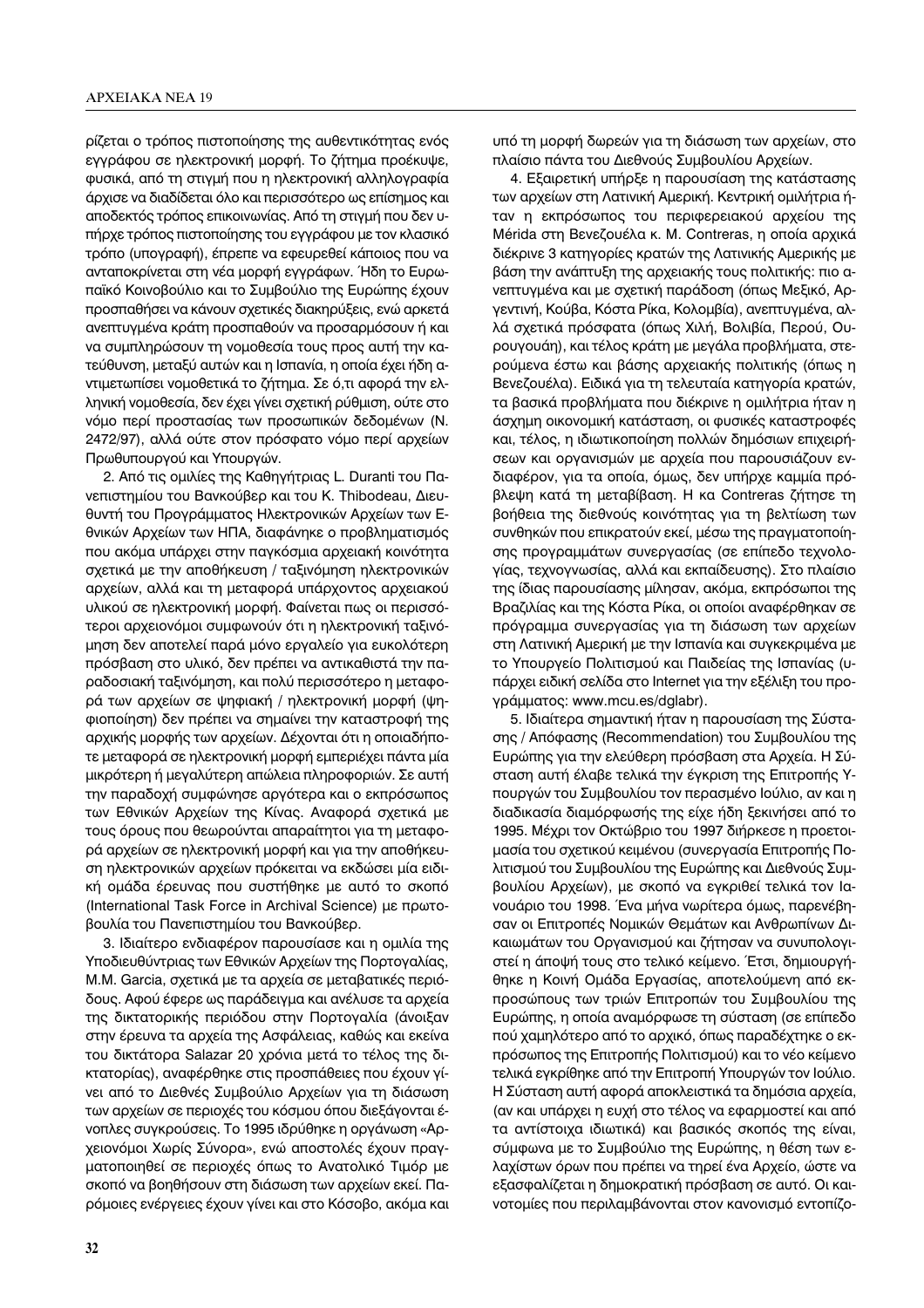ρίζεται ο τρόπος πιστοποίησης της αυθεντικότητας ενός εγγράφου σε ηλεκτρονική μορφή. Το ζήτημα προέκυψε, φυσικά, από τη στιγμή που η ηλεκτρονική αλληλογραφία άρχισε να διαδίδεται όλο και περισσότερο ως επίσημος και αποδεκτός τρόπος επικοινωνίας. Από τη στιγμή που δεν υττήρχε τρόπος πιστοποίησης του εγγράφου με τον κλασικό τρόπο (υπογραφή), έπρεπε να εφευρεθεί κάποιος που να ανταποκρίνεται στη νέα μορφή εγγράφων. Ήδη το Ευρωπαϊκό Κοινοβούλιο και το Συμβούλιο της Ευρώπης έχουν προσπαθήσει να κάνουν σχετικές διακηρύξεις, ενώ αρκετά ανεπτυγμένα κράτη προσπαθούν να προσαρμόσουν ή και να συμπληρώσουν τη νομοθεσία τους προς αυτή την κατεύθυνση, μεταξύ αυτών και η Ισπανία, η οποία έχει ήδη αντιμετωπίσει νομοθετικά το ζήτημα. Σε ό,τι αφορά την ελληνική νομοθεσία, δεν έχει γίνει σχετική ρύθμιση, ούτε στο νόμο περί προστασίας των προσωπικών δεδομένων (Ν. 2472/97), αλλά ούτε στον πρόσφατο νόμο περί αρχείων Πρωθυπουργού και Υπουργών.

2. Από τις ομιλίες της Καθηγήτριας L. Duranti του Πανεπιστημίου του Βανκούβερ και του Κ. Thibodeau, Διευθυντή του Προγράμματος Ηλεκτρονικών Αρχείων των Εθνικών Αρχείων των ΗΠΑ, διαφάνηκε ο προβληματισμός που ακόμα υπάρχει στην παγκόσμια αρχειακή κοινότητα σχετικά με την αποθήκευση / ταξινόμηση ηλεκτρονικών αρχείων, αλλά και τη μεταφορά υπάρχοντος αρχειακού υλικού σε ηλεκτρονική μορφή. Φαίνεται πως οι περισσότεροι αρχειονόμοι συμφωνούν ότι η ηλεκτρονική ταξινόμηση δεν αποτελεί παρά μόνο εργαλείο για ευκολότερη πρόσβαση στο υλικό, δεν πρέπει να αντικαθιστά την παραδοσιακή ταξινόμηση, και πολύ περισσότερο η μεταφορά των αρχείων σε ψηφιακή / ηλεκτρονική μορφή (ψηφιοποίηση) δεν πρέπει να σημαίνει την καταστροφή της αρχικής μορφής των αρχείων. Δέχονται ότι η οποιαδήποτε μεταφορά σε ηλεκτρονική μορφή εμπεριέχει πάντα μία μικρότερη ή μεγαλύτερη απώλεια πληροφοριών. Σε αυτή την παραδοχή συμφώνησε αργότερα και ο εκπρόσωπος των Εθνικών Αρχείων της Κίνας. Αναφορά σχετικά με τους όρους που θεωρούνται απαραίτητοι για τη μεταφορά αρχείων σε ηλεκτρονική μορφή και για την αποθήκευση ηλεκτρονικών αρχείων πρόκειται να εκδώσει μία ειδική ομάδα έρευνας που συστήθηκε με αυτό το σκοπό (International Task Force in Archival Science) με πρωτοβουλία του Πανεπιστημίου του Βανκούβερ.

3. Ιδιαίτερο ενδιαφέρον παρουσίασε και η ομιλία της Υποδιευθύντριας των Εθνικών Αρχείων της Πορτογαλίας, Μ.Μ. Garcia, σχετικά με τα αρχεία σε μεταβατικές περιόδους. Αφού έφερε ως παράδειγμα και ανέλυσε τα αρχεία της δικτατορικής περιόδου στην Πορτογαλία (άνοιξαν στην έρευνα τα αρχεία της Ασφάλειας, καθώς και εκείνα του δικτάτορα Salazar 20 χρόνια μετά το τέλος της δικτατορίας), αναφέρθηκε στις προσπάθειες που έχουν γίνει από το Διεθνές Συμβούλιο Αρχείων για τη διάσωση των αρχείων σε περιοχές του κόσμου όπου διεξάγονται ένοπλες συγκρούσεις. Το 1995 ιδρύθηκε η οργάνωση «Αρχειονόμοι Χωρίς Σύνορα», ενώ αποστολές έχουν πραγματοποιηθεί σε περιοχές όπως το Ανατολικό Τιμόρ με σκοπό να βοηθήσουν στη διάσωση των αρχείων εκεί. Παρόμοιες ενέργειες έχουν γίνει και στο Κόσοβο, ακόμα και

υπό τη μορφή δωρεών για τη διάσωση των αρχείων, στο πλαίσιο πάντα του Διεθνούς Συμβουλίου Αρχείων.

4. Εξαιρετική υπήρξε η παρουσίαση της κατάστασης των αρχείων στη Λατινική Αμερική. Κεντρική ομιλήτρια ήταν η εκπρόσωπος του περιφερειακού αρχείου της Mérida στη Βενεζουέλα κ. Μ. Contreras, η οποία αρχικά διέκρινε 3 κατηγορίες κρατών της Λατινικής Αμερικής με βάση την ανάπτυξη της αρχειακής τους πολιτικής: πιο ανεπτυγμένα και με σχετική παράδοση (όπως Μεξικό, Αργεντινή, Κούβα, Κόστα Ρίκα, Κολομβία), ανεπτυγμένα, αλλά σχετικά πρόσφατα (όπως Χιλή, Βολιβία, Περού, Ουρουγουάη), και τέλος κράτη με μεγάλα προβλήματα, στερούμενα έστω και βάσης αρχειακής πολιτικής (όπως η Βενεζουέλα). Ειδικά για τη τελευταία κατηγορία κρατών, τα βασικά προβλήματα που διέκρινε η ομιλήτρια ήταν η άσχημη οικονομική κατάσταση, οι φυσικές καταστροφές και, τέλος, η ιδιωτικοποίηση πολλών δημόσιων επιχειρήσεων και οργανισμών με αρχεία που παρουσιάζουν ενδιαφέρον, για τα οποία, όμως, δεν υπήρχε καμμία πρόβλεψη κατά τη μεταβίβαση. Η κα Contreras ζήτησε τη βοήθεια της διεθνούς κοινότητας για τη βελτίωση των συνθηκών που επικρατούν εκεί, μέσω της πραγματοποίησης προγραμμάτων συνεργασίας (σε επίπεδο τεχνολογίας, τεχνογνωσίας, αλλά και εκπαίδευσης). Στο πλαίσιο της ίδιας παρουσίασης μίλησαν, ακόμα, εκπρόσωποι της Βραζιλίας και της Κόστα Ρίκα, οι οποίοι αναφέρθηκαν σε πρόγραμμα συνεργασίας για τη διάσωση των αρχείων στη Λατινική Αμερική με την Ισπανία και συγκεκριμένα με το Υπουργείο Πολιτισμού και Παιδείας της Ισπανίας (υπάρχει ειδική σελίδα στο Internet για την εξέλιξη του προγράμματος: www.mcu.es/dglabr).

5. Ιδιαίτερα σημαντική ήταν η παρουσίαση της Σύστασης / Απόφασης (Recommendation) του Συμβουλίου της Ευρώπης για την ελεύθερη πρόσβαση στα Αρχεία. Η Σύσταση αυτή έλαβε τελικά την έγκριση της Επιτροπής Υπουργών του Συμβουλίου τον περασμένο Ιούλιο, αν και η διαδικασία διαμόρφωσής της είχε ήδη ξεκινήσει από το 1995. Μέχρι τον Οκτώβριο του 1997 διήρκεσε η προετοιμασία του σχετικού κειμένου (συνεργασία Επιτροπής Πολιτισμού του Συμβουλίου της Ευρώπης και Διεθνούς Συμβουλίου Αρχείων), με σκοπό να εγκριθεί τελικά τον Ιανουάριο του 1998. Ένα μήνα νωρίτερα όμως, παρενέβησαν οι Επιτροπές Νομικών Θεμάτων και Ανθρωπίνων Δικαιωμάτων του Οργανισμού και ζήτησαν να συνυπολογιστεί η άποψή τους στο τελικό κείμενο. Έτσι, δημιουργήθηκε η Κοινή Ομάδα Εργασίας, αποτελούμενη από εκπροσώπους των τριών Επιτροπών του Συμβουλίου της Ευρώπης, η οποία αναμόρφωσε τη σύσταση (σε επίπεδο πού χαμηλότερο από το αρχικό, όπως παραδέχτηκε ο εκπρόσωπος της Επιτροπής Πολιτισμού) και το νέο κείμενο τελικά εγκρίθηκε από την Επιτροπή Υπουργών τον Ιούλιο. Η Σύσταση αυτή αφορά αποκλειστικά τα δημόσια αρχεία, (αν και υπάρχει η ευχή στο τέλος να εφαρμοστεί και από τα αντίστοιχα ιδιωτικά) και βασικός σκοπός της είναι, σύμφωνα με το Συμβούλιο της Ευρώπης, η θέση των ελαχίστων όρων που πρέπει να τηρεί ένα Αρχείο, ώστε να εξασφαλίζεται η δημοκρατική πρόσβαση σε αυτό. Οι καινοτομίες που περιλαμβάνονται στον κανονισμό εντοπίζο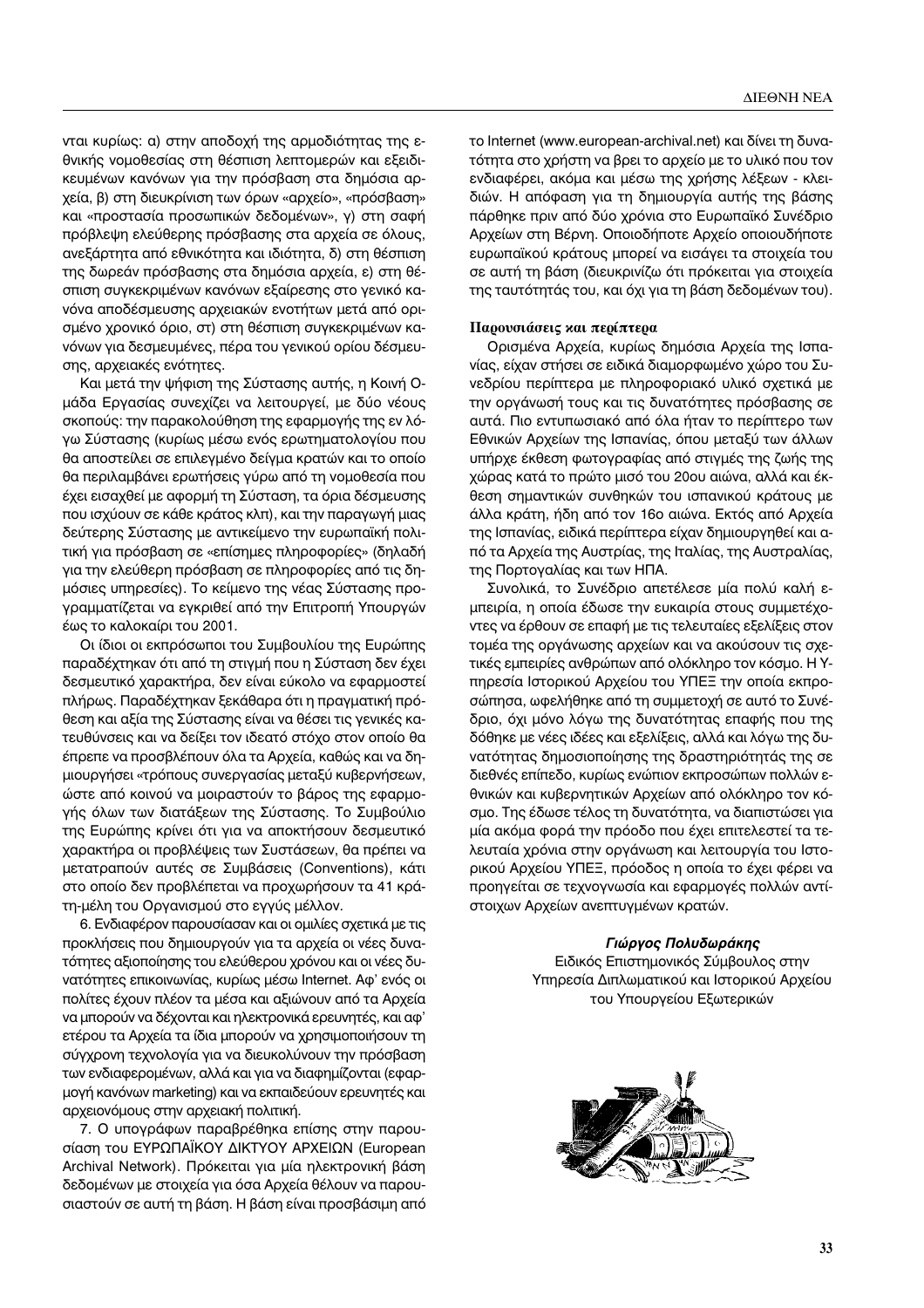νται κυρίως: α) στην αποδοχή της αρμοδιότητας της εθνικής νομοθεσίας στη θέσπιση λεπτομερών και εξειδικευμένων κανόνων για την πρόσβαση στα δημόσια αρχεία, β) στη διευκρίνιση των όρων «αρχείο», «πρόσβαση» και «προστασία προσωπικών δεδομένων», γ) στη σαφή πρόβλεψη ελεύθερης πρόσβασης στα αρχεία σε όλους, ανεξάρτητα από εθνικότητα και ιδιότητα, δ) στη θέσπιση της δωρεάν πρόσβασης στα δημόσια αρχεία, ε) στη θέσπιση συγκεκριμένων κανόνων εξαίρεσης στο γενικό κανόνα αποδέσμευσης αρχειακών ενοτήτων μετά από ορισμένο χρονικό όριο, στ) στη θέσπιση συγκεκριμένων κανόνων για δεσμευμένες, πέρα του γενικού ορίου δέσμευσης, αρχειακές ενότητες.

Και μετά την ψήφιση της Σύστασης αυτής, η Κοινή Ομάδα Εργασίας συνεχίζει να λειτουργεί, με δύο νέους σκοπούς: την παρακολούθηση της εφαρμογής της εν λόγω Σύστασης (κυρίως μέσω ενός ερωτηματολογίου που θα αποστείλει σε επιλεγμένο δείγμα κρατών και το οποίο θα περιλαμβάνει ερωτήσεις γύρω από τη νομοθεσία που έχει εισαχθεί με αφορμή τη Σύσταση, τα όρια δέσμευσης που ισχύουν σε κάθε κράτος κλπ), και την παραγωγή μιας δεύτερης Σύστασης με αντικείμενο την ευρωπαϊκή πολιτική για πρόσβαση σε «επίσημες πληροφορίες» (δηλαδή για την ελεύθερη πρόσβαση σε πληροφορίες από τις δημόσιες υπηρεσίες). Το κείμενο της νέας Σύστασης προγραμματίζεται να εγκριθεί από την Επιτροπή Υπουργών έως το καλοκαίρι του 2001.

Οι ίδιοι οι εκπρόσωποι του Συμβουλίου της Ευρώπης παραδέχτηκαν ότι από τη στιγμή που η Σύσταση δεν έχει δεσμευτικό χαρακτήρα, δεν είναι εύκολο να εφαρμοστεί πλήρως. Παραδέχτηκαν ξεκάθαρα ότι η πραγματική πρόθεση και αξία της Σύστασης είναι να θέσει τις γενικές κατευθύνσεις και να δείξει τον ιδεατό στόχο στον οποίο θα έπρεπε να προσβλέπουν όλα τα Αρχεία, καθώς και να δημιουργήσει «τρόπους συνεργασίας μεταξύ κυβερνήσεων, ώστε από κοινού να μοιραστούν το βάρος της εφαρμογής όλων των διατάξεων της Σύστασης. Το Συμβούλιο της Ευρώπης κρίνει ότι για να αποκτήσουν δεσμευτικό χαρακτήρα οι προβλέψεις των Συστάσεων, θα πρέπει να μετατραπούν αυτές σε Συμβάσεις (Conventions), κάτι στο οποίο δεν προβλέπεται να προχωρήσουν τα 41 κράτη-μέλη του Οργανισμού στο εγγύς μέλλον.

6. Ενδιαφέρον παρουσίασαν και οι ομιλίες σχετικά με τις προκλήσεις που δημιουργούν για τα αρχεία οι νέες δυνατότητες αξιοποίησης του ελεύθερου χρόνου και οι νέες δυνατότητες επικοινωνίας, κυρίως μέσω Internet. Αφ' ενός οι πολίτες έχουν πλέον τα μέσα και αξιώνουν από τα Αρχεία να μπορούν να δέχονται και ηλεκτρονικά ερευνητές, και αφ' ετέρου τα Αρχεία τα ίδια μπορούν να χρησιμοποιήσουν τη σύγχρονη τεχνολογία για να διευκολύνουν την πρόσβαση των ενδιαφερομένων, αλλά και για να διαφημίζονται (εφαρμογή κανόνων marketing) και να εκπαιδεύουν ερευνητές και αρχειονόμους στην αρχειακή πολιτική.

7. Ο υπογράφων παραβρέθηκα επίσης στην παρουσίαση του ΕΥΡΩΠΑΪΚΟΥ ΔΙΚΤΥΟΥ ΑΡΧΕΙΩΝ (European Archival Network). Πρόκειται για μία ηλεκτρονική βάση δεδομένων με στοιχεία για όσα Αρχεία θέλουν να παρουσιαστούν σε αυτή τη βάση. Η βάση είναι προσβάσιμη από το Internet (www.european-archival.net) και δίνει τη δυνατότητα στο χρήστη να βρει το αρχείο με το υλικό που τον ενδιαφέρει, ακόμα και μέσω της χρήσης λέξεων - κλειδιών. Η απόφαση για τη δημιουργία αυτής της βάσης πάρθηκε πριν από δύο χρόνια στο Ευρωπαϊκό Συνέδριο Αρχείων στη Βέρνη. Οποιοδήποτε Αρχείο οποιουδήποτε ευρωπαϊκού κράτους μπορεί να εισάγει τα στοιχεία του σε αυτή τη βάση (διευκρινίζω ότι πρόκειται για στοιχεία της ταυτότητάς του, και όχι για τη βάση δεδομένων του).

#### **Παρουσιάσεις και περίπτερα**

Ορισμένα Αρχεία, κυρίως δημόσια Αρχεία της Ισπανίας, είχαν στήσει σε ειδικά διαμορφωμένο χώρο του Συνεδρίου περίπτερα με πληροφοριακό υλικό σχετικά με την οργάνωσή τους και τις δυνατότητες πρόσβασης σε αυτά. Πιο εντυπωσιακό από όλα ήταν το περίπτερο των Εθνικών Αρχείων της Ισπανίας, όπου μεταξύ των άλλων υπήρχε έκθεση φωτογραφίας από στιγμές της ζωής της χώρας κατά το πρώτο μισό του 20ου αιώνα, αλλά και έκθεση σημαντικών συνθηκών του ισπανικού κράτους με άλλα κράτη, ήδη από τον 16ο αιώνα. Εκτός από Αρχεία της Ισπανίας, ειδικά περίπτερα είχαν δημιουργηθεί και από τα Αρχεία της Αυστρίας, της Ιταλίας, της Αυστραλίας, της Πορτογαλίας και των ΗΠΑ.

Συνολικά, το Συνέδριο απετέλεσε μία πολύ καλή εμπειρία, η οποία έδωσε την ευκαιρία στους συμμετέχο-Vτες να έρθουν σε επαφή με τις τελευταίες εξελίξεις στον τομέα της οργάνωσης αρχείων και να ακούσουν τις σχετικές εμπειρίες ανθρώπων από ολόκληρο τον κόσμο. Η Yπηρεσία Ιστορικού Αρχείου του ΥΠΕΞ την οποία εκπροσώπησα, ωφελήθηκε από τη συμμετοχή σε αυτό το Συνέδριο, όχι μόνο λόγω της δυνατότητας επαφής που της δόθηκε με νέες ιδέες και εξελίξεις, αλλά και λόγω της δυνατότητας δημοσιοποίησης της δραστηριότητάς της σε διεθνές επίπεδο, κυρίως ενώπιον εκπροσώπων πολλών εθνικών και κυβερνητικών Αρχείων από ολόκληρο τον κόσμο. Της έδωσε τέλος τη δυνατότητα, να διαπιστώσει για μία ακόμα φορά την πρόοδο που έχει επιτελεστεί τα τελευταία χρόνια στην οργάνωση και λειτουργία του Ιστορικού Αρχείου ΥΠΕΞ, πρόοδος η οποία το έχει φέρει να προηγείται σε τεχνογνωσία και εφαρμογές πολλών αντίστοιχων Αρχείων ανεπτυγμένων κρατών.

#### $\Gamma$ Ιώργος Πολυδωράκης

Ειδικός Επιστημονικός Σύμβουλος στην Υπηρεσία Διπλωματικού και Ιστορικού Αρχείου του Υπουργείου Εξωτερικών

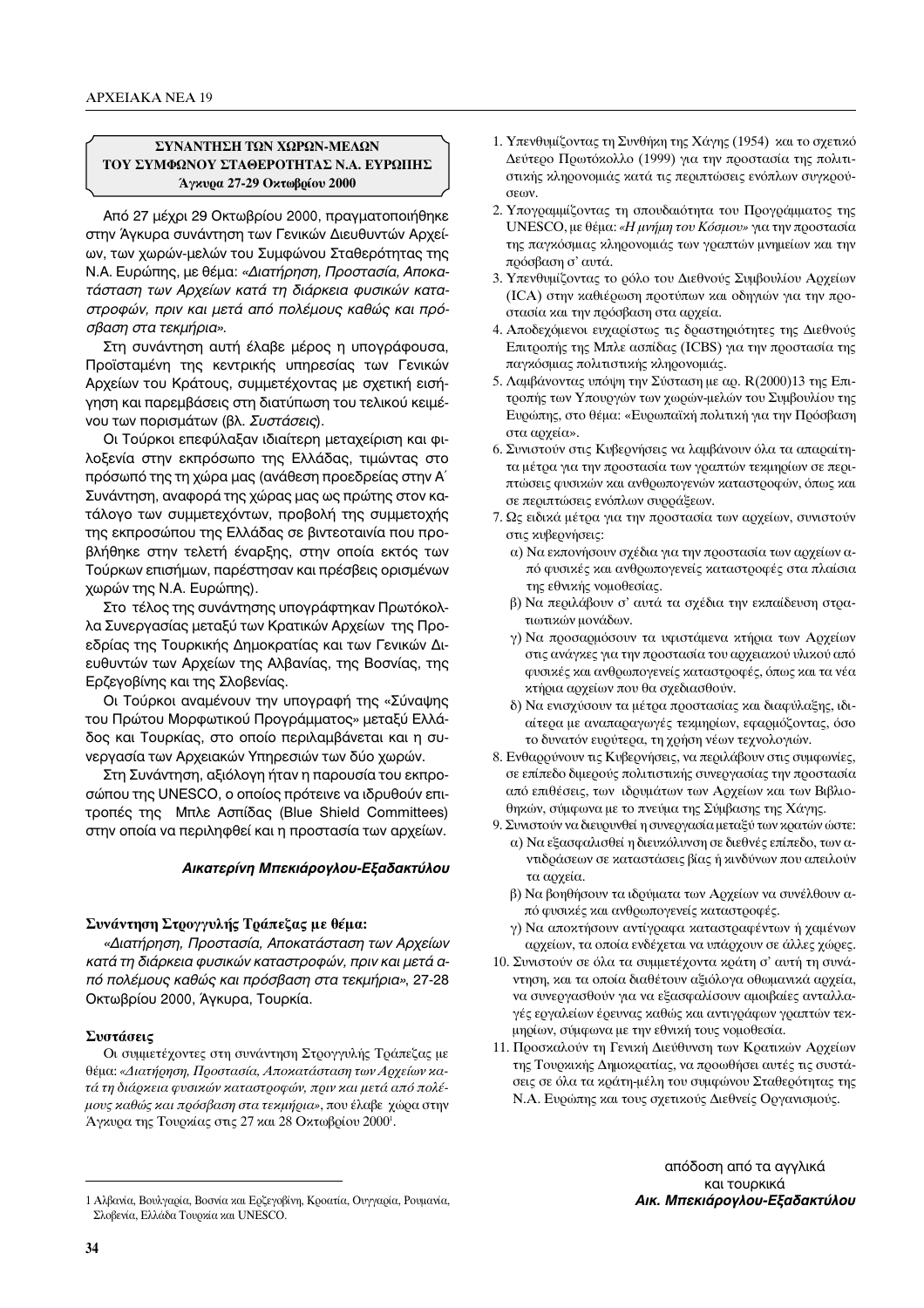## ΣΥΝΑΝΤΗΣΗ ΤΩΝ ΧΩΡΩΝ-ΜΕΛΩΝ ΤΟΥ ΣΥΜΦΩΝΟΥ ΣΤΑΘΕΡΟΤΗΤΑΣ Ν.Α. ΕΥΡΩΠΗΣ Άγκυρα 27-29 Οκτωβρίου 2000

Από 27 μέχρι 29 Οκτωβρίου 2000, πραγματοποιήθηκε στην Άγκυρα συνάντηση των Γενικών Διευθυντών Αρχείων, των χωρών-μελών του Συμφώνου Σταθερότητας της Ν.Α. Ευρώπης, με θέμα: «Διατήρηση, Προστασία, Αποκατάσταση των Αρχείων κατά τη διάρκεια φυσικών καταστροφών, πριν και μετά από πολέμους καθώς και πρόσβαση στα τεκμήρια».

Στη συνάντηση αυτή έλαβε μέρος η υπογράφουσα, Προϊσταμένη της κεντρικής υπηρεσίας των Γενικών Αρχείων του Κράτους, συμμετέχοντας με σχετική εισήγηση και παρεμβάσεις στη διατύπωση του τελικού κειμένου των πορισμάτων (βλ. Συστάσεις).

Οι Τούρκοι επεφύλαξαν ιδιαίτερη μεταχείριση και φιλοξενία στην εκπρόσωπο της Ελλάδας, τιμώντας στο πρόσωπό της τη χώρα μας (ανάθεση προεδρείας στην Α΄ Συνάντηση, αναφορά της χώρας μας ως πρώτης στον κατάλογο των συμμετεχόντων, προβολή της συμμετοχής της εκπροσώπου της Ελλάδας σε βιντεοταινία που προβλήθηκε στην τελετή έναρξης, στην οποία εκτός των Τούρκων επισήμων, παρέστησαν και πρέσβεις ορισμένων χωρών της Ν.Α. Ευρώπης).

Στο τέλος της συνάντησης υπογράφτηκαν Πρωτόκολλα Συνεργασίας μεταξύ των Κρατικών Αρχείων της Προεδρίας της Τουρκικής Δημοκρατίας και των Γενικών Διευθυντών των Αρχείων της Αλβανίας, της Βοσνίας, της Ερζεγοβίνης και της Σλοβενίας.

Οι Τούρκοι αναμένουν την υπογραφή της «Σύναψης του Πρώτου Μορφωτικού Προγράμματος» μεταξύ Ελλάδος και Τουρκίας, στο οποίο περιλαμβάνεται και η συνεργασία των Αρχειακών Υπηρεσιών των δύο χωρών.

Στη Συνάντηση, αξιόλογη ήταν η παρουσία του εκπροσώπου της UNESCO, ο οποίος πρότεινε να ιδρυθούν επιτροπές της Μπλε Ασπίδας (Blue Shield Committees) στην οποία να περιληφθεί και η προστασία των αρχείων.

### Αικατερίνη Μπεκιάρογλου-Εξαδακτύλου

## Συνάντηση Στρογγυλής Τράπεζας με θέμα:

«Διατήρηση, Προστασία, Αποκατάσταση των Αρχείων κατά τη διάρκεια φυσικών καταστροφών, πριν και μετά από πολέμους καθώς και πρόσβαση στα τεκμήρια», 27-28 Οκτωβρίου 2000, Άγκυρα, Τουρκία.

### Συστάσεις

Οι συμμετέχοντες στη συνάντηση Στρογγυλής Τράπεζας με θέμα: «Διατήρηση, Προστασία, Αποκατάσταση των Αρχείων κατά τη διάρκεια φυσικών καταστροφών, πριν και μετά από πολέμους καθώς και πρόσβαση στα τεκμήρια», που έλαβε χώρα στην Άγκυρα της Τουρκίας στις 27 και 28 Οκτωβρίου 2000<sup>1</sup>.

- 2. Υπογραμμίζοντας τη σπουδαιότητα του Προγράμματος της UNESCO, με θέμα: «Η μνήμη του Κόσμου» για την προστασία της παγκόσμιας κληρονομιάς των γραπτών μνημείων και την πρόσβαση σ' αυτά.
- 3. Υπενθυμίζοντας το ρόλο του Διεθνούς Συμβουλίου Αρχείων (ICA) στην καθιέρωση προτύπων και οδηγιών για την προστασία και την πρόσβαση στα αρχεία.
- 4. Αποδεχόμενοι ευχαρίστως τις δραστηριότητες της Διεθνούς Επιτροπής της Μπλε ασπίδας (ICBS) για την προστασία της παγκόσμιας πολιτιστικής κληρονομιάς.
- 5. Λαμβάνοντας υπόψη την Σύσταση με αρ. R(2000)13 της Επιτροπής των Υπουργών των χωρών-μελών του Συμβουλίου της Ευρώπης, στο θέμα: «Ευρωπαϊκή πολιτική για την Πρόσβαση στα αρχεία».
- 6. Συνιστούν στις Κυβερνήσεις να λαμβάνουν όλα τα απαραίτητα μέτρα για την προστασία των γραπτών τεκμηρίων σε περιπτώσεις φυσικών και ανθρωπογενών καταστροφών, όπως και σε περιπτώσεις ενόπλων συρράξεων.
- 7. Ως ειδικά μέτρα για την προστασία των αρχείων, συνιστούν στις κυβερνήσεις:
	- α) Να εκπονήσουν σχέδια για την προστασία των αρχείων από φυσικές και ανθρωπογενείς καταστροφές στα πλαίσια της εθνικής νομοθεσίας.
	- β) Να περιλάβουν σ' αυτά τα σχέδια την εκπαίδευση στρατιωτικών μονάδων.
	- γ) Να προσαρμόσουν τα υφιστάμενα κτήρια των Αρχείων στις ανάγκες για την προστασία του αρχειακού υλικού από φυσικές και ανθρωπογενείς καταστροφές, όπως και τα νέα κτήρια αρχείων που θα σχεδιασθούν.
	- δ) Να ενισχύσουν τα μέτρα προστασίας και διαφύλαξης, ιδιαίτερα με αναπαραγωγές τεκμηρίων, εφαρμόζοντας, όσο το δυνατόν ευρύτερα, τη χρήση νέων τεχνολογιών.
- 8. Ενθαρρύνουν τις Κυβερνήσεις, να περιλάβουν στις συμφωνίες, σε επίπεδο διμερούς πολιτιστικής συνεργασίας την προστασία από επιθέσεις, των ιδρυμάτων των Αρχείων και των Βιβλιοθηκών, σύμφωνα με το πνεύμα της Σύμβασης της Χάγης.
- 9. Συνιστούν να διευρυνθεί η συνεργασία μεταξύ των κρατών ώστε: α) Να εξασφαλισθεί η διευκόλυνση σε διεθνές επίπεδο, των αντιδράσεων σε καταστάσεις βίας ή κινδύνων που απειλούν τα αρχεία.
	- β) Να βοηθήσουν τα ιδρύματα των Αρχείων να συνέλθουν από φυσικές και ανθρωπογενείς καταστροφές.
	- γ) Να αποκτήσουν αντίγραφα καταστραφέντων ή χαμένων αρχείων, τα οποία ενδέχεται να υπάρχουν σε άλλες χώρες.
- 10. Συνιστούν σε όλα τα συμμετέχοντα κράτη σ' αυτή τη συνάντηση, και τα οποία διαθέτουν αξιόλογα οθωμανικά αρχεία, να συνεργασθούν για να εξασφαλίσουν αμοιβαίες ανταλλαγές εργαλείων έρευνας καθώς και αντιγράφων γραπτών τεκμηρίων, σύμφωνα με την εθνική τους νομοθεσία.
- 11. Προσκαλούν τη Γενική Διεύθυνση των Κρατικών Αρχείων της Τουρκικής Δημοκρατίας, να προωθήσει αυτές τις συστάσεις σε όλα τα κράτη-μέλη του συμφώνου Σταθερότητας της Ν.Α. Ευρώπης και τους σχετικούς Διεθνείς Οργανισμούς.

απόδοση από τα αγγλικά και τουρκικά Αικ. Μπεκιάρογλου-Εξαδακτύλου

<sup>1.</sup> Υπενθυμίζοντας τη Συνθήκη της Χάγης (1954) και το σχετικό Δεύτερο Πρωτόκολλο (1999) για την προστασία της πολιτιστικής κληρονομιάς κατά τις περιπτώσεις ενόπλων συγκρούσεων.

<sup>1</sup> Αλβανία, Βουλγαρία, Βοσνία και Ερζεγοβίνη, Κροατία, Ουγγαρία, Ρουμανία, Σλοβενία, Ελλάδα Τουρκία και UNESCO.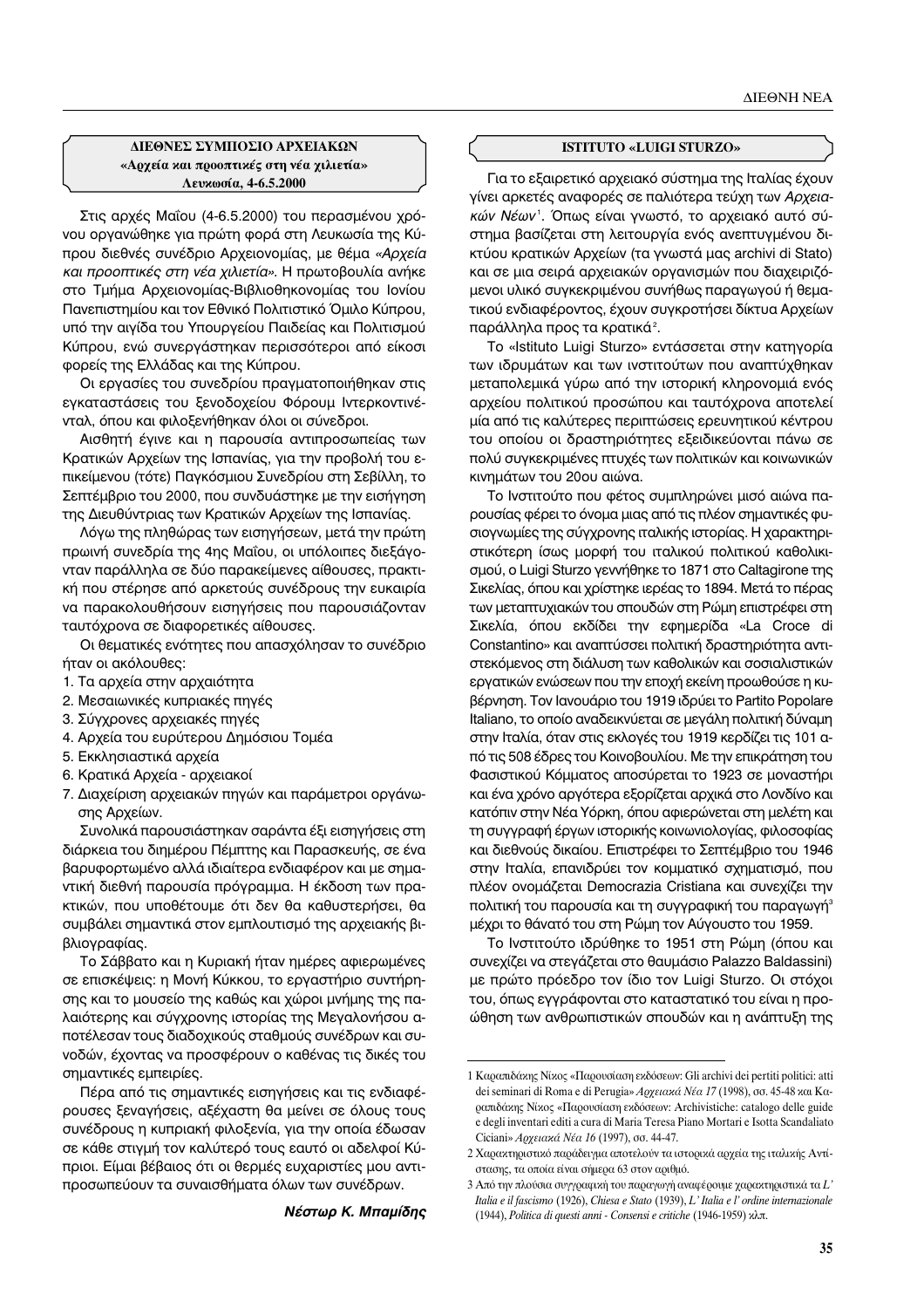## **ΔΙΕΘΝΕΣ ΣΥΜΠΟΣΙΟ ΑΡΧΕΙΑΚΩΝ** «Αρχεία και προοπτικές στη νέα χιλιετία»  $\Lambda$ ευκωσία, 4-6.5.2000

Στις αρχές Μαΐου (4-6.5.2000) του περασμένου χρόνου οργανώθηκε για πρώτη φορά στη Λευκωσία της Κύπρου διεθνές συνέδριο Αρχειονομίας, με θέμα «Αρχεία *και προοπτικές στη νέα χιλιετία»*. Η πρωτοβουλία ανήκε στο Τμήμα Αρχειονομίας-Βιβλιοθηκονομίας του Ιονίου Πανεπιστημίου και τον Εθνικό Πολιτιστικό Όμιλο Κύπρου, υπό την αιγίδα του Υπουργείου Παιδείας και Πολιτισμού Κύπρου, ενώ συνεργάστηκαν περισσότεροι από είκοσι φορείς της Ελλάδας και της Κύπρου.

Οι εργασίες του συνεδρίου πραγματοποιήθηκαν στις εγκαταστάσεις του ξενοδοχείου Φόρουμ Ιντερκοντινένταλ, όπου και φιλοξενήθηκαν όλοι οι σύνεδροι.

Aισθητή έγινε και η παρουσία αντιπροσωπείας των Κρατικών Αρχείων της Ισπανίας, για την προβολή του επικείμενου (τότε) Παγκόσμιου Συνεδρίου στη Σεβίλλη, το Σεπτέμβριο του 2000, που συνδυάστηκε με την εισήγηση της Διευθύντριας των Κρατικών Αρχείων της Ισπανίας.

Λόγω της πληθώρας των εισηγήσεων, μετά την πρώτη πρωινή συνεδρία της 4ης Μαΐου, οι υπόλοιπες διεξάγονταν παράλληλα σε δύο παρακείμενες αίθουσες, πρακτική που στέρησε από αρκετούς συνέδρους την ευκαιρία να παρακολουθήσουν εισηγήσεις που παρουσιάζονταν ταυτόχρονα σε διαφορετικές αίθουσες.

Οι θεματικές ενότητες που απασχόλησαν το συνέδριο ήταν οι ακόλουθες:

- 1. Τα αρχεία στην αρχαιότητα
- 2. Μεσαιωνικές κυπριακές πηγές
- 3. Σύγχρονες αρχειακές πηγές
- 4. Αρχεία του ευρύτερου Δημόσιου Τομέα
- 5. Εκκλησιαστικά αρχεία
- 6. Κρατικά Αρχεία αρχειακοί
- 7. Διαχείριση αρχειακών πηγών και παράμετροι οργάνωσης Αρχείων.

Συνολικά παρουσιάστηκαν σαράντα έξι εισηγήσεις στη διάρκεια του διημέρου Πέμπτης και Παρασκευής, σε ένα βαρυφορτωμένο αλλά ιδιαίτερα ενδιαφέρον και με σημαντική διεθνή παρουσία πρόγραμμα. Η έκδοση των πρακτικών, που υποθέτουμε ότι δεν θα καθυστερήσει, θα συμβάλει σημαντικά στον εμπλουτισμό της αρχειακής βιβλιογραφίας.

Το Σάββατο και η Κυριακή ήταν ημέρες αφιερωμένες σε επισκέψεις: η Μονή Κύκκου, το εργαστήριο συντήρησης και το μουσείο της καθώς και χώροι μνήμης της παλαιότερης και σύγχρονης ιστορίας της Μεγαλονήσου αποτέλεσαν τους διαδοχικούς σταθμούς συνέδρων και συνοδών, έχοντας να προσφέρουν ο καθένας τις δικές του σημαντικές εμπειρίες.

Πέρα από τις σημαντικές εισηγήσεις και τις ενδιαφέρουσες ξεναγήσεις, αξέχαστη θα μείνει σε όλους τους συνέδρους η κυπριακή φιλοξενία, για την οποία έδωσαν σε κάθε στιγμή τον καλύτερό τους εαυτό οι αδελφοί Κύπριοι. Είμαι βέβαιος ότι οι θερμές ευχαριστίες μου αντιπροσωπεύουν τα συναισθήματα όλων των συνέδρων.

#### **ISTITUTO «LUIGI STURZO»**

Για το εξαιρετικό αρχειακό σύστημα της Ιταλίας έχουν γίνει αρκετές αναφορές σε παλιότερα τεύχη των Αρχεια*κών Νέων* '. Όπως είναι γνωστό, το αρχειακό αυτό σύ-<br>στημα βασίζεται στη λειτουργία ενόρ σνεπτυγμένου δι στημα βασίζεται στη λειτουργία ενός ανεπτυγμένου δικτύου κρατικών Αρχείων (τα γνωστά μας archivi di Stato) και σε μια σειρά αρχειακών οργανισμών που διαχειριζόμενοι υλικό συγκεκριμένου συνήθως παραγωγού ή θεματικού ενδιαφέροντος, έχουν συγκροτήσει δίκτυα Αρχείων παράλληλα προς τα κρατικά<sup>2</sup>.

Το «Istituto Luigi Sturzo» εντάσσεται στην κατηγορία των ιδρυμάτων και των ινστιτούτων που αναπτύχθηκαν μεταπολεμικά γύρω από την ιστορική κληρονομιά ενός αρχείου πολιτικού προσώπου και ταυτόχρονα αποτελεί μία από τις καλύτερες περιπτώσεις ερευνητικού κέντρου του οποίου οι δραστηριότητες εξειδικεύονται πάνω σε πολύ συγκεκριμένες πτυχές των πολιτικών και κοινωνικών κινημάτων του 20ου αιώνα.

Το Ινστιτούτο που φέτος συμπληρώνει μισό αιώνα παρουσίας φέρει το όνομα μιας από τις πλέον σημαντικές φυσιογνωμίες της σύγχρονης ιταλικής ιστορίας. Η χαρακτηριστικότερη ίσως μορφή του ιταλικού πολιτικού καθολικισμού, ο Luigi Sturzo γεννήθηκε το 1871 στο Caltagirone της Σικελίας, όπου και χρίστηκε ιερέας το 1894. Μετά το πέρας των μεταπτυχιακών του σπουδών στη Ρώμη επιστρέφει στη Σικελία, όπου εκδίδει την εφημερίδα «La Croce di Constantino» και αναπτύσσει πολιτική δραστηριότητα αντιστεκόμενος στη διάλυση των καθολικών και σοσιαλιστικών εργατικών ενώσεων που την εποχή εκείνη προωθούσε η κυβέρνηση. Τον Ιανουάριο του 1919 ιδρύει το Partito Popolare Italiano, το οποίο αναδεικνύεται σε μεγάλη πολιτική δύναμη στην Ιταλία, όταν στις εκλογές του 1919 κερδίζει τις 101 από τις 508 έδρες του Κοινοβουλίου. Με την επικράτηση του Φασιστικού Κόμματος αποσύρεται το 1923 σε μοναστήρι και ένα χρόνο αργότερα εξορίζεται αρχικά στο Λονδίνο και κατόπιν στην Νέα Υόρκη, όπου αφιερώνεται στη μελέτη και τη συγγραφή έργων ιστορικής κοινωνιολογίας, φιλοσοφίας και διεθνούς δικαίου. Επιστρέφει το Σεπτέμβριο του 1946 στην Ιταλία, επανιδρύει τον κομματικό σχηματισμό, που πλέον ονομάζεται Democrazia Cristiana και συνεχίζει την πολιτική του παρουσία και τη συγγραφική του παραγωγή<sup>3</sup> μέχρι το θάνατό του στη Ρώμη τον Αύγουστο του 1959.

Το Ινστιτούτο ιδρύθηκε το 1951 στη Ρώμη (όπου και συνεχίζει να στεγάζεται στο θαυμάσιο Palazzo Baldassini) με πρώτο πρόεδρο τον ίδιο τον Luigi Sturzo. Οι στόχοι του, όπως εγγράφονται στο καταστατικό του είναι η προώθηση των ανθρωπιστικών σπουδών και η ανάπτυξη της

*Νέστωρ Κ. Μπαμίδης* 

<sup>1</sup> Καραπιδάκης Νίκος «Παρουσίαση εκδόσεων: Gli archivi dei pertiti politici: atti dei seminari di Roma e di Perugia»  $A$ Qχειακά Νέα 17 (1998), σσ. 45-48 και Καραπιδάχης Νίχος «Παρουσίαση εκδόσεων: Archivistiche: catalogo delle guide e degli inventari editi a cura di Maria Teresa Piano Mortari e Isotta Scandaliato Ciciani» Αρχειακά Νέα 16 (1997), σσ. 44-47.

<sup>2</sup> Χαρακτηριστικό παράδειγμα αποτελούν τα ιστορικά αρχεία της ιταλικής Αντίστασης, τα οποία είναι σήμερα 63 στον αριθμό.

<sup>3</sup> Από την πλούσια συγγραφική του παραγωγή αναφέρουμε χαρακτηριστικά τα L' *Italia e il fascismo* (1926), *Chiesa e Stato* (1939), *L' Italia e l' ordine internazionale* (1944), *Politica di questi anni - Consensi e critiche* (1946-1959) κλπ.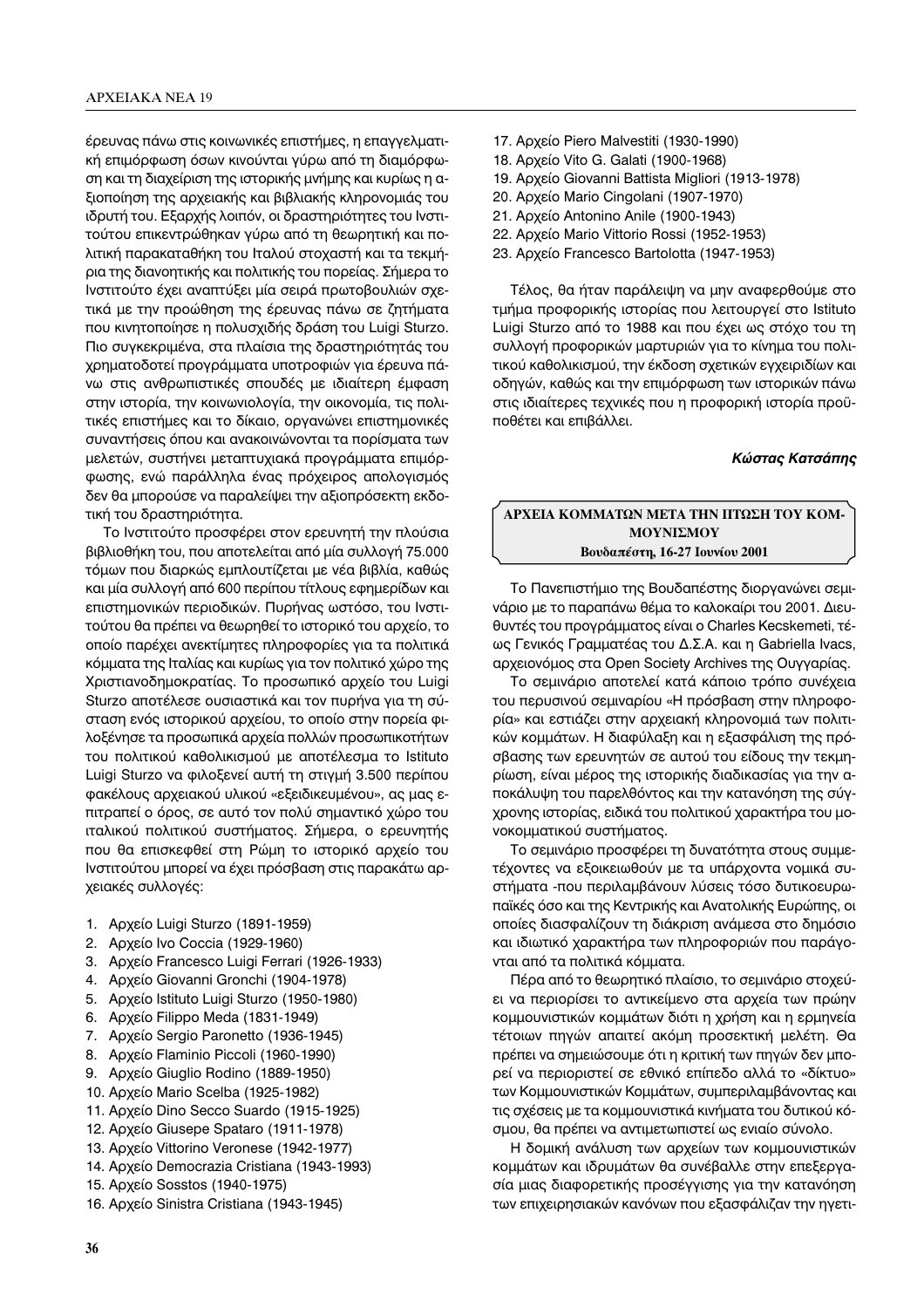έρευνας πάνω στις κοινωνικές επιστήμες, η επαγγελματική επιμόρφωση όσων κινούνται γύρω από τη διαμόρφωση και τη διαχείριση της ιστορικής μνήμης και κυρίως η αξιοποίηση της αρχειακής και βιβλιακής κληρονομιάς του ιδρυτή του. Εξαρχής λοιπόν, οι δραστηριότητες του Ινστιτούτου επικεντρώθηκαν γύρω από τη θεωρητική και πολιτική παρακαταθήκη του Ιταλού στοχαστή και τα τεκμήρια της διανοητικής και πολιτικής του πορείας. Σήμερα το Ινστιτούτο έχει αναπτύξει μία σειρά πρωτοβουλιών σχετικά με την προώθηση της έρευνας πάνω σε ζητήματα που κινητοποίησε η πολυσχιδής δράση του Luigi Sturzo. Πιο συγκεκριμένα, στα πλαίσια της δραστηριότητάς του χρηματοδοτεί προγράμματα υποτροφιών για έρευνα πάνω στις ανθρωπιστικές σπουδές με ιδιαίτερη έμφαση στην ιστορία, την κοινωνιολογία, την οικονομία, τις πολιτικές επιστήμες και το δίκαιο, οργανώνει επιστημονικές συναντήσεις όπου και ανακοινώνονται τα πορίσματα των μελετών, συστήνει μεταπτυχιακά προγράμματα επιμόρφωσης, ενώ παράλληλα ένας πρόχειρος απολογισμός δεν θα μπορούσε να παραλείψει την αξιοπρόσεκτη εκδοτική του δραστηριότητα.

Το Ινστιτούτο προσφέρει στον ερευνητή την πλούσια βιβλιοθήκη του, που αποτελείται από μία συλλογή 75.000 τόμων που διαρκώς εμπλουτίζεται με νέα βιβλία, καθώς και μία συλλογή από 600 περίπου τίτλους εφημερίδων και επιστημονικών περιοδικών. Πυρήνας ωστόσο, του Ινστιτούτου θα πρέπει να θεωρηθεί το ιστορικό του αρχείο, το οποίο παρέχει ανεκτίμητες πληροφορίες για τα πολιτικά κόμματα της Ιταλίας και κυρίως για τον πολιτικό χώρο της Χριστιανοδημοκρατίας. Το προσωπικό αρχείο του Luigi Sturzo αποτέλεσε ουσιαστικά και τον πυρήνα για τη σύσταση ενός ιστορικού αρχείου, το οποίο στην πορεία φιλοξένησε τα προσωπικά αρχεία πολλών προσωπικοτήτων του πολιτικού καθολικισμού με αποτέλεσμα το Istituto Luigi Sturzo να φιλοξενεί αυτή τη στιγμή 3.500 περίπου φακέλους αρχειακού υλικού «εξειδικευμένου», ας μας επιτραπεί ο όρος, σε αυτό τον πολύ σημαντικό χώρο του ιταλικού πολιτικού συστήματος. Σήμερα, ο ερευνητής που θα επισκεφθεί στη Ρώμη το ιστορικό αρχείο του Ινστιτούτου μπορεί να έχει πρόσβαση στις παρακάτω αρχειακές συλλογές:

- 1. Αρχείο Luigi Sturzo (1891-1959)
- 2. Αρχείο Ινο Coccia (1929-1960)
- 3. Apxeío Francesco Luigi Ferrari (1926-1933)
- 4. Apxeío Giovanni Gronchi (1904-1978)
- 5. Apxeío Istituto Luigi Sturzo (1950-1980)
- 6. Αρχείο Filippo Meda (1831-1949)
- 7. Apxeío Sergio Paronetto (1936-1945)
- 8. Apxeío Flaminio Piccoli (1960-1990)
- Αρχείο Giuglio Rodino (1889-1950) 9.
- 10. Αρχείο Mario Scelba (1925-1982)
- 11. Αρχείο Dino Secco Suardo (1915-1925)
- 12. Αρχείο Giusepe Spataro (1911-1978)
- 13. Αρχείο Vittorino Veronese (1942-1977)
- 14. Αρχείο Democrazia Cristiana (1943-1993)
- 15. Αρχείο Sosstos (1940-1975)
- 16. Αρχείο Sinistra Cristiana (1943-1945)
- 17. Αρχείο Piero Malvestiti (1930-1990)
- 18. Αρχείο Vito G. Galati (1900-1968)
- 19. Αρχείο Giovanni Battista Migliori (1913-1978)
- 20. Αρχείο Mario Cingolani (1907-1970)
- 21. Αρχείο Antonino Anile (1900-1943)
- 22. Αρχείο Mario Vittorio Rossi (1952-1953)
- 23. Αρχείο Francesco Bartolotta (1947-1953)

Τέλος, θα ήταν παράλειψη να μην αναφερθούμε στο τμήμα προφορικής ιστορίας που λειτουργεί στο Istituto Luigi Sturzo από το 1988 και που έχει ως στόχο του τη συλλογή προφορικών μαρτυριών για το κίνημα του πολιτικού καθολικισμού, την έκδοση σχετικών εγχειριδίων και οδηγών, καθώς και την επιμόρφωση των ιστορικών πάνω στις ιδιαίτερες τεχνικές που η προφορική ιστορία προϋποθέτει και επιβάλλει.

## Κώστας Κατσάπης

## ΑΡΧΕΙΑ ΚΟΜΜΑΤΩΝ ΜΕΤΑ ΤΗΝ ΠΤΩΣΗ ΤΟΥ ΚΟΜ-ΜΟΥΝΙΣΜΟΥ Βουδαπέστη, 16-27 Ιουνίου 2001

Το Πανεπιστήμιο της Βουδαπέστης διοργανώνει σεμινάριο με το παραπάνω θέμα το καλοκαίρι του 2001. Διευθυντές του προγράμματος είναι ο Charles Kecskemeti, τέως Γενικός Γραμματέας του Δ.Σ.Α. και η Gabriella Ivacs, αρχειονόμος στα Open Society Archives της Ουγγαρίας.

Το σεμινάριο αποτελεί κατά κάποιο τρόπο συνέχεια του περυσινού σεμιναρίου «Η πρόσβαση στην πληροφορία» και εστιάζει στην αρχειακή κληρονομιά των πολιτικών κομμάτων. Η διαφύλαξη και η εξασφάλιση της πρόσβασης των ερευνητών σε αυτού του είδους την τεκμηρίωση, είναι μέρος της ιστορικής διαδικασίας για την αποκάλυψη του παρελθόντος και την κατανόηση της σύγχρονης ιστορίας, ειδικά του πολιτικού χαρακτήρα του μονοκομματικού συστήματος.

Το σεμινάριο προσφέρει τη δυνατότητα στους συμμετέχοντες να εξοικειωθούν με τα υπάρχοντα νομικά συστήματα -που περιλαμβάνουν λύσεις τόσο δυτικοευρωπαϊκές όσο και της Κεντρικής και Ανατολικής Ευρώπης, οι οποίες διασφαλίζουν τη διάκριση ανάμεσα στο δημόσιο και ιδιωτικό χαρακτήρα των πληροφοριών που παράγονται από τα πολιτικά κόμματα.

Πέρα από το θεωρητικό πλαίσιο, το σεμινάριο στοχεύει να περιορίσει το αντικείμενο στα αρχεία των πρώην κομμουνιστικών κομμάτων διότι η χρήση και η ερμηνεία τέτοιων πηγών απαιτεί ακόμη προσεκτική μελέτη. Θα πρέπει να σημειώσουμε ότι η κριτική των πηγών δεν μπορεί να περιοριστεί σε εθνικό επίπεδο αλλά το «δίκτυο» των Κομμουνιστικών Κομμάτων, συμπεριλαμβάνοντας και τις σχέσεις με τα κομμουνιστικά κινήματα του δυτικού κόσμου, θα πρέπει να αντιμετωπιστεί ως ενιαίο σύνολο.

Η δομική ανάλυση των αρχείων των κομμουνιστικών κομμάτων και ιδρυμάτων θα συνέβαλλε στην επεξεργασία μιας διαφορετικής προσέγγισης για την κατανόηση των επιχειρησιακών κανόνων που εξασφάλιζαν την ηγετι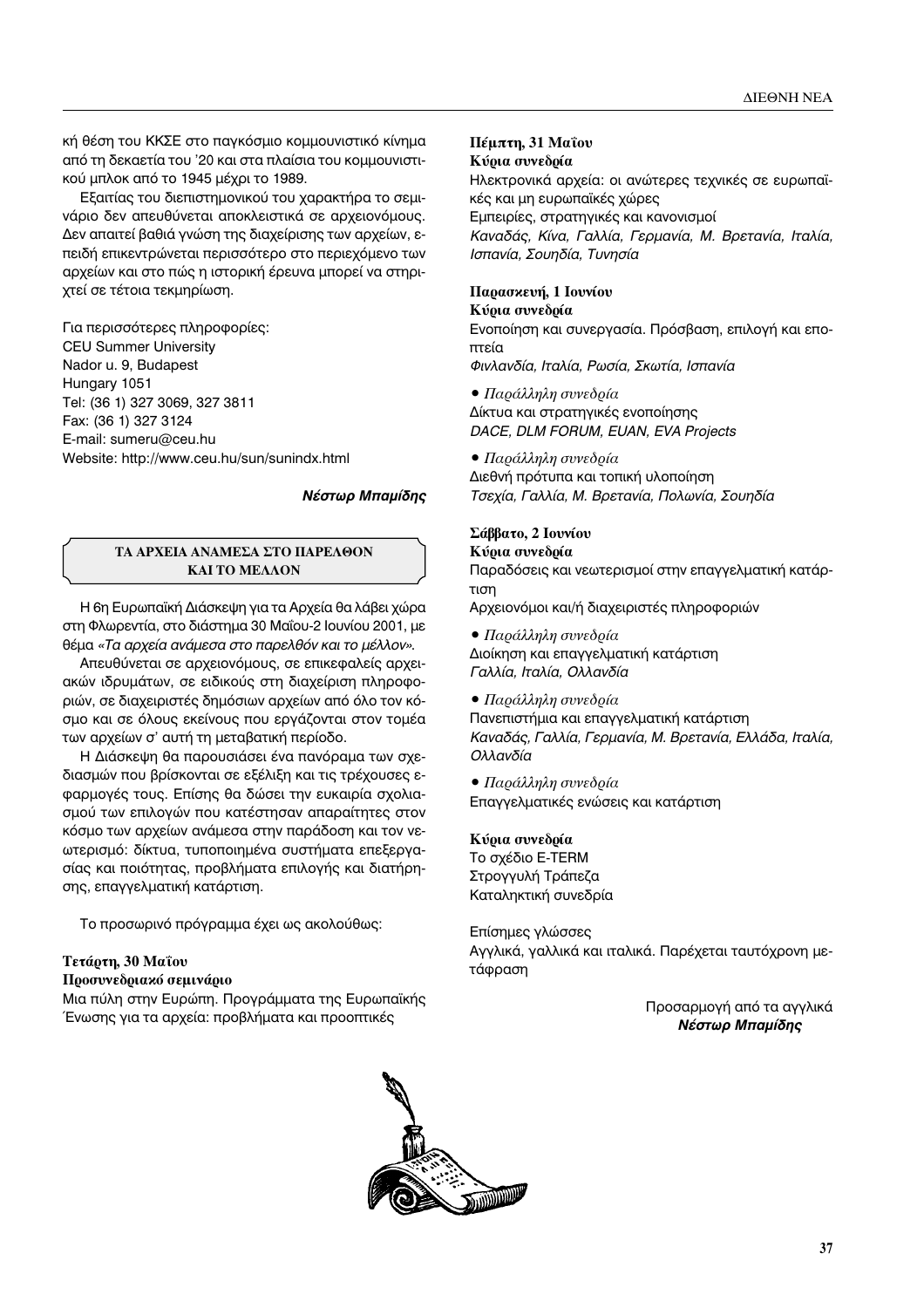κή θέση του ΚΚΣΕ στο παγκόσμιο κομμουνιστικό κίνημα από τη δεκαετία του '20 και στα πλαίσια του κομμουνιστικού μπλοκ από το 1945 μέχρι το 1989.

Εξαιτίας του διεπιστημονικού του χαρακτήρα το σεμινάριο δεν απευθύνεται αποκλειστικά σε αρχειονόμους. Δεν απαιτεί βαθιά γνώση της διαχείρισης των αρχείων, επειδή επικεντρώνεται περισσότερο στο περιεχόμενο των αρχείων και στο πώς η ιστορική έρευνα μπορεί να στηριχτεί σε τέτοια τεκμηρίωση.

Για περισσότερες πληροφορίες: CEU Summer University Nador u. 9, Budapest Hungary 1051 Tel: (36 1) 327 3069, 327 3811 Fax: (36 1) 327 3124 E-mail: sumeru@ceu.hu Website: http://www.ceu.hu/sun/sunindx.html

# **Νέστωρ Μπαμίδης**

# ΤΑ ΑΡΧΕΙΑ ΑΝΑΜΕΣΑ ΣΤΟ ΠΑΡΕΛΘΟΝ **KAI TO ΜΕΛΛΟΝ**

Η 6η Ευρωπαϊκή Διάσκεψη για τα Αρχεία θα λάβει χώρα στη Φλωρεντία, στο διάστημα 30 Μαΐου-2 Ιουνίου 2001, με θέμα «Τα αρχεία ανάμεσα στο παρελθόν και το μέλλον».

Απευθύνεται σε αρχειονόμους, σε επικεφαλείς αρχειακών ιδρυμάτων, σε ειδικούς στη διαχείριση πληροφοριών, σε διαχειριστές δημόσιων αρχείων από όλο τον κόσμο και σε όλους εκείνους που εργάζονται στον τομέα των αρχείων σ' αυτή τη μεταβατική περίοδο.

Η Διάσκεψη θα παρουσιάσει ένα πανόραμα των σχεδιασμών που βρίσκονται σε εξέλιξη και τις τρέχουσες εφαρμογές τους. Επίσης θα δώσει την ευκαιρία σχολιασμού των επιλογών που κατέστησαν απαραίτητες στον κόσμο των αρχείων ανάμεσα στην παράδοση και τον νεωτερισμό: δίκτυα, τυποποιημένα συστήματα επεξεργασίας και ποιότητας, προβλήματα επιλογής και διατήρησης, επαγγελματική κατάρτιση.

Το προσωρινό πρόγραμμα έχει ως ακολούθως:

# Tετάρτη, 30 Μαΐου

## **Προσυνεδριακό σεμινάριο**

Μια πύλη στην Ευρώπη. Προγράμματα της Ευρωπαϊκής Ένωσης για τα αρχεία: προβλήματα και προοπτικές

## **Πέμπτη, 31 Μαΐου** Κύρια συνεδρία

Ηλεκτρονικά αρχεία: οι ανώτερες τεχνικές σε ευρωπαϊκές και μη ευρωπαϊκές χώρες Εμπειρίες, στρατηγικές και κανονισμοί *γαί με μ<sub>1</sub>, γαί μ<sub>1</sub>, γγαί μας γγερματια, που πρεταιτα, για πα,*<br>Ισπανία Σουηδία Τυνησία

# Παρασκευή, 1 Ιουνίου

*π παπα, ≡ π n n n n n n n n n* 

## **Κύρια συνεδρία**

Ενοποίηση και συνεργασία. Πρόσβαση, επιλογή και εποπτεία

*ºÈÓÏ·Ó‰›·, πÙ·Ï›·, ƒˆÛ›·, ™ÎˆÙ›·, πÛ·Ó›·*

**•** Παράλληλη συνεδρία Δίκτυα και στρατηγικές ενοποίησης *DACE, DLM FORUM, EUAN, EVA Projects*

# **•** Παράλληλη συνεδρία

Διεθνή πρότυπα και τοπική υλοποίηση Τσεχία, Γαλλία, Μ. Βρετανία, Πολωνία, Σουηδία

## $\Sigma$ άββατο, 2 Ιουνίου

## **Κύρια συνεδρία**

Παραδόσεις και νεωτερισμοί στην επαγγελματική κατάρτιση

Αρχειονόμοι και/ή διαχειριστές πληροφοριών

**•** Παράλληλη συνεδρία

Διοίκηση και επαγγελματική κατάρτιση  $\Gamma$ αλλία, Ιταλία, Ολλανδία

## **• Παράλληλη συνεδρία**

Πανεπιστήμια και επαγγελματική κατάρτιση *Καναδάς, Γαλλία, Γερμανία, Μ. Βρετανία, Ελλάδα, Ιταλία,<br>Ολλανδία √ÏÏ·Ó‰›·*

**•** Παράλληλη συνεδρία Επαγγελματικές ενώσεις και κατάρτιση

## Κύρια συνεδρία

Το σχέδιο E-TERM Στρογγυλή Τράπεζα Καταληκτική συνεδρία

Επίσημες γλώσσες Αγγλικά, γαλλικά και ιταλικά. Παρέχεται ταυτόχρονη μετάφραση

> Προσαρμογή από τα αγγλικά **Νέστωρ Μπαμίδης**

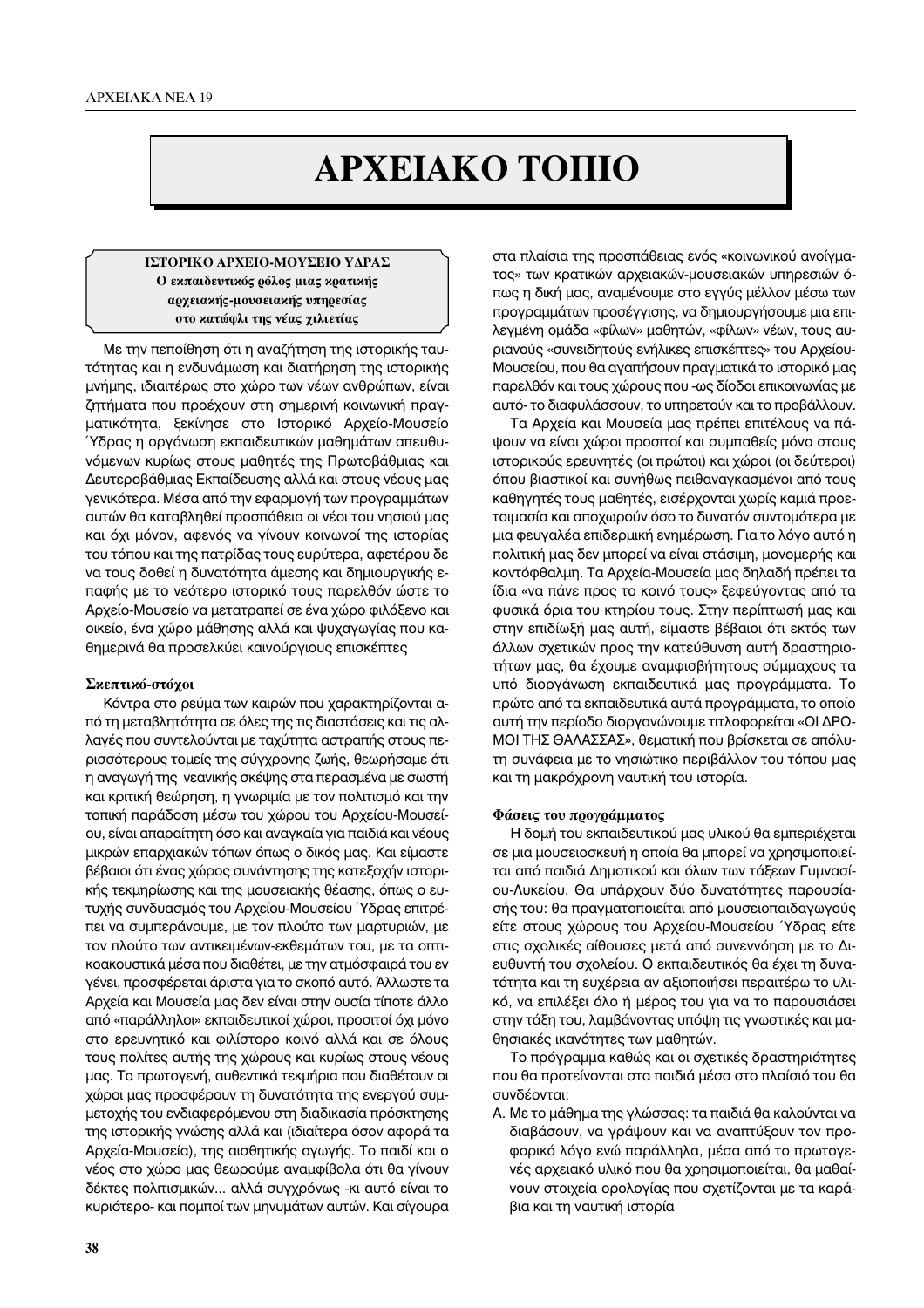# *Δ***PΧΕΙΑΚΟ ΤΟΠΙΟ**

## **ΓΣΤΟΡΙΚΟ ΑΡΧΕΙΟ-ΜΟΥΣΕΙΟ ΥΔΡΑΣ** Ο εκπαιδευτικός ρόλος μιας κρατικής **αρχεια εής-μουσεια κής υπηρεσίας** στο κατώφλι της νέας γιλιετίας

Με την πεποίθηση ότι η αναζήτηση της ιστορικής ταυτότητας και η ενδυνάμωση και διατήρηση της ιστορικής μνήμης, ιδιαιτέρως στο χώρο των νέων ανθρώπων, είναι ζητήματα που προέχουν στη σημερινή κοινωνική πραγματικότητα, ξεκίνησε στο Ιστορικό Αρχείο-Μουσείο <sup>γ</sup>δρας η οργάνωση εκπαιδευτικών μαθημάτων απευθυνόμενων κυρίως στους μαθητές της Πρωτοβάθμιας και Δευτεροβάθμιας Εκπαίδευσης αλλά και στους νέους μας γενικότερα. Μέσα από την εφαρμογή των προγραμμάτων αυτών θα καταβληθεί προσπάθεια οι νέοι του νησιού μας και όχι μόνον, αφενός να γίνουν κοινωνοί της ιστορίας του τόπου και της πατρίδας τους ευρύτερα, αφετέρου δε να τους δοθεί η δυνατότητα άμεσης και δημιουργικής επαφής με το νεότερο ιστορικό τους παρελθόν ώστε το Αρχείο-Μουσείο να μετατραπεί σε ένα χώρο φιλόξενο και οικείο, ένα χώρο μάθησης αλλά και ψυχαγωγίας που καθημερινά θα προσελκύει καινούργιους επισκέπτες

### Σκεπτικό-στόχοι

Κόντρα στο ρεύμα των καιρών που χαρακτηρίζονται από τη μεταβλητότητα σε όλες της τις διαστάσεις και τις αλλαγές που συντελούνται με ταχύτητα αστραπής στους περισσότερους τομείς της σύγχρονης ζωής, θεωρήσαμε ότι η αναγωγή της νεανικής σκέψης στα περασμένα με σωστή και κριτική θεώρηση, η γνωριμία με τον πολιτισμό και την τοπική παράδοση μέσω του χώρου του Αρχείου-Μουσείου, είναι απαραίτητη όσο και αναγκαία για παιδιά και νέους μικρών επαρχιακών τόπων όπως ο δικός μας. Και είμαστε βέβαιοι ότι ένας χώρος συνάντησης της κατεξοχήν ιστορικής τεκμηρίωσης και της μουσειακής θέασης, όπως ο ευτυχής συνδυασμός του Αρχείου-Μουσείου *Υδρας επιτρέ*πει να συμπεράνουμε, με τον πλούτο των μαρτυριών, με τον πλούτο των αντικειμένων-εκθεμάτων του, με τα οπτι-ΚΟακουστικά μέσα που διαθέτει, με την ατμόσφαιρά του εν γένει, προσφέρεται άριστα για το σκοπό αυτό. Άλλωστε τα Αρχεία και Μουσεία μας δεν είναι στην ουσία τίποτε άλλο από «παράλληλοι» εκπαιδευτικοί χώροι, προσιτοί όχι μόνο στο ερευνητικό και φιλίστορο κοινό αλλά και σε όλους τους πολίτες αυτής της χώρους και κυρίως στους νέους μας. Τα πρωτογενή, αυθεντικά τεκμήρια που διαθέτουν οι χώροι μας προσφέρουν τη δυνατότητα της ενεργού συμμετοχής του ενδιαφερόμενου στη διαδικασία πρόσκτησης της ιστορικής γνώσης αλλά και (ιδιαίτερα όσον αφορά τα Αρχεία-Μουσεία), της αισθητικής αγωγής. Το παιδί και ο νέος στο χώρο μας θεωρούμε αναμφίβολα ότι θα γίνουν δέκτες πολιτισμικών... αλλά συγχρόνως -κι αυτό είναι το κυριότερο- και πομποί των μηνυμάτων αυτών. Και σίγουρα

στα πλαίσια της προσπάθειας ενός «κοινωνικού ανοίγματος» των κρατικών αρχειακών-μουσειακών υπηρεσιών όπως η δική μας, αναμένουμε στο εγγύς μέλλον μέσω των προγραμμάτων προσέγγισης, να δημιουργήσουμε μια επιλεγμένη ομάδα «φίλων» μαθητών, «φίλων» νέων, τους αυριανούς «συνειδητούς ενήλικες επισκέπτες» του Αρχείου-Μουσείου, που θα αγαπήσουν πραγματικά το ιστορικό μας παρελθόν και τους χώρους που -ως δίοδοι επικοινωνίας με αυτό- το διαφυλάσσουν, το υπηρετούν και το προβάλλουν.

Τα Αρχεία και Μουσεία μας πρέπει επιτέλους να πάψουν να είναι χώροι προσιτοί και συμπαθείς μόνο στους ιστορικούς ερευνητές (οι πρώτοι) και χώροι (οι δεύτεροι) όπου βιαστικοί και συνήθως πειθαναγκασμένοι από τους καθηγητές τους μαθητές, εισέρχονται χωρίς καμιά προετοιμασία και αποχωρούν όσο το δυνατόν συντομότερα με μια φευγαλέα επιδερμική ενημέρωση. Για το λόγο αυτό η πολιτική μας δεν μπορεί να είναι στάσιμη, μονομερής και κοντόφθαλμη. Τα Αρχεία-Μουσεία μας δηλαδή πρέπει τα ίδια «να πάνε προς το κοινό τους» ξεφεύγοντας από τα φυσικά όρια του κτηρίου τους. Στην περίπτωσή μας και στην επιδίωξή μας αυτή, είμαστε βέβαιοι ότι εκτός των άλλων σχετικών προς την κατεύθυνση αυτή δραστηριοτήτων μας, θα έχουμε αναμφισβήτητους σύμμαχους τα υπό διοργάνωση εκπαιδευτικά μας προγράμματα. Το πρώτο από τα εκπαιδευτικά αυτά προγράμματα, το οποίο αυτή την περίοδο διοργανώνουμε τιτλοφορείται «ΟΙ ΔΡΟ-ΜΟΙ ΤΗΣ ΘΑΛΑΣΣΑΣ», θεματική που βρίσκεται σε απόλυτη συνάφεια με το νησιώτικο περιβάλλον του τόπου μας και τη μακρόχρονη ναυτική του ιστορία.

### **Φάσεις του προγράμματος**

Η δομή του εκπαιδευτικού μας υλικού θα εμπεριέχεται σε μια μουσειοσκευή η οποία θα μπορεί να χρησιμοποιείται από παιδιά Δημοτικού και όλων των τάξεων Γυμνασίου-Λυκείου. Θα υπάρχουν δύο δυνατότητες παρουσίασής του: θα πραγματοποιείται από μουσειοπαιδαγωγούς είτε στους χώρους του Αρχείου-Μουσείου Ύδρας είτε στις σχολικές αίθουσες μετά από συνεννόηση με το Διευθυντή του σχολείου. Ο εκπαιδευτικός θα έχει τη δυνατότητα και τη ευχέρεια αν αξιοποιήσει περαιτέρω το υλικό, να επιλέξει όλο ή μέρος του για να το παρουσιάσει στην τάξη του, λαμβάνοντας υπόψη τις γνωστικές και μαθησιακές ικανότητες των μαθητών.

Το πρόγραμμα καθώς και οι σχετικές δραστηριότητες που θα προτείνονται στα παιδιά μέσα στο πλαίσιό του θα συνδέονται:

Α. Με το μάθημα της γλώσσας: τα παιδιά θα καλούνται να διαβάσουν, να γράψουν και να αναπτύξουν τον προφορικό λόγο ενώ παράλληλα, μέσα από το πρωτογενές αρχειακό υλικό που θα χρησιμοποιείται, θα μαθαίνουν στοιχεία ορολογίας που σχετίζονται με τα καράβια και τη ναυτική ιστορία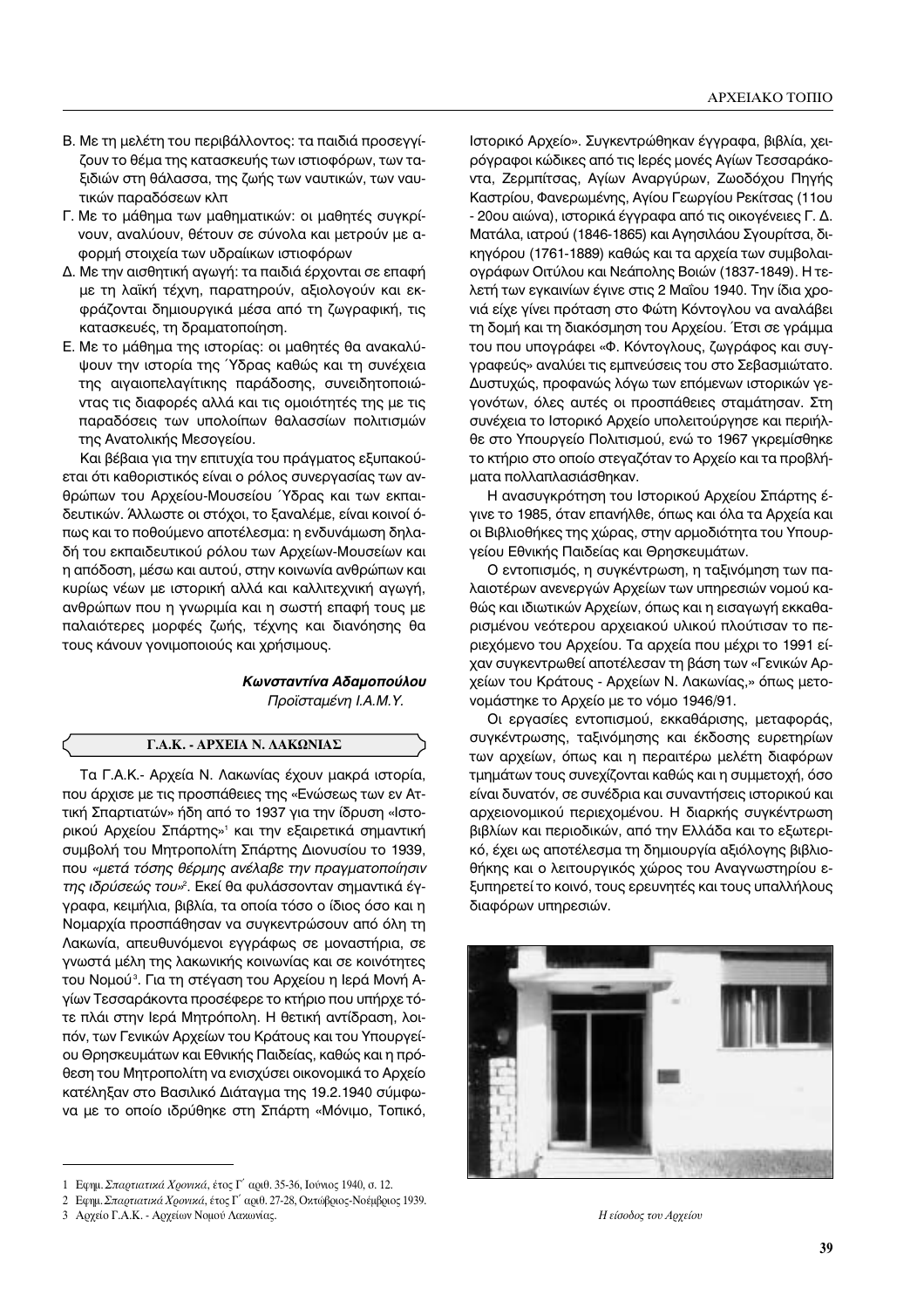- Β. Με τη μελέτη του περιβάλλοντος: τα παιδιά προσεγγίζουν το θέμα της κατασκευής των ιστιοφόρων, των ταξιδιών στη θάλασσα, της ζωής των ναυτικών, των ναυτικών παραδόσεων κλπ
- Γ. Με το μάθημα των μαθηματικών: οι μαθητές συγκρίνουν, αναλύουν, θέτουν σε σύνολα και μετρούν με αφορμή στοιχεία των υδραίικων ιστιοφόρων
- Δ. Με την αισθητική αγωγή: τα παιδιά έρχονται σε επαφή με τη λαϊκή τέχνη, παρατηρούν, αξιολογούν και εκφράζονται δημιουργικά μέσα από τη ζωγραφική, τις κατασκευές, τη δραματοποίηση.
- Ε. Με το μάθημα της ιστορίας: οι μαθητές θα ανακαλύψουν την ιστορία της Υδρας καθώς και τη συνέχεια της αιγαιοπελαγίτικης παράδοσης, συνειδητοποιώντας τις διαφορές αλλά και τις ομοιότητές της με τις παραδόσεις των υπολοίπων θαλασσίων πολιτισμών της Ανατολικής Μεσογείου.

Και βέβαια για την επιτυχία του πράγματος εξυπακούεται ότι καθοριστικός είναι ο ρόλος συνεργασίας των ανθρώπων του Αρχείου-Μουσείου Ύδρας και των εκπαιδευτικών. Άλλωστε οι στόχοι, το ξαναλέμε, είναι κοινοί όπως και το ποθούμενο αποτέλεσμα: η ενδυνάμωση δηλαδή του εκπαιδευτικού ρόλου των Αρχείων-Μουσείων και η απόδοση, μέσω και αυτού, στην κοινωνία ανθρώπων και κυρίως νέων με ιστορική αλλά και καλλιτεχνική αγωγή, ανθρώπων που η γνωριμία και η σωστή επαφή τους με παλαιότερες μορφές ζωής, τέχνης και διανόησης θα τους κάνουν γονιμοποιούς και χρήσιμους.

## Κωνσταντίνα Αδαμοπούλου Προϊσταμένη Ι.Α.Μ.Υ.

## Γ.Α.Κ. - ΑΡΧΕΙΑ Ν. ΛΑΚΩΝΙΑΣ

Τα Γ.Α.Κ.- Αρχεία Ν. Λακωνίας έχουν μακρά ιστορία, που άρχισε με τις προσπάθειες της «Ενώσεως των εν Αττική Σπαρτιατών» ήδη από το 1937 για την ίδρυση «Ιστορικού Αρχείου Σπάρτης»<sup>1</sup> και την εξαιρετικά σημαντική συμβολή του Μητροπολίτη Σπάρτης Διονυσίου το 1939, που «μετά τόσης θέρμης ανέλαβε την πραγματοποίησιν της ιδρύσεώς του»<sup>2</sup>. Εκεί θα φυλάσσονταν σημαντικά έγγραφα, κειμήλια, βιβλία, τα οποία τόσο ο ίδιος όσο και η Νομαρχία προσπάθησαν να συγκεντρώσουν από όλη τη Λακωνία, απευθυνόμενοι εγγράφως σε μοναστήρια, σε γνωστά μέλη της λακωνικής κοινωνίας και σε κοινότητες του Νομού<sup>3</sup>. Για τη στέγαση του Αρχείου η Ιερά Μονή Αγίων Τεσσαράκοντα προσέφερε το κτήριο που υπήρχε τότε πλάι στην Ιερά Μητρόπολη. Η θετική αντίδραση, λοιπόν, των Γενικών Αρχείων του Κράτους και του Υπουργείου Θρησκευμάτων και Εθνικής Παιδείας, καθώς και η πρόθεση του Μητροπολίτη να ενισχύσει οικονομικά το Αρχείο κατέληξαν στο Βασιλικό Διάταγμα της 19.2.1940 σύμφωνα με το οποίο ιδρύθηκε στη Σπάρτη «Μόνιμο, Τοπικό,

Ιστορικό Αρχείο». Συγκεντρώθηκαν έγγραφα, βιβλία, χειρόγραφοι κώδικες από τις Ιερές μονές Αγίων Τεσσαράκοντα, Ζερμπίτσας, Αγίων Αναργύρων, Ζωοδόχου Πηγής Καστρίου, Φανερωμένης, Αγίου Γεωργίου Ρεκίτσας (11ου - 20ου αιώνα), ιστορικά έγγραφα από τις οικογένειες Γ. Δ. Ματάλα, ιατρού (1846-1865) και Αγησιλάου Σγουρίτσα, δικηγόρου (1761-1889) καθώς και τα αρχεία των συμβολαιογράφων Οιτύλου και Νεάπολης Βοιών (1837-1849). Η τελετή των εγκαινίων έγινε στις 2 Μαΐου 1940. Την ίδια χρονιά είχε γίνει πρόταση στο Φώτη Κόντογλου να αναλάβει τη δομή και τη διακόσμηση του Αρχείου. Έτσι σε γράμμα του που υπογράφει «Φ. Κόντογλους, ζωγράφος και συγγραφεύς» αναλύει τις εμπνεύσεις του στο Σεβασμιώτατο. Δυστυχώς, προφανώς λόγω των επόμενων ιστορικών γεγονότων, όλες αυτές οι προσπάθειες σταμάτησαν. Στη συνέχεια το Ιστορικό Αρχείο υπολειτούργησε και περιήλθε στο Υπουργείο Πολιτισμού, ενώ το 1967 γκρεμίσθηκε το κτήριο στο οποίο στεγαζόταν το Αρχείο και τα προβλήματα πολλαπλασιάσθηκαν.

Η ανασυγκρότηση του Ιστορικού Αρχείου Σπάρτης έγινε το 1985, όταν επανήλθε, όπως και όλα τα Αρχεία και οι Βιβλιοθήκες της χώρας, στην αρμοδιότητα του Υπουργείου Εθνικής Παιδείας και Θρησκευμάτων.

Ο εντοπισμός, η συγκέντρωση, η ταξινόμηση των παλαιοτέρων ανενεργών Αρχείων των υπηρεσιών νομού καθώς και ιδιωτικών Αρχείων, όπως και η εισαγωγή εκκαθαρισμένου νεότερου αρχειακού υλικού πλούτισαν το περιεχόμενο του Αρχείου. Τα αρχεία που μέχρι το 1991 είχαν συγκεντρωθεί αποτέλεσαν τη βάση των «Γενικών Αρχείων του Κράτους - Αρχείων Ν. Λακωνίας,» όπως μετονομάστηκε το Αρχείο με το νόμο 1946/91.

Οι εργασίες εντοπισμού, εκκαθάρισης, μεταφοράς, συγκέντρωσης, ταξινόμησης και έκδοσης ευρετηρίων των αρχείων, όπως και η περαιτέρω μελέτη διαφόρων τμημάτων τους συνεχίζονται καθώς και η συμμετοχή, όσο είναι δυνατόν, σε συνέδρια και συναντήσεις ιστορικού και αρχειονομικού περιεχομένου. Η διαρκής συγκέντρωση βιβλίων και περιοδικών, από την Ελλάδα και το εξωτερικό, έχει ως αποτέλεσμα τη δημιουργία αξιόλογης βιβλιοθήκης και ο λειτουργικός χώρος του Αναγνωστηρίου εξυπηρετεί το κοινό, τους ερευνητές και τους υπαλλήλους διαφόρων υπηρεσιών.



Η είσοδος του Αρχείου

<sup>1</sup> Εφημ. Σπαρτιατικά Χρονικά, έτος Γ΄ αριθ. 35-36, Ιούνιος 1940, σ. 12.

<sup>2</sup> Εφημ. Σπαρτιατικά Χρονικά, έτος Γ΄ αριθ. 27-28, Οκτώβριος-Νοέμβριος 1939.

<sup>3</sup> Αρχείο Γ.Α.Κ. - Αρχείων Νομού Λακωνίας.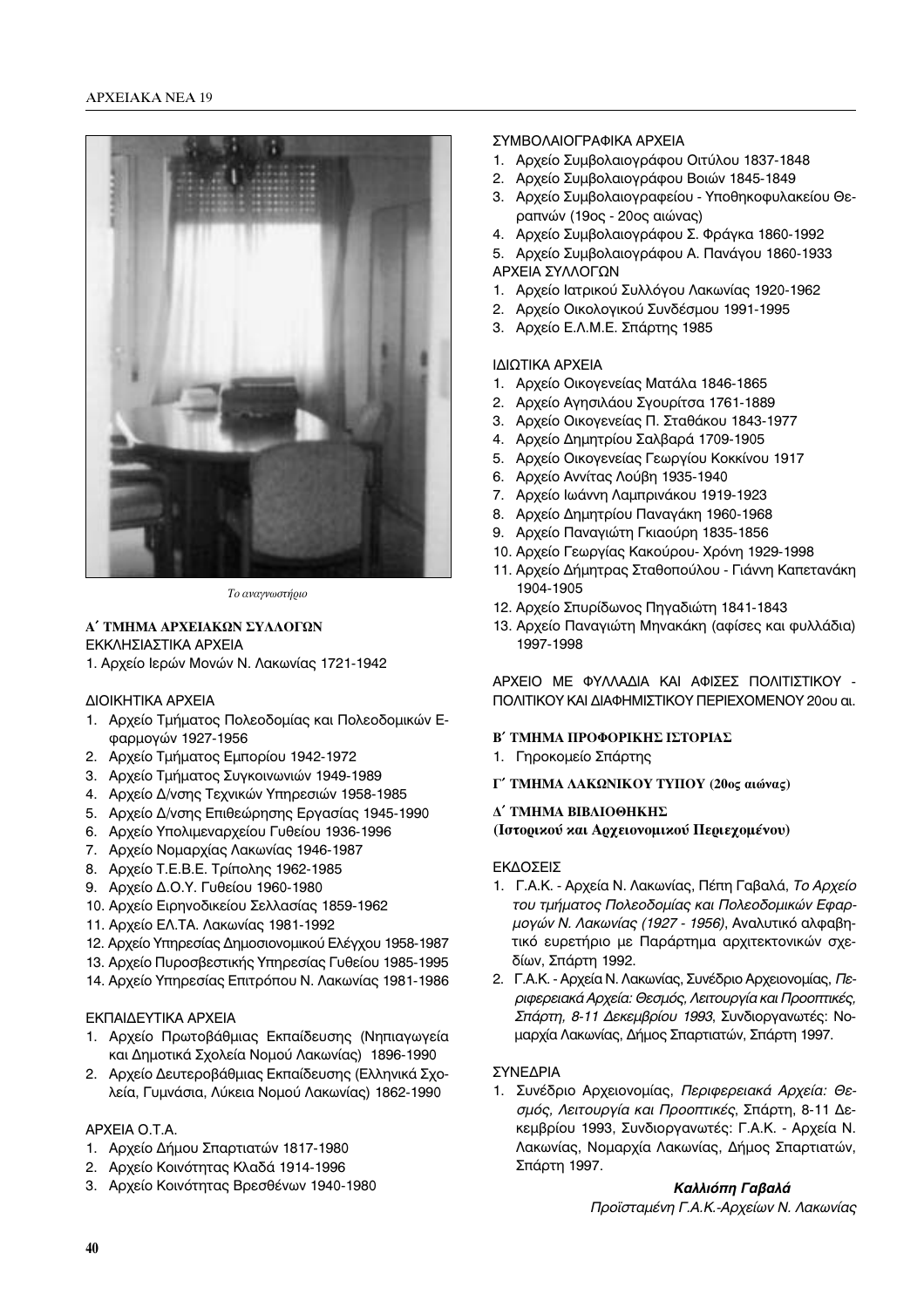

 $To$  *αναννωστήοιο* 

## **Δ΄ ΤΜΗΜΑ ΑΡΧΕΙΑΚΩΝ ΣΥΛΛΟΓΩΝ** ΕΚΚΛΗΣΙΑΣΤΙΚΑ ΑΡΧΕΙΑ

1. Αρχείο Ιερών Μονών Ν. Λακωνίας 1721-1942

## ΔΙΟΙΚΗΤΙΚΑ ΑΡΧΕΙΑ

- 1. Αρχείο Τμήματος Πολεοδομίας και Πολεοδομικών Εφαρμογών 1927-1956
- 2. Αρχείο Τμήματος Εμπορίου 1942-1972
- 3. Αρχείο Τμήματος Συγκοινωνιών 1949-1989
- 4. Αρχείο Δ/νσης Τεχνικών Υπηρεσιών 1958-1985
- 5. Αρχείο Δ/νσης Επιθεώρησης Εργασίας 1945-1990
- 6. Aρχείο Υπολιμεναρχείου Γυθείου 1936-1996
- 7. Aρχείο Νομαρχίας Λακωνίας 1946-1987
- 8. Αρχείο Τ.Ε.Β.Ε. Τρίπολης 1962-1985
- 9. Αρχείο Δ.Ο.Υ. Γυθείου 1960-1980
- 10. Αρχείο Ειρηνοδικείου Σελλασίας 1859-1962
- 11. Αρχείο ΕΛ.ΤΑ. Λακωνίας 1981-1992
- 12. Αρχείο Υπηρεσίας Δημοσιονομικού Ελέγχου 1958-1987
- 13. Αρχείο Πυροσβεστικής Υπηρεσίας Γυθείου 1985-1995
- 14. Αρχείο Υπηρεσίας Επιτρόπου Ν. Λακωνίας 1981-1986

## ΕΚΠΑΙΔΕΥΤΙΚΑ ΑΡΧΕΙΑ

- 1. Αρχείο Πρωτοβάθμιας Εκπαίδευσης (Νηπιαγωγεία Και Δημοτικά Σχολεία Νομού Λακωνίας) 1896-1990
- 2. Αρχείο Δευτεροβάθμιας Εκπαίδευσης (Ελληνικά Σχολεία, Γυμνάσια, Λύκεια Νομού Λακωνίας) 1862-1990

## APXEIA O.T.A.

- 1. Αρχείο Δήμου Σπαρτιατών 1817-1980
- 2. Αρχείο Κοινότητας Κλαδά 1914-1996
- 3. Aρχείο Κοινότητας Βρεσθένων 1940-1980

## ΣΥΜΒΟΛΑΙΟΓΡΑΦΙΚΑ ΑΡΧΕΙΑ

- 1. Αρχείο Συμβολαιογράφου Οιτύλου 1837-1848
- 2. Αρχείο Συμβολαιογράφου Βοιών 1845-1849
- 3. Αρχείο Συμβολαιογραφείου Υποθηκοφυλακείου Θεραπνών (19ος - 20ος αιώνας)
- 4. Αρχείο Συμβολαιογράφου Σ. Φράγκα 1860-1992
- 5. Αρχείο Συμβολαιογράφου Α. Πανάγου 1860-1933 ΑΡΧΕΙΑ ΣΥΛΛΟΓΩΝ
- 1. Αρχείο Ιατρικού Συλλόγου Λακωνίας 1920-1962
- 2. Αρχείο Οικολογικού Συνδέσμου 1991-1995
- 3. Αρχείο Ε.Λ.Μ.Ε. Σπάρτης 1985

# ΙΔΙΩΤΙΚΑ ΑΡΧΕΙΑ

- 1. Αρχείο Οικογενείας Ματάλα 1846-1865
- 2. Αρχείο Αγησιλάου Σγουρίτσα 1761-1889
- 3. Αρχείο Οικογενείας Π. Σταθάκου 1843-1977
- 4. Αρχείο Δημητρίου Σαλβαρά 1709-1905
- 5. Αρχείο Οικογενείας Γεωργίου Κοκκίνου 1917
- 6. Αρχείο Αννίτας Λούβη 1935-1940
- 7. Αρχείο Ιωάννη Λαμπρινάκου 1919-1923
- 8. Αρχείο Δημητρίου Παναγάκη 1960-1968
- 9. Αρχείο Παναγιώτη Γκιαούρη 1835-1856
- 10. Αρχείο Γεωργίας Κακούρου- Χρόνη 1929-1998
- 11. Αρχείο Δήμητρας Σταθοπούλου Γιάννη Καπετανάκη 1904-1905
- 12. Αρχείο Σπυρίδωνος Πηγαδιώτη 1841-1843
- 13. Αρχείο Παναγιώτη Μηνακάκη (αφίσες και φυλλάδια) 1997-1998

ΑΡΧΕΙΟ ΜΕ ΦΥΛΛΑΔΙΑ ΚΑΙ ΑΦΙΣΕΣ ΠΟΛΙΤΙΣΤΙΚΟΥ -ΠΟΛΙΤΙΚΟΥ ΚΑΙ ΔΙΑΦΗΜΙΣΤΙΚΟΥ ΠΕΡΙΕΧΟΜΕΝΟΥ 20ου αι.

## **Β΄ ΤΜΗΜΑ ΠΡΟΦΟΡΙΚΗΣ ΙΣΤΟΡΙΑΣ**

- 1. Γηροκομείο Σπάρτης
- $\Gamma'$  **TMHMA ΛΑΚΩΝΙΚΟΥ ΤΥΠΟΥ** (20ος αιώνας)

## **Δ΄ ΤΜΗΜΑ ΒΙΒΛΙΟΘΗΚΗΣ**

**(Ιστορικού και Αρχειονομικού Περιεχομένου)** 

## ΕΚΔΟΣΕΙΣ

- 1. Γ.Α.Κ. Αρχεία Ν. Λακωνίας, Πέπη Γαβαλά, *Το Αρχείο*<br>*του τμήματος Πολεοδομίας και Πολεοδομικών Εφαρ*-*ÙÔ˘ Ù̷̋ÙÔ˜ ¶ÔÏÂÔ‰ÔÌ›·˜ Î·È ¶ÔÏÂÔ‰ÔÌÈÎÒÓ ∂Ê·Ú-ÌÔÁÒÓ ¡. §·ÎˆÓ›·˜ (1927 - 1956)*, ∞Ó·Ï˘ÙÈÎfi ·ÏÊ·'Ëτικό ευρετήριο με Παράρτημα αρχιτεκτονικών σχεδίων, Σπάρτη 1992.
- 2. Γ.Α.Κ. Αρχεία Ν. Λακωνίας, Συνέδριο Αρχειονομίας, *Πε-*<br>*ριφερειακά Αρχεία: Θεσμός, Λειτουργία και Προοπτικές*, <del>Σπάρτη, 8-11 Δεκεμβρίου 1993,</del> Συνδιοργανωτές: Νο-<br>Σπάρτη, 8-11 Δεκεμβρίου 1993, Συνδιοργανωτές: Νομαρχία Λακωνίας, Δήμος Σπαρτιατών, Σπάρτη 1997.

## ΣΥΝΕΔΡΙΑ

1. Συνέδριο Αρχειονομίας, Περιφερειακά Αρχεία: Θεσμός, Λειτουργία και Προοπτικές, Σπάρτη, 8-11 Δεκεμβρίου 1993, Συνδιοργανωτές: Γ.Α.Κ. - Αρχεία Ν. Λακωνίας, Νομαρχία Λακωνίας, Δήμος Σπαρτιατών, Σπάρτη 1997.

## *Kaλλιόπη Γαβαλά* Προϊσταμένη Γ.Α.Κ.-Αρχείων Ν. Λακωνίας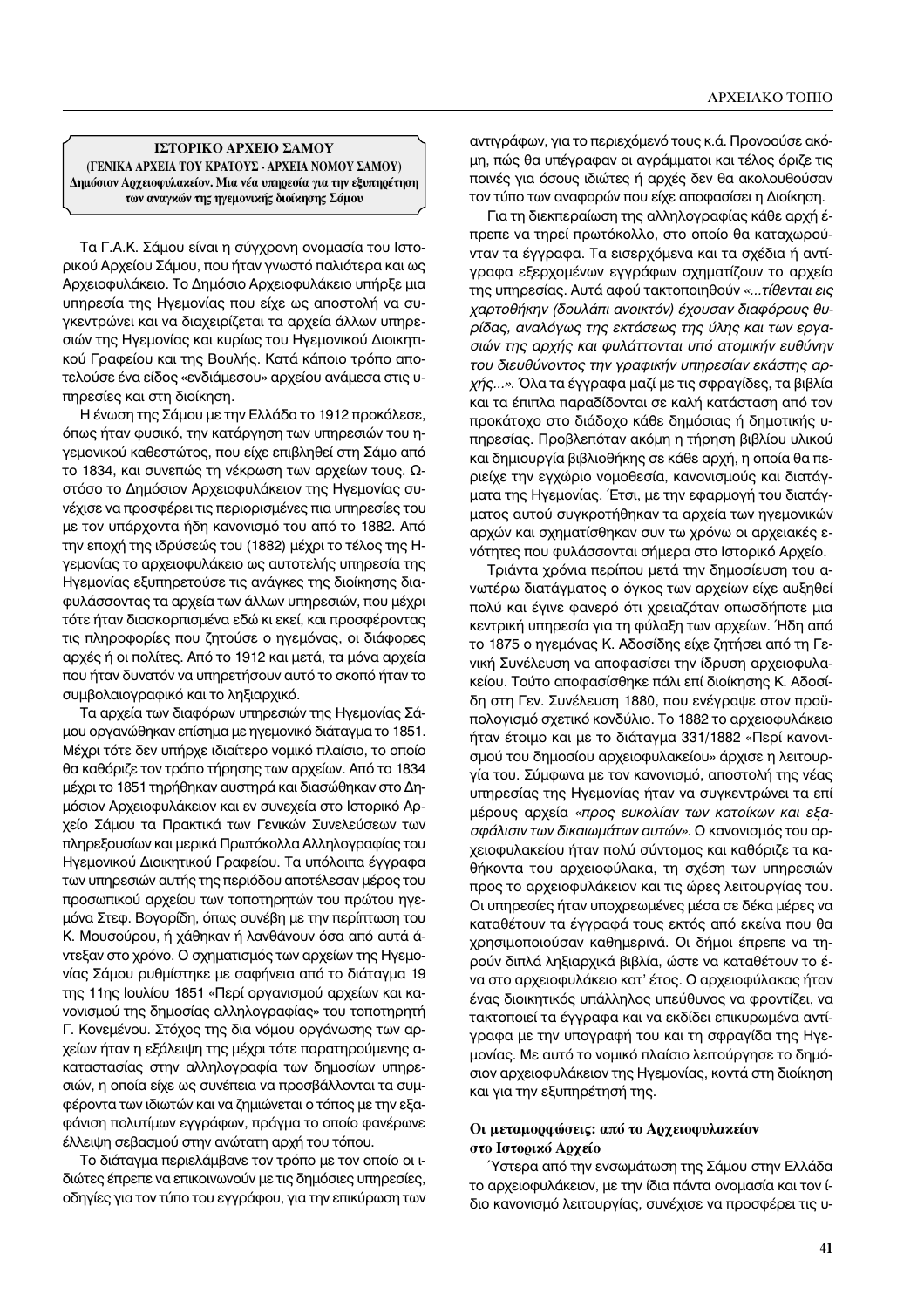#### **ΓΣΤΟΡΙΚΟ ΑΡΧΕΙΟ ΣΑΜΟΥ** (ΓΕΝΙΚΑ ΑΡΧΕΙΑ ΤΟΥ ΚΡΑΤΟΥΣ - ΑΡΧΕΙΑ ΝΟΜΟΥ ΣΑΜΟΥ) Δημόσιον Α**οχειοφυλαχείον. Μια νέα υπη**ρεσία για την εξυπηρέτηση **των αναγκών της ηγεμονικής διοίκησης Σάμου**

Τα Γ.Α.Κ. Σάμου είναι η σύγχρονη ονομασία του Ιστοοικού Αρχείου Σάμου, που ήταν γνωστό παλιότερα και ως Αρχειοφυλάκειο. Το Δημόσιο Αρχειοφυλάκειο υπήρξε μια υπηρεσία της Ηγεμονίας που είχε ως αποστολή να συγκεντρώνει και να διαχειρίζεται τα αρχεία άλλων υπηρεσιών της Ηγεμονίας και κυρίως του Ηγεμονικού Διοικητικού Γραφείου και της Βουλής. Κατά κάποιο τρόπο αποτελούσε ένα είδος «ενδιάμεσου» αρχείου ανάμεσα στις υπηρεσίες και στη διοίκηση.

Η ένωση της Σάμου με την Ελλάδα το 1912 προκάλεσε, όπως ήταν φυσικό, την κατάργηση των υπηρεσιών του ηγεμονικού καθεστώτος, που είχε επιβληθεί στη Σάμο από το 1834, και συνεπώς τη νέκρωση των αρχείων τους. Ωστόσο το Δημόσιον Αρχειοφυλάκειον της Ηγεμονίας συνέχισε να προσφέρει τις περιορισμένες πια υπηρεσίες του με τον υπάρχοντα ήδη κανονισμό του από το 1882. Από την εποχή της ιδρύσεώς του (1882) μέχρι το τέλος της Ηγεμονίας το αρχειοφυλάκειο ως αυτοτελής υπηρεσία της Ηγεμονίας εξυπηρετούσε τις ανάγκες της διοίκησης διαφυλάσσοντας τα αρχεία των άλλων υπηρεσιών, που μέχρι τότε ήταν διασκορπισμένα εδώ κι εκεί, και προσφέροντας τις πληροφορίες που ζητούσε ο ηγεμόνας, οι διάφορες αρχές ή οι πολίτες. Από το 1912 και μετά, τα μόνα αρχεία που ήταν δυνατόν να υπηρετήσουν αυτό το σκοπό ήταν το συμβολαιογραφικό και το ληξιαρχικό.

Τα αρχεία των διαφόρων υπηρεσιών της Ηγεμονίας Σάμου οργανώθηκαν επίσημα με ηγεμονικό διάταγμα το 1851. Μέχρι τότε δεν υπήρχε ιδιαίτερο νομικό πλαίσιο, το οποίο θα καθόριζε τον τρόπο τήρησης των αρχείων. Από το 1834 μέχρι το 1851 τηρήθηκαν αυστηρά και διασώθηκαν στο Δημόσιον Αρχειοφυλάκειον και εν συνεχεία στο Ιστορικό Αρχείο Σάμου τα Πρακτικά των Γενικών Συνελεύσεων των πληρεξουσίων και μερικά Πρωτόκολλα Αλληλογραφίας του Ηγεμονικού Διοικητικού Γραφείου. Τα υπόλοιπα έγγραφα των υπηρεσιών αυτής της περιόδου αποτέλεσαν μέρος του προσωπικού αρχείου των τοποτηρητών του πρώτου ηγεμόνα Στεφ. Βογορίδη, όπως συνέβη με την περίπτωση του Κ. Μουσούρου, ή χάθηκαν ή λανθάνουν όσα από αυτά άντεξαν στο χρόνο. Ο σχηματισμός των αρχείων της Ηγεμονίας Σάμου ρυθμίστηκε με σαφήνεια από το διάταγμα 19 της 11ης Ιουλίου 1851 «Περί οργανισμού αρχείων και κανονισμού της δημοσίας αλληλογραφίας» του τοποτηρητή Γ. Κονεμένου. Στόχος της δια νόμου οργάνωσης των αρχείων ήταν η εξάλειψη της μέχρι τότε παρατηρούμενης ακαταστασίας στην αλληλογραφία των δημοσίων υπηρεσιών, η οποία είχε ως συνέπεια να προσβάλλονται τα συμφέροντα των ιδιωτών και να ζημιώνεται ο τόπος με την εξαφάνιση πολυτίμων εγγράφων, πράγμα το οποίο φανέρωνε ελλειψη σεβασμού στην ανώτατη αρχή του τόπου.

Το διάταγμα περιελάμβανε τον τρόπο με τον οποίο οι ιδιώτες έπρεπε να επικοινωνούν με τις δημόσιες υπηρεσίες, οδηγίες για τον τύπο του εγγράφου, για την επικύρωση των

αντιγράφων, για το περιεχόμενό τους κ.ά. Προνοούσε ακόμη, πώς θα υπέγραφαν οι αγράμματοι και τέλος όριζε τις ποινές για όσους ιδιώτες ή αρχές δεν θα ακολουθούσαν τον τύπο των αναφορών που είχε αποφασίσει η Διοίκηση.

Για τη διεκπεραίωση της αλληλογραφίας κάθε αρχή έπρεπε να τηρεί πρωτόκολλο, στο οποίο θα καταχωρούνταν τα έγγραφα. Τα εισερχόμενα και τα σχέδια ή αντίγραφα εξερχομένων εγγράφων σχηματίζουν το αρχείο της υπηρεσίας. Αυτά αφού τακτοποιηθούν *«...τίθενται εις*<br>χαρτοθήκην (δουλάπι ανοικτόν) έχουσαν διαφόρους θυ-*¯·ÚÙÔı‹ÎËÓ (‰Ô˘Ï¿È ·ÓÔÈÎÙfiÓ) ¤¯Ô˘Û·Ó ‰È·ÊfiÚÔ˘˜ ı˘* σιών της αρχής και φυλάττονται υπό ατομικήν ευθύνην του διευθύνοντος την γραφικήν υπηρεσίαν εκάστης αρχής...». Όλα τα έγγραφα μαζί με τις σφραγίδες, τα βιβλία<br>και τα έτυπλα παραδίδουται σε καλά κατάσταση από τον και τα έπιπλα παραδίδονται σε καλή κατάσταση από τον προκάτοχο στο διάδοχο κάθε δημόσιας ή δημοτικής υπηρεσίας. Προβλεπόταν ακόμη η τήρηση βιβλίου υλικού και δημιουργία βιβλιοθήκης σε κάθε αρχή, η οποία θα περιείχε την εγχώριο νομοθεσία, κανονισμούς και διατάγματα της Ηγεμονίας. Έτσι, με την εφαρμογή του διατάγματος αυτού συγκροτήθηκαν τα αρχεία των ηγεμονικών αρχών και σχηματίσθηκαν συν τω χρόνω οι αρχειακές ενότητες που φυλάσσονται σήμερα στο Ιστορικό Αρχείο.

Τριάντα χρόνια περίπου μετά την δημοσίευση του ανωτέρω διατάγματος ο όγκος των αρχείων είχε αυξηθεί πολύ και έγινε φανερό ότι χρειαζόταν οπωσδήποτε μια κεντρική υπηρεσία για τη φύλαξη των αρχείων. Ήδη από το 1875 ο ηγεμόνας Κ. Αδοσίδης είχε ζητήσει από τη Γενική Συνέλευση να αποφασίσει την ίδρυση αρχειοφυλακείου. Τούτο αποφασίσθηκε πάλι επί διοίκησης Κ. Αδοσίδη στη Γεν. Συνέλευση 1880, που ενέγραψε στον προϋπολογισμό σχετικό κονδύλιο. Το 1882 το αρχειοφυλάκειο ήταν έτοιμο και με το διάταγμα 331/1882 «Περί κανονισμού του δημοσίου αρχειοφυλακείου» άρχισε η λειτουργία του. Σύμφωνα με τον κανονισμό, αποστολή της νέας υπηρεσίας της Ηγεμονίας ήταν να συγκεντρώνει τα επί μέρους αρχεία «προς ευκολίαν των κατοίκων και εξασφάλισιν των δικαιωμάτων αυτών». Ο κανονισμός του αρχειοφυλακείου ήταν πολύ σύντομος και καθόριζε τα καθήκοντα του αρχειοφύλακα, τη σχέση των υπηρεσιών προς το αρχειοφυλάκειον και τις ώρες λειτουργίας του. Οι υπηρεσίες ήταν υποχρεωμένες μέσα σε δέκα μέρες να καταθέτουν τα έγγραφά τους εκτός από εκείνα που θα χρησιμοποιούσαν καθημερινά. Οι δήμοι έπρεπε να τηρούν διπλά ληξιαρχικά βιβλία, ώστε να καταθέτουν το ένα στο αρχειοφυλάκειο κατ' έτος. Ο αρχειοφύλακας ήταν ένας διοικητικός υπάλληλος υπεύθυνος να φροντίζει, να τακτοποιεί τα έγγραφα και να εκδίδει επικυρωμένα αντίγραφα με την υπογραφή του και τη σφραγίδα της Ηγεμονίας. Με αυτό το νομικό πλαίσιο λειτούργησε το δημόσιον αρχειοφυλάκειον της Ηγεμονίας, κοντά στη διοίκηση και για την εξυπηρέτησή της.

## Οι μεταμορφώσεις: από το Αρχειοφυλακείον **στο Ιστορικό Αρχείο**

΄Υστερα από την ενσωμάτωση της Σάμου στην Ελλάδα το αρχειοφυλάκειον, με την ίδια πάντα ονομασία και τον ίδιο κανονισμό λειτουργίας, συνέχισε να προσφέρει τις υ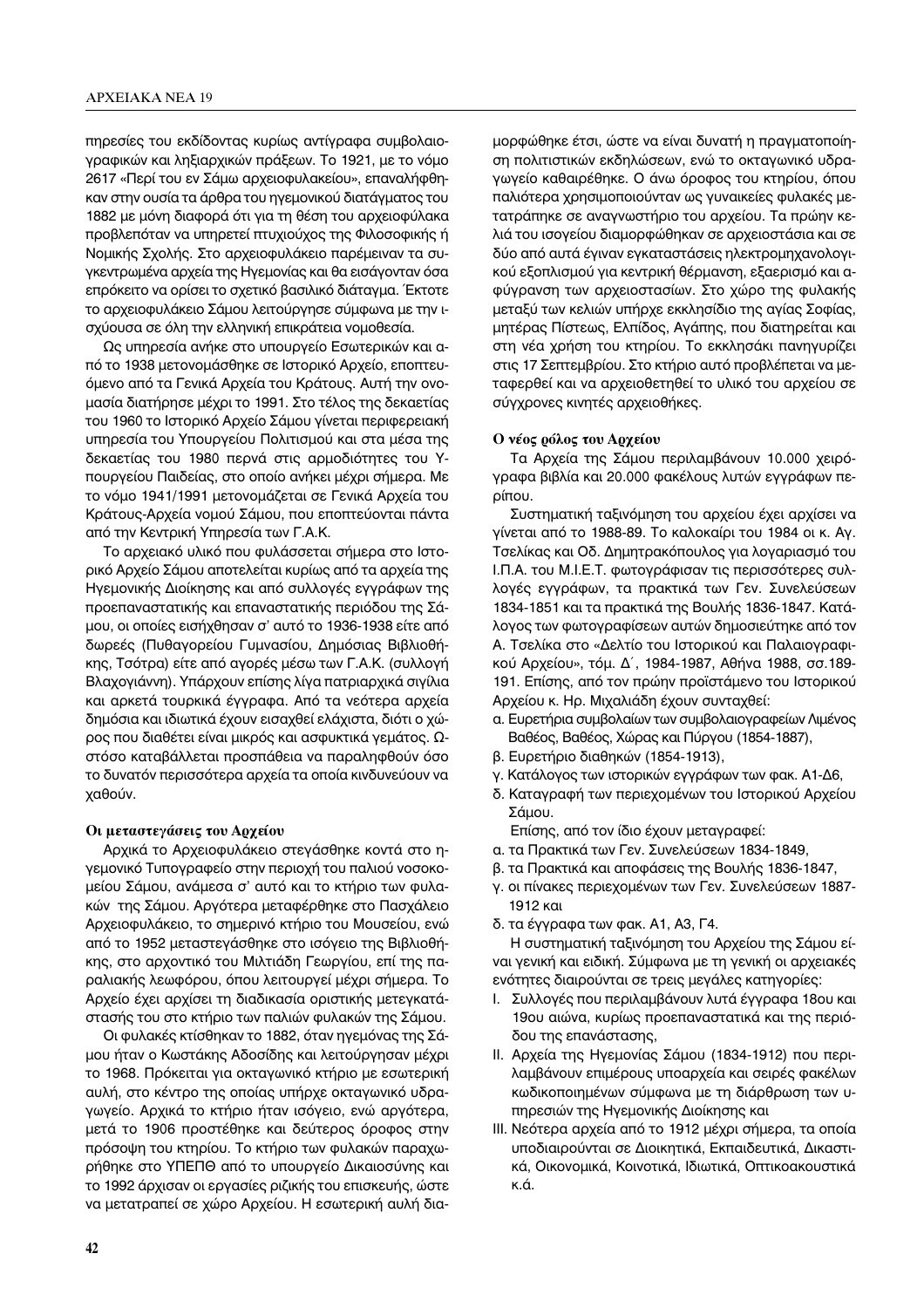πηρεσίες του εκδίδοντας κυρίως αντίγραφα συμβολαιογραφικών και ληξιαρχικών πράξεων. Το 1921, με το νόμο 2617 «Περί του εν Σάμω αρχειοφυλακείου», επαναλήφθηκαν στην ουσία τα άρθρα του ηγεμονικού διατάγματος του 1882 με μόνη διαφορά ότι για τη θέση του αρχειοφύλακα προβλεπόταν να υπηρετεί πτυχιούχος της Φιλοσοφικής ή Νομικής Σχολής. Στο αρχειοφυλάκειο παρέμειναν τα συγκεντρωμένα αρχεία της Ηγεμονίας και θα εισάγονταν όσα επρόκειτο να ορίσει το σχετικό βασιλικό διάταγμα. Έκτοτε το αρχειοφυλάκειο Σάμου λειτούργησε σύμφωνα με την ισχύουσα σε όλη την ελληνική επικράτεια νομοθεσία.

Ως υπηρεσία ανήκε στο υπουργείο Εσωτερικών και από το 1938 μετονομάσθηκε σε Ιστορικό Αρχείο, εποπτευόμενο από τα Γενικά Αρχεία του Κράτους. Αυτή την ονομασία διατήρησε μέχρι το 1991. Στο τέλος της δεκαετίας του 1960 το Ιστορικό Αρχείο Σάμου γίνεται περιφερειακή υπηρεσία του Υπουργείου Πολιτισμού και στα μέσα της δεκαετίας του 1980 περνά στις αρμοδιότητες του Υπουργείου Παιδείας, στο οποίο ανήκει μέχρι σήμερα. Με το νόμο 1941/1991 μετονομάζεται σε Γενικά Αρχεία του Κράτους-Αρχεία νομού Σάμου, που εποπτεύονται πάντα από την Κεντρική Υπηρεσία των Γ.Α.Κ.

Το αρχειακό υλικό που φυλάσσεται σήμερα στο Ιστορικό Αρχείο Σάμου αποτελείται κυρίως από τα αρχεία της Ηγεμονικής Διοίκησης και από συλλογές εγγράφων της προεπαναστατικής και επαναστατικής περιόδου της Σάμου, οι οποίες εισήχθησαν σ' αυτό το 1936-1938 είτε από δωρεές (Πυθαγορείου Γυμνασίου, Δημόσιας Βιβλιοθήκης, Τσότρα) είτε από αγορές μέσω των Γ.Α.Κ. (συλλογή Bλαχογιάννη). Υπάρχουν επίσης λίγα πατριαρχικά σιγίλια και αρκετά τουρκικά έγγραφα. Από τα νεότερα αρχεία δημόσια και ιδιωτικά έχουν εισαχθεί ελάχιστα, διότι ο χώρος που διαθέτει είναι μικρός και ασφυκτικά γεμάτος. Ωστόσο καταβάλλεται προσπάθεια να παραληφθούν όσο το δυνατόν περισσότερα αρχεία τα οποία κινδυνεύουν να χαθούν.

#### Οι μεταστεγάσεις του Αρχείου

Αρχικά το Αρχειοφυλάκειο στεγάσθηκε κοντά στο ηγεμονικό Τυπογραφείο στην περιοχή του παλιού νοσοκομείου Σάμου, ανάμεσα σ' αυτό και το κτήριο των φυλακών της Σάμου. Αργότερα μεταφέρθηκε στο Πασχάλειο Αρχειοφυλάκειο, το σημερινό κτήριο του Μουσείου, ενώ από το 1952 μεταστεγάσθηκε στο ισόγειο της Βιβλιοθήκης, στο αρχοντικό του Μιλτιάδη Γεωργίου, επί της παραλιακής λεωφόρου, όπου λειτουργεί μέχρι σήμερα. Το Αρχείο έχει αρχίσει τη διαδικασία οριστικής μετεγκατάστασής του στο κτήριο των παλιών φυλακών της Σάμου.

Οι φυλακές κτίσθηκαν το 1882, όταν ηγεμόνας της Σάμου ήταν ο Κωστάκης Αδοσίδης και λειτούργησαν μέχρι το 1968. Πρόκειται για οκταγωνικό κτήριο με εσωτερική αυλή, στο κέντρο της οποίας υπήρχε οκταγωνικό υδραγωγείο. Αρχικά το κτήριο ήταν ισόγειο, ενώ αργότερα, μετά το 1906 προστέθηκε και δεύτερος όροφος στην πρόσοψη του κτηρίου. Το κτήριο των φυλακών παραχωρήθηκε στο ΥΠΕΠΘ από το υπουργείο Δικαιοσύνης και το 1992 άρχισαν οι εργασίες ριζικής του επισκευής, ώστε να μετατραπεί σε χώρο Αρχείου. Η εσωτερική αυλή διαμορφώθηκε έτσι, ώστε να είναι δυνατή η πραγματοποίηση πολιτιστικών εκδηλώσεων, ενώ το οκταγωνικό υδραγωγείο καθαιρέθηκε. Ο άνω όροφος του κτηρίου, όπου παλιότερα χρησιμοποιούνταν ως γυναικείες φυλακές μετατράπηκε σε αναγνωστήριο του αρχείου. Τα πρώην κελιά του ισογείου διαμορφώθηκαν σε αρχειοστάσια και σε δύο από αυτά έγιναν εγκαταστάσεις ηλεκτρομηχανολογικού εξοπλισμού για κεντρική θέρμανση, εξαερισμό και αφύγρανση των αρχειοστασίων. Στο χώρο της φυλακής μεταξύ των κελιών υπήρχε εκκλησίδιο της αγίας Σοφίας, μητέρας Πίστεως, Ελπίδος, Αγάπης, που διατηρείται και στη νέα χρήση του κτηρίου. Το εκκλησάκι πανηγυρίζει στις 17 Σεπτεμβρίου. Στο κτήριο αυτό προβλέπεται να μεταφερθεί και να αρχειοθετηθεί το υλικό του αρχείου σε σύγχρονες κινητές αρχειοθήκες.

#### Ο νέος ρόλος του Αργείου

Τα Αρχεία της Σάμου περιλαμβάνουν 10.000 χειρόγραφα βιβλία και 20.000 φακέλους λυτών εγγράφων περίπου.

Συστηματική ταξινόμηση του αρχείου έχει αρχίσει να γίνεται από το 1988-89. Το καλοκαίρι του 1984 οι κ. Αγ. Τσελίκας και Οδ. Δημητρακόπουλος για λογαριασμό του Ι.Π.Α. του Μ.Ι.Ε.Τ. φωτογράφισαν τις περισσότερες συλλογές εγγράφων, τα πρακτικά των Γεν. Συνελεύσεων 1834-1851 και τα πρακτικά της Βουλής 1836-1847. Κατάλογος των φωτογραφίσεων αυτών δημοσιεύτηκε από τον Α. Τσελίκα στο «Δελτίο του Ιστορικού και Παλαιογραφικού Αρχείου», τόμ. Δ΄, 1984-1987, Αθήνα 1988, σσ.189-191. Επίσης, από τον πρώην προϊστάμενο του Ιστορικού Αρχείου κ. Ηρ. Μιχαλιάδη έχουν συνταχθεί:

- α. Ευρετήρια συμβολαίων των συμβολαιογραφείων Λιμένος Βαθέος, Βαθέος, Χώρας και Πύργου (1854-1887),
- $\beta$ . Ευρετήριο διαθηκών (1854-1913),
- γ. Κατάλογος των ιστορικών εγγράφων των φακ. Α1-Δ6,
- δ. Καταγραφή των περιεχομένων του Ιστορικού Αρχείου Σάμου.

Επίσης, από τον ίδιο έχουν μεταγραφεί:

- α. τα Πρακτικά των Γεν. Συνελεύσεων 1834-1849,
- β. τα Πρακτικά και αποφάσεις της Βουλής 1836-1847,
- γ. οι πίνακες περιεχομένων των Γεν. Συνελεύσεων 1887-1912 και
- δ. τα έγγραφα των φακ. Α1, Α3, Γ4.

Η συστηματική ταξινόμηση του Αρχείου της Σάμου είναι γενική και ειδική. Σύμφωνα με τη γενική οι αρχειακές ενότητες διαιρούνται σε τρεις μεγάλες κατηγορίες:

- Ι. Συλλογές που περιλαμβάνουν λυτά έγγραφα 18ου και 19ου αιώνα, κυρίως προεπαναστατικά και της περιόδου της επανάστασης,
- ΙΙ. Αρχεία της Ηγεμονίας Σάμου (1834-1912) που περιλαμβάνουν επιμέρους υποαρχεία και σειρές φακέλων κωδικοποιημένων σύμφωνα με τη διάρθρωση των υπηρεσιών της Ηγεμονικής Διοίκησης και
- ΙΙΙ. Νεότερα αρχεία από το 1912 μέχρι σήμερα, τα οποία υποδιαιρούνται σε Διοικητικά, Εκπαιδευτικά, Δικαστικά, Οικονομικά, Κοινοτικά, Ιδιωτικά, Οπτικοακουστικά κ.ά.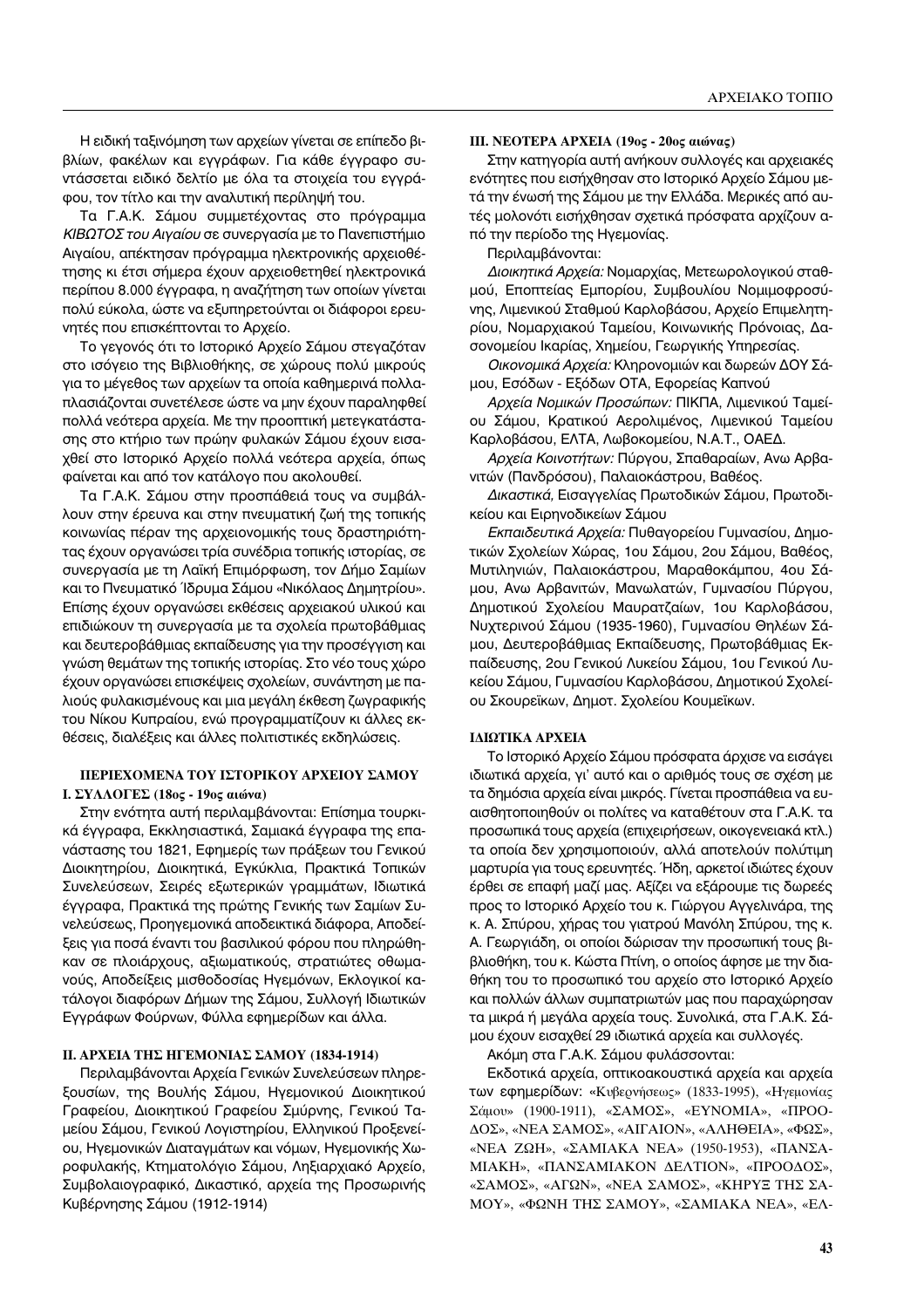Η ειδική ταξινόμηση των αρχείων γίνεται σε επίπεδο βιβλίων, φακέλων και εγγράφων. Για κάθε έγγραφο συντάσσεται ειδικό δελτίο με όλα τα στοιχεία του εγγράφου, τον τίτλο και την αναλυτική περίληψή του.

Τα Γ.Α.Κ. Σάμου συμμετέχοντας στο πρόγραμμα ΚΙΒΩΤΟΣ του Αιγαίου σε συνεργασία με το Πανεπιστήμιο Αιγαίου, απέκτησαν πρόγραμμα ηλεκτρονικής αρχειοθέτησης κι έτσι σήμερα έχουν αρχειοθετηθεί ηλεκτρονικά περίπου 8.000 έγγραφα, η αναζήτηση των οποίων γίνεται πολύ εύκολα, ώστε να εξυπηρετούνται οι διάφοροι ερευνητές που επισκέπτονται το Αρχείο.

Το γεγονός ότι το Ιστορικό Αρχείο Σάμου στεγαζόταν στο ισόγειο της Βιβλιοθήκης, σε χώρους πολύ μικρούς για το μέγεθος των αρχείων τα οποία καθημερινά πολλαπλασιάζονται συνετέλεσε ώστε να μην έχουν παραληφθεί πολλά νεότερα αρχεία. Με την προοπτική μετεγκατάστασης στο κτήριο των πρώην φυλακών Σάμου έχουν εισαχθεί στο Ιστορικό Αρχείο πολλά νεότερα αρχεία, όπως φαίνεται και από τον κατάλογο που ακολουθεί.

Τα Γ.Α.Κ. Σάμου στην προσπάθειά τους να συμβάλλουν στην έρευνα και στην πνευματική ζωή της τοπικής κοινωνίας πέραν της αρχειονομικής τους δραστηριότητας έχουν οργανώσει τρία συνέδρια τοπικής ιστορίας, σε συνεργασία με τη Λαϊκή Επιμόρφωση, τον Δήμο Σαμίων και το Πνευματικό Ίδρυμα Σάμου «Νικόλαος Δημητρίου». Επίσης έχουν οργανώσει εκθέσεις αρχειακού υλικού και επιδιώκουν τη συνεργασία με τα σχολεία πρωτοβάθμιας και δευτεροβάθμιας εκπαίδευσης για την προσέγγιση και γνώση θεμάτων της τοπικής ιστορίας. Στο νέο τους χώρο έχουν οργανώσει επισκέψεις σχολείων, συνάντηση με παλιούς φυλακισμένους και μια μεγάλη έκθεση ζωγραφικής του Νίκου Κυπραίου, ενώ προγραμματίζουν κι άλλες εκθέσεις, διαλέξεις και άλλες πολιτιστικές εκδηλώσεις.

### ΠΕΡΙΕΧΟΜΕΝΑ ΤΟΥ ΙΣΤΟΡΙΚΟΥ ΑΡΧΕΙΟΥ ΣΑΜΟΥ Ι. ΣΥΛΛΟΓΕΣ (18ος - 19ος αιώνα)

Στην ενότητα αυτή περιλαμβάνονται: Επίσημα τουρκικά έγγραφα, Εκκλησιαστικά, Σαμιακά έγγραφα της επανάστασης του 1821, Εφημερίς των πράξεων του Γενικού Διοικητηρίου, Διοικητικά, Εγκύκλια, Πρακτικά Τοπικών Συνελεύσεων, Σειρές εξωτερικών γραμμάτων, Ιδιωτικά έγγραφα, Πρακτικά της πρώτης Γενικής των Σαμίων Συνελεύσεως, Προηγεμονικά αποδεικτικά διάφορα, Αποδείξεις για ποσά έναντι του βασιλικού φόρου που πληρώθηκαν σε πλοιάρχους, αξιωματικούς, στρατιώτες οθωμανούς, Αποδείξεις μισθοδοσίας Ηγεμόνων, Εκλογικοί κατάλογοι διαφόρων Δήμων της Σάμου, Συλλογή Ιδιωτικών Εγγράφων Φούρνων, Φύλλα εφημερίδων και άλλα.

## ΙΙ. ΑΡΧΕΙΑ ΤΗΣ ΗΓΕΜΟΝΙΑΣ ΣΑΜΟΥ (1834-1914)

Περιλαμβάνονται Αρχεία Γενικών Συνελεύσεων πληρεξουσίων, της Βουλής Σάμου, Ηγεμονικού Διοικητικού Γραφείου, Διοικητικού Γραφείου Σμύρνης, Γενικού Ταμείου Σάμου, Γενικού Λογιστηρίου, Ελληνικού Προξενείου, Ηγεμονικών Διαταγμάτων και νόμων, Ηγεμονικής Χωροφυλακής, Κτηματολόγιο Σάμου, Ληξιαρχιακό Αρχείο, Συμβολαιογραφικό, Δικαστικό, αρχεία της Προσωρινής Κυβέρνησης Σάμου (1912-1914)

#### ΠΙ. ΝΕΟΤΕΡΑ ΑΡΧΕΙΑ (19ος - 20ος αιώνας)

Στην κατηγορία αυτή ανήκουν συλλογές και αρχειακές ενότητες που εισήχθησαν στο Ιστορικό Αρχείο Σάμου μετά την ένωσή της Σάμου με την Ελλάδα. Μερικές από αυτές μολονότι εισήχθησαν σχετικά πρόσφατα αρχίζουν από την περίοδο της Ηγεμονίας.

Περιλαμβάνονται:

Διοικητικά Αρχεία: Νομαρχίας, Μετεωρολογικού σταθμού, Εποπτείας Εμπορίου, Συμβουλίου Νομιμοφροσύνης, Λιμενικού Σταθμού Καρλοβάσου, Αρχείο Επιμελητηρίου, Νομαρχιακού Ταμείου, Κοινωνικής Πρόνοιας, Δασονομείου Ικαρίας, Χημείου, Γεωργικής Υπηρεσίας.

Οικονομικά Αρχεία: Κληρονομιών και δωρεών ΔΟΥ Σάμου, Εσόδων - Εξόδων ΟΤΑ, Εφορείας Καπνού

Αρχεία Νομικών Προσώπων: ΠΙΚΠΑ, Λιμενικού Ταμείου Σάμου, Κρατικού Αερολιμένος, Λιμενικού Ταμείου Καρλοβάσου, ΕΛΤΑ, Λωβοκομείου, Ν.Α.Τ., ΟΑΕΔ.

Αρχεία Κοινοτήτων: Πύργου, Σπαθαραίων, Ανω Αρβανιτών (Πανδρόσου), Παλαιοκάστρου, Βαθέος.

Δικαστικά, Εισαγγελίας Πρωτοδικών Σάμου, Πρωτοδικείου και Ειρηνοδικείων Σάμου

Εκπαιδευτικά Αρχεία: Πυθαγορείου Γυμνασίου, Δημοτικών Σχολείων Χώρας, 1ου Σάμου, 2ου Σάμου, Βαθέος, Μυτιληνιών, Παλαιοκάστρου, Μαραθοκάμπου, 4ου Σάμου, Ανω Αρβανιτών, Μανωλατών, Γυμνασίου Πύργου, Δημοτικού Σχολείου Μαυρατζαίων, 1ου Καρλοβάσου, Νυχτερινού Σάμου (1935-1960), Γυμνασίου Θηλέων Σάμου, Δευτεροβάθμιας Εκπαίδευσης, Πρωτοβάθμιας Εκπαίδευσης, 2ου Γενικού Λυκείου Σάμου, 1ου Γενικού Λυκείου Σάμου, Γυμνασίου Καρλοβάσου, Δημοτικού Σχολείου Σκουρεϊκων, Δημοτ. Σχολείου Κουμεϊκων.

#### ΙΔΙΩΤΙΚΑ ΑΡΧΕΙΑ

Το Ιστορικό Αρχείο Σάμου πρόσφατα άρχισε να εισάγει ιδιωτικά αρχεία, γι' αυτό και ο αριθμός τους σε σχέση με τα δημόσια αρχεία είναι μικρός. Γίνεται προσπάθεια να ευαισθητοποιηθούν οι πολίτες να καταθέτουν στα Γ.Α.Κ. τα προσωπικά τους αρχεία (επιχειρήσεων, οικογενειακά κτλ.) τα οποία δεν χρησιμοποιούν, αλλά αποτελούν πολύτιμη μαρτυρία για τους ερευνητές. Ήδη, αρκετοί ιδιώτες έχουν έρθει σε επαφή μαζί μας. Αξίζει να εξάρουμε τις δωρεές προς το Ιστορικό Αρχείο του κ. Γιώργου Αγγελινάρα, της κ. Α. Σπύρου, χήρας του γιατρού Μανόλη Σπύρου, της κ. Α. Γεωργιάδη, οι οποίοι δώρισαν την προσωπική τους βιβλιοθήκη, του κ. Κώστα Πτίνη, ο οποίος άφησε με την διαθήκη του το προσωπικό του αρχείο στο Ιστορικό Αρχείο και πολλών άλλων συμπατριωτών μας που παραχώρησαν τα μικρά ή μεγάλα αρχεία τους. Συνολικά, στα Γ.Α.Κ. Σάμου έχουν εισαχθεί 29 ιδιωτικά αρχεία και συλλογές.

Ακόμη στα Γ.Α.Κ. Σάμου φυλάσσονται:

Εκδοτικά αρχεία, οπτικοακουστικά αρχεία και αρχεία των εφημερίδων: «Κυβερνήσεως» (1833-1995), «Ηγεμονίας Σάμου» (1900-1911), «ΣΑΜΟΣ», «ΕΥΝΟΜΙΑ», «ΠΡΟΟ-ΔΟΣ», «ΝΕΑ ΣΑΜΟΣ», «ΑΙΓΑΙΟΝ», «ΑΛΗΘΕΙΑ», «ΦΩΣ», «ΝΕΑ ΖΩΗ», «ΣΑΜΙΑΚΑ ΝΕΑ» (1950-1953), «ΠΑΝΣΑ-MIAKH», «ΠΑΝΣΑΜΙΑΚΟΝ ΔΕΛΤΙΟΝ», «ΠΡΟΟΔΟΣ», «ΣΑΜΟΣ», «ΑΓΩΝ», «ΝΕΑ ΣΑΜΟΣ», «ΚΗΡΥΞ ΤΗΣ ΣΑ-ΜΟΥ», «ΦΩΝΗ ΤΗΣ ΣΑΜΟΥ», «ΣΑΜΙΑΚΑ ΝΕΑ», «ΕΛ-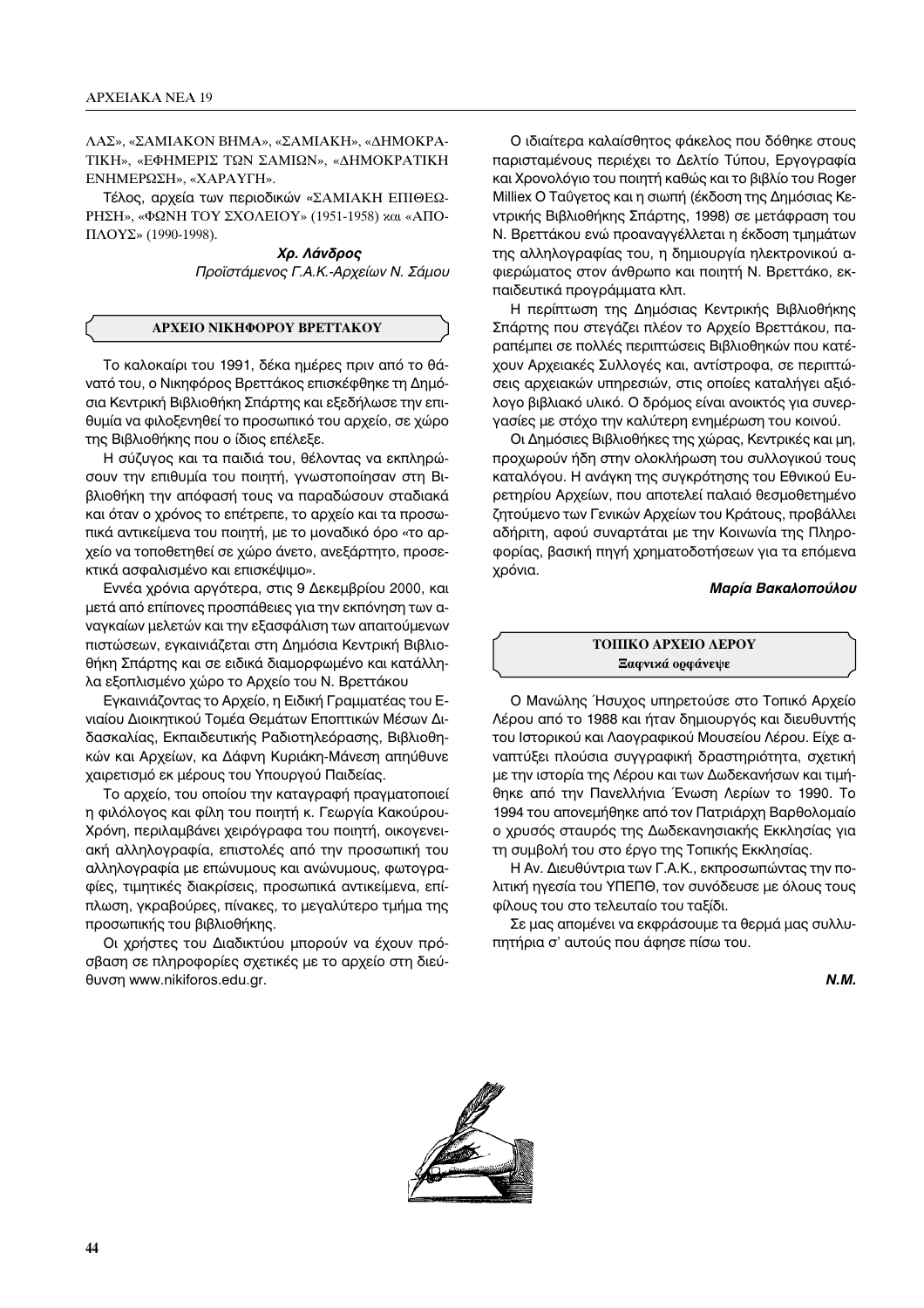ΛΑΣ», «ΣΑΜΙΑΚΟΝ ΒΗΜΑ», «ΣΑΜΙΑΚΗ», «ΔΗΜΟΚΡΑ-ΤΙΚΗ», «ΕΦΗΜΕΡΙΣ ΤΩΝ ΣΑΜΙΩΝ», «ΔΗΜΟΚΡΑΤΙΚΗ ΕΝΗΜΕΡΩΣΗ», «ΧΑΡΑΥΓΗ».

Τέλος, αρχεία των περιοδικών «ΣΑΜΙΑΚΗ ΕΠΙΘΕΩ-PHΣΗ», «ΦΩΝΗ ΤΟΥ ΣΧΟΛΕΙΟΥ» (1951-1958) και «ΑΠΟ- $\Pi\Lambda OY\Sigma$ » (1990-1998).

> Χρ. Λάνδρος Προϊστάμενος Γ.Α.Κ.-Αρχείων Ν. Σάμου

## ΑΡΧΕΙΟ ΝΙΚΗΦΟΡΟΥ ΒΡΕΤΤΑΚΟΥ

Το καλοκαίρι του 1991, δέκα ημέρες πριν από το θάνατό του, ο Νικηφόρος Βρεττάκος επισκέφθηκε τη Δημόσια Κεντρική Βιβλιοθήκη Σπάρτης και εξεδήλωσε την επιθυμία να φιλοξενηθεί το προσωπικό του αρχείο, σε χώρο της Βιβλιοθήκης που ο ίδιος επέλεξε.

Η σύζυγος και τα παιδιά του, θέλοντας να εκπληρώσουν την επιθυμία του ποιητή, γνωστοποίησαν στη Βιβλιοθήκη την απόφασή τους να παραδώσουν σταδιακά και όταν ο χρόνος το επέτρεπε, το αρχείο και τα προσωπικά αντικείμενα του ποιητή, με το μοναδικό όρο «το αρχείο να τοποθετηθεί σε χώρο άνετο, ανεξάρτητο, προσεκτικά ασφαλισμένο και επισκέψιμο».

Εννέα χρόνια αργότερα, στις 9 Δεκεμβρίου 2000, και μετά από επίπονες προσπάθειες για την εκπόνηση των αναγκαίων μελετών και την εξασφάλιση των απαιτούμενων πιστώσεων, εγκαινιάζεται στη Δημόσια Κεντρική Βιβλιοθήκη Σπάρτης και σε ειδικά διαμορφωμένο και κατάλληλα εξοπλισμένο χώρο το Αρχείο του Ν. Βρεττάκου

Εγκαινιάζοντας το Αρχείο, η Ειδική Γραμματέας του Ενιαίου Διοικητικού Τομέα Θεμάτων Εποπτικών Μέσων Διδασκαλίας, Εκπαιδευτικής Ραδιοτηλεόρασης, Βιβλιοθηκών και Αρχείων, κα Δάφνη Κυριάκη-Μάνεση απηύθυνε χαιρετισμό εκ μέρους του Υπουργού Παιδείας.

Το αρχείο, του οποίου την καταγραφή πραγματοποιεί η φιλόλογος και φίλη του ποιητή κ. Γεωργία Κακούρου-Χρόνη, περιλαμβάνει χειρόγραφα του ποιητή, οικογενειακή αλληλογραφία, επιστολές από την προσωπική του αλληλογραφία με επώνυμους και ανώνυμους, φωτογραφίες, τιμητικές διακρίσεις, προσωπικά αντικείμενα, επίπλωση, γκραβούρες, πίνακες, το μεγαλύτερο τμήμα της προσωπικής του βιβλιοθήκης.

Οι χρήστες του Διαδικτύου μπορούν να έχουν πρόσβαση σε πληροφορίες σχετικές με το αρχείο στη διεύθυνση www.nikiforos.edu.gr.

Ο ιδιαίτερα καλαίσθητος φάκελος που δόθηκε στους παρισταμένους περιέχει το Δελτίο Τύπου, Εργογραφία και Χρονολόγιο του ποιητή καθώς και το βιβλίο του Roger Milliex Ο Ταΰγετος και η σιωπή (έκδοση της Δημόσιας Κεντρικής Βιβλιοθήκης Σπάρτης, 1998) σε μετάφραση του Ν. Βρεττάκου ενώ προαναγγέλλεται η έκδοση τμημάτων της αλληλογραφίας του, η δημιουργία ηλεκτρονικού αφιερώματος στον άνθρωπο και ποιητή Ν. Βρεττάκο, εκπαιδευτικά προγράμματα κλπ.

Η περίπτωση της Δημόσιας Κεντρικής Βιβλιοθήκης Σπάρτης που στεγάζει πλέον το Αρχείο Βρεττάκου, παραπέμπει σε πολλές περιπτώσεις Βιβλιοθηκών που κατέχουν Αρχειακές Συλλογές και, αντίστροφα, σε περιπτώσεις αρχειακών υπηρεσιών, στις οποίες καταλήγει αξιόλογο βιβλιακό υλικό. Ο δρόμος είναι ανοικτός για συνεργασίες με στόχο την καλύτερη ενημέρωση του κοινού.

Οι Δημόσιες Βιβλιοθήκες της χώρας, Κεντρικές και μη, προχωρούν ήδη στην ολοκλήρωση του συλλογικού τους καταλόγου. Η ανάγκη της συγκρότησης του Εθνικού Ευρετηρίου Αρχείων, που αποτελεί παλαιό θεσμοθετημένο ζητούμενο των Γενικών Αρχείων του Κράτους, προβάλλει αδήριτη, αφού συναρτάται με την Κοινωνία της Πληροφορίας, βασική πηγή χρηματοδοτήσεων για τα επόμενα χρόνια.

## Μαρία Βακαλοπούλου

## ΤΟΠΙΚΟ ΑΡΧΕΙΟ ΛΕΡΟΥ Ξαφνικά ορφάνεψε

Ο Μανώλης Ήσυχος υπηρετούσε στο Τοπικό Αρχείο Λέρου από το 1988 και ήταν δημιουργός και διευθυντής του Ιστορικού και Λαογραφικού Μουσείου Λέρου. Είχε αναπτύξει πλούσια συγγραφική δραστηριότητα, σχετική με την ιστορία της Λέρου και των Δωδεκανήσων και τιμήθηκε από την Πανελλήνια Ένωση Λερίων το 1990. Το 1994 του απονεμήθηκε από τον Πατριάρχη Βαρθολομαίο ο χρυσός σταυρός της Δωδεκανησιακής Εκκλησίας για τη συμβολή του στο έργο της Τοπικής Εκκλησίας.

Η Αν. Διευθύντρια των Γ.Α.Κ., εκπροσωπώντας την πολιτική ηγεσία του ΥΠΕΠΘ, τον συνόδευσε με όλους τους φίλους του στο τελευταίο του ταξίδι.

Σε μας απομένει να εκφράσουμε τα θερμά μας συλλυπητήρια σ' αυτούς που άφησε πίσω του.

 $N.M.$ 

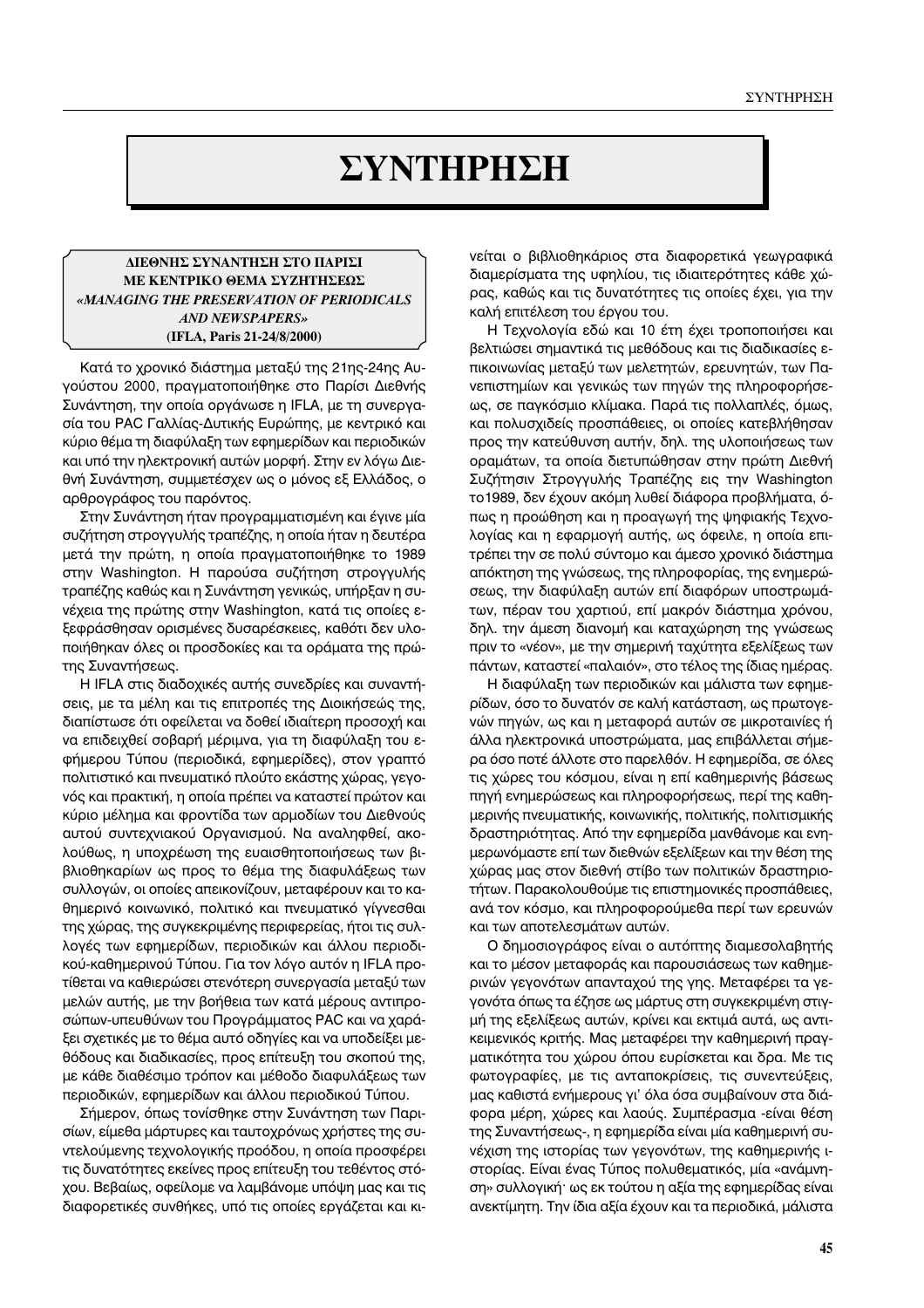# $Σ$ ΥΝΤΗΡΗΣΗ

## **ΔΙΕΘΝΗΣ ΣΥΝΑΝΤΗΣΗ ΣΤΟ ΠΑΡΙΣΙ ΜΕ ΚΕΝΤΡΙΚΟ ΘΕΜΑ ΣΥΖΗΤΗΣΕΩΣ** *«MANAGING THE PRESERVATION OF PERIODICALS AND NEWSPAPERS»* **(IFLA, Paris 21-24/8/2000)**

Κατά το χρονικό διάστημα μεταξύ της 21ης-24ης Auγούστου 2000, πραγματοποιήθηκε στο Παρίσι Διεθνής Συνάντηση, την οποία οργάνωσε η IFLA, με τη συνεργασία του PAC Γαλλίας-Δυτικής Ευρώπης, με κεντρικό και κύριο θέμα τη διαφύλαξη των εφημερίδων και περιοδικών και υπό την ηλεκτρονική αυτών μορφή. Στην εν λόγω Διεθνή Συνάντηση, συμμετέσχεν ως ο μόνος εξ Ελλάδος, ο αρθρογράφος του παρόντος.

Στην Συνάντηση ήταν προγραμματισμένη και έγινε μία συζήτηση στρογγυλής τραπέζης, η οποία ήταν η δευτέρα μετά την πρώτη, η οποία πραγματοποιήθηκε το 1989 στην Washington. Η παρούσα συζήτηση στρογγυλής τραπέζης καθώς και η Συνάντηση γενικώς, υπήρξαν η συνέχεια της πρώτης στην Washington, κατά τις οποίες εξεφράσθησαν ορισμένες δυσαρέσκειες, καθότι δεν υλοποιήθηκαν όλες οι προσδοκίες και τα οράματα της πρώτης Συναντήσεως.

Η IFLA στις διαδοχικές αυτής συνεδρίες και συναντήσεις, με τα μέλη και τις επιτροπές της Διοικήσεώς της, διαπίστωσε ότι οφείλεται να δοθεί ιδιαίτερη προσοχή και να επιδειχθεί σοβαρή μέριμνα, για τη διαφύλαξη του εφήμερου Τύπου (περιοδικά, εφημερίδες), στον γραπτό πολιτιστικό και πνευματικό πλούτο εκάστης χώρας, γεγονός και πρακτική, η οποία πρέπει να καταστεί πρώτον και κύριο μέλημα και φροντίδα των αρμοδίων του Διεθνούς αυτού συντεχνιακού Οργανισμού. Να αναληφθεί, ακολούθως, η υποχρέωση της ευαισθητοποιήσεως των βιβλιοθηκαρίων ως προς το θέμα της διαφυλάξεως των συλλογών, οι οποίες απεικονίζουν, μεταφέρουν και το καθημερινό κοινωνικό, πολιτικό και πνευματικό γίγνεσθαι της χώρας, της συγκεκριμένης περιφερείας, ήτοι τις συλλογές των εφημερίδων, περιοδικών και άλλου περιοδικού-καθημερινού Τύπου. Για τον λόγο αυτόν η IFLA προτίθεται να καθιερώσει στενότερη συνεργασία μεταξύ των μελών αυτής, με την βοήθεια των κατά μέρους αντιπροσώπων-υπευθύνων του Προγράμματος PAC και να χαράξει σχετικές με το θέμα αυτό οδηγίες και να υποδείξει μεθόδους και διαδικασίες, προς επίτευξη του σκοπού της, με κάθε διαθέσιμο τρόπον και μέθοδο διαφυλάξεως των περιοδικών, εφημερίδων και άλλου περιοδικού Τύπου.

Σήμερον, όπως τονίσθηκε στην Συνάντηση των Παρισίων, είμεθα μάρτυρες και ταυτοχρόνως χρήστες της συ-Vτελούμενης τεχνολογικής προόδου, η οποία προσφέρει τις δυνατότητες εκείνες προς επίτευξη του τεθέντος στόχου. Βεβαίως, οφείλομε να λαμβάνομε υπόψη μας και τις διαφορετικές συνθήκες, υπό τις οποίες εργάζεται και κινείται ο βιβλιοθηκάριος στα διαφορετικά γεωγραφικά διαμερίσματα της υφηλίου, τις ιδιαιτερότητες κάθε χώρας, καθώς και τις δυνατότητες τις οποίες έχει, για την καλή επιτέλεση του έργου του.

Η Τεχνολογία εδώ και 10 έτη έχει τροποποιήσει και βελτιώσει σημαντικά τις μεθόδους και τις διαδικασίες επικοινωνίας μεταξύ των μελετητών, ερευνητών, των Πανεπιστημίων και γενικώς των πηγών της πληροφορήσεως, σε παγκόσμιο κλίμακα. Παρά τις πολλαπλές, όμως, και πολυσχιδείς προσπάθειες, οι οποίες κατεβλήθησαν προς την κατεύθυνση αυτήν, δηλ. της υλοποιήσεως των οραμάτων, τα οποία διετυπώθησαν στην πρώτη Διεθνή Συζήτησιν Στρογγυλής Τραπέζης εις την Washington το 1989, δεν έχουν ακόμη λυθεί διάφορα προβλήματα, όπως η προώθηση και η προαγωγή της ψηφιακής Τεχνολογίας και η εφαρμογή αυτής, ως όφειλε, η οποία επιτρέπει την σε πολύ σύντομο και άμεσο χρονικό διάστημα απόκτηση της γνώσεως, της πληροφορίας, της ενημερώσεως, την διαφύλαξη αυτών επί διαφόρων υποστρωμάτων, πέραν του χαρτιού, επί μακρόν διάστημα χρόνου, δηλ. την άμεση διανομή και καταχώρηση της γνώσεως πριν το «νέον», με την σημερινή ταχύτητα εξελίξεως των πάντων, καταστεί «παλαιόν», στο τέλος της ίδιας ημέρας.

Η διαφύλαξη των περιοδικών και μάλιστα των εφημερίδων, όσο το δυνατόν σε καλή κατάσταση, ως πρωτογενών πηγών, ως και η μεταφορά αυτών σε μικροταινίες ή άλλα ηλεκτρονικά υποστρώματα, μας επιβάλλεται σήμερα όσο ποτέ άλλοτε στο παρελθόν. Η εφημερίδα, σε όλες τις χώρες του κόσμου, είναι η επί καθημερινής βάσεως πηγή ενημερώσεως και πληροφορήσεως, περί της καθημερινής πνευματικής, κοινωνικής, πολιτικής, πολιτισμικής δραστηριότητας. Από την εφημερίδα μανθάνομε και ενημερωνόμαστε επί των διεθνών εξελίξεων και την θέση της χώρας μας στον διεθνή στίβο των πολιτικών δραστηριοτήτων. Παρακολουθούμε τις επιστημονικές προσπάθειες, ανά τον κόσμο, και πληροφορούμεθα περί των ερευνών και των αποτελεσμάτων αυτών.

Ο δημοσιογράφος είναι ο αυτόπτης διαμεσολαβητής και το μέσον μεταφοράς και παρουσιάσεως των καθημερινών γεγονότων απανταχού της γης. Μεταφέρει τα γεγονότα όπως τα έζησε ως μάρτυς στη συγκεκριμένη στιγμή της εξελίξεως αυτών, κρίνει και εκτιμά αυτά, ως αντικειμενικός κριτής. Μας μεταφέρει την καθημερινή πραγματικότητα του χώρου όπου ευρίσκεται και δρα. Με τις φωτογραφίες, με τις ανταποκρίσεις, τις συνεντεύξεις, μας καθιστά ενήμερους γι' όλα όσα συμβαίνουν στα διάφορα μέρη, χώρες και λαούς. Συμπέρασμα -είναι θέση της Συναντήσεως-, η εφημερίδα είναι μία καθημερινή συνέχιση της ιστορίας των γεγονότων, της καθημερινής ιστορίας. Είναι ένας Τύπος πολυθεματικός, μία «ανάμνηση» συλλογική· ως εκ τούτου η αξία της εφημερίδας είναι ανεκτίμητη. Την ίδια αξία έχουν και τα περιοδικά, μάλιστα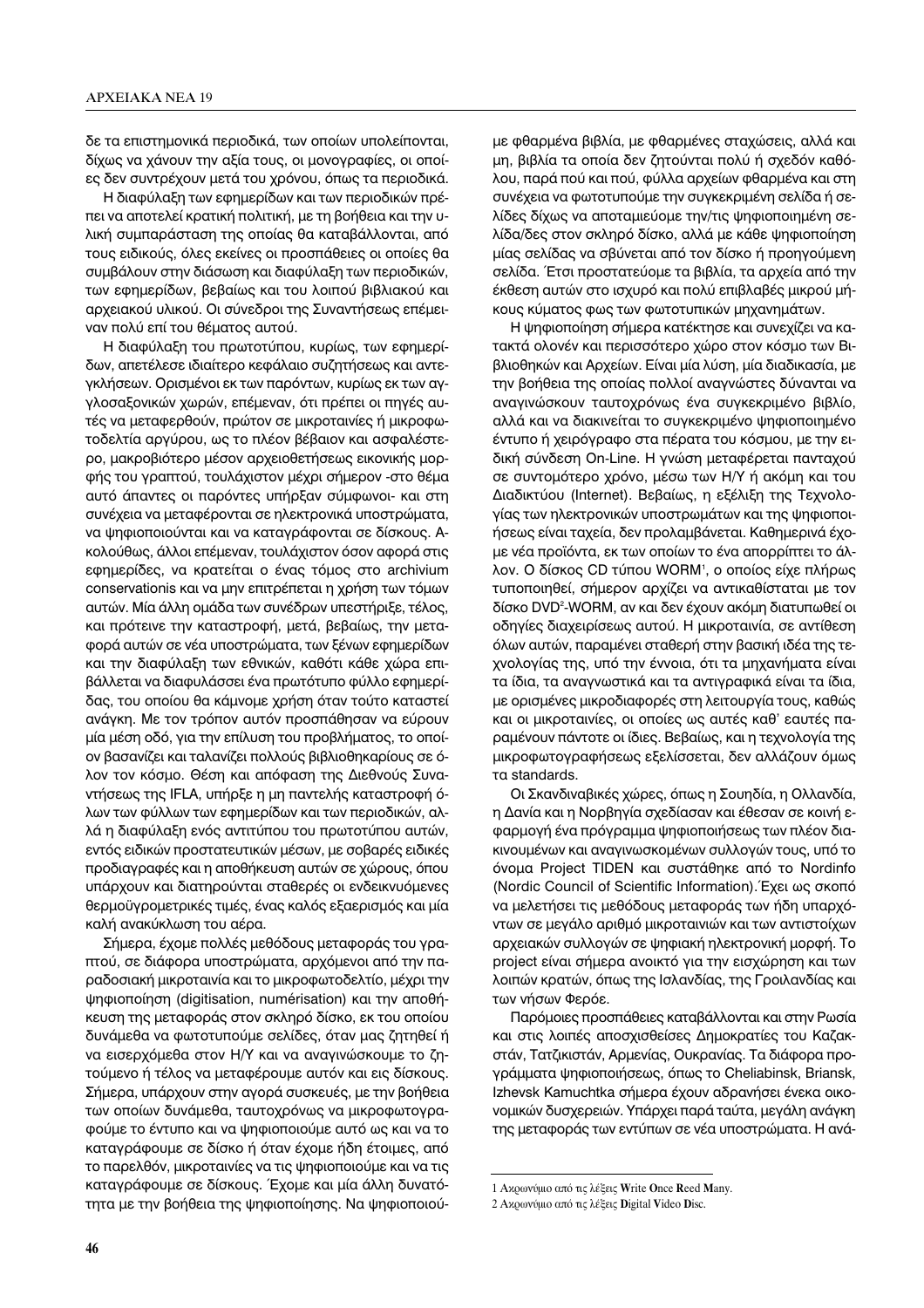δε τα επιστημονικά περιοδικά, των οποίων υπολείπονται, δίχως να χάνουν την αξία τους, οι μονογραφίες, οι οποίες δεν συντρέχουν μετά του χρόνου, όπως τα περιοδικά.

Η διαφύλαξη των εφημερίδων και των περιοδικών πρέπει να αποτελεί κρατική πολιτική, με τη βοήθεια και την υλική συμπαράσταση της οποίας θα καταβάλλονται, από τους ειδικούς, όλες εκείνες οι προσπάθειες οι οποίες θα συμβάλουν στην διάσωση και διαφύλαξη των περιοδικών, των εφημερίδων, βεβαίως και του λοιπού βιβλιακού και αρχειακού υλικού. Οι σύνεδροι της Συναντήσεως επέμειναν πολύ επί του θέματος αυτού.

Η διαφύλαξη του πρωτοτύπου, κυρίως, των εφημερίδων, απετέλεσε ιδιαίτερο κεφάλαιο συζητήσεως και αντεγκλήσεων. Ορισμένοι εκ των παρόντων, κυρίως εκ των αγγλοσαξονικών χωρών, επέμεναν, ότι πρέπει οι πηγές αυτές να μεταφερθούν, πρώτον σε μικροταινίες ή μικροφωτοδελτία αργύρου, ως το πλέον βέβαιον και ασφαλέστερο, μακροβιότερο μέσον αρχειοθετήσεως εικονικής μορφής του γραπτού, τουλάχιστον μέχρι σήμερον -στο θέμα αυτό άπαντες οι παρόντες υπήρξαν σύμφωνοι- και στη συνέχεια να μεταφέρονται σε ηλεκτρονικά υποστρώματα, να ψηφιοποιούνται και να καταγράφονται σε δίσκους. Ακολούθως, άλλοι επέμεναν, τουλάχιστον όσον αφορά στις εφημερίδες, να κρατείται ο ένας τόμος στο archivium conservationis και να μην επιτρέπεται η χρήση των τόμων αυτών. Μία άλλη ομάδα των συνέδρων υπεστήριξε, τέλος, και πρότεινε την καταστροφή, μετά, βεβαίως, την μεταφορά αυτών σε νέα υποστρώματα, των ξένων εφημερίδων και την διαφύλαξη των εθνικών, καθότι κάθε χώρα επιβάλλεται να διαφυλάσσει ένα πρωτότυπο φύλλο εφημερίδας, του οποίου θα κάμνομε χρήση όταν τούτο καταστεί ανάγκη. Με τον τρόπον αυτόν προσπάθησαν να εύρουν μία μέση οδό, για την επίλυση του προβλήματος, το οποίον βασανίζει και ταλανίζει πολλούς βιβλιοθηκαρίους σε όλον τον κόσμο. Θέση και απόφαση της Διεθνούς Συναντήσεως της IFLA, υπήρξε η μη παντελής καταστροφή όλων των φύλλων των εφημερίδων και των περιοδικών, αλλά η διαφύλαξη ενός αντιτύπου του πρωτοτύπου αυτών, εντός ειδικών προστατευτικών μέσων, με σοβαρές ειδικές προδιαγραφές και η αποθήκευση αυτών σε χώρους, όπου υπάρχουν και διατηρούνται σταθερές οι ενδεικνυόμενες θερμοϋγρομετρικές τιμές, ένας καλός εξαερισμός και μία καλή ανακύκλωση του αέρα.

Σήμερα, έχομε πολλές μεθόδους μεταφοράς του γραπτού, σε διάφορα υποστρώματα, αρχόμενοι από την παραδοσιακή μικροταινία και το μικροφωτοδελτίο, μέχρι την ψηφιοποίηση (digitisation, numérisation) και την αποθήκευση της μεταφοράς στον σκληρό δίσκο, εκ του οποίου δυνάμεθα να φωτοτυπούμε σελίδες, όταν μας ζητηθεί ή να εισερχόμεθα στον Η/Υ και να αναγινώσκουμε το ζητούμενο ή τέλος να μεταφέρουμε αυτόν και εις δίσκους. Σήμερα, υπάρχουν στην αγορά συσκευές, με την βοήθεια των οποίων δυνάμεθα, ταυτοχρόνως να μικροφωτογραφούμε το έντυπο και να ψηφιοποιούμε αυτό ως και να το καταγράφουμε σε δίσκο ή όταν έχομε ήδη έτοιμες, από το παρελθόν, μικροταινίες να τις ψηφιοποιούμε και να τις καταγράφουμε σε δίσκους. Έχομε και μία άλλη δυνατότητα με την βοήθεια της ψηφιοποίησης. Να ψηφιοποιούμε φθαρμένα βιβλία, με φθαρμένες σταχώσεις, αλλά και μη, βιβλία τα οποία δεν ζητούνται πολύ ή σχεδόν καθόλου, παρά πού και πού, φύλλα αρχείων φθαρμένα και στη συνέχεια να φωτοτυπούμε την συγκεκριμένη σελίδα ή σελίδες δίχως να αποταμιεύομε την/τις ψηφιοποιημένη σελίδα/δες στον σκληρό δίσκο, αλλά με κάθε ψηφιοποίηση μίας σελίδας να σβύνεται από τον δίσκο ή προηγούμενη σελίδα. Έτσι προστατεύομε τα βιβλία, τα αρχεία από την έκθεση αυτών στο ισχυρό και πολύ επιβλαβές μικρού μήκους κύματος φως των φωτοτυπικών μηχανημάτων.

Η ψηφιοποίηση σήμερα κατέκτησε και συνεχίζει να κατακτά ολονέν και περισσότερο χώρο στον κόσμο των Βιβλιοθηκών και Αρχείων. Είναι μία λύση, μία διαδικασία, με την βοήθεια της οποίας πολλοί αναγνώστες δύνανται να αναγινώσκουν ταυτοχρόνως ένα συγκεκριμένο βιβλίο, αλλά και να διακινείται το συγκεκριμένο ψηφιοποιημένο έντυπο ή χειρόγραφο στα πέρατα του κόσμου, με την ειδική σύνδεση On-Line. Η γνώση μεταφέρεται πανταχού σε συντομότερο χρόνο, μέσω των Η/Υ ή ακόμη και του Διαδικτύου (Internet). Βεβαίως, η εξέλιξη της Τεχνολογίας των ηλεκτρονικών υποστρωμάτων και της ψηφιοποιήσεως είναι ταχεία, δεν προλαμβάνεται. Καθημερινά έχομε νέα προϊόντα, εκ των οποίων το ένα απορρίπτει το άλλον. Ο δίσκος CD τύπου WORM<sup>1</sup>, ο οποίος είχε πλήρως τυποποιηθεί, σήμερον αρχίζει να αντικαθίσταται με τον δίσκο DVD<sup>2</sup>-WORM, αν και δεν έχουν ακόμη διατυπωθεί οι οδηγίες διαχειρίσεως αυτού. Η μικροταινία, σε αντίθεση όλων αυτών, παραμένει σταθερή στην βασική ιδέα της τεχνολογίας της, υπό την έννοια, ότι τα μηχανήματα είναι τα ίδια, τα αναγνωστικά και τα αντιγραφικά είναι τα ίδια, με ορισμένες μικροδιαφορές στη λειτουργία τους, καθώς και οι μικροταινίες, οι οποίες ως αυτές καθ' εαυτές παραμένουν πάντοτε οι ίδιες. Βεβαίως, και η τεχνολογία της μικροφωτογραφήσεως εξελίσσεται, δεν αλλάζουν όμως τα standards.

Οι Σκανδιναβικές χώρες, όπως η Σουηδία, η Ολλανδία, η Δανία και η Νορβηγία σχεδίασαν και έθεσαν σε κοινή εφαρμογή ένα πρόγραμμα ψηφιοποιήσεως των πλέον διακινουμένων και αναγινωσκομένων συλλογών τους, υπό το όνομα Project TIDEN και συστάθηκε από το Nordinfo (Nordic Council of Scientific Information). Έχει ως σκοπό να μελετήσει τις μεθόδους μεταφοράς των ήδη υπαρχόντων σε μεγάλο αριθμό μικροταινιών και των αντιστοίχων αρχειακών συλλογών σε ψηφιακή ηλεκτρονική μορφή. Το project είναι σήμερα ανοικτό για την εισχώρηση και των λοιπών κρατών, όπως της Ισλανδίας, της Γροιλανδίας και των νήσων Φερόε.

Παρόμοιες προσπάθειες καταβάλλονται και στην Ρωσία και στις λοιπές αποσχισθείσες Δημοκρατίες του Καζακστάν, Τατζικιστάν, Αρμενίας, Ουκρανίας. Τα διάφορα προγράμματα ψηφιοποιήσεως, όπως το Cheliabinsk, Briansk, Izhevsk Kamuchtka σήμερα έχουν αδρανήσει ένεκα οικονομικών δυσχερειών. Υπάρχει παρά ταύτα, μεγάλη ανάγκη της μεταφοράς των εντύπων σε νέα υποστρώματα. Η ανά-

<sup>1</sup> Ακρωνύμιο από τις λέξεις Write Once Reed Many.

<sup>2</sup> Ακρωνύμιο από τις λέξεις Digital Video Disc.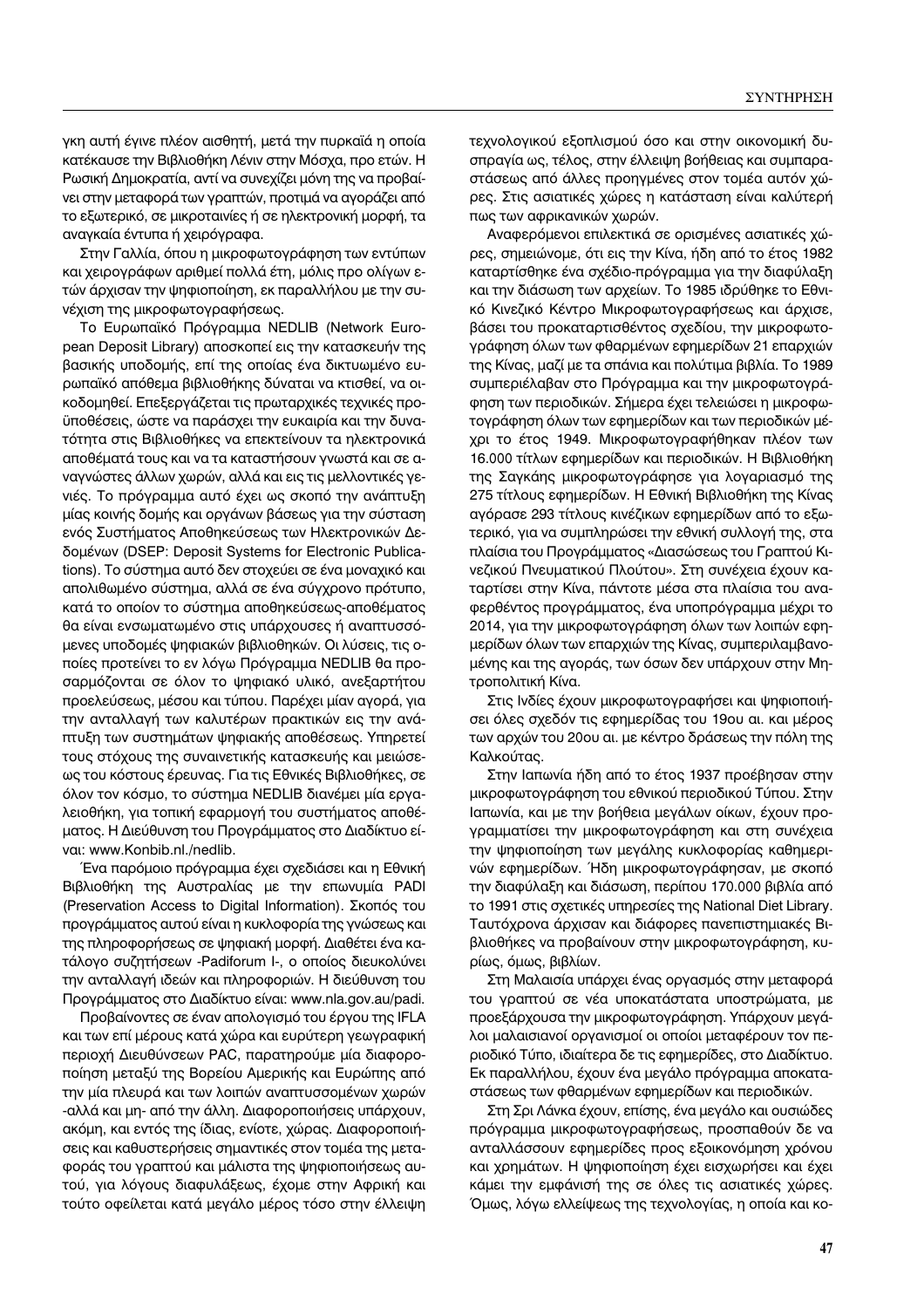γκη αυτή έγινε πλέον αισθητή, μετά την πυρκαϊά η οποία κατέκαυσε την Βιβλιοθήκη Λένιν στην Μόσχα, προ ετών. Η Ρωσική Δημοκρατία, αντί να συνεχίζει μόνη της να προβαίνει στην μεταφορά των γραπτών, προτιμά να αγοράζει από το εξωτερικό, σε μικροταινίες ή σε ηλεκτρονική μορφή, τα αναγκαία έντυπα ή χειρόγραφα.

Στην Γαλλία, όπου η μικροφωτογράφηση των εντύπων και χειρογράφων αριθμεί πολλά έτη, μόλις προ ολίγων ετών άρχισαν την ψηφιοποίηση, εκ παραλλήλου με την συνέχιση της μικροφωτογραφήσεως.

Το Ευρωπαϊκό Πρόγραμμα NEDLIB (Network European Deposit Library) αποσκοπεί εις την κατασκευήν της βασικής υποδομής, επί της οποίας ένα δικτυωμένο ευρωπαϊκό απόθεμα βιβλιοθήκης δύναται να κτισθεί, να οικοδομηθεί. Επεξεργάζεται τις πρωταρχικές τεχνικές προϋποθέσεις, ώστε να παράσχει την ευκαιρία και την δυνατότητα στις Βιβλιοθήκες να επεκτείνουν τα ηλεκτρονικά αποθέματά τους και να τα καταστήσουν γνωστά και σε αναγνώστες άλλων χωρών, αλλά και εις τις μελλοντικές γενιές. Το πρόγραμμα αυτό έχει ως σκοπό την ανάπτυξη μίας κοινής δομής και οργάνων βάσεως για την σύσταση ενός Συστήματος Αποθηκεύσεως των Ηλεκτρονικών Δεδομένων (DSEP: Deposit Systems for Electronic Publications). Το σύστημα αυτό δεν στοχεύει σε ένα μοναχικό και απολιθωμένο σύστημα, αλλά σε ένα σύγχρονο πρότυπο, κατά το οποίον το σύστημα αποθηκεύσεως-αποθέματος θα είναι ενσωματωμένο στις υπάρχουσες ή αναπτυσσόμενες υποδομές ψηφιακών βιβλιοθηκών. Οι λύσεις, τις οποίες προτείνει το εν λόγω Πρόγραμμα NEDLIB θα προσαρμόζονται σε όλον το ψηφιακό υλικό, ανεξαρτήτου προελεύσεως, μέσου και τύπου. Παρέχει μίαν αγορά, για την ανταλλαγή των καλυτέρων πρακτικών εις την ανάπτυξη των συστημάτων ψηφιακής αποθέσεως. Υπηρετεί τους στόχους της συναινετικής κατασκευής και μειώσεως του κόστους έρευνας. Για τις Εθνικές Βιβλιοθήκες, σε όλον τον κόσμο, το σύστημα NEDLIB διανέμει μία εργαλειοθήκη, για τοπική εφαρμογή του συστήματος αποθέματος. Η Διεύθυνση του Προγράμματος στο Διαδίκτυο είval: www.Konbib.nl./nedlib.

Ένα παρόμοιο πρόγραμμα έχει σχεδιάσει και η Εθνική Bιβλιοθήκη της Αυστραλίας με την επωνυμία PADI (Preservation Access to Digital Information). Σκοπός του προγράμματος αυτού είναι η κυκλοφορία της γνώσεως και της πληροφορήσεως σε ψηφιακή μορφή. Διαθέτει ένα κατάλογο συζητήσεων -Padiforum I-, ο οποίος διευκολύνει την ανταλλαγή ιδεών και πληροφοριών. Η διεύθυνση του Προγράμματος στο Διαδίκτυο είναι: www.nla.gov.au/padi.

Προβαίνοντες σε έναν απολογισμό του έργου της IFLA και των επί μέρους κατά χώρα και ευρύτερη γεωγραφική περιοχή Διευθύνσεων PAC, παρατηρούμε μία διαφοροποίηση μεταξύ της Βορείου Αμερικής και Ευρώπης από την μία πλευρά και των λοιπών αναπτυσσομένων χωρών -αλλά και μη- από την άλλη. Διαφοροποιήσεις υπάρχουν, ακόμη, και εντός της ίδιας, ενίοτε, χώρας. Διαφοροποιήσεις και καθυστερήσεις σημαντικές στον τομέα της μεταφοράς του γραπτού και μάλιστα της ψηφιοποιήσεως αυτού, για λόγους διαφυλάξεως, έχομε στην Αφρική και τούτο οφείλεται κατά μεγάλο μέρος τόσο στην έλλειψη τεχνολογικού εξοπλισμού όσο και στην οικονομική δυσπραγία ως, τέλος, στην έλλειψη βοήθειας και συμπαραστάσεως από άλλες προηγμένες στον τομέα αυτόν χώρες. Στις ασιατικές χώρες η κατάσταση είναι καλύτερή πως των αφρικανικών χωρών.

Αναφερόμενοι επιλεκτικά σε ορισμένες ασιατικές χώρες, σημειώνομε, ότι εις την Κίνα, ήδη από το έτος 1982 καταρτίσθηκε ένα σχέδιο-πρόγραμμα για την διαφύλαξη και την διάσωση των αρχείων. Το 1985 ιδρύθηκε το Εθνικό Κινεζικό Κέντρο Μικροφωτογραφήσεως και άρχισε, βάσει του προκαταρτισθέντος σχεδίου, την μικροφωτογράφηση όλων των φθαρμένων εφημερίδων 21 επαρχιών της Κίνας, μαζί με τα σπάνια και πολύτιμα βιβλία. Το 1989 συμπεριέλαβαν στο Πρόγραμμα και την μικροφωτογράφηση των περιοδικών. Σήμερα έχει τελειώσει η μικροφωτογράφηση όλων των εφημερίδων και των περιοδικών μέχρι το έτος 1949. Μικροφωτογραφήθηκαν πλέον των 16.000 τίτλων εφημερίδων και περιοδικών. Η Βιβλιοθήκη της Σαγκάης μικροφωτογράφησε για λογαριασμό της 275 τίτλους εφημερίδων. Η Εθνική Βιβλιοθήκη της Κίνας αγόρασε 293 τίτλους κινέζικων εφημερίδων από το εξωτερικό, για να συμπληρώσει την εθνική συλλογή της, στα πλαίσια του Προγράμματος «Διασώσεως του Γραπτού Κινεζικού Πνευματικού Πλούτου». Στη συνέχεια έχουν καταρτίσει στην Κίνα, πάντοτε μέσα στα πλαίσια του αναφερθέντος προγράμματος, ένα υποπρόγραμμα μέχρι το 2014, για την μικροφωτογράφηση όλων των λοιπών εφημερίδων όλων των επαρχιών της Κίνας, συμπεριλαμβανομένης και της αγοράς, των όσων δεν υπάρχουν στην Μητροπολιτική Κίνα.

Στις Ινδίες έχουν μικροφωτογραφήσει και ψηφιοποιήσει όλες σχεδόν τις εφημερίδας του 19ου αι. και μέρος των αρχών του 20ου αι. με κέντρο δράσεως την πόλη της Καλκούτας.

Στην Ιαπωνία ήδη από το έτος 1937 προέβησαν στην μικροφωτογράφηση του εθνικού περιοδικού Τύπου. Στην Ιαπωνία, και με την βοήθεια μεγάλων οίκων, έχουν προγραμματίσει την μικροφωτογράφηση και στη συνέχεια την ψηφιοποίηση των μεγάλης κυκλοφορίας καθημερινών εφημερίδων. Ήδη μικροφωτογράφησαν, με σκοπό την διαφύλαξη και διάσωση, περίπου 170.000 βιβλία από το 1991 στις σχετικές υπηρεσίες της National Diet Library. Ταυτόχρονα άρχισαν και διάφορες πανεπιστημιακές Βιβλιοθήκες να προβαίνουν στην μικροφωτογράφηση, κυρίως, όμως, βιβλίων.

Στη Μαλαισία υπάρχει ένας οργασμός στην μεταφορά του γραπτού σε νέα υποκατάστατα υποστρώματα, με προεξάρχουσα την μικροφωτογράφηση. Υπάρχουν μεγάλοι μαλαισιανοί οργανισμοί οι οποίοι μεταφέρουν τον περιοδικό Τύπο, ιδιαίτερα δε τις εφημερίδες, στο Διαδίκτυο. Εκ παραλλήλου, έχουν ένα μεγάλο πρόγραμμα αποκαταστάσεως των φθαρμένων εφημερίδων και περιοδικών.

Στη Σρι Λάνκα έχουν, επίσης, ένα μεγάλο και ουσιώδες πρόγραμμα μικροφωτογραφήσεως, προσπαθούν δε να ανταλλάσσουν εφημερίδες προς εξοικονόμηση χρόνου και χρημάτων. Η ψηφιοποίηση έχει εισχωρήσει και έχει κάμει την εμφάνισή της σε όλες τις ασιατικές χώρες. Όμως, λόγω ελλείψεως της τεχνολογίας, η οποία και κο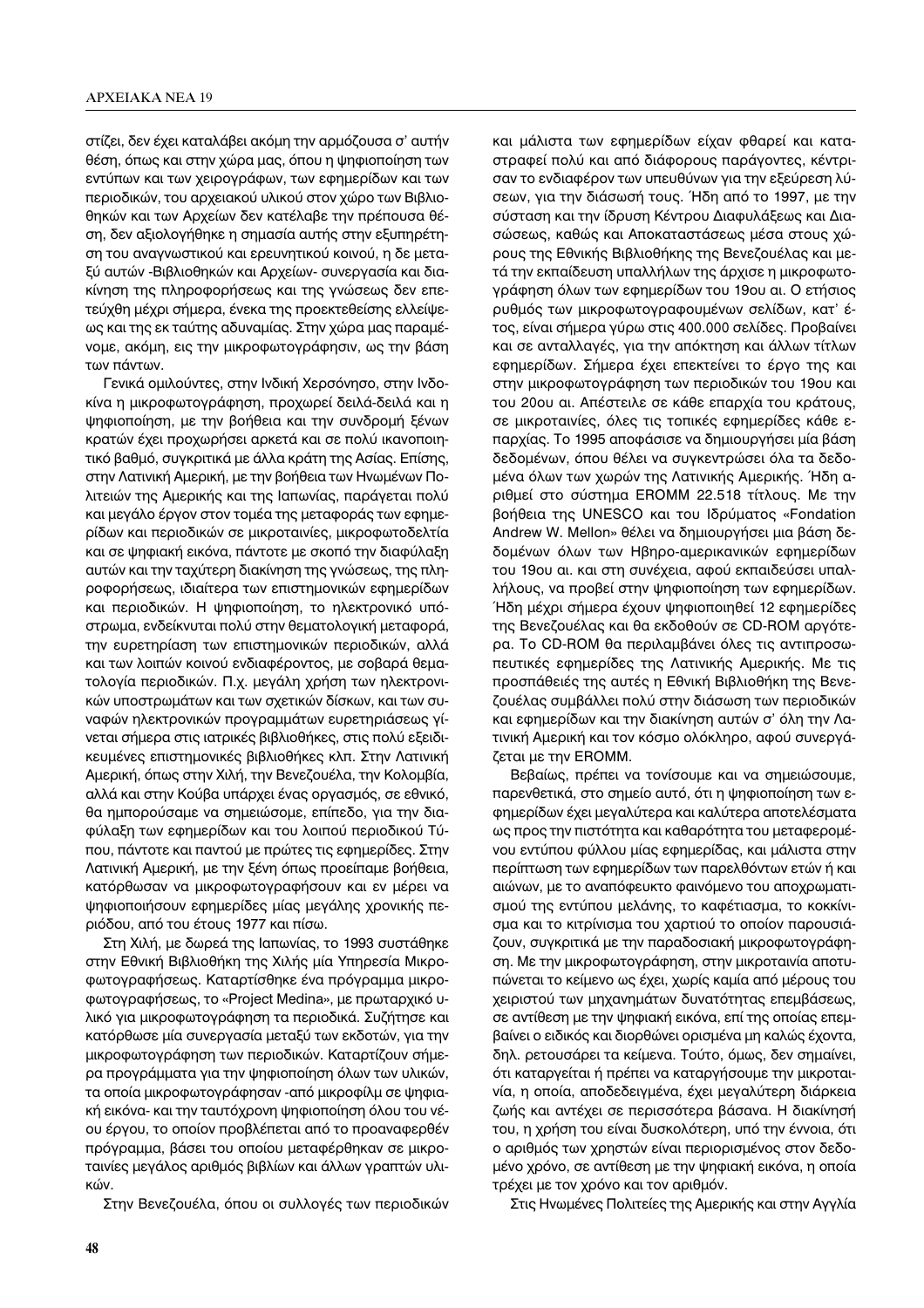στίζει, δεν έχει καταλάβει ακόμη την αρμόζουσα σ' αυτήν θέση, όπως και στην χώρα μας, όπου η ψηφιοποίηση των εντύπων και των χειρογράφων, των εφημερίδων και των περιοδικών, του αρχειακού υλικού στον χώρο των Βιβλιοθηκών και των Αρχείων δεν κατέλαβε την πρέπουσα θέση, δεν αξιολογήθηκε η σημασία αυτής στην εξυπηρέτηση του αναγνωστικού και ερευνητικού κοινού, η δε μεταξύ αυτών - Βιβλιοθηκών και Αρχείων - συνεργασία και διακίνηση της πληροφορήσεως και της γνώσεως δεν επετεύχθη μέχρι σήμερα, ένεκα της προεκτεθείσης ελλείψεως και της εκ ταύτης αδυναμίας. Στην χώρα μας παραμένομε, ακόμη, εις την μικροφωτογράφησιν, ως την βάση των πάντων.

Γενικά ομιλούντες, στην Ινδική Χερσόνησο, στην Ινδοκίνα η μικροφωτογράφηση, προχωρεί δειλά-δειλά και η ψηφιοποίηση, με την βοήθεια και την συνδρομή ξένων κρατών έχει προχωρήσει αρκετά και σε πολύ ικανοποιητικό βαθμό, συγκριτικά με άλλα κράτη της Ασίας. Επίσης, στην Λατινική Αμερική, με την βοήθεια των Ηνωμένων Πολιτειών της Αμερικής και της Ιαπωνίας, παράγεται πολύ και μεγάλο έργον στον τομέα της μεταφοράς των εφημερίδων και περιοδικών σε μικροταινίες, μικροφωτοδελτία και σε ψηφιακή εικόνα, πάντοτε με σκοπό την διαφύλαξη αυτών και την ταχύτερη διακίνηση της γνώσεως, της πληροφορήσεως, ιδιαίτερα των επιστημονικών εφημερίδων και περιοδικών. Η ψηφιοποίηση, το ηλεκτρονικό υπόστρωμα, ενδείκνυται πολύ στην θεματολογική μεταφορά, την ευρετηρίαση των επιστημονικών περιοδικών, αλλά και των λοιπών κοινού ενδιαφέροντος, με σοβαρά θεματολογία περιοδικών. Π.χ. μεγάλη χρήση των ηλεκτρονικών υποστρωμάτων και των σχετικών δίσκων, και των συναφών ηλεκτρονικών προγραμμάτων ευρετηριάσεως γίνεται σήμερα στις ιατρικές βιβλιοθήκες, στις πολύ εξειδικευμένες επιστημονικές βιβλιοθήκες κλπ. Στην Λατινική Αμερική, όπως στην Χιλή, την Βενεζουέλα, την Κολομβία, αλλά και στην Κούβα υπάρχει ένας οργασμός, σε εθνικό, θα ημπορούσαμε να σημειώσομε, επίπεδο, για την διαφύλαξη των εφημερίδων και του λοιπού περιοδικού Τύπου, πάντοτε και παντού με πρώτες τις εφημερίδες. Στην Λατινική Αμερική, με την ξένη όπως προείπαμε βοήθεια, κατόρθωσαν να μικροφωτογραφήσουν και εν μέρει να ψηφιοποιήσουν εφημερίδες μίας μεγάλης χρονικής περιόδου, από του έτους 1977 και πίσω.

Στη Χιλή, με δωρεά της Ιαπωνίας, το 1993 συστάθηκε στην Εθνική Βιβλιοθήκη της Χιλής μία Υπηρεσία Μικροφωτογραφήσεως. Καταρτίσθηκε ένα πρόγραμμα μικροφωτογραφήσεως, το «Project Medina», με πρωταρχικό υλικό για μικροφωτογράφηση τα περιοδικά. Συζήτησε και κατόρθωσε μία συνεργασία μεταξύ των εκδοτών, για την μικροφωτογράφηση των περιοδικών. Καταρτίζουν σήμερα προγράμματα για την ψηφιοποίηση όλων των υλικών, τα οποία μικροφωτογράφησαν - από μικροφίλμ σε ψηφιακή εικόνα- και την ταυτόχρονη ψηφιοποίηση όλου του νέου έργου, το οποίον προβλέπεται από το προαναφερθέν πρόγραμμα, βάσει του οποίου μεταφέρθηκαν σε μικροταινίες μεγάλος αριθμός βιβλίων και άλλων γραπτών υλικών

Στην Βενεζουέλα, όπου οι συλλογές των περιοδικών

και μάλιστα των εφημερίδων είχαν φθαρεί και καταστραφεί πολύ και από διάφορους παράγοντες, κέντρισαν το ενδιαφέρον των υπευθύνων για την εξεύρεση λύσεων, για την διάσωσή τους. Ήδη από το 1997, με την σύσταση και την ίδρυση Κέντρου Διαφυλάξεως και Διασώσεως, καθώς και Αποκαταστάσεως μέσα στους χώρους της Εθνικής Βιβλιοθήκης της Βενεζουέλας και μετά την εκπαίδευση υπαλλήλων της άρχισε η μικροφωτογράφηση όλων των εφημερίδων του 19ου αι. Ο ετήσιος ρυθμός των μικροφωτογραφουμένων σελίδων, κατ' έτος, είναι σήμερα γύρω στις 400.000 σελίδες. Προβαίνει και σε ανταλλαγές, για την απόκτηση και άλλων τίτλων εφημερίδων. Σήμερα έχει επεκτείνει το έργο της και στην μικροφωτογράφηση των περιοδικών του 19ου και του 20ου αι. Απέστειλε σε κάθε επαρχία του κράτους, σε μικροταινίες, όλες τις τοπικές εφημερίδες κάθε επαρχίας. Το 1995 αποφάσισε να δημιουργήσει μία βάση δεδομένων, όπου θέλει να συγκεντρώσει όλα τα δεδομένα όλων των χωρών της Λατινικής Αμερικής. Ήδη αριθμεί στο σύστημα EROMM 22.518 τίτλους. Με την βοήθεια της UNESCO και του Ιδρύματος «Fondation Andrew W. Mellon» θέλει να δημιουργήσει μια βάση δεδομένων όλων των Ηβηρο-αμερικανικών εφημερίδων του 19ου αι. και στη συνέχεια, αφού εκπαιδεύσει υπαλλήλους, να προβεί στην ψηφιοποίηση των εφημερίδων. Ήδη μέχρι σήμερα έχουν ψηφιοποιηθεί 12 εφημερίδες της Βενεζουέλας και θα εκδοθούν σε CD-ROM αργότερα. Το CD-ROM θα περιλαμβάνει όλες τις αντιπροσωπευτικές εφημερίδες της Λατινικής Αμερικής. Με τις προσπάθειές της αυτές η Εθνική Βιβλιοθήκη της Βενεζουέλας συμβάλλει πολύ στην διάσωση των περιοδικών και εφημερίδων και την διακίνηση αυτών σ' όλη την Λατινική Αμερική και τον κόσμο ολόκληρο, αφού συνεργάζεται με την ΕROMM.

Βεβαίως, πρέπει να τονίσουμε και να σημειώσουμε, παρενθετικά, στο σημείο αυτό, ότι η ψηφιοποίηση των εφημερίδων έχει μεγαλύτερα και καλύτερα αποτελέσματα ως προς την πιστότητα και καθαρότητα του μεταφερομένου εντύπου φύλλου μίας εφημερίδας, και μάλιστα στην περίπτωση των εφημερίδων των παρελθόντων ετών ή και αιώνων, με το αναπόφευκτο φαινόμενο του αποχρωματισμού της εντύπου μελάνης, το καφέτιασμα, το κοκκίνισμα και το κιτρίνισμα του χαρτιού το οποίον παρουσιάζουν, συγκριτικά με την παραδοσιακή μικροφωτογράφηση. Με την μικροφωτογράφηση, στην μικροταινία αποτυπώνεται το κείμενο ως έχει, χωρίς καμία από μέρους του χειριστού των μηχανημάτων δυνατότητας επεμβάσεως, σε αντίθεση με την ψηφιακή εικόνα, επί της οποίας επεμβαίνει ο ειδικός και διορθώνει ορισμένα μη καλώς έχοντα, δηλ. ρετουσάρει τα κείμενα. Τούτο, όμως, δεν σημαίνει, ότι καταργείται ή πρέπει να καταργήσουμε την μικροταινία, η οποία, αποδεδειγμένα, έχει μεγαλύτερη διάρκεια ζωής και αντέχει σε περισσότερα βάσανα. Η διακίνησή του, η χρήση του είναι δυσκολότερη, υπό την έννοια, ότι ο αριθμός των χρηστών είναι περιορισμένος στον δεδομένο χρόνο, σε αντίθεση με την ψηφιακή εικόνα, η οποία τρέχει με τον χρόνο και τον αριθμόν.

Στις Ηνωμένες Πολιτείες της Αμερικής και στην Αγγλία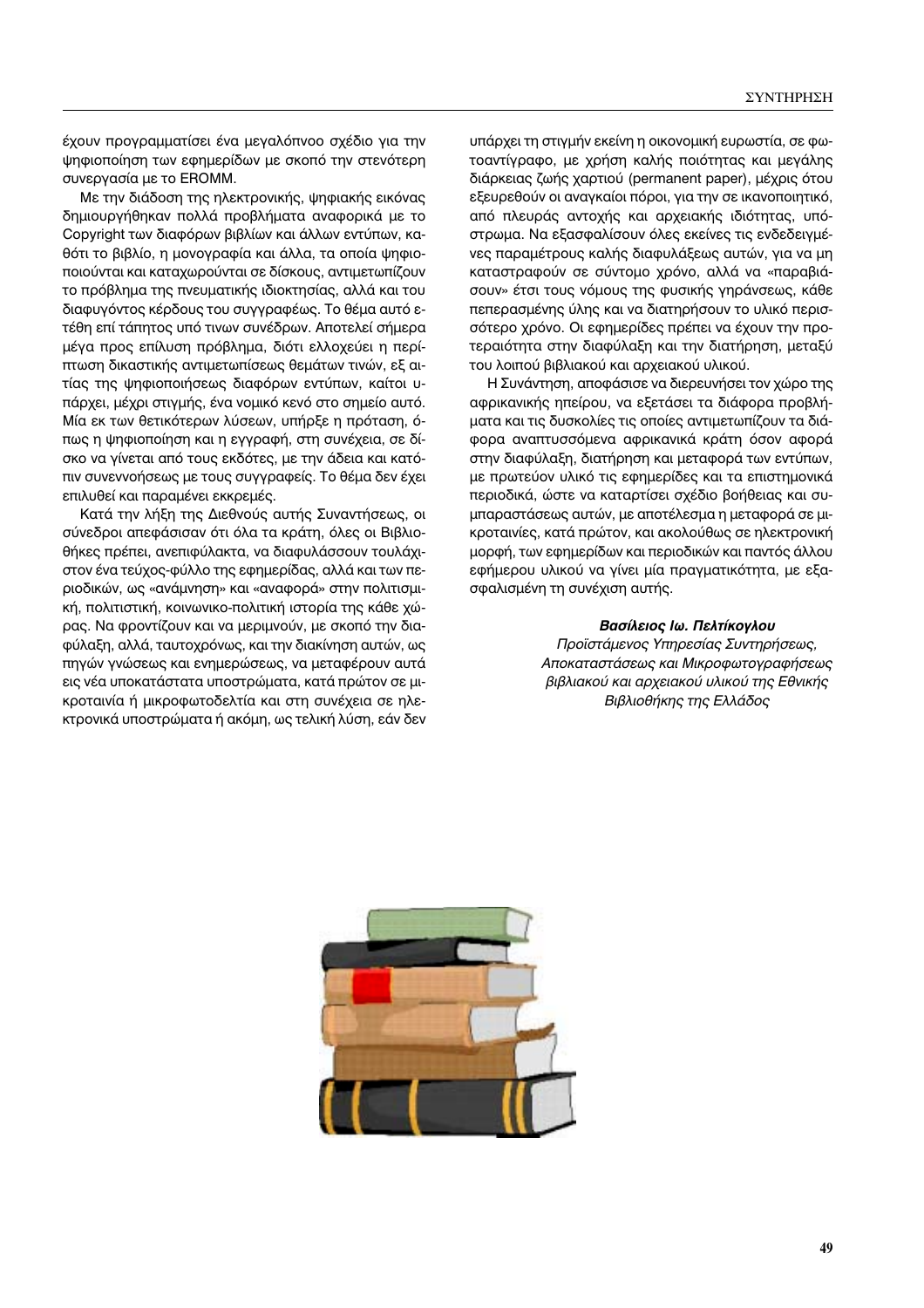έχουν προγραμματίσει ένα μεγαλόπνοο σχέδιο για την ψηφιοποίηση των εφημερίδων με σκοπό την στενότερη συνεργασία με το ΕROMM.

Με την διάδοση της ηλεκτρονικής, ψηφιακής εικόνας δημιουργήθηκαν πολλά προβλήματα αναφορικά με το Copyright των διαφόρων βιβλίων και άλλων εντύπων, καθότι το βιβλίο, η μονογραφία και άλλα, τα οποία ψηφιοποιούνται και καταχωρούνται σε δίσκους, αντιμετωπίζουν το πρόβλημα της πνευματικής ιδιοκτησίας, αλλά και του διαφυγόντος κέρδους του συγγραφέως. Το θέμα αυτό ετέθη επί τάπητος υπό τινων συνέδρων. Αποτελεί σήμερα μέγα προς επίλυση πρόβλημα, διότι ελλοχεύει η περίπτωση δικαστικής αντιμετωπίσεως θεμάτων τινών, εξ αιτίας της ψηφιοποιήσεως διαφόρων εντύπων, καίτοι υπάρχει, μέχρι στιγμής, ένα νομικό κενό στο σημείο αυτό. Μία εκ των θετικότερων λύσεων, υπήρξε η πρόταση, όπως η ψηφιοποίηση και η εγγραφή, στη συνέχεια, σε δίσκο να γίνεται από τους εκδότες, με την άδεια και κατόπιν συνεννοήσεως με τους συγγραφείς. Το θέμα δεν έχει επιλυθεί και παραμένει εκκρεμές.

Κατά την λήξη της Διεθνούς αυτής Συναντήσεως, οι σύνεδροι απεφάσισαν ότι όλα τα κράτη, όλες οι Βιβλιοθήκες πρέπει, ανεπιφύλακτα, να διαφυλάσσουν τουλάχιστον ένα τεύχος-φύλλο της εφημερίδας, αλλά και των περιοδικών, ως «ανάμνηση» και «αναφορά» στην πολιτισμική, πολιτιστική, κοινωνικο-πολιτική ιστορία της κάθε χώρας. Να φροντίζουν και να μεριμνούν, με σκοπό την διαφύλαξη, αλλά, ταυτοχρόνως, και την διακίνηση αυτών, ως πηγών γνώσεως και ενημερώσεως, να μεταφέρουν αυτά εις νέα υποκατάστατα υποστρώματα, κατά πρώτον σε μικροταινία ή μικροφωτοδελτία και στη συνέχεια σε ηλεκτρονικά υποστρώματα ή ακόμη, ως τελική λύση, εάν δεν

υπάρχει τη στιγμήν εκείνη η οικονομική ευρωστία, σε φωτοαντίγραφο, με χρήση καλής ποιότητας και μεγάλης διάρκειας ζωής χαρτιού (permanent paper), μέχρις ότου εξευρεθούν οι αναγκαίοι πόροι, για την σε ικανοποιητικό, από πλευράς αντοχής και αρχειακής ιδιότητας, υπόστρωμα. Να εξασφαλίσουν όλες εκείνες τις ενδεδειγμένες παραμέτρους καλής διαφυλάξεως αυτών, για να μη καταστραφούν σε σύντομο χρόνο, αλλά να «παραβιάσουν» έτσι τους νόμους της φυσικής γηράνσεως, κάθε πεπερασμένης ύλης και να διατηρήσουν το υλικό περισσότερο χρόνο. Οι εφημερίδες πρέπει να έχουν την προτεραιότητα στην διαφύλαξη και την διατήρηση, μεταξύ του λοιπού βιβλιακού και αρχειακού υλικού.

Η Συνάντηση, αποφάσισε να διερευνήσει τον χώρο της αφρικανικής ηπείρου, να εξετάσει τα διάφορα προβλήματα και τις δυσκολίες τις οποίες αντιμετωπίζουν τα διάφορα αναπτυσσόμενα αφρικανικά κράτη όσον αφορά στην διαφύλαξη, διατήρηση και μεταφορά των εντύπων, με πρωτεύον υλικό τις εφημερίδες και τα επιστημονικά περιοδικά, ώστε να καταρτίσει σχέδιο βοήθειας και συμπαραστάσεως αυτών, με αποτέλεσμα η μεταφορά σε μικροταινίες, κατά πρώτον, και ακολούθως σε ηλεκτρονική μορφή, των εφημερίδων και περιοδικών και παντός άλλου εφήμερου υλικού να γίνει μία πραγματικότητα, με εξασφαλισμένη τη συνέχιση αυτής.

#### Βασίλειος Ιω. Πελτίκογλου

Προϊστάμενος Υπηρεσίας Συντηρήσεως, Αποκαταστάσεως και Μικροφωτογραφήσεως βιβλιακού και αρχειακού υλικού της Εθνικής Βιβλιοθήκης της Ελλάδος

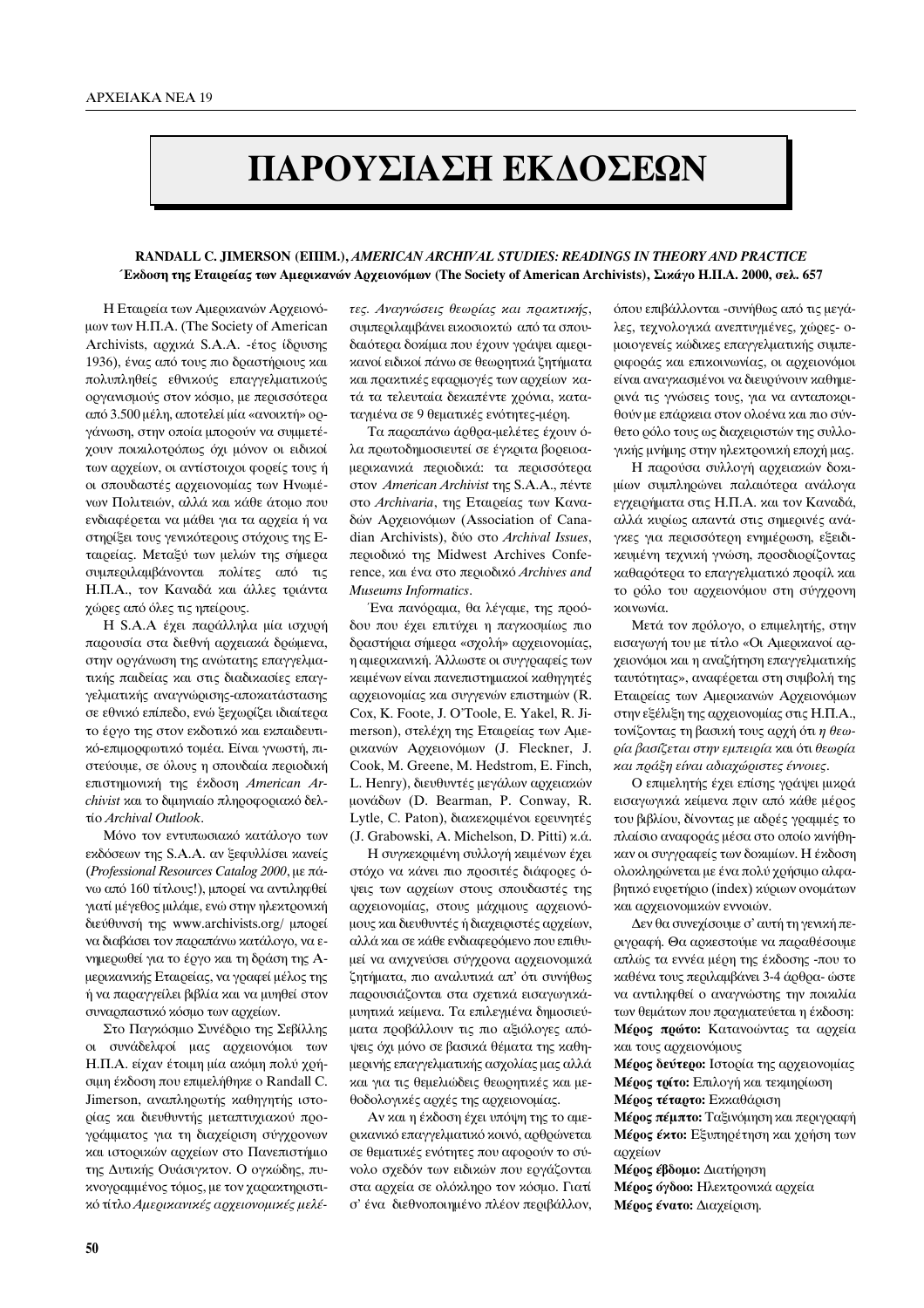# ΠΑΡΟΥΣΙΑΣΗ ΕΚΛΟΣΕΩΝ

## RANDALL C. JIMERSON (EIIIM.), AMERICAN ARCHIVAL STUDIES: READINGS IN THEORY AND PRACTICE Έκδοση της Εταιρείας των Αμερικανών Αρχειονόμων (The Society of American Archivists), Σικάγο Η.Π.Α. 2000, σελ. 657

Η Εταιρεία των Αμερικανών Αρχειονόμων των Η.Π.Α. (The Society of American Archivists, αρχικά S.A.A. -έτος ίδρυσης 1936), ένας από τους πιο δραστήριους και πολυπληθείς εθνικούς επαγγελματικούς οργανισμούς στον κόσμο, με περισσότερα από 3.500 μέλη, αποτελεί μία «ανοικτή» οργάνωση, στην οποία μπορούν να συμμετέχουν ποικιλοτρόπως όχι μόνον οι ειδικοί των αρχείων, οι αντίστοιχοι φορείς τους ή οι σπουδαστές αρχειονομίας των Ηνωμένων Πολιτειών, αλλά και κάθε άτομο που ενδιαφέρεται να μάθει για τα αρχεία ή να στηρίξει τους γενικότερους στόγους της Εταιοείας. Μεταξύ των μελών της σήμερα συμπεριλαμβάνονται πολίτες από τις Η.Π.Α., τον Καναδά και άλλες τριάντα χώρες από όλες τις ηπείρους.

Η S.A.Α έχει παράλληλα μία ισχυρή παρουσία στα διεθνή αρχειακά δρώμενα, στην οργάνωση της ανώτατης επαγγελματικής παιδείας και στις διαδικασίες επαγγελματικής αναγνώρισης-αποκατάστασης σε εθνικό επίπεδο, ενώ ξεχωρίζει ιδιαίτερα το έργο της στον εκδοτικό και εκπαιδευτικό-επιμορφωτικό τομέα. Είναι γνωστή, πιστεύουμε, σε όλους η σπουδαία περιοδική επιστημονική της έκδοση American Archivist και το διμηνιαίο πληροφοριακό δελτίο Archival Outlook.

Μόνο τον εντυπωσιακό κατάλογο των εκδόσεων της S.A.A. αν ξεφυλλίσει κανείς (Professional Resources Catalog 2000, με πάνω από 160 τίτλους!), μπορεί να αντιληφθεί γιατί μέγεθος μιλάμε, ενώ στην ηλεκτρονική διεύθυνσή της www.archivists.org/ μπορεί να διαβάσει τον παραπάνω κατάλογο, να ενημερωθεί για το έργο και τη δράση της Αμερικανικής Εταιρείας, να γραφεί μέλος της ή να παραγγείλει βιβλία και να μυηθεί στον συναρπαστικό κόσμο των αρχείων.

Στο Παγκόσμιο Συνέδριο της Σεβίλλης οι συνάδελφοί μας αρχειονόμοι των Η.Π.Α. είχαν έτοιμη μία ακόμη πολύ χρήσιμη έκδοση που επιμελήθηκε ο Randall C. Jimerson, αναπληρωτής καθηγητής ιστορίας και διευθυντής μεταπτυχιακού προγράμματος για τη διαχείριση σύγχρονων και ιστορικών αρχείων στο Πανεπιστήμιο της Δυτικής Ουάσιγκτον. Ο ογκώδης, πυκνογραμμένος τόμος, με τον χαρακτηριστικό τίτλο Αμερικανικές αρχειονομικές μελέτες. Αναγνώσεις θεωρίας και πρακτικής, συμπεριλαμβάνει εικοσιοκτώ από τα σπουδαιότερα δοκίμια που έχουν γράψει αμερικανοί ειδικοί πάνω σε θεωρητικά ζητήματα και πρακτικές εφαρμογές των αρχείων κατά τα τελευταία δεκαπέντε χρόνια, καταταγμένα σε 9 θεματικές ενότητες-μέρη.

Τα παραπάνω άρθρα-μελέτες έχουν όλα πρωτοδημοσιευτεί σε έγκριτα βορειοαμερικανικά περιοδικά: τα περισσότερα στον American Archivist της S.A.A., πέντε στο Archivaria, της Εταιρείας των Καναδών Αρχειονόμων (Association of Canadian Archivists), δύο στο Archival Issues, περιοδικό της Midwest Archives Conference, και ένα στο περιοδικό Archives and Museums Informatics.

Ένα πανόραμα, θα λέγαμε, της προόδου που έχει επιτύχει η παγκοσμίως πιο δραστήρια σήμερα «σχολή» αρχειονομίας, η αμερικανική. Άλλωστε οι συγγραφείς των κειμένων είναι πανεπιστημιακοί καθηγητές αρχειονομίας και συγγενών επιστημών (R. Cox, K. Foote, J. O'Toole, E. Yakel, R. Jimerson), στελέχη της Εταιρείας των Αμερικανών Αρχειονόμων (J. Fleckner, J. Cook, M. Greene, M. Hedstrom, E. Finch, L. Henry), διευθυντές μεγάλων αρχειακών μονάδων (D. Bearman, P. Conway, R. Lytle, C. Paton), διακεκριμένοι ερευνητές (J. Grabowski, A. Michelson, D. Pitti) κ.ά.

Η συγκεκριμένη συλλογή κειμένων έχει στόχο να κάνει πιο προσιτές διάφορες όψεις των αρχείων στους σπουδαστές της αρχειονομίας, στους μάχιμους αρχειονόμους και διευθυντές ή διαχειριστές αρχείων, αλλά και σε κάθε ενδιαφερόμενο που επιθυμεί να ανιχνεύσει σύγχρονα αρχειονομικά ζητήματα, πιο αναλυτικά απ' ότι συνήθως παρουσιάζονται στα σχετικά εισαγωγικάμυητικά κείμενα. Τα επιλεγμένα δημοσιεύματα προβάλλουν τις πιο αξιόλογες απόψεις όχι μόνο σε βασικά θέματα της καθημερινής επαγγελματικής ασχολίας μας αλλά και για τις θεμελιώδεις θεωρητικές και μεθοδολογικές αρχές της αρχειονομίας.

Αν και η έκδοση έχει υπόψη της το αμερικανικό επαγγελματικό κοινό, αρθρώνεται σε θεματικές ενότητες που αφορούν το σύνολο σχεδόν των ειδικών που εργάζονται στα αρχεία σε ολόκληρο τον κόσμο. Γιατί σ' ένα διεθνοποιημένο πλέον περιβάλλον, όπου επιβάλλονται -συνήθως από τις μεγάλες, τεχνολογικά ανεπτυγμένες, χώρες- ομοιογενείς κώδικες επαγγελματικής συμπεριφοράς και επικοινωνίας, οι αρχειονόμοι είναι αναγκασμένοι να διευρύνουν καθημερινά τις γνώσεις τους, για να ανταποκριθούν με επάρχεια στον ολοένα και πιο σύνθετο ρόλο τους ως διαχειριστών της συλλογικής μνήμης στην ηλεκτρονική εποχή μας.

Η παρούσα συλλογή αρχειακών δοκιμίων συμπληρώνει παλαιότερα ανάλογα εγχειρήματα στις Η.Π.Α. και τον Καναδά, αλλά κυρίως απαντά στις σημερινές ανάγκες για περισσότερη ενημέρωση, εξειδικευμένη τεχνική γνώση, προσδιορίζοντας καθαρότερα το επαγγελματικό προφίλ και το ρόλο του αρχειονόμου στη σύγχρονη γοινωνία

Μετά τον πρόλογο, ο επιμελητής, στην εισαγωγή του με τίτλο «Οι Αμερικανοί αρχειονόμοι και η αναζήτηση επαγγελματικής ταυτότητας», αναφέρεται στη συμβολή της Εταιρείας των Αμερικανών Αρχειονόμων στην εξέλιξη της αρχειονομίας στις Η.Π.Α., τονίζοντας τη βασική τους αρχή ότι η θεωρία βασίζεται στην εμπειρία και ότι θεωρία και πράξη είναι αδιαχώριστες έννοιες.

Ο επιμελητής έχει επίσης γράψει μικρά εισαγωγικά κείμενα πριν από κάθε μέρος του βιβλίου, δίνοντας με αδρές γραμμές το πλαίσιο αναφοράς μέσα στο οποίο κινήθηκαν οι συγγραφείς των δοκιμίων. Η έκδοση ολοκληρώνεται με ένα πολύ χρήσιμο αλφαβητικό ευρετήριο (index) κύριων ονομάτων και αρχειονομικών εννοιών.

Δεν θα συνεχίσουμε σ' αυτή τη γενική περιγραφή. Θα αρκεστούμε να παραθέσουμε απλώς τα εννέα μέρη της έκδοσης -που το καθένα τους περιλαμβάνει 3-4 άρθρα- ώστε να αντιληφθεί ο αναγνώστης την ποικιλία των θεμάτων που πραγματεύεται η έκδοση: Μέρος πρώτο: Κατανοώντας τα αρχεία και τους αργειονόμους

Μέρος δεύτερο: Ιστορία της αρχειονομίας Μέρος τρίτο: Επιλογή και τεκμηρίωση Μέρος τέταρτο: Εκκαθάριση Μέρος πέμπτο: Ταξινόμηση και περιγραφή Μέρος έκτο: Εξυπηρέτηση και χρήση των

αργείων Μέρος έβδομο: Διατήρηση Μέρος όγδοο: Ηλεκτρονικά αρχεία Μέρος ένατο: Διαχείριση.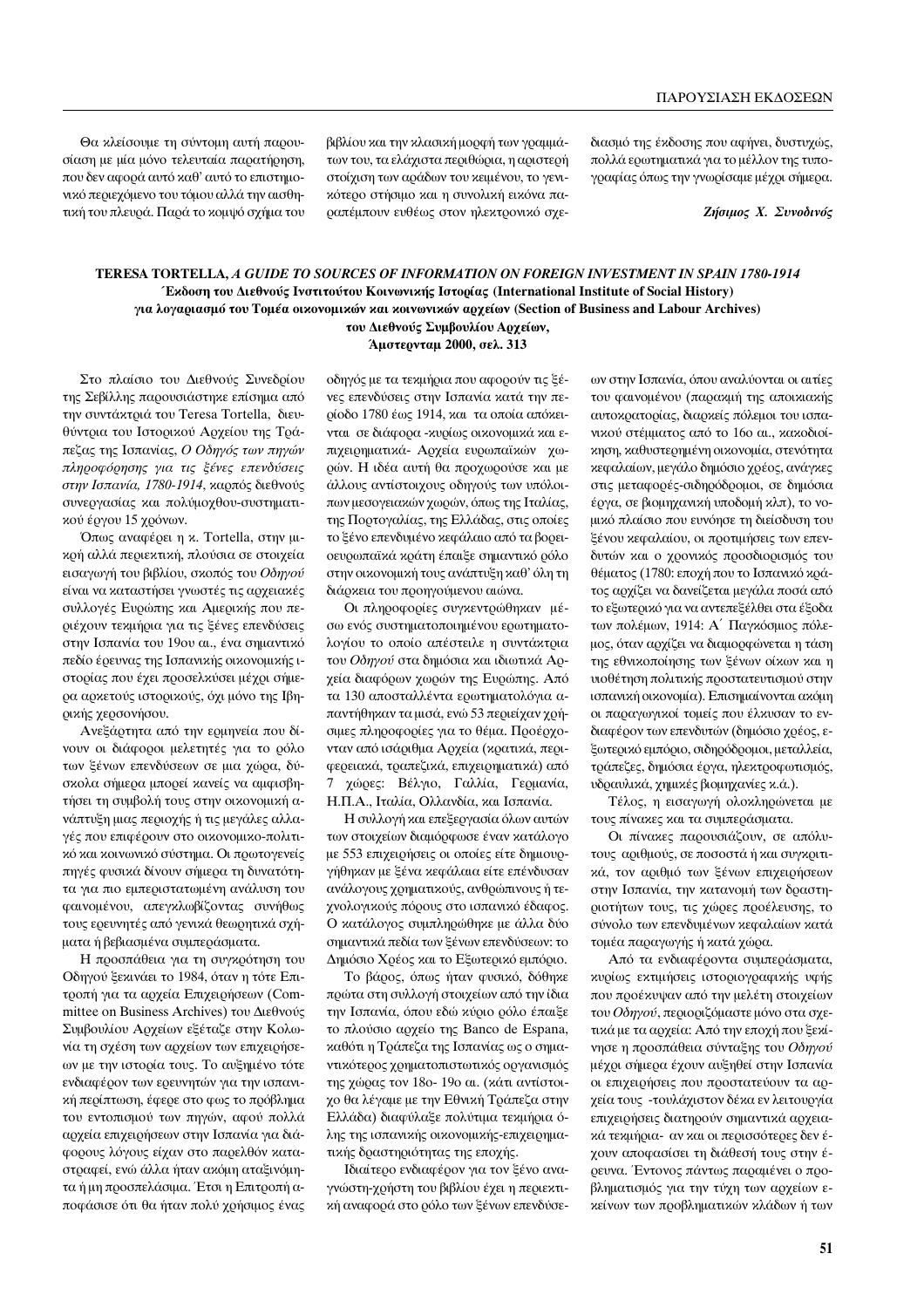Θα κλείσουμε τη σύντομη αυτή παρουσίαση με μία μόνο τελευταία παρατήρηση, που δεν αφορά αυτό καθ' αυτό το επιστημονικό περιεχόμενο του τόμου αλλά την αισθητική του πλευρά. Παρά το κομψό σχήμα του βιβλίου και την κλασική μορφή των γραμμάτων του, τα ελάχιστα περιθώρια, η αριστερή στοίχιση των αράδων του κειμένου, το γενικότερο στήσιμο και η συνολική εικόνα παραπέμπουν ευθέως στον ηλεκτρονικό σχεδιασμό της έκδοσης που αφήνει, δυστυχώς, πολλά ερωτηματικά για το μέλλον της τυπογραφίας όπως την γνωρίσαμε μέχρι σήμερα.

**Ζήσιμος Χ. Συνοδινός** 

## **TERESA TORTELLA,** *A GUIDE TO SOURCES OF INFORMATION ON FOREIGN INVESTMENT IN SPAIN 1780-1914* Έκδοση του Διεθνούς Ινστιτούτου Κοινωνικής Ιστορίας (International Institute of Social History) για λογαριασμό του Τομέα οικονομικών και κοινωνικών αρχείων (Section of Business and Labour Archives) του Διεθνούς Συμβουλίου Αρχείων,

# **Άμστερνταμ 2000, σελ. 313**

Στο πλαίσιο του Διεθνούς Συνεδρίου της Σεβίλλης παρουσιάστηκε επίσημα από την συντάκτριά του Teresa Tortella, διευθύντρια του Ιστορικού Αρχείου της Τράπεζας της Ισπανίας, Ο Οδηγός των πηγών  $\pi\lambda\eta$ ροφόρησης για τις ξένες επενδύσεις στην Ισπανία, 1780-1914, καρπός διεθνούς συνεργασίας και πολύμοχθου-συστηματικού έργου 15 χρόνων.

Όπως αναφέρει η κ. Tortella, στην μικρή αλλά περιεκτική, πλούσια σε στοιχεία εισαγωγή του βιβλίου, σκοπός του Οδηγού είναι να καταστήσει γνωστές τις αρχειακές συλλογές Ευρώπης και Αμερικής που περιέχουν τεκμήρια για τις ξένες επενδύσεις στην Ισπανία του 19ου αι., ένα σημαντικό πεδίο έρευνας της Ισπανικής οικονομικής ιστορίας που έχει προσελκύσει μέχρι σήμερα αρκετούς ιστορικούς, όχι μόνο της Ιβηρικής χερσονήσου.

Ανεξάρτητα από την ερμηνεία που δίνουν οι διάφοροι μελετητές για το ρόλο των ξένων επενδύσεων σε μια χώρα, δύσκολα σήμερα μπορεί κανείς να αμφισβη- $\tau$ ήσει τη συμβολή τους στην οικονομική ανάπτυξη μιας περιοχής ή τις μεγάλες αλλαγές που επιφέρουν στο οικονομικο-πολιτικό και κοινωνικό σύστημα. Οι πρωτογενείς πηγές φυσικά δίνουν σήμερα τη δυνατότητα για πιο εμπεριστατωμένη ανάλυση του φαινομένου, απεγκλωβίζοντας συνήθως τους ερευνητές από γενικά θεωρητικά σχήματα ή βεβιασμένα συμπεράσματα.

Η προσπάθεια για τη συγκρότηση του Οδηγού ξεκινάει το 1984, όταν η τότε Επιτροπή για τα αρχεία Επιχειρήσεων (Committee on Business Archives) του Διεθνούς Συμβουλίου Αρχείων εξέταζε στην Κολωνία τη σγέση των αργείων των επιγειρήσεων με την ιστορία τους. Το αυξημένο τότε ενδιαφέρον των ερευνητών για την ισπανική περίπτωση, έφερε στο φως το πρόβλημα του εντοπισμού των πηγών, αφού πολλά αρχεία επιχειρήσεων στην Ισπανία για διάφορους λόγους είχαν στο παρελθόν καταστραφεί, ενώ άλλα ήταν ακόμη αταξινόμητα ή μη προσπελάσιμα. Έτσι η Επιτροπή αποφάσισε ότι θα ήταν πολύ χρήσιμος ένας οδηγός με τα τεκμήρια που αφορούν τις ξένες επενδύσεις στην Ισπανία κατά την περίοδο 1780 έως 1914, και τα οποία απόκεινται σε διάφορα - χυρίως οικονομικά και επιχειρηματικά- Αρχεία ευρωπαϊκών χωρών. Η ιδέα αυτή θα προχωρούσε και με άλλους αντίστοιχους οδηγούς των υπόλοιπων μεσογειακών χωρών, όπως της Ιταλίας, της Πορτογαλίας, της Ελλάδας, στις οποίες το ξένο επενδυμένο κεφάλαιο από τα βορειοευρωπαϊκά κράτη έπαιξε σημαντικό ρόλο στην οικονομική τους ανάπτυξη καθ' όλη τη διάρκεια του προηγούμενου αιώνα.

Οι πληροφορίες συγκεντρώθηκαν μέσω ενός συστηματοποιημένου ερωτηματολογίου το οποίο απέστειλε η συντάκτρια του Οδηγού στα δημόσια και ιδιωτικά Αρχεία διαφόρων χωρών της Ευρώπης. Από τα 130 αποσταλλέντα ερωτηματολόγια απαντήθηκαν τα μισά, ενώ 53 περιείχαν χρήσιμες πληροφορίες για το θέμα. Προέρχονταν από ισάριθμα Αρχεία (κρατικά, περιφερειακά, τραπεζικά, επιχειρηματικά) από χώρες: Βέλγιο, Γαλλία, Γερμανία, Η.Π.Α., Ιταλία, Ολλανδία, και Ισπανία.

Η συλλογή και επεξεργασία όλων αυτών των στοιχείων διαμόρφωσε έναν κατάλογο με 553 επιχειρήσεις οι οποίες είτε δημιουργήθηκαν με ξένα κεφάλαια είτε επένδυσαν ανάλογους χρηματικούς, ανθρώπινους ή τεγνολογικούς πόρους στο ισπανικό έδαφος. Ο κατάλογος συμπληρώθηκε με άλλα δύο σημαντικά πεδία των ξένων επενδύσεων: το Δημόσιο Χρέος και το Εξωτερικό εμπόριο.

Το βάρος, όπως ήταν φυσικό, δόθηκε πρώτα στη συλλογή στοιχείων από την ίδια την Ισπανία, όπου εδώ κύριο ρόλο έπαιξε το πλούσιο αρχείο της Banco de Espana, καθότι η Τράπεζα της Ισπανίας ως ο σημαντικότερος χρηματοπιστωτικός οργανισμός της γώρας τον 18ο- 19ο αι. (κάτι αντίστοιχο θα λέγαμε με την Εθνική Τράπεζα στην Ελλάδα) διαφύλαξε πολύτιμα τεκμήρια όλης της ισπανικής οικονομικής-επιχειρηματικής δραστηριότητας της εποχής.

Ιδιαίτερο ενδιαφέρον για τον ξένο αναγνώστη-χρήστη του βιβλίου έχει η περιεκτική αναφορά στο ρόλο των ξένων επενδύσεων στην Ισπανία, όπου αναλύονται οι αιτίες του φαινομένου (παρακμή της αποικιακής αυτοκρατορίας, διαρκείς πόλεμοι του ισπανικού στέμματος από το 16ο αι., κακοδιοί $x$ ηση, καθυστερημένη οικονομία, στενότητα κεφαλαίων, μεγάλο δημόσιο χρέος, ανάγκες στις μεταφορές-σιδηρόδρομοι, σε δημόσια έργα, σε βιομηχανική υποδομή κλπ), το voμικό πλαίσιο που ευνόησε τη διείσδυση του ξένου κεφαλαίου, οι προτιμήσεις των επενδυτών και ο χρονικός προσδιορισμός του θέματος (1780: εποχή που το Ισπανικό κράτος αρχίζει να δανείζεται μεγάλα ποσά από το εξωτερικό για να αντεπεξέλθει στα έξοδα των πολέμων, 1914: Α΄ Παγκόσμιος πόλεμος, όταν αρχίζει να διαμορφώνεται η τάση της εθνικοποίησης των ξένων οίκων και η **υιοθέτηση πολιτικής προστατευτισμού στην** ισπανική οικονομία). Επισημαίνονται ακόμη οι παραγωγικοί τομείς που έλκυσαν το ενδιαφέρον των επενδυτών (δημόσιο χρέος, εξωτερικό εμπόριο, σιδηρόδρομοι, μεταλλεία, τράπεζες, δημόσια έργα, ηλεκτροφωτισμός, νδραυλικά, χημικές βιομηχανίες κ.ά.).

Τέλος, η εισαγωγή ολοκληρώνεται με τους πίνακες και τα συμπεράσματα.

Οι πίνακες παρουσιάζουν, σε απόλυτους αριθμούς, σε ποσοστά ή και συγκριτικά, τον αριθμό των ξένων επιχειρήσεων στην Ισπανία, την κατανομή των δραστηριοτήτων τους, τις χώρες προέλευσης, το σύνολο των επενδυμένων κεφαλαίων κατά τομέα παραγωγής ή κατά χώρα.

Από τα ενδιαφέροντα συμπεράσματα, κυρίως εκτιμήσεις ιστοριογραφικής υφής που προέκυψαν από την μελέτη στοιχείων του Οδηγού, περιοριζόμαστε μόνο στα σχετικά με τα αρχεία: Από την εποχή που ξεκίνησε η προσπάθεια σύνταξης του Οδηνού μέχρι σήμερα έχουν αυξηθεί στην Ισπανία οι επιχειρήσεις που προστατεύουν τα αργεία τους -τουλάχιστον δέκα εν λειτουργία επιχειρήσεις διατηρούν σημαντικά αρχειακά τεχμήρια- αν και οι περισσότερες δεν έχουν αποφασίσει τη διάθεσή τους στην έρευνα. Έντονος πάντως παραμένει ο προβληματισμός για την τύχη των αρχείων εκείνων των προβληματικών κλάδων ή των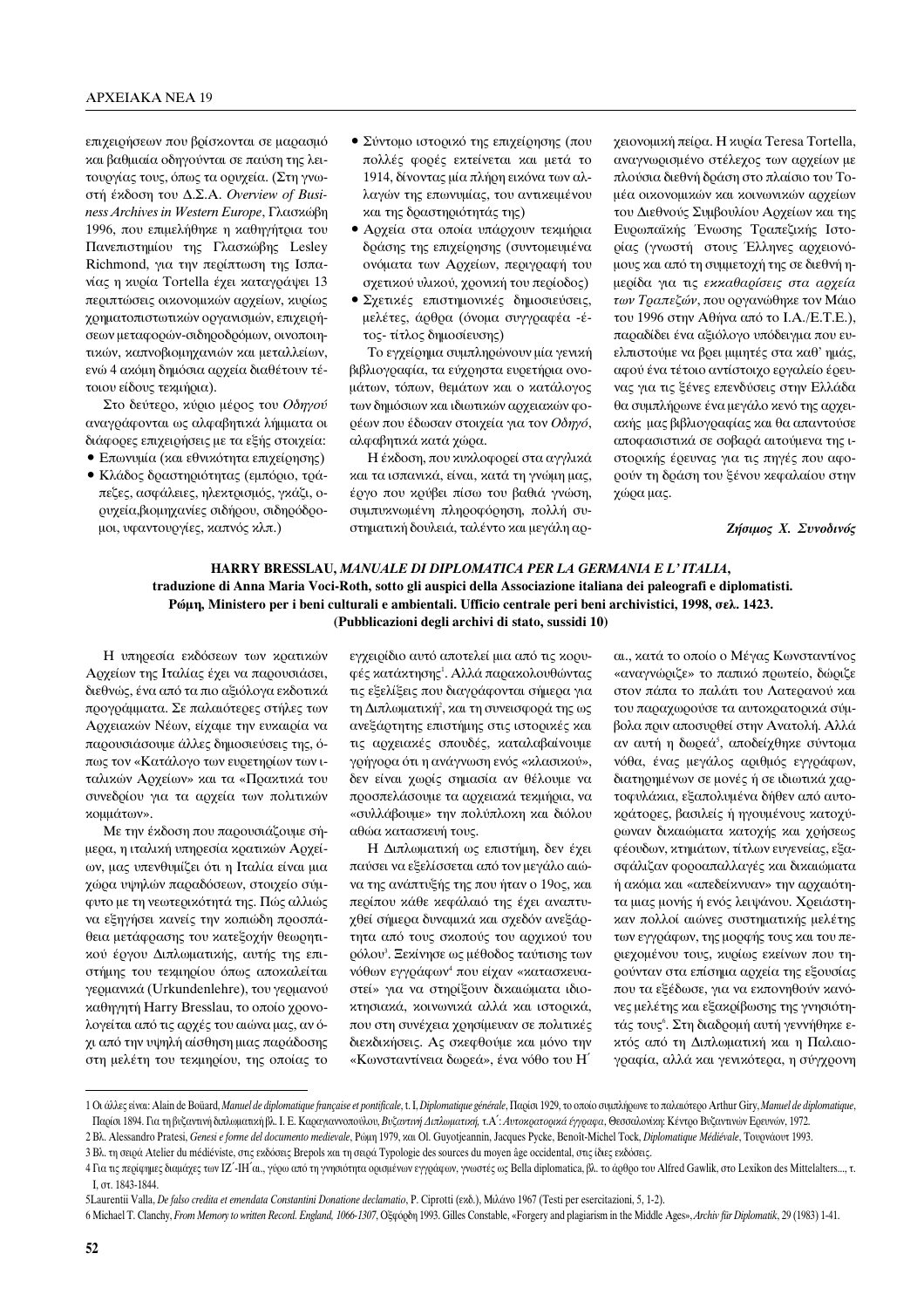επιχειρήσεων που βρίσκονται σε μαρασμό ναι βαθμιαία οδηγούνται σε παύση της λειτουργίας τους, όπως τα ορυχεία. (Στη γνωστή έκδοση του Δ.Σ.Α. Overview of Busi*ness Archives in Western Europe*, Γλασκώβη 1996, που επιμελήθηκε η καθηγήτρια του Πανεπιστημίου της Γλασκώβης Lesley Richmond, για την περίπτωση της Ισπανίας η κυρία Tortella έχει καταγράψει 13 περιπτώσεις οικονομικών αρχείων, κυρίως γρηματοπιστωτικών οργανισμών, επιχειρήσεων μεταφορών-σιδηροδρόμων, οινοποιητικών, καπνοβιομηχανιών και μεταλλείων, ενώ 4 ακόμη δημόσια αρχεία διαθέτουν τέτοιου είδους τεκμήρια).

Στο δεύτερο, κύριο μέρος του Οδηγού αναγράφονται ως αλφαβητικά λήμματα οι διάφορες επιχειρήσεις με τα εξής στοιχεία:

- Επωνυμία (και εθνικότητα επιχείρησης) • Κλάδος δραστηριότητας (εμπόριο, τρά-
- πεζες, ασφάλειες, ηλεκτρισμός, γκάζι, οουχεία, βιομηχανίες σιδήρου, σιδηρόδρομοι, υφαντουργίες, καπνός κλπ.)
- Σύντομο ιστορικό της επιχείρησης (που πολλές φορές εκτείνεται και μετά το 1914, δίνοντας μία πλήρη εικόνα των αλλαγών της επωνυμίας, του αντικειμένου και της δραστηριότητάς της)
- Αρχεία στα οποία υπάρχουν τεκμήρια δράσης της επιχείρησης (συντομευμένα ονόματα των Αρχείων, περιγραφή του Οχετικού υλικού, χρονική του περίοδος)
- Σχετικές επιστημονικές δημοσιεύσεις, μελέτες, άρθρα (όνομα συγγραφέα -έτος- τίτλος δημοσίευσης)

Το εγχείρημα συμπληρώνουν μία γενική βιβλιογραφία, τα εύχρηστα ευρετήρια ονομάτων, τόπων, θεμάτων και ο κατάλογος των δημόσιων και ιδιωτικών αργειακών φορέων που έδωσαν στοιχεία για τον Οδηγό, αλφαβητικά κατά γώρα.

Η έκδοση, που κυκλοφορεί στα αγγλικά και τα ισπανικά, είναι, κατά τη γνώμη μας, έονο που κούβει πίσω του βαθιά ννώση, συμπυκνωμένη πληροφόρηση, πολλή συστηματική δουλειά, ταλέντο και μεγάλη αρχειονομική πείρα. Η κυρία Teresa Tortella, αναγνωρισμένο στέλεχος των αρχείων με πλούσια διεθνή δράση στο πλαίσιο του Τομέα οικονομικών και κοινωνικών αρχείων του Διεθνούς Συμβουλίου Αρχείων και της Ευρωπαϊκής Ένωσης Τραπεζικής Ιστορίας (γνωστή στους Έλληνες αρχειονόμους και από τη συμμετοχή της σε διεθνή ημερίδα για τις *εκκαθαρίσεις στα αρχεία* των Τραπεζών, που οργανώθηκε τον Μάιο του 1996 στην Αθήνα από το Ι.Α./Ε.Τ.Ε.), παραδίδει ένα αξιόλογο υπόδειγμα που ευελπιστούμε να βρει μιμητές στα καθ' ημάς, αφού ένα τέτοιο αντίστοιχο εργαλείο έρευνας για τις ξένες επενδύσεις στην Ελλάδα θα συμπλήρωνε ένα μεγάλο κενό της αργειακής μας βιβλιογραφίας και θα απαντούσε αποφασιστικά σε σοβαρά αιτούμενα της ιστορικής έρευνας για τις πηγές που αφορούν τη δράση του ξένου κεφαλαίου στην χώρα μας.

 $Z$ ήσιμος *X. Συνοδινός* 

## **HARRY BRESSLAU,** *MANUALE DI DIPLOMATICA PER LA GERMANIA E L' ITALIA***, traduzione di Anna Maria Voci-Roth, sotto gli auspici della Associazione italiana dei paleografi e diplomatisti. Ρώμη, Ministero per i beni culturali e ambientali. Ufficio centrale peri beni archivistici, 1998, σελ. 1423. (Pubblicazioni degli archivi di stato, sussidi 10)**

Η υπηρεσία εκδόσεων των κρατικών Αρχείων της Ιταλίας έχει να παρουσιάσει, διεθνώς, ένα από τα πιο αξιόλογα εκδοτικά προγράμματα. Σε παλαιότερες στήλες των Αρχειακών Νέων, είχαμε την ευκαιρία να παρουσιάσουμε άλλες δημοσιεύσεις της, όπως τον «Κατάλογο των ευρετηρίων των ιταλικών Αρχείων» και τα «Πρακτικά του συνεδρίου για τα αρχεία των πολιτικών κομμάτων».

Με την έκδοση που παρουσιάζουμε σήμερα, η ιταλική υπηρεσία κρατικών Αρχείων, μας υπενθυμίζει ότι η Ιταλία είναι μια χώρα υψηλών παραδόσεων, στοιχείο σύμφυτο με τη νεωτερικότητά της. Πώς αλλιώς να εξηγήσει κανείς την κοπιώδη προσπάθεια μετάφρασης του κατεξοχήν θεωρητικού έργου Διπλωματικής, αυτής της επιστήμης του τεχμηρίου όπως αποκαλείται γερμανικά (Urkundenlehre), του γερμανού  $x\alpha\theta\eta\gamma\eta\tau\eta$  Harry Bresslau, το οποίο χρονολογείται από τις αρχές του αιώνα μας, αν όχι από την υψηλή αίσθηση μιας παράδοσης στη μελέτη του τεκμηρίου, της οποίας το εγχειρίδιο αυτό αποτελεί μια από τις κορυφές κατάκτησης<sup>1</sup>. Αλλά παρακολουθώντας τις εξελίξεις που διαγράφονται σήμερα για τη Διπλωματική², και τη συνεισφορά της ως ανεξάρτητης επιστήμης στις ιστορικές και τις αρχειακές σπουδές, καταλαβαίνουμε γρήγορα ότι η ανάγνωση ενός «κλασικού», δεν είναι χωρίς σημασία αν θέλουμε να προσπελάσουμε τα αρχειακά τεκμήρια, να «συλλάβουμε» την πολύπλοκη και διόλου αθώα κατασκευή τους.

Η Διπλωματική ως επιστήμη, δεν έχει παύσει να εξελίσσεται από τον μεγάλο αιώνα της ανάπτυξής της που ήταν ο 19ος, και περίπου κάθε κεφάλαιό της έχει αναπτυγθεί σήμερα δυναμικά και σχεδόν ανεξάρτητα από τους σκοπούς του αρχικού του οόλου<sup>3</sup>. Ξεκίνησε ως μέθοδος ταύτισης των νόθων εγγράφων<sup>4</sup> που είχαν «κατασκευαστεί» για να στηρίξουν δικαιώματα ιδιοκτησιακά, κοινωνικά αλλά και ιστορικά, που στη συνέχεια χρησίμευαν σε πολιτικές διεκδικήσεις. Ας σκεφθούμε και μόνο την «Κωνσταντίνεια δωρεά», ένα νόθο του Η΄

αι., κατά το οποίο ο Μέγας Κωνσταντίνος «αναγνώριζε» το παπικό πρωτείο, δώριζε στον πάπα το παλάτι του Λατερανού και του παραχωρούσε τα αυτοκρατορικά σύμβολα πριν αποσυρθεί στην Ανατολή. Αλλά αν αυτή η δωρεά<sup>s</sup>, αποδείχθηκε σύντομα νόθα, ένας μεγάλος αριθμός εγγράφων, διατηρημένων σε μονές ή σε ιδιωτικά χαρτοφυλάκια, εξαπολυμένα δήθεν από αυτοκράτορες, βασιλείς ή ηγουμένους κατοχύρωναν δικαιώματα κατοχής και χρήσεως φέουδων, κτημάτων, τίτλων ευγενείας, εξασφάλιζαν φοροαπαλλαγές και δικαιώματα ή ακόμα και «απεδείκνυαν» την αρχαιότητα μιας μονής ή ενός λειψάνου. Χρειάστηκαν πολλοί αιώνες συστηματικής μελέτης των εγγράφων, της μορφής τους και του περιεχομένου τους, κυρίως εκείνων που τηρούνταν στα επίσημα αρχεία της εξουσίας που τα εξέδωσε, για να εκπονηθούν κανόνες μελέτης και εξακρίβωσης της γνησιότητάς τους'. Στη διαδρομή αυτή γεννήθηκε εκτός από τη Διπλωματική και η Παλαιογραφία, αλλά και γενικότερα, η σύγχρονη

<sup>1</sup> Οι άλλες είναι: Alain de Boüard, *Manuel de diplomatique française et pontificale*, t. I, *Diplomatique générale*, Παρίσι 1929, το οποίο συμπλήρωνε το παλαιότερο Arthur Giry, *Manuel de diplomatique*, Παρίσι 1894. Για τη βυζαντινή διπλωματική βλ. Ι. Ε. Καραγιαννοπούλου, *Βυζαντινή Διπλωματική, τ.Α': Αυτοκρατορικά έγγραφα*, Θεσσαλονίκη: Κέντρο Βυζαντινών Ερευνών, 1972.

<sup>2</sup> Bλ. Alessandro Pratesi, Genesi e forme del documento medievale, Póμη 1979, και Ol. Guyotjeannin, Jacques Pycke, Benoît-Michel Tock, *Diplomatique Médiévale*, Τουρνάουτ 1993.

<sup>3</sup> Βλ. τη σειρά Atelier du médiéviste, στις εκδόσεις Brepols και τη σειρά Typologie des sources du moyen âge occidental, στις ίδιες εκδόσεις.

<sup>4</sup> Για τις περίφημες διαμάχες των ΙΖ΄-ΗΤ'αι., γύρω από τη γνησιότητα ορισμένων εγγράφων, γνωστές ως Bella diplomatica, βλ. το άρθρο του Alfred Gawlik, στο Lexikon des Mittelalters..., τ. Γ, στ. 1843-1844.

<sup>5</sup>Laurentii Valla, *De falso credita et emendata Constantini Donatione declamatio*, P. Ciprotti (εκδ.), Μιλάνο 1967 (Testi per esercitazioni, 5, 1-2).

<sup>6</sup> Michael T. Clanchy, *From Memory to written Record. England, 1066-1307*, Οξφόρδη 1993. Gilles Constable, «Forgery and plagiarism in the Middle Ages», *Archiv für Diplomatik*, 29 (1983) 1-41.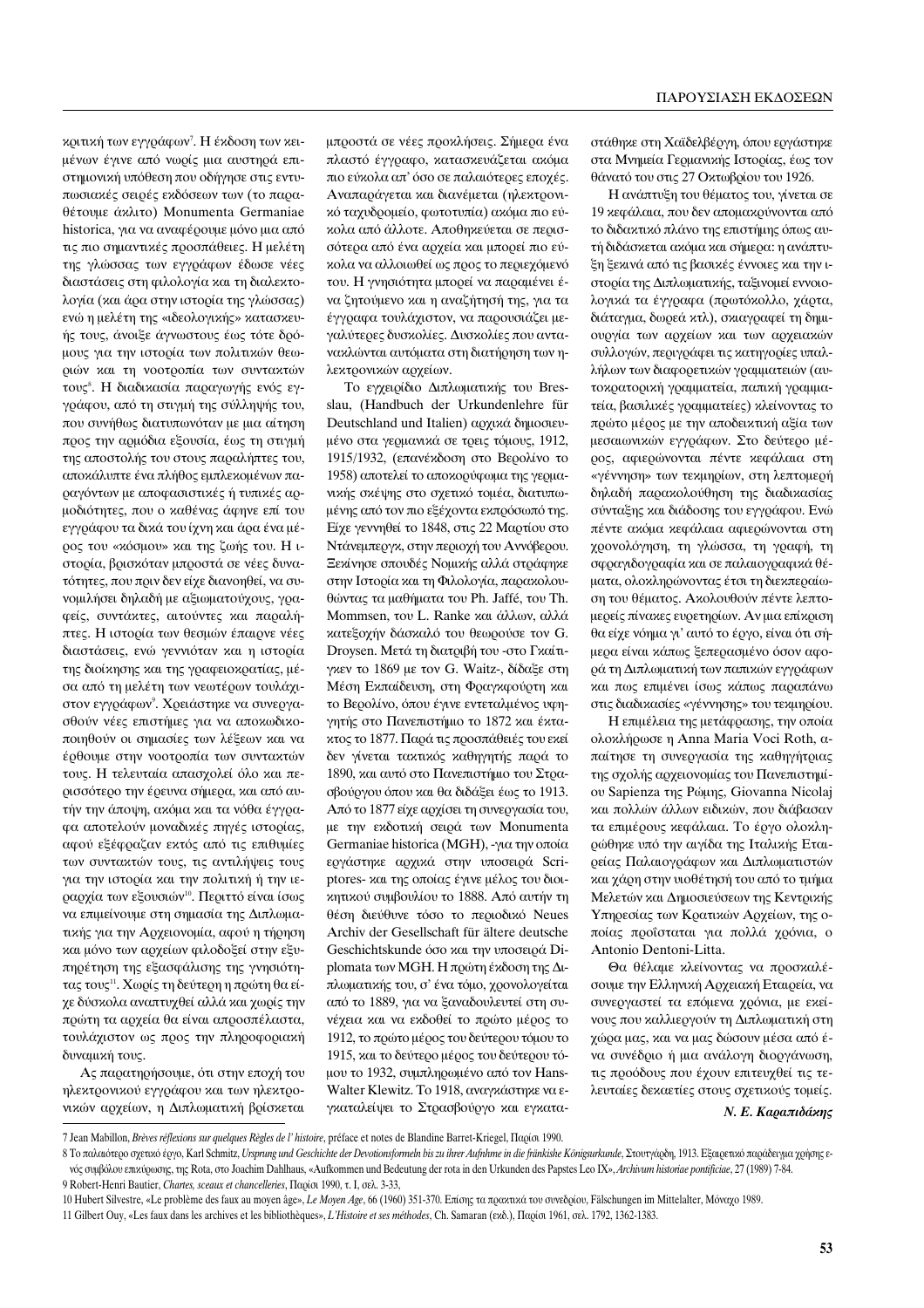κριτική των εγγράφων<sup>7</sup>. Η έκδοση των κειμένων έγινε από νωρίς μια αυστηρά επιστημονική υπόθεση που οδήγησε στις εντυπωσιακές σειρές εκδόσεων των (το παραθέτουμε άκλιτο) Monumenta Germaniae historica, για να αναφέρουμε μόνο μια από τις πιο σημαντικές προσπάθειες. Η μελέτη της γλώσσας των εγγράφων έδωσε νέες διαστάσεις στη φιλολογία και τη διαλεκτολογία (και άρα στην ιστορία της γλώσσας) ενώ η μελέτη της «ιδεολογικής» κατασκευής τους, άνοιξε άγνωστους έως τότε δρόμους για την ιστορία των πολιτικών θεωριών και τη νοοτροπία των συντακτών τους<sup>8</sup>. Η διαδικασία παραγωγής ενός εγγράφου, από τη στιγμή της σύλληψής του, που συνήθως διατυπωνόταν με μια αίτηση προς την αρμόδια εξουσία, έως τη στιγμή της αποστολής του στους παραλήπτες του, αποκάλυπτε ένα πλήθος εμπλεκομένων παραγόντων με αποφασιστικές ή τυπικές αρμοδιότητες, που ο καθένας άφηνε επί του εγγράφου τα δικά του ίχνη και άρα ένα μέρος του «κόσμου» και της ζωής του. Η ιστορία, βρισκόταν μπροστά σε νέες δυνατότητες, που πριν δεν είχε διανοηθεί, να συvομιλήσει δηλαδή με αξιωματούχους, γραφείς, συντάκτες, αιτούντες και παραλήπτες. Η ιστορία των θεσμών έπαιρνε νέες διαστάσεις, ενώ γεννιόταν και η ιστορία της διοίκησης και της γραφειοκρατίας, μέσα από τη μελέτη των νεωτέρων τουλάχιστον εγγράφων<sup>9</sup>. Χρειάστηκε να συνεργασθούν νέες επιστήμες για να αποκωδικοποιηθούν οι σημασίες των λέξεων και να έρθουμε στην νοοτροπία των συντακτών τους. Η τελευταία απασχολεί όλο και περισσότερο την έρευνα σήμερα, και από αυτήν την άποψη, ακόμα και τα νόθα έγγραφα αποτελούν μοναδικές πηγές ιστορίας, αφού εξέφραζαν εκτός από τις επιθυμίες των συντακτών τους, τις αντιλήψεις τους για την ιστορία και την πολιτική ή την ιεραρχία των εξουσιών<sup>10</sup>. Περιττό είναι ίσως να επιμείνουμε στη σημασία της Διπλωματικής για την Αρχειονομία, αφού η τήρηση και μόνο των αρχείων φιλοδοξεί στην εξυπηρέτηση της εξασφάλισης της γνησιότητας τους<sup>11</sup>. Χωρίς τη δεύτερη η πρώτη θα είγε δύσκολα αναπτυχθεί αλλά και χωρίς την πρώτη τα αρχεία θα είναι απροσπέλαστα, τουλάχιστον ως προς την πληροφοριακή δυναμική τους.

Ας παρατηρήσουμε, ότι στην εποχή του ηλεκτρονικού εγγράφου και των ηλεκτρονικών αρχείων, η Διπλωματική βρίσκεται μπροστά σε νέες προκλήσεις. Σήμερα ένα πλαστό έγγραφο, κατασκευάζεται ακόμα πιο εύκολα απ' όσο σε παλαιότερες εποχές. Αναπαράγεται και διανέμεται (ηλεκτρονικό ταχυδρομείο, φωτοτυπία) ακόμα πιο εύκολα από άλλοτε. Αποθηκεύεται σε περισσότερα από ένα αρχεία και μπορεί πιο εύκολα να αλλοιωθεί ως προς το περιεχόμενό του. Η γνησιότητα μπορεί να παραμένει ένα ζητούμενο και η αναζήτησή της, για τα έγγραφα τουλάχιστον, να παρουσιάζει μεγαλύτερες δυσκολίες. Δυσκολίες που αντανακλώνται αυτόματα στη διατήρηση των ηλεκτρονικών αρχείων.

Το εγγειρίδιο Διπλωματικής του Bresslau, (Handbuch der Urkundenlehre für Deutschland und Italien) αργικά δημοσιευμένο στα γερμανικά σε τρεις τόμους, 1912, 1915/1932, (επανέκδοση στο Βερολίνο το 1958) αποτελεί το αποκορύφωμα της γερμανικής σκέψης στο σγετικό τομέα, διατυπωμένης από τον πιο εξέχοντα εκπρόσωπό της. Είχε γεννηθεί το 1848, στις 22 Μαρτίου στο Ντάνεμπεργκ, στην περιοχή του Αννόβερου. Εενίνησε σπουδές Νομικής αλλά στράφηκε στην Ιστορία και τη Φιλολογία, παρακολουθώντας τα μαθήματα του Ph. Jaffé, του Th. Mommsen, του L. Ranke και άλλων, αλλά κατεξοχήν δάσκαλό του θεωρούσε τον G. Droysen. Μετά τη διατριβή του -στο Γκαίτιγκεν το 1869 με τον G. Waitz-, δίδαξε στη Μέση Εκπαίδευση, στη Φραγκφούρτη και το Βερολίνο, όπου έγινε εντεταλμένος υφηγητής στο Πανεπιστήμιο το 1872 και έκτακτος το 1877. Παρά τις προσπάθειές του εκεί δεν γίνεται τακτικός καθηγητής παρά το 1890, και αυτό στο Πανεπιστήμιο του Στρασβούργου όπου και θα διδάξει έως το 1913. Από το 1877 είχε αρχίσει τη συνεργασία του, με την εκδοτική σειρά των Monumenta Germaniae historica (MGH), -για την οποία εργάστηκε αρχικά στην υποσειρά Scriptores- και της οποίας έγινε μέλος του διοικητικού συμβουλίου το 1888. Από αυτήν τη θέση διεύθυνε τόσο το περιοδικό Neues Archiv der Gesellschaft für ältere deutsche Geschichtskunde όσο και την υποσειρά Diplomata των MGH. Η πρώτη έκδοση της Διπλωματικής του, σ' ένα τόμο, χρονολογείται από το 1889, για να ξαναδουλευτεί στη συνέχεια και να εκδοθεί το πρώτο μέρος το 1912, το πρώτο μέρος του δεύτερου τόμου το 1915, και το δεύτερο μέρος του δεύτερου τόμου το 1932, συμπληρωμένο από τον Hans-Walter Klewitz. Το 1918, αναγκάστηκε να εγκαταλείψει το Στρασβούργο και εγκαταστάθηκε στη Χαϊδελβέργη, όπου εργάστηκε στα Μνημεία Γερμανικής Ιστορίας, έως τον θάνατό του στις 27 Οκτωβρίου του 1926.

Η ανάπτυξη του θέματος του, γίνεται σε 19 κεφάλαια, που δεν απομακρύνονται από το διδακτικό πλάνο της επιστήμης όπως αυτή διδάσκεται ακόμα και σήμερα: η ανάπτυ-Έη ξεκινά από τις βασικές έννοιες και την ιστορία της Διπλωματικής, ταξινομεί εννοιολογικά τα έγγραφα (πρωτόκολλο, χάρτα, διάταγμα, δωρεά κτλ), σκιαγραφεί τη δημιουργία των αρχείων και των αρχειακών συλλογών, περιγράφει τις κατηγορίες υπαλλήλων των διαφορετικών γραμματειών (αυτοκρατορική γραμματεία, παπική γραμματεία, βασιλικές γραμματείες) κλείνοντας το πρώτο μέρος με την αποδεικτική αξία των μεσαιωνικών εγγράφων. Στο δεύτερο μέρος, αφιερώνονται πέντε κεφάλαια στη «γέννηση» των τεκμηρίων, στη λεπτομερή δηλαδή παρακολούθηση της διαδικασίας σύνταξης και διάδοσης του εγγράφου. Ενώ πέντε ακόμα κεφάλαια αφιερώνονται στη χρονολόγηση, τη γλώσσα, τη γραφή, τη σφραγιδογραφία και σε παλαιογραφικά θέματα, ολοκληρώνοντας έτσι τη διεκπεραίωση του θέματος. Ακολουθούν πέντε λεπτομερείς πίνακες ευρετηρίων. Αν μια επίκριση θα είχε νόημα γι' αυτό το έργο, είναι ότι σήμερα είναι κάπως ξεπερασμένο όσον αφορά τη Διπλωματική των παπικών εγγράφων και πως επιμένει ίσως κάπως παραπάνω στις διαδικασίες «γέννησης» του τεκμηρίου.

Η επιμέλεια της μετάφρασης, την οποία ολοκλήρωσε η Anna Maria Voci Roth, απαίτησε τη συνεργασία της καθηγήτριας της σχολής αρχειονομίας του Πανεπιστημίoυ Sapienza της Ρώμης, Giovanna Nicolaj και πολλών άλλων ειδικών, που διάβασαν τα επιμέρους κεφάλαια. Το έργο ολοκληρώθηκε υπό την αιγίδα της Ιταλικής Εταιρείας Παλαιογράφων και Διπλωματιστών και χάρη στην υιοθέτησή του από το τμήμα Μελετών και Δημοσιεύσεων της Κεντρικής Υπηρεσίας των Κρατικών Αρχείων, της οποίας προΐσταται για πολλά χρόνια, ο Antonio Dentoni-Litta.

Θα θέλαμε κλείνοντας να προσκαλέσουμε την Ελληνική Αρχειακή Εταιρεία, να συνεργαστεί τα επόμενα χρόνια, με εκείνους που καλλιεργούν τη Διπλωματική στη χώρα μας, και να μας δώσουν μέσα από ένα συνέδριο ή μια ανάλογη διοργάνωση, τις προόδους που έχουν επιτευχθεί τις τελευταίες δεκαετίες στους σχετικούς τομείς.

 $N. E.$  *Καραπιδάκης* 

<sup>7</sup> Jean Mabillon, *Brèves réflexions sur quelques Règles de l'histoire*, préface et notes de Blandine Barret-Kriegel, Παρίσι 1990.

<sup>8</sup> Το παλαιότερο σχετικό έργο, Karl Schmitz, Ursprung und Geschichte der Devotionsformeln bis zu ihrer Aufnhme in die fränkishe Königsurkunde, Στουτγάρδη, 1913. Εξαιρετικό παράδειγμα χρήσης ενός συμβόλου επικύρωσης, της Rota, στο Joachim Dahlhaus, «Aufkommen und Bedeutung der rota in den Urkunden des Papstes Leo IX», *Archivum historiae pontificiae*, 27 (1989) 7-84. 9 Robert-Henri Bautier, *Chartes, sceaux et chancelleries*, Παρίσι 1990, τ. Ι, σελ. 3-33,

<sup>10</sup> Hubert Silvestre, «Le problème des faux au moyen âge», Le Moyen Age, 66 (1960) 351-370. Επίσης τα πρακτικά του συνεδρίου, Fälschungen im Mittelalter, Μόναχο 1989. 11 Gilbert Ouy, «Les faux dans les archives et les bibliothèques», *L'Histoire et ses méthodes*, Ch. Samaran (εκδ.), Παρίσι 1961, σελ. 1792, 1362-1383.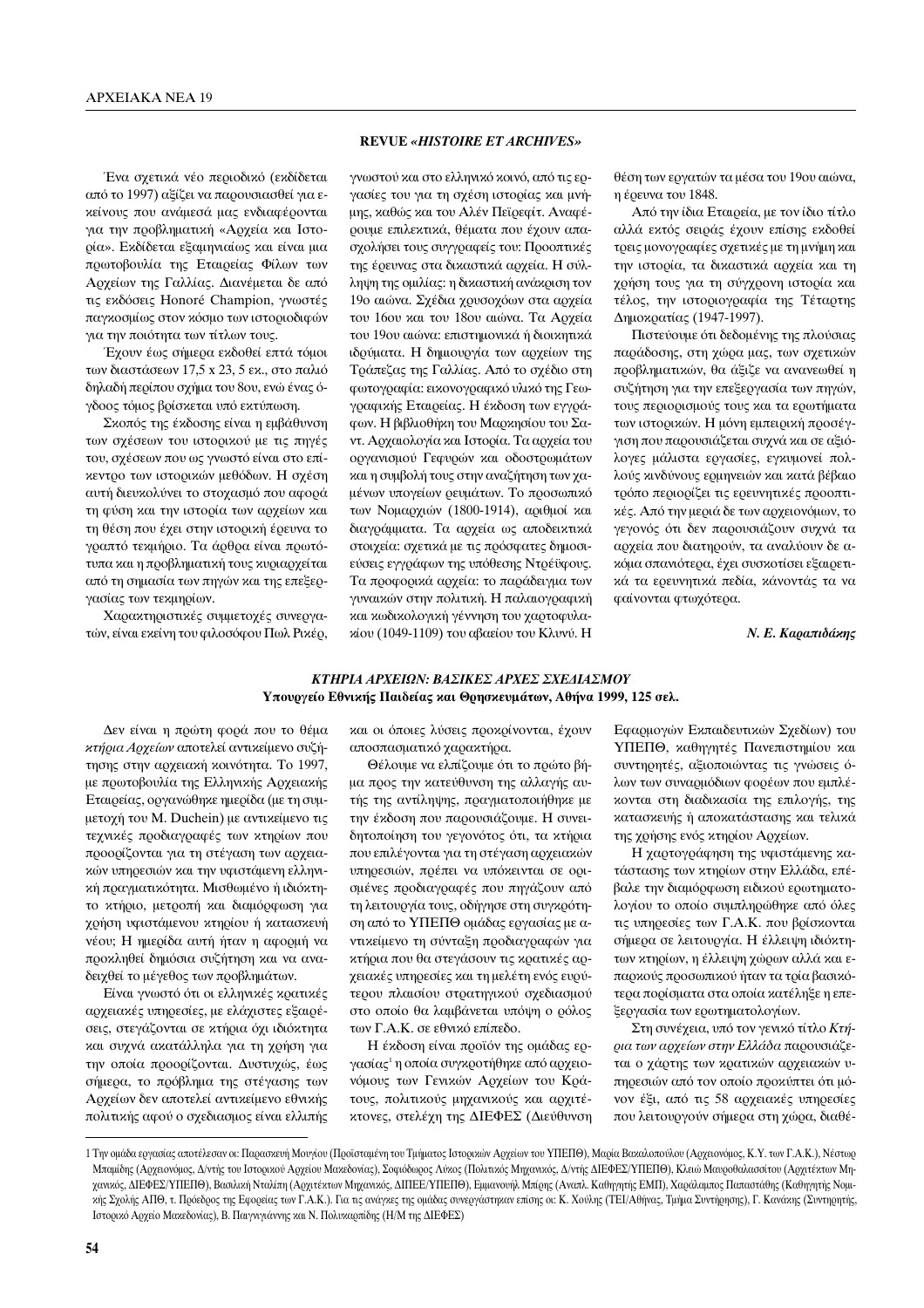Ένα σχετικά νέο περιοδικό (εκδίδεται από το 1997) αξίζει να παρουσιασθεί για εκείνους που ανάμεσά μας ενδιαφέρονται για την προβληματική «Αρχεία και Ιστορία». Εκδίδεται εξαμηνιαίως και είναι μια πρωτοβουλία της Εταιρείας Φίλων των Αρχείων της Γαλλίας. Διανέμεται δε από τις εκδόσεις Honoré Champion, γνωστές παγκοσμίως στον κόσμο των ιστοριοδιφών για την ποιότητα των τίτλων τους.

Έχουν έως σήμερα εκδοθεί επτά τόμοι των διαστάσεων  $17.5$  x 23, 5 εκ., στο παλιό δηλαδή περίπου σγήμα του 8ου, ενώ ένας όγδοος τόμος βρίσκεται υπό εκτύπωση.

Σκοπός της έκδοσης είναι η εμβάθυνση των σγέσεων του ιστορικού με τις πηγές του, σγέσεων που ως γνωστό είναι στο επίκεντρο των ιστορικών μεθόδων. Η σχέση αυτή διευκολύνει το στοχασμό που αφορά τη φύση και την ιστορία των αρχείων και τη θέση που έχει στην ιστορική έρευνα το γραπτό τεχμήριο. Τα άρθρα είναι πρωτότυπα και η προβληματική τους κυριαρχείται από τη σημασία των πηγών και της επεξεργασίας των τεκμηρίων.

Χαρακτηριστικές συμμετοχές συνεργατών, είναι εκείνη του φιλοσόφου Πωλ Ρικέρ,

#### **REVUE** *«HISTOIRE ET ARCHIVES»*

γνωστού και στο ελληνικό κοινό, από τις εργασίες του για τη σχέση ιστορίας και μνήμης, καθώς και του Αλέν Πεϊρεφίτ. Αναφέρουμε επιλεκτικά, θέματα που έχουν απασχολήσει τους συγγραφείς του: Προοπτικές της έρευνας στα δικαστικά αρχεία. Η σύλληψη της ομιλίας: η δικαστική ανάκριση τον 19ο αιώνα. Σχέδια χρυσοχόων στα αρχεία του 16ου και του 18ου αιώνα. Τα Αρχεία του 19ου αιώνα: επιστημονικά ή διοικητικά ιδρύματα. Η δημιουργία των αρχείων της Τράπεζας της Γαλλίας. Από το σγέδιο στη φωτογραφία: εικονογραφικό υλικό της Γεωγραφικής Εταιρείας. Η έκδοση των εγγρά- $\phi$ ων. Η βιβλιοθήκη του Μαρκησίου του Σαντ. Αργαιολογία και Ιστορία. Τα αργεία του οργανισμού Γεφυρών και οδοστρωμάτων και η συμβολή τους στην αναζήτηση των γαιένων υπογείων οευμάτων. Το ποοσωπικό των Νομαρχιών (1800-1914), αριθμοί και διαγράμματα. Τα αρχεία ως αποδεικτικά στοιχεία: σχετικά με τις πρόσφατες δημοσιεύσεις εγγράφων της υπόθεσης Ντρέϋφους. Τα προφορικά αρχεία: το παράδειγμα των γυναικών στην πολιτική. Η παλαιογραφική και κωδικολογική γέννηση του χαρτοφυλακίου (1049-1109) του αβαείου του Κλυνύ. Η

θέση των εργατών τα μέσα του 19ου αιώνα, η έρευνα του 1848.

Από την ίδια Εταιρεία, με τον ίδιο τίτλο αλλά εκτός σειράς έχουν επίσης εκδοθεί τρεις μονογραφίες σχετικές με τη μνήμη και την ιστορία, τα δικαστικά αρχεία και τη γρήση τους για τη σύγχρονη ιστορία και τέλος, την ιστοριογραφία της Τέταρτης Δημοκρατίας (1947-1997).

Πιστεύουμε ότι δεδομένης της πλούσιας παράδοσης, στη γώρα μας, των σγετικών προβληματικών, θα άξιζε να ανανεωθεί η συζήτηση για την επεξεργασία των πηγών, τους περιορισμούς τους και τα ερωτήματα των ιστορικών. Η μόνη εμπειρική προσέγγιση που παρουσιάζεται συγνά και σε αξιόλογες μάλιστα εργασίες, εγκυμονεί πολλούς κινδύνους ερμηνειών και κατά βέβαιο τρόπο περιορίζει τις ερευνητικές προοπτικές. Από την μεριά δε των αρχειονόμων, το γεγονός ότι δεν παρουσιάζουν συχνά τα αρχεία που διατηρούν, τα αναλύουν δε ακόμα σπανιότερα, έχει συσκοτίσει εξαιρετικά τα ερευνητικά πεδία, κάνοντάς τα να φαίνονται φτωχότερα.

 $N. E.$  Καραπιδάκης

## *ΚΤΗΡΙΑ ΑΡΧΕΙΩΝ: ΒΑΣΙΚΕΣ ΑΡΧΕΣ ΣΧΕΛΙΑΣΜΟΥ* Υπουργείο Εθνικής Παιδείας και Θρησκευμάτων, Αθήνα 1999, 125 σελ.

Δεν είναι η πρώτη φορά που το θέμα *κτήρια Αρχείων* αποτελεί αντικείμενο συζήτησης στην αρχειακή κοινότητα. Το 1997, με πρωτοβουλία της Ελληνικής Αρχειακής Εταιρείας, οργανώθηκε ημερίδα (με τη συμμετοχή του M. Duchein) με αντικείμενο τις τεχνικές προδιαγραφές των κτηρίων που προορίζονται για τη στέγαση των αρχειακών υπηρεσιών και την υφιστάμενη ελληνική πραγματικότητα. Μισθωμένο ή ιδιόκτητο κτήριο, μετροπή και διαμόρφωση για χρήση υφιστάμενου κτηρίου ή κατασκευή νέου; Η ημερίδα αυτή ήταν η αφορμή να προκληθεί δημόσια συζήτηση και να αναδειχθεί το μέγεθος των προβλημάτων.

Είναι γνωστό ότι οι ελληνικές κρατικές αρχειακές υπηρεσίες, με ελάχιστες εξαιρέσεις, στεγάζονται σε κτήρια όχι ιδιόκτητα και συχνά ακατάλληλα για τη χρήση για την οποία προορίζονται. Δυστυγώς, έως σήμερα, το πρόβλημα της στέγασης των Αογείων δεν αποτελεί αντικείμενο εθνικής πολιτικής αφού ο σγεδιασμος είναι ελλιπής και οι όποιες λύσεις προκρίνονται, έχουν αποσπασματικό χαρακτήρα.

Θέλουμε να ελπίζουμε ότι το πρώτο βήμα προς την κατεύθυνση της αλλαγής αυτής της αντίληψης, πραγματοποιήθηκε με την έκδοση που παρουσιάζουμε. Η συνειδητοποίηση του γεγονότος ότι, τα κτήρια που επιλέγονται για τη στέγαση αρχειακών υπηρεσιών, πρέπει να υπόκεινται σε ορισμένες προδιαγραφές που πηγάζουν από τη λειτουργία τους, οδήγησε στη συγκρότηση από το ΥΠΕΠΘ ομάδας εργασίας με αντικείμενο τη σύνταξη προδιαγραφών για κτήρια που θα στεγάσουν τις κρατικές αρχειακές υπηρεσίες και τη μελέτη ενός ευρύτερου πλαισίου στρατηγικού σχεδιασμού στο οποίο θα λαμβάνεται υπόψη ο ρόλος των Γ.Α.Κ. σε εθνικό επίπεδο.

Η έκδοση είναι προϊόν της ομάδας εργασίας<sup>1</sup> η οποία συγκροτήθηκε από αργειονόμους των Γενικών Αργείων του Κράτους, πολιτικούς μηχανικούς και αρχιτέκτονες, στελέγη της ΔΙΕΦΕΣ (Διεύθυνση Εφαρμογών Εκπαιδευτικών Σχεδίων) του ΥΠΕΠΘ, καθηγητές Πανεπιστημίου και συντηρητές, αξιοποιώντας τις γνώσεις όλων των συναρμόδιων φορέων που εμπλέκονται στη διαδικασία της επιλογής, της κατασκευής ή αποκατάστασης και τελικά της χρήσης ενός κτηρίου Αρχείων.

Η χαρτογράφηση της υφιστάμενης κατάστασης των κτηρίων στην Ελλάδα, επέβαλε την διαμόρφωση ειδικού ερωτηματολογίου το οποίο συμπληρώθηκε από όλες τις υπηρεσίες των Γ.Α.Κ. που βρίσκονται σήμερα σε λειτουργία. Η έλλειψη ιδιόκτητων κτηρίων, η έλλειψη χώρων αλλά και επαρκούς προσωπικού ήταν τα τρία βασικότερα πορίσματα στα οποία κατέληξε η επεξεργασία των ερωτηματολογίων.

Στη συνέχεια, υπό τον γενικό τίτλο Κτήρια των αρχείων στην Ελλάδα παρουσιάζεται ο γάρτης των κρατικών αργειακών υπηρεσιών από τον οποίο προκύπτει ότι μόνον έξι, από τις 58 αργειακές υπηρεσίες που λειτουονούν σήμερα στη γώρα, διαθέ-

<sup>1</sup> Την ομάδα εργασίας αποτέλεσαν οι: Παρασκευή Μουγίου (Προϊσταμένη του Τμήματος Ιστορικών Αρχείον του ΥΠΕΠΘ), Μαρία Βακαλοπούλου (Αρχειονόμος, Κ.Υ. των Γ.Α.Κ.), Νέστωρ Μπαμίδης (Αρχειονόμος, Δ/ντής του Ιστορικού Αρχείου Μακεδονίας), Σοφιόδωρος Λύκος (Πολιτικός Μηχανικός, Δ/ντής ΔΙΕΦΕΣ/ΥΠΕΠΘ), Κλειώ Μαυροθαλασσίτου (Αρχιτέκτων Μηχανικός, ΔΙΕΦΕΣ/ΥΠΕΠΘ), Βασιλική Νταλίπη (Αρχιτέκτων Μηχανικός, ΔΙΠΕΕ/ΥΠΕΠΘ), Εμμανουήλ Μπίρης (Αναπλ. Καθηγητής ΕΜΠ), Χαράλαμπος Παπαστάθης (Καθηγητής Νομικής Σχολής ΑΠΘ, τ. Πρόεδρος της Εφορείας των Γ.Α.Κ.). Για τις ανάγκες της ομάδας συνεργάστηκαν επίσης οι: Κ. Χούλης (ΤΕΙ/Αθήνας, Τμήμα Συντήρησης), Γ. Κανάκης (Συντηρητής, Ιστορικό Αρχείο Μακεδονίας), Β. Παιγνιγιάννης και Ν. Πολυκαρπίδης (Η/Μ της ΔΙΕΦΕΣ)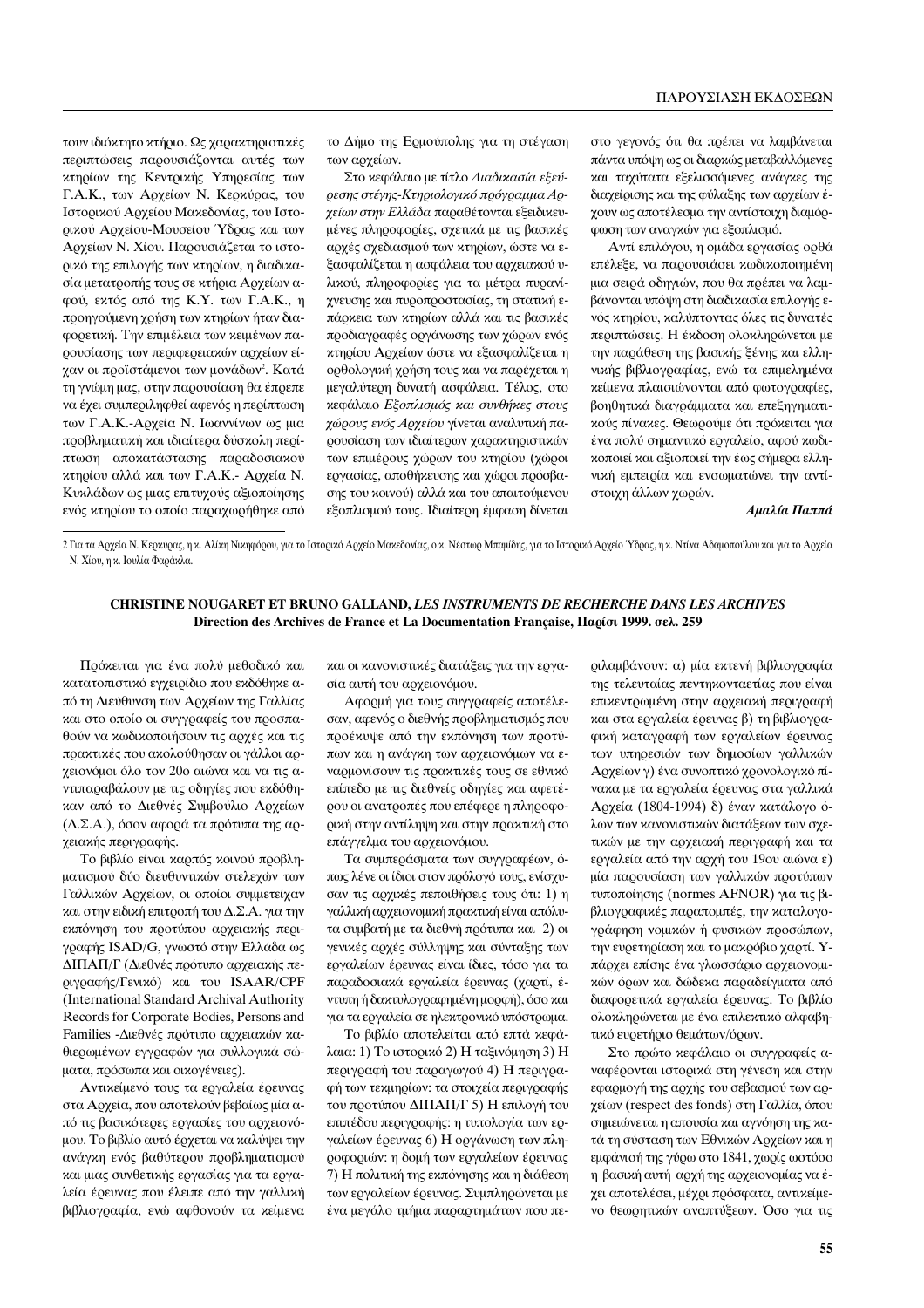τουν ιδιόκτητο κτήριο. Ως χαρακτηριστικές περιπτώσεις παρουσιάζονται αυτές των κτηρίων της Κεντρικής Υπηρεσίας των Γ.Α.Κ., των Αρχείων Ν. Κερκύρας, του Ιστορικού Αρχείου Μακεδονίας, του Ιστορικού Αρχείου-Μουσείου Υδρας και των Αρχείων Ν. Χίου. Παρουσιάζεται το ιστορικό της επιλογής των κτηρίων, η διαδικασία μετατροπής τους σε κτήρια Αρχείων αφού, εκτός από της Κ.Υ. των Γ.Α.Κ., η προηγούμενη χρήση των κτηρίων ήταν διαφορετική. Την επιμέλεια των κειμένων παρουσίασης των περιφερειακών αργείων είγαν οι προϊστάμενοι των μονάδων<sup>2</sup>. Κατά τη γνώμη μας, στην παρουσίαση θα έπρεπε να έγει συμπεριληφθεί αφενός η περίπτωση των Γ.Α.Κ.-Αργεία Ν. Ιωαννίνων ως μια προβληματική και ιδιαίτερα δύσκολη περίπτωση αποκατάστασης παραδοσιακού κτηρίου αλλά και των Γ.Α.Κ. -Αρχεία Ν. Κυκλάδων ως μιας επιτυχούς αξιοποίησης ενός κτηρίου το οποίο παραγωρήθηκε από

το Δήμο της Ερμούπολης για τη στέγαση των αρχείων.

Στο κεφάλαιο με τίτλο Διαδικασία εξεύρεσης στέγης-Κτηριολογικό πρόγραμμα Αρχείων στην Ελλάδα παραθέτονται εξειδικευμένες πληροφορίες, σχετικά με τις βασικές αρχές σχεδιασμού των κτηρίων, ώστε να εξασφαλίζεται η ασφάλεια του αρχειακού υλικού, πληροφορίες για τα μέτρα πυρανίχνευσης και πυροπροστασίας, τη στατική επάρκεια των κτηρίων αλλά και τις βασικές προδιαγραφές οργάνωσης των χώρων ενός κτηρίου Αρχείων ώστε να εξασφαλίζεται η ορθολογική χρήση τους και να παρέχεται η μεγαλύτερη δυνατή ασφάλεια. Τέλος, στο κεφάλαιο Εξοπλισμός και συνθήκες στους γώρους ενός Αργείου γίνεται αναλυτική παρουσίαση των ιδιαίτερων γαρακτηριστικών των επιμέρους γώρων του κτηρίου (γώροι εργασίας, αποθήκευσης και χώροι πρόσβασης του κοινού) αλλά και του απαιτούμενου εξοπλισμού τους. Ιδιαίτερη έμφαση δίνεται στο γεγονός ότι θα πρέπει να λαμβάνεται πάντα υπόψη ως οι διαρκώς μεταβαλλόμενες και ταχύτατα εξελισσόμενες ανάγκες της διαχείρισης και της φύλαξης των αρχείων έχουν ως αποτέλεσμα την αντίστοιχη διαμόρφωση των αναγκών για εξοπλισμό.

Αντί επιλόγου, η ομάδα εργασίας ορθά επέλεξε, να παρουσιάσει κωδικοποιημένη μια σειρά οδηγιών, που θα πρέπει να λαμβάνονται υπόψη στη διαδικασία επιλογής ενός κτηρίου, καλύπτοντας όλες τις δυνατές περιπτώσεις. Η έκδοση ολοκληρώνεται με την παράθεση της βασικής ξένης και ελληνικής βιβλιογραφίας, ενώ τα επιμελημένα κείμενα πλαισιώνονται από φωτογραφίες, βοηθητικά διαγράμματα και επεξηγηματικούς πίνακες. Θεωρούμε ότι πρόκειται για ένα πολύ σημαντικό εργαλείο, αφού κωδικοποιεί και αξιοποιεί την έως σήμερα ελληνική εμπειρία και ενσωματώνει την αντίστοιχη άλλων χωρών.

Αμαλία Παππά

2 Για τα Αρχεία Ν. Κερκύρας, η κ. Αλίκη Νικηφόρου, για το Ιστορικό Αρχείο Μακεδονίας, ο κ. Νέστωρ Μπαμίδης, για το Ιστορικό Αρχείο Ύδρας, η κ. Ντίνα Αδαμοπούλου και για το Αρχεία Ν. Χίου, η κ. Ιουλία Φαράκλα.

## CHRISTINE NOUGARET ET BRUNO GALLAND, LES INSTRUMENTS DE RECHERCHE DANS LES ARCHIVES Direction des Archives de France et La Documentation Française, Παρίσι 1999. σελ. 259

Πρόκειται για ένα πολύ μεθοδικό και κατατοπιστικό εγχειρίδιο που εκδόθηκε από τη Διεύθυνση των Αρχείων της Γαλλίας και στο οποίο οι συγγραφείς του προσπαθούν να κωδικοποιήσουν τις αρχές και τις πρακτικές που ακολούθησαν οι γάλλοι αρχειονόμοι όλο τον 20ο αιώνα και να τις αντιπαραβάλουν με τις οδηγίες που εκδόθηκαν από το Διεθνές Συμβούλιο Αρχείων (Δ.Σ.Α.), όσον αφορά τα πρότυπα της αρχειακής περιγραφής.

Το βιβλίο είναι καρπός κοινού προβληματισμού δύο διευθυντικών στελεχών των Γαλλικών Αρχείων, οι οποίοι συμμετείχαν και στην ειδική επιτροπή του Δ.Σ.Α. για την εκπόνηση του προτύπου αρχειακής περιγραφής ISAD/G, γνωστό στην Ελλάδα ως ΔΙΠΑΠ/Γ (Διεθνές πρότυπο αργειακής περιγραφής/Γενικό) και του ISAAR/CPF (International Standard Archival Authority Records for Corporate Bodies, Persons and Families -Διεθνές πρότυπο αρχειακών καθιερωμένων εγγραφών για συλλογικά σώματα, πρόσωπα και οικογένειες).

Αντικείμενό τους τα εργαλεία έρευνας στα Αρχεία, που αποτελούν βεβαίως μία από τις βασικότερες εργασίες του αρχειονόμου. Το βιβλίο αυτό έρχεται να καλύψει την ανάγκη ενός βαθύτερου προβληματισμού και μιας συνθετικής εργασίας για τα εργαλεία έρευνας που έλειπε από την γαλλική βιβλιογραφία, ενώ αφθονούν τα κείμενα και οι κανονιστικές διατάξεις για την εργασία αυτή του αρχειονόμου.

Αφορμή για τους συγγραφείς αποτέλεσαν, αφενός ο διεθνής προβληματισμός που προέκυψε από την εκπόνηση των προτύπων και η ανάγκη των αρχειονόμων να εναρμονίσουν τις πρακτικές τους σε εθνικό επίπεδο με τις διεθνείς οδηγίες και αφετέρου οι ανατροπές που επέφερε η πληροφορική στην αντίληψη και στην πρακτική στο επάγγελμα του αρχειονόμου.

Τα συμπεράσματα των συγγραφέων, όπως λένε οι ίδιοι στον πρόλογό τους, ενίσχυσαν τις αρχικές πεποιθήσεις τους ότι: 1) η γαλλική αρχειονομική πρακτική είναι απόλυτα συμβατή με τα διεθνή πρότυπα και 2) οι γενικές αρχές σύλληψης και σύνταξης των εργαλείων έρευνας είναι ίδιες, τόσο για τα παραδοσιακά εργαλεία έρευνας (χαρτί, έντυπη ή δακτυλογραφημένη μορφή), όσο και για τα εργαλεία σε ηλεκτρονικό υπόστρωμα.

Το βιβλίο αποτελείται από επτά κεφάλαια: 1) Το ιστορικό 2) Η ταξινόμηση 3) Η περιγραφή του παραγωγού 4) Η περιγραφή των τεκμηρίων: τα στοιχεία περιγραφής του προτύπου ΔΙΠΑΠ/Γ 5) Η επιλογή του επιπέδου περιγραφής: η τυπολογία των εργαλείων έρευνας 6) Η οργάνωση των πληροφοριών: η δομή των εργαλείων έρευνας 7) Η πολιτική της εκπόνησης και η διάθεση των εργαλείων έρευνας. Συμπληρώνεται με ένα μεγάλο τμήμα παραρτημάτων που πε-

ριλαμβάνουν: α) μία εκτενή βιβλιογραφία της τελευταίας πεντηκονταετίας που είναι επικεντρωμένη στην αρχειακή περιγραφή και στα εργαλεία έρευνας β) τη βιβλιογραφική καταγραφή των εργαλείων έρευνας των υπηρεσιών των δημοσίων γαλλικών Αρχείων γ) ένα συνοπτικό χρονολογικό πίνακα με τα εργαλεία έρευνας στα γαλλικά Αρχεία (1804-1994) δ) έναν κατάλογο όλων των κανονιστικών διατάξεων των σχετικών με την αρχειακή περιγραφή και τα εργαλεία από την αρχή του 19ου αιώνα ε) μία παρουσίαση των γαλλικών προτύπων τυποποίησης (normes AFNOR) για τις βιβλιογραφικές παραπομπές, την καταλογογράφηση νομικών ή φυσικών προσώπων, την ευρετηρίαση και το μακρόβιο χαρτί. Υπάρχει επίσης ένα γλωσσάριο αρχειονομικών όρων και δώδεκα παραδείγματα από διαφορετικά εργαλεία έρευνας. Το βιβλίο ολοκληρώνεται με ένα επιλεκτικό αλφαβητικό ευρετήριο θεμάτων/όρων.

Στο πρώτο κεφάλαιο οι συγγραφείς αναφέρονται ιστορικά στη γένεση και στην εφαρμογή της αρχής του σεβασμού των αρχείων (respect des fonds) στη Γαλλία, όπου σημειώνεται η απουσία και αγνόηση της κατά τη σύσταση των Εθνικών Αρχείων και η εμφάνισή της γύρω στο 1841, χωρίς ωστόσο η βασική αυτή αρχή της αρχειονομίας να έχει αποτελέσει, μέχρι πρόσφατα, αντικείμενο θεωρητικών αναπτύξεων. Όσο για τις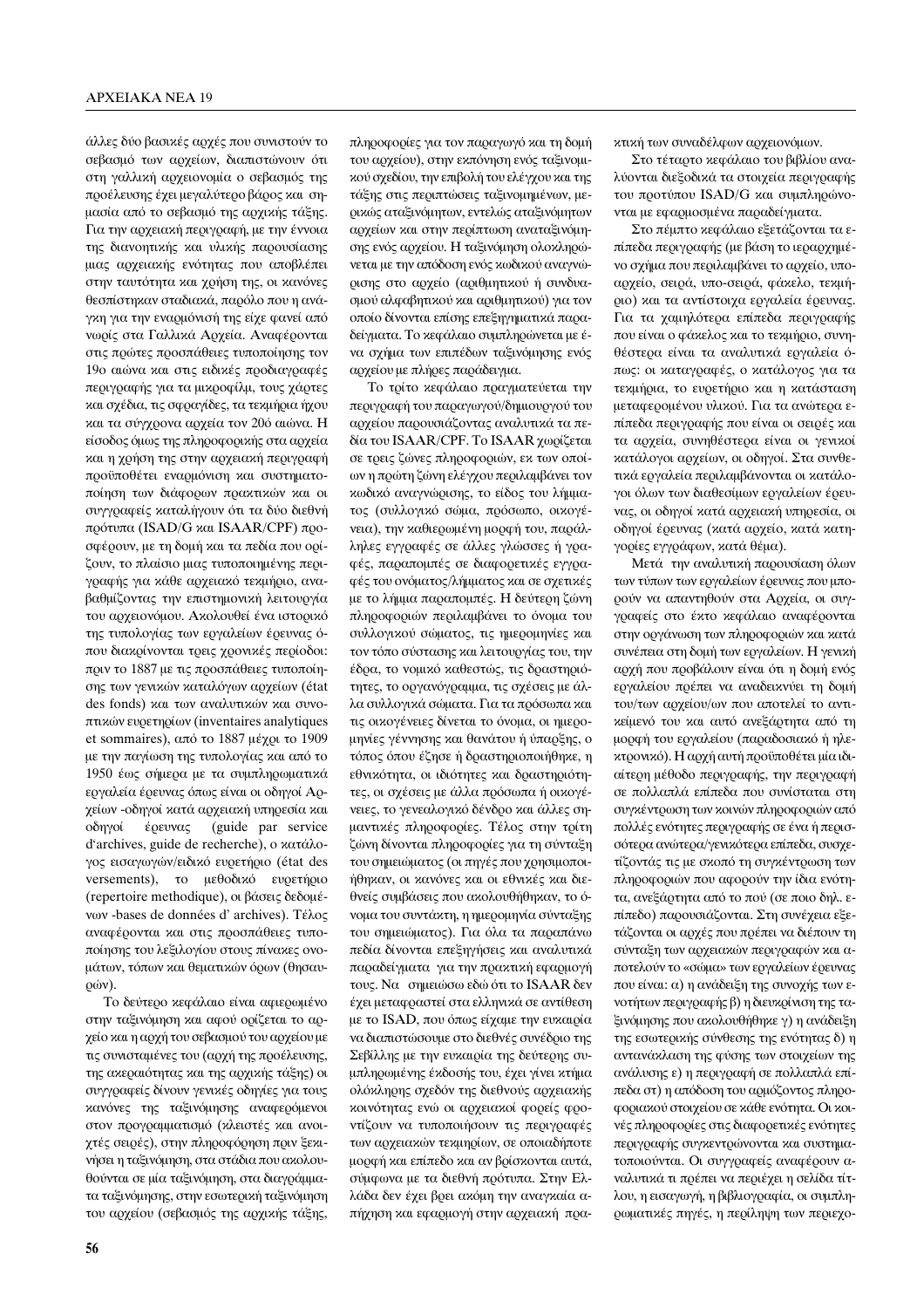άλλες δύο βασικές αρχές που συνιστούν το σεβασμό των αρχείων, διαπιστώνουν ότι στη γαλλική αρχειονομία ο σεβασμός της προέλευσης έχει μεγαλύτερο βάρος και σημασία από το σεβασμό της αρχικής τάξης. Για την αρχειακή περιγραφή, με την έννοια της διανοητικής και υλικής παρουσίασης μιας αρχειακής ενότητας που αποβλέπει στην ταυτότητα και χρήση της, οι κανόνες θεσπίστηκαν σταδιακά, παρόλο που η ανάγκη για την εναρμόνισή της είχε φανεί από νωρίς στα Γαλλικά Αρχεία. Αναφέρονται στις πρώτες προσπάθειες τυποποίησης τον 19ο αιώνα και στις ειδικές προδιαγραφές περιγραφής για τα μικροφίλμ, τους γάρτες και σχέδια, τις σφραγίδες, τα τεκμήρια ήχου και τα σύγχρονα αρχεία τον 20ό αιώνα. Η είσοδος όμως της πληροφορικής στα αργεία και η χρήση της στην αρχειακή περιγραφή προϋποθέτει εναρμόνιση και συστηματοποίηση των διάφορων πρακτικών και οι συγγραφείς καταλήγουν ότι τα δύο διεθνή πρότυπα (ISAD/G και ISAAR/CPF) προσφέρουν, με τη δομή και τα πεδία που ορίζουν, το πλαίσιο μιας τυποποιημένης περιγραφής για κάθε αρχειακό τεκμήριο, αναβαθμίζοντας την επιστημονική λειτουργία του αρχειονόμου. Ακολουθεί ένα ιστορικό της τυπολογίας των εργαλείων έρευνας όπου διακρίνονται τρεις χρονικές περίοδοι: πριν το 1887 με τις προσπάθειες τυποποίησης των γενικών καταλόγων αρχείων (état des fonds) και των αναλυτικών και συνοπτικών ευρετηρίων (inventaires analytiques et sommaires), από το 1887 μέχρι το 1909 με την παγίωση της τυπολογίας και από το 1950 έως σήμερα με τα συμπληρωματικά εργαλεία έρευνας όπως είναι οι οδηγοί Αρχείων -οδηγοί κατά αρχειακή υπηρεσία και οδηγοί έρευνας (guide par service d'archives, guide de recherche), ο κατάλογος εισαγωγών/ειδικό ευρετήριο (état des versements), το μεθοδικό ευρετήριο (repertoire methodique), οι βάσεις δεδομέvων -bases de données d'archives). Τέλος αναφέρονται και στις προσπάθειες τυποποίησης του λεξιλογίου στους πίνακες ονομάτων, τόπων και θεματικών όρων (θησαν-ÚÒÓ).

Το δεύτερο κεφάλαιο είναι αφιερωμένο στην ταξινόμηση και αφού ορίζεται το αρχείο και η αρχή του σεβασμού του αρχείου με τις συνισταμένες του (αρχή της προέλευσης, της ακεραιότητας και της αρχικής τάξης) οι συγγραφείς δίνουν γενικές οδηγίες για τους κανόνες της ταξινόμησης αναφερόμενοι στον προγραμματισμό (κλειστές και ανοιχτές σειρές), στην πληροφόρηση πριν ξεκινήσει η ταξινόμηση, στα στάδια που ακολουθούνται σε μία ταξινόμηση, στα διαγράμματα ταξινόμησης, στην εσωτερική ταξινόμηση του αρχείου (σεβασμός της αρχικής τάξης,

του αρχείου), στην εκπόνηση ενός ταξινομικού σχεδίου, την επιβολή του ελέγχου και της τάξης στις περιπτώσεις ταξινομημένων, μερικώς αταξινόμητων, εντελώς αταξινόμητων αρχείων και στην περίπτωση αναταξινόμησης ενός αρχείου. Η ταξινόμηση ολοκληρώνεται με την απόδοση ενός κωδικού αναγνώρισης στο αρχείο (αριθμητικού ή συνδυασμού αλφαβητικού και αριθμητικού) για τον οποίο δίνονται επίσης επεξηγηματικά παραδείγματα. Το κεφάλαιο συμπληρώνεται με ένα σχήμα των επιπέδων ταξινόμησης ενός αργείου με πλήρες παράδειγμα. Το τρίτο κεφάλαιο πραγματεύεται την

πληροφορίες για τον παραγωγό και τη δομή

περιγραφή του παραγωγού/δημιουργού του αργείου παρουσιάζοντας αναλυτικά τα πεδία του ISAAR/CPF. Το ISAAR γωρίζεται σε τρεις ζώνες πληροφοριών, εκ των οποίων η πρώτη ζώνη ελέγχου περιλαμβάνει τον κωδικό αναγνώρισης, το είδος του λήμματος (συλλογικό σώμα, πρόσωπο, οικογένεια), την καθιερωμένη μορφή του, παράλληλες εγγραφές σε άλλες γλώσσες ή γραφές, παραπομπές σε διαφορετικές εγγραφές του ονόματος/λήμματος και σε σχετικές με το λήμμα παραπομπές. Η δεύτερη ζώνη πληροφοριών περιλαμβάνει το όνομα του συλλογικού σώματος, τις ημερομηνίες και τον τόπο σύστασης και λειτουργίας του, την έδρα, το νομικό καθεστώς, τις δραστηριότητες, το οργανόγραμμα, τις σχέσεις με άλλα συλλογικά σώματα. Για τα πρόσωπα και τις οικογένειες δίνεται το όνομα, οι ημερομηνίες γέννησης και θανάτου ή ύπαρξης, ο τόπος όπου έζησε ή δραστηριοποιήθηκε, η εθνικότητα, οι ιδιότητες και δραστηριότητες, οι σχέσεις με άλλα πρόσωπα ή οικογένειες, το γενεαλογικό δένδρο και άλλες σημαντικές πληροφορίες. Τέλος στην τρίτη ζώνη δίνονται πληροφορίες για τη σύνταξη του σημειώματος (οι πηγές που χρησιμοποιήθηκαν, οι κανόνες και οι εθνικές και διεθνείς συμβάσεις που ακολουθήθηκαν, το όνομα του συντάκτη, η ημερομηνία σύνταξης του σημειώματος). Για όλα τα παραπάνω πεδία δίνονται επεξηγήσεις και αναλυτικά παραδείγματα για την πρακτική εφαρμογή τους. Να σημειώσω εδώ ότι το ISAAR δεν έχει μεταφραστεί στα ελληνικά σε αντίθεση με το ISAD, που όπως είχαμε την ευκαιρία να διαπιστώσουμε στο διεθνές συνέδριο της Σεβίλλης με την ευκαιρία της δεύτερης συμπληρωμένης έκδοσής του, έχει γίνει κτήμα ολόκληρης σχεδόν της διεθνούς αρχειακής κοινότητας ενώ οι αρχειακοί φορείς φροντίζουν να τυποποιήσουν τις περιγραφές των αρχειακών τεκμηρίων, σε οποιαδήποτε μορφή και επίπεδο και αν βρίσκονται αυτά, σύμφωνα με τα διεθνή πρότυπα. Στην Ελλάδα δεν έχει βρει ακόμη την αναγκαία απήχηση και εφαρμογή στην αρχειακή πρακτική των συναδέλφων αρχειονόμων.

Στο τέταρτο κεφάλαιο του βιβλίου αναλύονται διεξοδικά τα στοιχεία περιγραφής του προτύπου ISAD/G και συμπληρώνονται με εφαρμοσμένα παραδείγματα.

Στο πέμπτο κεφάλαιο εξετάζονται τα επίπεδα περιγραφής (με βάση το ιεραρχημένο σχήμα που περιλαμβάνει το αρχείο, υποαρχείο, σειρά, υπο-σειρά, φάκελο, τεκμήριο) και τα αντίστοιχα εργαλεία έρευνας. Για τα χαμηλότερα επίπεδα περιγραφής που είναι ο φάκελος και το τεκμήριο, συνηθέστερα είναι τα αναλυτικά εργαλεία όπως: οι καταγραφές, ο κατάλογος για τα τεχμήρια, το ευρετήριο και η κατάσταση μεταφερομένου υλικού. Για τα ανώτερα επίπεδα περιγραφής που είναι οι σειρές και τα αργεία, συνηθέστερα είναι οι γενικοί κατάλονοι αργείων, οι οδηνοί. Στα συνθετικά εργαλεία περιλαμβάνονται οι κατάλογοι όλων των διαθεσίμων εργαλείων έρευνας, οι οδηγοί κατά αρχειακή υπηρεσία, οι οδηγοί έρευνας (κατά αρχείο, κατά κατηγορίες εγγράφων, κατά θέμα).

Μετά την αναλυτική παρουσίαση όλων των τύπων των εργαλείων έρευνας που μπορούν να απαντηθούν στα Αρχεία, οι συγγραφείς στο έκτο κεφάλαιο αναφέρονται στην οργάνωση των πληροφοριών και κατά συνέπεια στη δομή των εργαλείων. Η γενική αρχή που προβάλουν είναι ότι η δομή ενός εργαλείου πρέπει να αναδεικνύει τη δομή του/των αρχείου/ων που αποτελεί το αντικείμενό του και αυτό ανεξάρτητα από τη μορφή του εργαλείου (παραδοσιακό ή ηλεκτρονικό). Η αρχή αυτή προϋποθέτει μία ιδιαίτερη μέθοδο περιγραφής, την περιγραφή σε πολλαπλά επίπεδα που συνίσταται στη συγκέντρωση των κοινών πληροφοριών από πολλές ενότητες περιγραφής σε ένα ή περισσότερα ανώτερα/γενικότερα επίπεδα, συσχετίζοντάς τις με σκοπό τη συγκέντρωση των πληροφοριών που αφορούν την ίδια ενότητα, ανεξάρτητα από το πού (σε ποιο δηλ. επίπεδο) παρουσιάζονται. Στη συνέχεια εξετάζονται οι αρχές που πρέπει να διέπουν τη σύνταξη των αρχειακών περιγραφών και αποτελούν το «σώμα» των εργαλείων έρευνας που είναι: α) η ανάδειξη της συνοχής των ενοτήτων περιγραφής β) η διευκρίνιση της ταξινόμησης που ακολουθήθηκε γ) η ανάδειξη της εσωτερικής σύνθεσης της ενότητας δ) η αντανάκλαση της φύσης των στοιχείων της ανάλυσης ε) η περιγραφή σε πολλαπλά επίπεδα στ) η απόδοση του αρμόζοντος πληροφοριακού στοιχείου σε κάθε ενότητα. Οι κοινές πληροφορίες στις διαφορετικές ενότητες περιγραφής συγκεντρώνονται και συστηματοποιούνται. Οι συγγραφείς αναφέρουν αναλυτικά τι πρέπει να περιέχει η σελίδα τίτλου, η εισαγωγή, η βιβλιογραφία, οι συμπληρωματικές πηγές, η περίληψη των περιεχο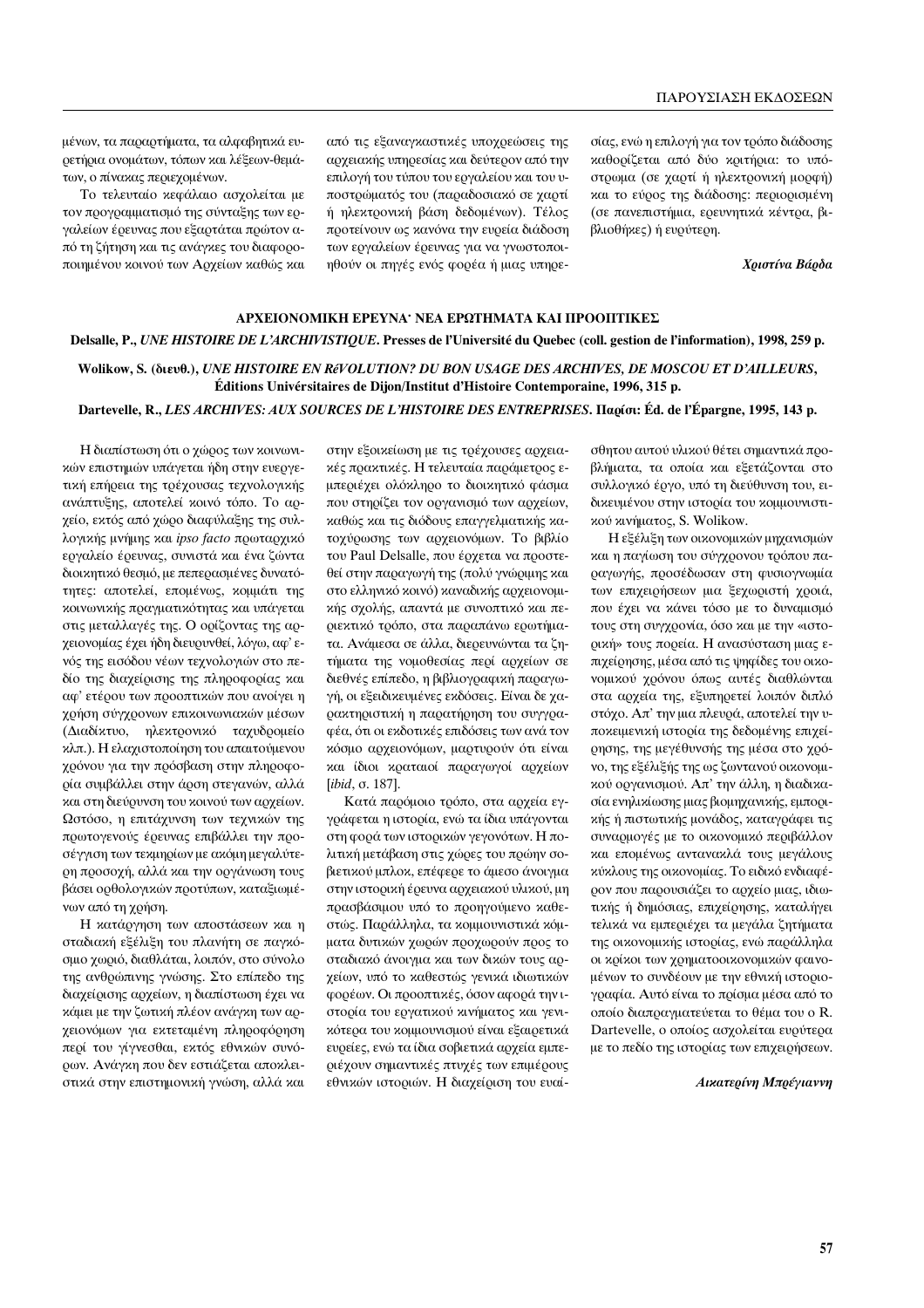μένων, τα παραρτήματα, τα αλφαβητικά ευρετήρια ονομάτων, τόπων και λέξεων-θεμάτων, ο πίνακας περιεχομένων.

Το τελευταίο κεφάλαιο ασχολείται με τον προγραμματισμό της σύνταξης των εργαλείων έρευνας που εξαρτάται πρώτον από τη ζήτηση και τις ανάγκες του διαφοροποιημένου κοινού των Αρχείων καθώς και από τις εξαναγκαστικές υποχρεώσεις της αρχειακής υπηρεσίας και δεύτερον από την επιλογή του τύπου του εργαλείου και του υποστρώματός του (παραδοσιακό σε χαρτί ή ηλεκτρονική βάση δεδομένων). Τέλος προτείνουν ως κανόνα την ευρεία διάδοση των εργαλείων έρευνας για να γνωστοποιηθούν οι πηγές ενός φορέα ή μιας υπηρεσίας, ενώ η επιλογή για τον τρόπο διάδοσης καθορίζεται από δύο κριτήρια: το υπόστρωμα (σε χαρτί ή ηλεκτρονική μορφή) και το εύρος της διάδοσης: περιορισμένη (σε πανεπιστήμια, ερευνητικά κέντρα, βιβλιοθήκες) ή ευρύτερη.

*Xριστίνα Βάρδα* 

# **<u>ΑΡΧΕΙΟΝΟΜΙΚΗ ΕΡΕΥΝΑ∙ ΝΕΑ ΕΡΩΤΗΜΑΤΑ ΚΑΙ ΠΡΟΟΠΤΙΚΕΣ</u> Delsalle, P.,** *UNE HISTOIRE DE L'ARCHIVISTIQUE***. Presses de l'Université du Quebec (coll. gestion de l'information), 1998, 259 p.**

**Wolikow, S. (‰È¢ı.),** *UNE HISTOIRE EN RéVOLUTION? DU BON USAGE DES ARCHIVES, DE MOSCOU ET D'AILLEURS***, Éditions Univérsitaires de Dijon/Institut d'Histoire Contemporaine, 1996, 315 p.** 

#### Dartevelle, R., *LES ARCHIVES: AUX SOURCES DE L'HISTOIRE DES ENTREPRISES*, Παρίσι: Éd. de l'Épargne, 1995, 143 p.

Η διαπίστωση ότι ο χώρος των κοινωνικών επιστημών υπάγεται ήδη στην ευεργετική επήρεια της τρέχουσας τεχνολογικής ανάπτυξης, αποτελεί κοινό τόπο. Το αρχείο, εκτός από χώρο διαφύλαξης της συλλογικής μνήμης και ipso facto πρωταρχικό εργαλείο έρευνας, συνιστά και ένα ζώντα διοικητικό θεσμό, με πεπερασμένες δυνατότητες: αποτελεί, επομένως, κομμάτι της κοινωνικής πραγματικότητας και υπάγεται στις μεταλλαγές της. Ο ορίζοντας της αργειονομίας έχει ήδη διευρυνθεί, λόγω, αφ' ενός της εισόδου νέων τεχνολογιών στο πεδίο της διαχείρισης της πληροφορίας και αφ' ετέρου των προοπτικών που ανοίγει η χρήση σύγχρονων επικοινωνιακών μέσων (Διαδίκτυο, ηλεκτρονικό ταχυδρομείο κλπ.). Η ελαχιστοποίηση του απαιτούμενου γρόνου για την πρόσβαση στην πληροφορία συμβάλλει στην άρση στεγανών, αλλά και στη διεύρυνση του κοινού των αρχείων. Ωστόσο, η επιτάχυνση των τεχνικών της πρωτογενούς έρευνας επιβάλλει την προσέγγιση των τεκμηρίων με ακόμη μεγαλύτεοη προσοχή, αλλά και την οργάνωση τους βάσει ορθολογικών προτύπων, καταξιωμένων από τη χρήση.

Η κατάργηση των αποστάσεων και η σταδιακή εξέλιξη του πλανήτη σε παγκόσμιο χωριό, διαθλάται, λοιπόν, στο σύνολο της ανθρώπινης γνώσης. Στο επίπεδο της διαχείρισης αρχείων, η διαπίστωση έχει να κάμει με την ζωτική πλέον ανάγκη των αρχειονόμων για εκτεταμένη πληροφόρηση περί του γίγνεσθαι, εκτός εθνικών συνόρων. Ανάγκη που δεν εστιάζεται αποκλειστικά στην επιστημονική γνώση, αλλά και στην εξοικείωση με τις τρέχουσες αρχειακές πρακτικές. Η τελευταία παράμετρος εμπεριέχει ολόκληρο το διοικητικό φάσμα που στηρίζει τον οργανισμό των αρχείων, καθώς και τις διόδους επαγγελματικής κατοχύρωσης των αρχειονόμων. Το βιβλίο του Paul Delsalle, που έρχεται να προστεθεί στην παραγωγή της (πολύ γνώριμης και στο ελληνικό κοινό) καναδικής αρχειονομικής σχολής, απαντά με συνοπτικό και περιεκτικό τρόπο, στα παραπάνω ερωτήματα. Ανάμεσα σε άλλα, διερευνώνται τα ζητήματα της νομοθεσίας περί αρχείων σε διεθνές επίπεδο, η βιβλιογραφική παραγωγή, οι εξειδικευμένες εκδόσεις. Είναι δε χαρακτηριστική η παρατήρηση του συγγραφέα, ότι οι εκδοτικές επιδόσεις των ανά τον  $x$ όσμο αρχειονόμων, μαρτυρούν ότι είναι και ίδιοι κραταιοί παραγωγοί αρχείων  $[ibid, \sigma. 187]$ .

Κατά παρόμοιο τρόπο, στα αρχεία εγγράφεται η ιστορία, ενώ τα ίδια υπάγονται στη φορά των ιστορικών γεγονότων. Η πολιτική μετάβαση στις χώρες του πρώην σοβιετικού μπλοκ, επέφερε το άμεσο άνοιγμα στην ιστορική έρευνα αρχειακού υλικού, μη πρασβάσιμου υπό το προηγούμενο καθεστώς. Παράλληλα, τα κομμουνιστικά κόμματα δυτικών χωρών προχωρούν προς το σταδιακό άνοιγμα και των δικών τους αργείων, υπό το καθεστώς γενικά ιδιωτικών φορέων. Οι προοπτικές, όσον αφορά την ιστορία του εργατικού κινήματος και γενικότερα του κομμουνισμού είναι εξαιρετικά ευρείες, ενώ τα ίδια σοβιετικά αργεία εμπεοιέγουν σημαντικές πτυγές των επιμέρους εθνικών ιστοριών. Η διαχείριση του ευαίσθητου αυτού υλικού θέτει σημαντικά προβλήματα, τα οποία και εξετάζονται στο συλλογικό έργο, υπό τη διεύθυνση του, ειδικευμένου στην ιστορία του κομμουνιστι $x$ ού  $x$ ινήματος, S. Wolikow.

Η εξέλιξη των οικονομικών μηχανισμών και η παγίωση του σύγχρονου τρόπου παραγωγής, προσέδωσαν στη φυσιογνωμία των επιχειρήσεων μια ξεχωριστή χροιά, που έχει να κάνει τόσο με το δυναμισμό τους στη συγχρονία, όσο και με την «ιστορική» τους πορεία. Η ανασύσταση μιας επιχείρησης, μέσα από τις ψηφίδες του οικονομικού χρόνου όπως αυτές διαθλώνται στα αρχεία της, εξυπηρετεί λοιπόν διπλό στόχο. Απ' την μια πλευρά, αποτελεί την υποκειμενική ιστορία της δεδομένης επιχείρησης, της μεγέθυνσής της μέσα στο χρόνο, της εξέλιξής της ως ζωντανού οικονομικού οργανισμού. Απ' την άλλη, η διαδικασία ενηλικίωσης μιας βιομηχανικής, εμπορι*κ*ής ή πιστωτικής μονάδος, καταγράφει τις συναρμογές με το οικονομικό περιβάλλον και επομένως αντανακλά τους μεγάλους κύκλους της οικονομίας. Το ειδικό ενδιαφέρον που παρουσιάζει το αρχείο μιας, ιδιωτικής ή δημόσιας, επιχείρησης, καταλήγει τελικά να εμπεριέχει τα μεγάλα ζητήματα της οικονομικής ιστορίας, ενώ παράλληλα οι κρίκοι των χρηματοοικονομικών φαινομένων το συνδέουν με την εθνική ιστοριογραφία. Αυτό είναι το πρίσμα μέσα από το οποίο διαπραγματεύεται το θέμα του ο R. Dartevelle, ο οποίος ασχολείται ευρύτερα με το πεδίο της ιστορίας των επιχειρήσεων.

#### $A$ ικατερίνη Μπρέγιαννη